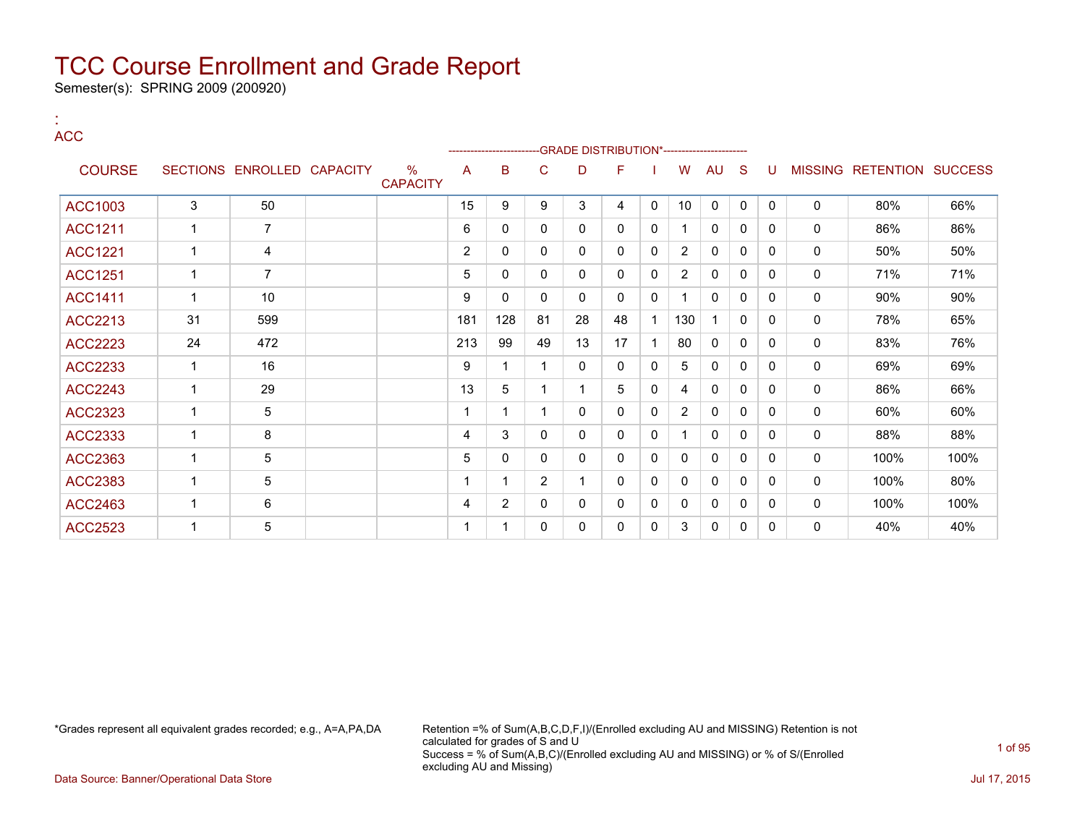Semester(s): SPRING 2009 (200920)

:

| <b>ACC</b>     |              |                            |                         |                |                |                |              | -GRADE DISTRIBUTION*---------------------- |              |                |              |              |          |   |                           |      |
|----------------|--------------|----------------------------|-------------------------|----------------|----------------|----------------|--------------|--------------------------------------------|--------------|----------------|--------------|--------------|----------|---|---------------------------|------|
| <b>COURSE</b>  |              | SECTIONS ENROLLED CAPACITY | $\%$<br><b>CAPACITY</b> | A              | B              | $\mathsf{C}$   | D            | F                                          |              | W              | <b>AU</b>    | S            | U        |   | MISSING RETENTION SUCCESS |      |
| <b>ACC1003</b> | 3            | 50                         |                         | 15             | 9              | 9              | 3            | 4                                          | $\mathbf 0$  | 10             | $\mathbf 0$  | $\mathbf 0$  | $\Omega$ | 0 | 80%                       | 66%  |
| <b>ACC1211</b> | $\mathbf{1}$ | $\overline{7}$             |                         | 6              | $\mathbf{0}$   | $\mathbf{0}$   | $\mathbf{0}$ | $\mathbf{0}$                               | 0            |                | 0            | 0            | 0        | 0 | 86%                       | 86%  |
| <b>ACC1221</b> | $\mathbf{1}$ | 4                          |                         | $\overline{2}$ | $\mathbf{0}$   | $\mathbf{0}$   | $\mathbf{0}$ | $\mathbf{0}$                               | $\mathbf{0}$ | $\overline{2}$ | $\mathbf{0}$ | $\mathbf{0}$ | $\Omega$ | 0 | 50%                       | 50%  |
| <b>ACC1251</b> | $\mathbf{1}$ | $\overline{7}$             |                         | 5              | $\mathbf{0}$   | $\mathbf{0}$   | $\Omega$     | $\mathbf{0}$                               | $\mathbf{0}$ | $\overline{2}$ | 0            | $\mathbf{0}$ | $\Omega$ | 0 | 71%                       | 71%  |
| <b>ACC1411</b> | $\mathbf 1$  | 10                         |                         | 9              | $\mathbf{0}$   | $\mathbf{0}$   | $\Omega$     | $\Omega$                                   | 0            |                | 0            | $\mathbf{0}$ | $\Omega$ | 0 | 90%                       | 90%  |
| ACC2213        | 31           | 599                        |                         | 181            | 128            | 81             | 28           | 48                                         |              | 130            |              | $\mathbf{0}$ | 0        | 0 | 78%                       | 65%  |
| <b>ACC2223</b> | 24           | 472                        |                         | 213            | 99             | 49             | 13           | 17                                         |              | 80             | 0            | 0            | $\Omega$ | 0 | 83%                       | 76%  |
| <b>ACC2233</b> | $\mathbf 1$  | 16                         |                         | 9              |                |                | $\mathbf{0}$ | 0                                          | 0            | 5              | 0            | $\mathbf{0}$ | $\Omega$ | 0 | 69%                       | 69%  |
| <b>ACC2243</b> | $\mathbf{1}$ | 29                         |                         | 13             | 5              |                | 1            | 5                                          | $\mathbf{0}$ | 4              | $\mathbf{0}$ | 0            | $\Omega$ | 0 | 86%                       | 66%  |
| ACC2323        | $\mathbf 1$  | 5                          |                         |                | 1              |                | $\mathbf{0}$ | $\mathbf{0}$                               | $\mathbf{0}$ | $\overline{2}$ | 0            | $\mathbf{0}$ | $\Omega$ | 0 | 60%                       | 60%  |
| ACC2333        | $\mathbf 1$  | 8                          |                         | 4              | 3              | $\mathbf{0}$   | $\mathbf{0}$ | $\mathbf{0}$                               | 0            |                | $\mathbf 0$  | $\mathbf{0}$ | $\Omega$ | 0 | 88%                       | 88%  |
| <b>ACC2363</b> | $\mathbf{1}$ | 5                          |                         | 5              | $\mathbf{0}$   | $\mathbf{0}$   | $\mathbf{0}$ | $\mathbf{0}$                               | 0            | $\mathbf{0}$   | $\mathbf 0$  | $\mathbf{0}$ | $\Omega$ | 0 | 100%                      | 100% |
| <b>ACC2383</b> | $\mathbf 1$  | $5\overline{)}$            |                         |                | 1              | $\overline{2}$ | 1            | $\mathbf{0}$                               | $\mathbf 0$  | 0              | 0            | $\mathbf{0}$ | $\Omega$ | 0 | 100%                      | 80%  |
| <b>ACC2463</b> | $\mathbf{1}$ | 6                          |                         | 4              | $\overline{2}$ | $\mathbf{0}$   | $\Omega$     | $\mathbf{0}$                               | 0            | 0              | 0            | $\mathbf{0}$ | $\Omega$ | 0 | 100%                      | 100% |
| <b>ACC2523</b> | 1            | 5                          |                         |                |                | $\mathbf{0}$   | 0            | 0                                          | $\mathbf{0}$ | 3              | $\mathbf{0}$ | 0            | $\Omega$ | 0 | 40%                       | 40%  |

\*Grades represent all equivalent grades recorded; e.g., A=A,PA,DA Retention =% of Sum(A,B,C,D,F,I)/(Enrolled excluding AU and MISSING) Retention is not calculated for grades of S and U Success = % of Sum(A,B,C)/(Enrolled excluding AU and MISSING) or % of S/(Enrolled excluding AU and Missing)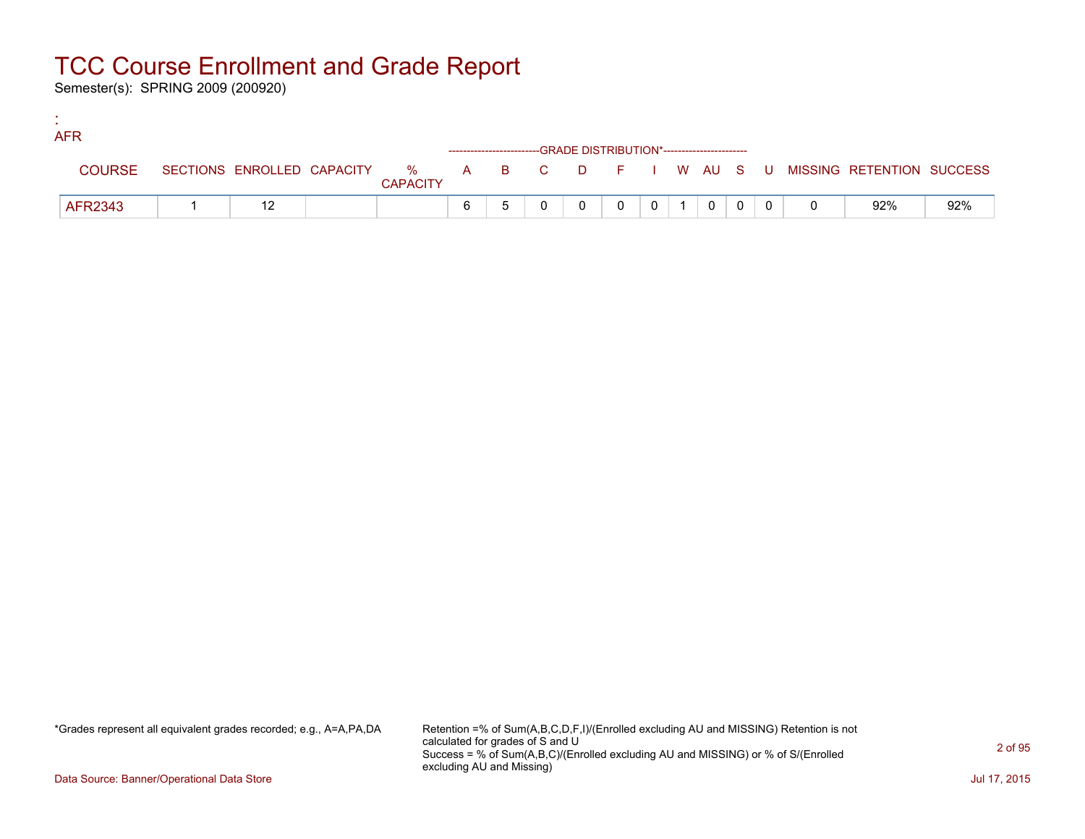Semester(s): SPRING 2009 (200920)

:

| <b>AFR</b>    |  |                 |   |  |          |          |                |  |                                                                             |     |
|---------------|--|-----------------|---|--|----------|----------|----------------|--|-----------------------------------------------------------------------------|-----|
|               |  |                 |   |  |          |          |                |  |                                                                             |     |
| <b>COURSE</b> |  | <b>CAPACITY</b> |   |  |          |          |                |  | SECTIONS ENROLLED CAPACITY % A B C D F I W AU S U MISSING RETENTION SUCCESS |     |
| AFR2343       |  |                 | 6 |  | $\Omega$ | $\Omega$ | $\overline{0}$ |  | 92%                                                                         | 92% |

\*Grades represent all equivalent grades recorded; e.g., A=A,PA,DA Retention =% of Sum(A,B,C,D,F,I)/(Enrolled excluding AU and MISSING) Retention is not calculated for grades of S and U Success = % of Sum(A,B,C)/(Enrolled excluding AU and MISSING) or % of S/(Enrolled excluding AU and Missing)

Data Source: Banner/Operational Data Store Jul 17, 2015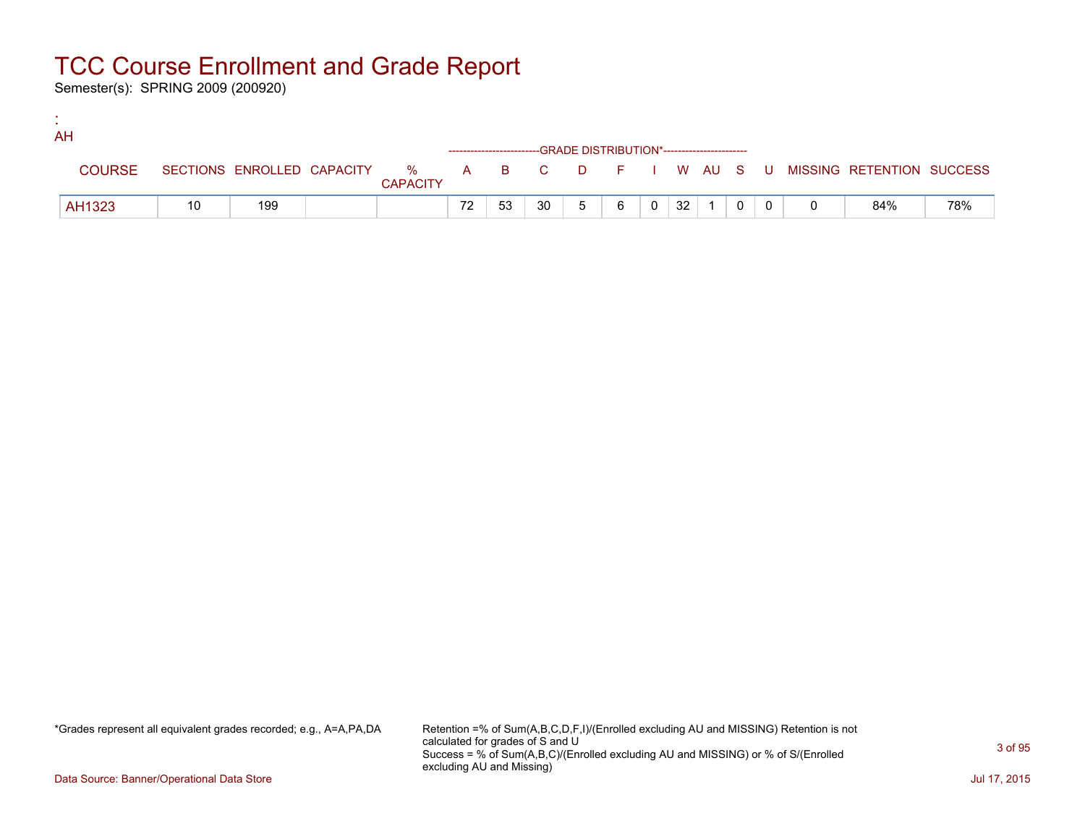Semester(s): SPRING 2009 (200920)

:

| AH            |    |     |                 |    |    |    |                                                                    |   |                |    |  |  |                                                                             |     |
|---------------|----|-----|-----------------|----|----|----|--------------------------------------------------------------------|---|----------------|----|--|--|-----------------------------------------------------------------------------|-----|
|               |    |     |                 |    |    |    | ------------------------GRADE DISTRIBUTION*----------------------- |   |                |    |  |  |                                                                             |     |
| <b>COURSE</b> |    |     | <b>CAPACITY</b> |    |    |    |                                                                    |   |                |    |  |  | SECTIONS ENROLLED CAPACITY % A B C D F I W AU S U MISSING RETENTION SUCCESS |     |
| AH1323        | 10 | 199 |                 | 72 | 53 | 30 | 5 <sup>5</sup>                                                     | 6 | $\overline{0}$ | 32 |  |  | 84%                                                                         | 78% |

\*Grades represent all equivalent grades recorded; e.g., A=A,PA,DA Retention =% of Sum(A,B,C,D,F,I)/(Enrolled excluding AU and MISSING) Retention is not calculated for grades of S and U Success = % of Sum(A,B,C)/(Enrolled excluding AU and MISSING) or % of S/(Enrolled excluding AU and Missing)

Data Source: Banner/Operational Data Store Jul 17, 2015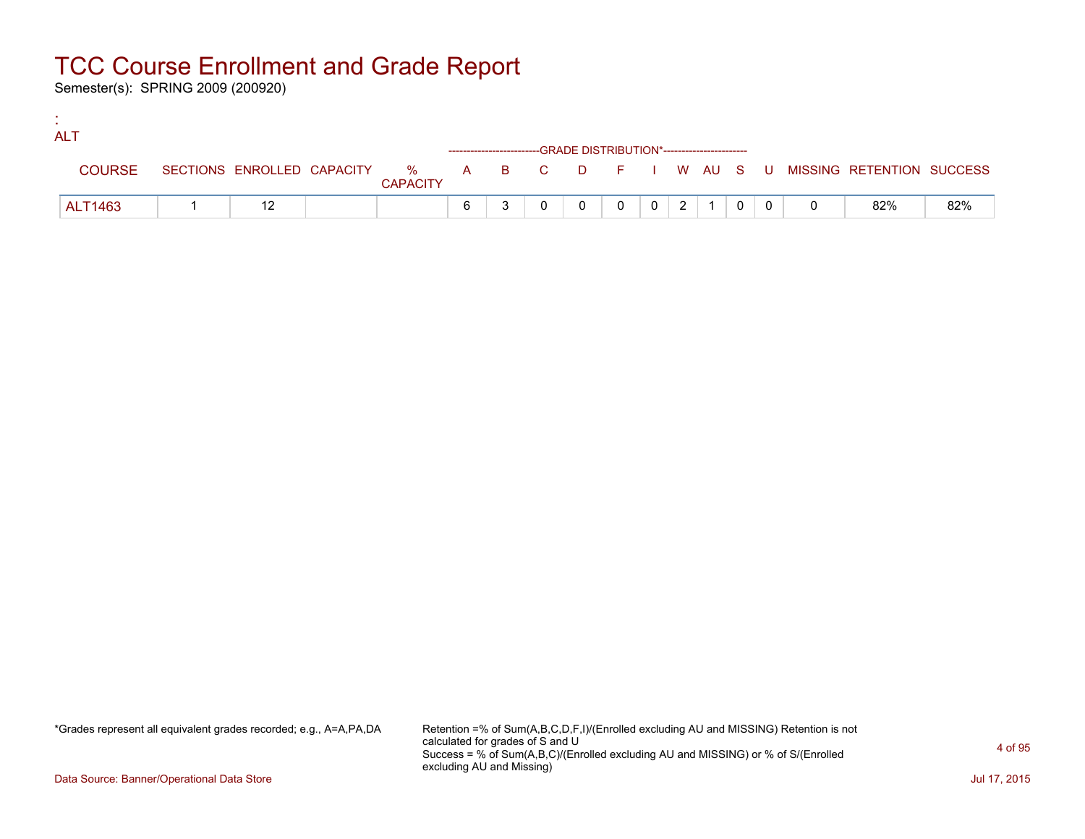Semester(s): SPRING 2009 (200920)

:

| <b>ALT</b>    |  |                 |  |                                                                    |          |                |  |  |                                                                             |     |
|---------------|--|-----------------|--|--------------------------------------------------------------------|----------|----------------|--|--|-----------------------------------------------------------------------------|-----|
|               |  |                 |  | ------------------------GRADE DISTRIBUTION*----------------------- |          |                |  |  |                                                                             |     |
| <b>COURSE</b> |  | <b>CAPACITY</b> |  |                                                                    |          |                |  |  | SECTIONS ENROLLED CAPACITY % A B C D F I W AU S U MISSING RETENTION SUCCESS |     |
| ALT1463       |  |                 |  |                                                                    | $\Omega$ | 2 <sup>1</sup> |  |  | 82%                                                                         | 82% |

\*Grades represent all equivalent grades recorded; e.g., A=A,PA,DA Retention =% of Sum(A,B,C,D,F,I)/(Enrolled excluding AU and MISSING) Retention is not calculated for grades of S and U Success = % of Sum(A,B,C)/(Enrolled excluding AU and MISSING) or % of S/(Enrolled excluding AU and Missing)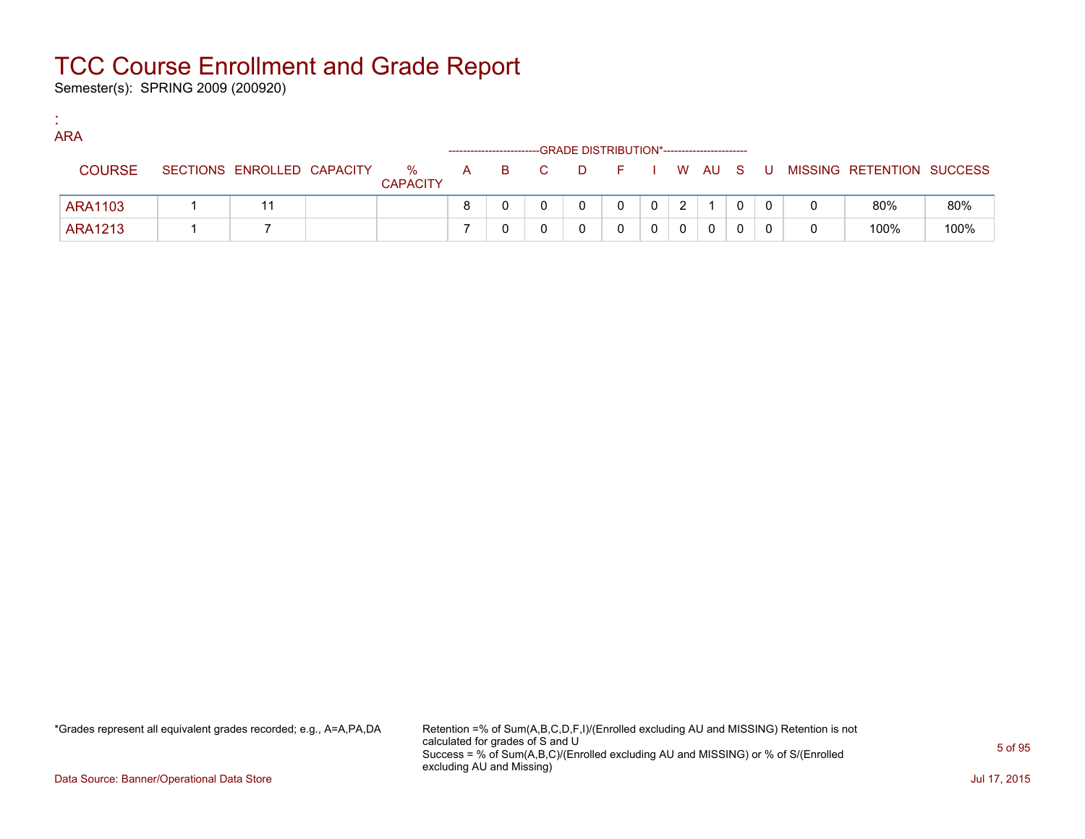Semester(s): SPRING 2009 (200920)

:

| <b>ARA</b>    |                            |                      |     |     | -GRADE DISTRIBUTION*----------------------- |        |              |   |  |   |                           |      |
|---------------|----------------------------|----------------------|-----|-----|---------------------------------------------|--------|--------------|---|--|---|---------------------------|------|
| <b>COURSE</b> | SECTIONS ENROLLED CAPACITY | %<br><b>CAPACITY</b> | A a | B C | <b>D</b>                                    | FIWAUS |              |   |  | U | MISSING RETENTION SUCCESS |      |
| ARA1103       |                            |                      | 8   |     |                                             | 0      | $\mathbf{0}$ | 2 |  |   | 80%                       | 80%  |
| ARA1213       |                            |                      |     |     |                                             |        |              |   |  |   | 100%                      | 100% |

\*Grades represent all equivalent grades recorded; e.g., A=A,PA,DA Retention =% of Sum(A,B,C,D,F,I)/(Enrolled excluding AU and MISSING) Retention is not calculated for grades of S and U Success = % of Sum(A,B,C)/(Enrolled excluding AU and MISSING) or % of S/(Enrolled excluding AU and Missing)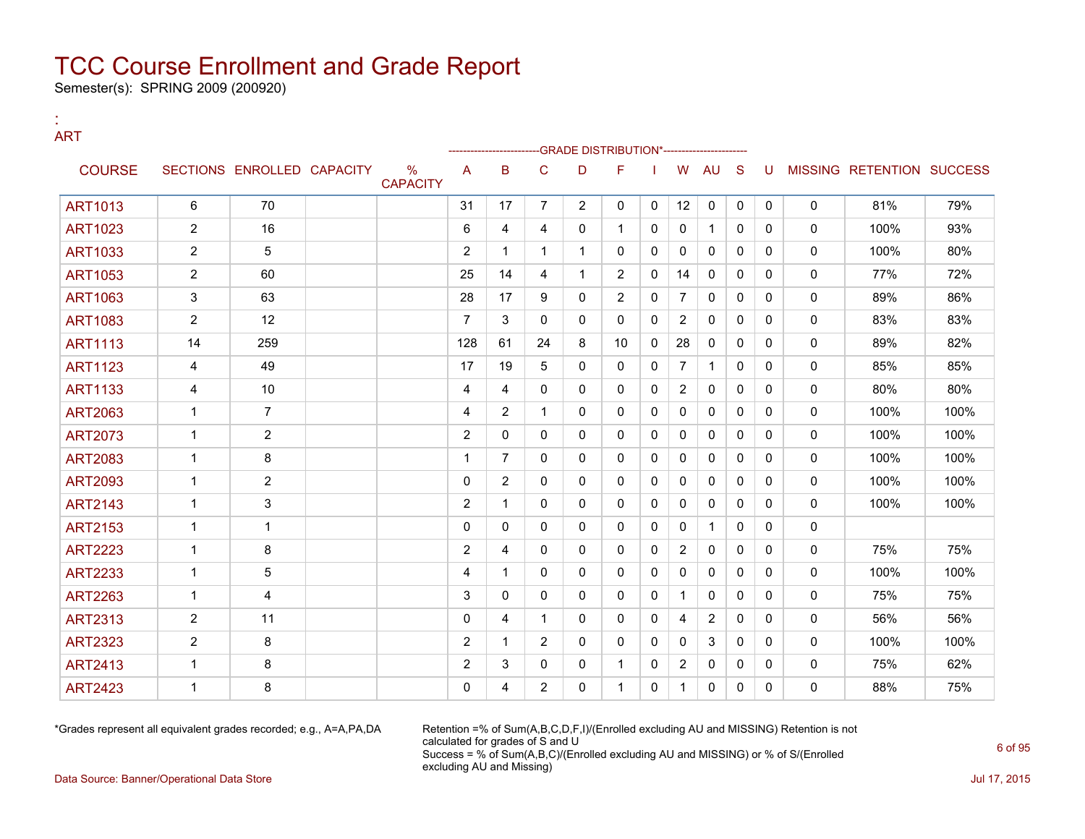Semester(s): SPRING 2009 (200920)

:

#### ART --GRADE DISTRIBUTION\*------------------------COURSE SECTIONS ENROLLED CAPACITY % **CAPACITY** A B C D F I W AU S U MISSING RETENTION SUCCESS ART1013 | 6 | 70 | | 31 | 17 | 7 | 2 | 0 | 0 | 12 | 0 | 0 | 0 | 0 | 81% | 79% ART1023 | 2 | 16 | | 6 | 4 | 4 | 0 | 1 | 0 | 0 | 1 | 0 | 0 | 0 | 100% | 93% ART1033 2 5 2 1 1 1 0 0 0 0 0 0 0 100% 80% ART1053 | 2 | 60 | | 25 | 14 | 4 | 1 | 2 | 0 | 14 | 0 | 0 | 0 | 0 | 77% | 72% ART1063 | 3 | 63 | | 28 | 17 | 9 | 0 | 2 | 0 | 7 | 0 | 0 | 0 | 0 | 89% | 86% ART1083 2 12 12 7 3 0 0 0 2 0 0 0 0 83% 83% ART1113 | 14 | 259 | | 128 | 61 | 24 | 8 | 10 | 0 | 28 | 0 | 0 | 0 | 0 | 89% | 82% ART1123 | 4 | 49 | | 17 | 19 | 5 | 0 | 0 | 7 | 1 | 0 | 0 | 0 | 85% | 85% ART1133 4 10 4 4 0 0 0 0 2 0 0 0 0 80% 80% ART2063 | 1 | 7 | | | 4 | 2 | 1 | 0 | 0 | 0 | 0 | 0 | 0 | 0 | 100% | 100% ART2073 1 2 2 0 0 0 0 0 0 0 0 0 0 100% 100% ART2083 | 1 | 8 | | 1 | 7 | 0 | 0 | 0 | 0 | 0 | 0 | 0 | 0 | 100% | 100% ART2093 | 1 | 2 | | 0 |2 | 0 |0 |0 |0 |0 |0 |0 | 100% | 100% ART2143 | 1 | 3 | | 2 | 1 | 0 | 0 | 0 | 0 | 0 | 0 | 0 | 0 | 100% | 100% ART2153 1 1 0 0 0 0 0 0 0 1 0 0 0 ART2223 | 1 | 8 | | 2 | 4 | 0 | 0 | 0 | 2 | 0 | 0 | 0 | 75% | 75% ART2233 | 1 | 5 | | | 4 | 1 | 0 | 0 | 0 | 0 | 0 | 0 | 0 | 0 | 100% | 100% ART2263 | 1 | 4 | | 3 | 0 | 0 | 0 | 0 | 1 | 0 | 0 | 0 | 0 | 75% | 75% ART2313 | 2 | 11 | | 0 | 4 | 1 | 0 | 0 | 4 | 2 | 0 | 0 | 0 | 56% | 56% ART2323 | 2 | 8 | | 2 | 1 | 2 | 0 | 0 | 0 | 0 | 0 | 0 | 0 | 100% | 100% ART2413 1 8 2 3 0 0 1 0 2 0 0 0 0 75% 62% ART2423 | 1 | 8 | | 0 | 4 | 2 | 0 | 1 | 0 | 1 | 0 | 0 | 0 | 88% | 75%

\*Grades represent all equivalent grades recorded; e.g., A=A,PA,DA Retention =% of Sum(A,B,C,D,F,I)/(Enrolled excluding AU and MISSING) Retention is not calculated for grades of S and U Success = % of Sum(A,B,C)/(Enrolled excluding AU and MISSING) or % of S/(Enrolled excluding AU and Missing)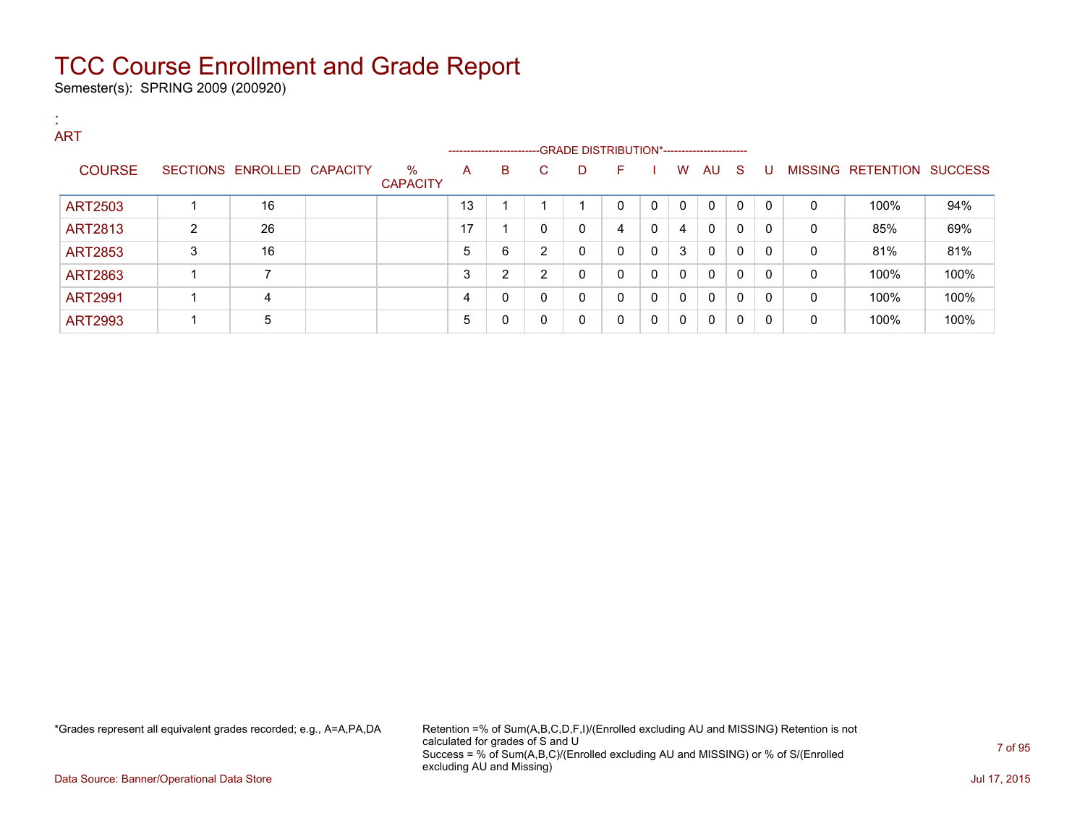Semester(s): SPRING 2009 (200920)

| <b>COL</b> | <b>ART</b>     |                |                            |                         |    |                                                                    |              |   |              |             |              |              |              |              |              |                           |      |
|------------|----------------|----------------|----------------------------|-------------------------|----|--------------------------------------------------------------------|--------------|---|--------------|-------------|--------------|--------------|--------------|--------------|--------------|---------------------------|------|
|            |                |                |                            |                         |    | ------------------------GRADE DISTRIBUTION*----------------------- |              |   |              |             |              |              |              |              |              |                           |      |
|            | <b>COURSE</b>  |                | SECTIONS ENROLLED CAPACITY | $\%$<br><b>CAPACITY</b> | A  | B                                                                  | $\mathbf{C}$ | D | F.           |             | W            | AU S         |              | . U          |              | MISSING RETENTION SUCCESS |      |
|            | <b>ART2503</b> |                | 16                         |                         | 13 |                                                                    |              |   | $\Omega$     | $\mathbf 0$ | $\mathbf{0}$ | $\mathbf{0}$ | $\Omega$     | $\mathbf{0}$ | $\mathbf{0}$ | 100%                      | 94%  |
|            | ART2813        | $\overline{2}$ | 26                         |                         | 17 |                                                                    | $\mathbf{0}$ | 0 | 4            | 0           | 4            | $\mathbf{0}$ | $\mathbf{0}$ | $\mathbf{0}$ | $\mathbf{0}$ | 85%                       | 69%  |
|            | <b>ART2853</b> | 3              | 16                         |                         | 5  | 6                                                                  | 2            | 0 | $\Omega$     | $\mathbf 0$ | 3            | $\Omega$     | $\mathbf{0}$ | 0            | $\mathbf 0$  | 81%                       | 81%  |
|            | ART2863        |                | 7                          |                         | 3  | 2                                                                  | 2            | 0 | $\Omega$     | 0           | $\mathbf{0}$ | 0            | $\mathbf{0}$ | $\mathbf{0}$ | $\mathbf 0$  | 100%                      | 100% |
|            | <b>ART2991</b> |                | 4                          |                         | 4  | 0                                                                  | 0            | 0 | $\mathbf{0}$ | $\mathbf 0$ | 0            | $\mathbf{0}$ | $\mathbf{0}$ | $\mathbf{0}$ | $\mathbf{0}$ | 100%                      | 100% |
|            | <b>ART2993</b> |                | 5                          |                         | 5  | 0                                                                  | 0            | 0 | 0            | 0           | $\mathbf{0}$ | $\Omega$     | $\mathbf{0}$ | 0            | $\mathbf{0}$ | 100%                      | 100% |

\*Grades represent all equivalent grades recorded; e.g., A=A,PA,DA Retention =% of Sum(A,B,C,D,F,I)/(Enrolled excluding AU and MISSING) Retention is not calculated for grades of S and U Success = % of Sum(A,B,C)/(Enrolled excluding AU and MISSING) or % of S/(Enrolled excluding AU and Missing)

Data Source: Banner/Operational Data Store Jul 17, 2015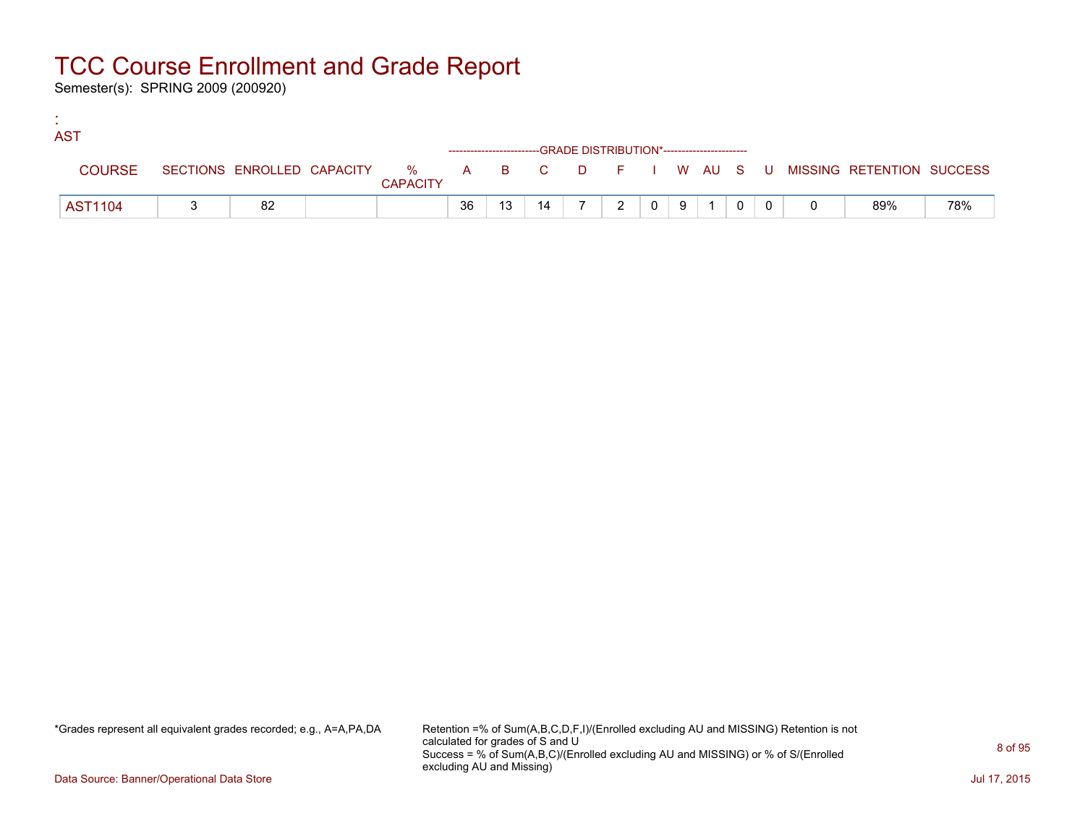Semester(s): SPRING 2009 (200920)

:

| <b>AST</b>     |    |                 |    |    |    |                                                                    |               |                |   |  |  |                                                                               |     |
|----------------|----|-----------------|----|----|----|--------------------------------------------------------------------|---------------|----------------|---|--|--|-------------------------------------------------------------------------------|-----|
|                |    |                 |    |    |    | ------------------------GRADE DISTRIBUTION*----------------------- |               |                |   |  |  |                                                                               |     |
| <b>COURSE</b>  |    | <b>CAPACITY</b> |    |    |    |                                                                    |               |                |   |  |  | SECTIONS ENROLLED CAPACITY 5 % A B C D F I W AU S U MISSING RETENTION SUCCESS |     |
| <b>AST1104</b> | 82 |                 | 36 | 13 | 14 |                                                                    | $\mathcal{D}$ | $\overline{0}$ | 9 |  |  | 89%                                                                           | 78% |

\*Grades represent all equivalent grades recorded; e.g., A=A,PA,DA Retention =% of Sum(A,B,C,D,F,I)/(Enrolled excluding AU and MISSING) Retention is not calculated for grades of S and U Success = % of Sum(A,B,C)/(Enrolled excluding AU and MISSING) or % of S/(Enrolled excluding AU and Missing)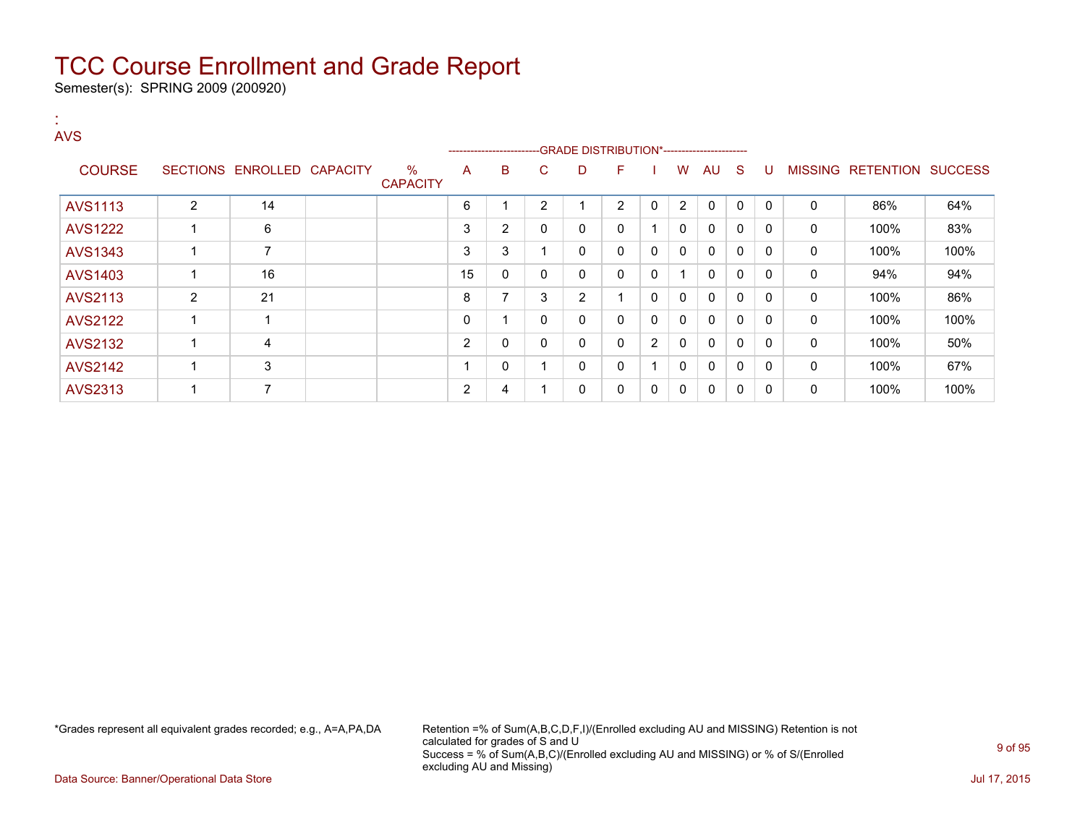Semester(s): SPRING 2009 (200920)

:

| <b>AVS</b>     |                 |                          |                 |                         |                | ------------------------ |                |                |              |                |              |              |              |              |                |                  |                |
|----------------|-----------------|--------------------------|-----------------|-------------------------|----------------|--------------------------|----------------|----------------|--------------|----------------|--------------|--------------|--------------|--------------|----------------|------------------|----------------|
| <b>COURSE</b>  | <b>SECTIONS</b> | ENROLLED                 | <b>CAPACITY</b> | $\%$<br><b>CAPACITY</b> | A              | B                        | C              | D              | F            |                | w            | AU           | <sub>S</sub> | U            | <b>MISSING</b> | <b>RETENTION</b> | <b>SUCCESS</b> |
| <b>AVS1113</b> | $\overline{2}$  | 14                       |                 |                         | 6              |                          | $\overline{2}$ |                | 2            | 0              | 2            | $\mathbf{0}$ | $\mathbf{0}$ | $\mathbf{0}$ | $\Omega$       | 86%              | 64%            |
| <b>AVS1222</b> |                 | 6                        |                 |                         | 3              | $\overline{2}$           | 0              | 0              | 0            |                | 0            | $\Omega$     | 0            | 0            | 0              | 100%             | 83%            |
| AVS1343        |                 | $\overline{\phantom{a}}$ |                 |                         | 3              | 3                        |                | 0              | 0            | 0              | 0            | 0            | $\mathbf{0}$ | 0            | 0              | 100%             | 100%           |
| AVS1403        |                 | 16                       |                 |                         | 15             | 0                        | 0              | 0              | $\mathbf{0}$ | 0              |              | $\mathbf{0}$ | $\mathbf{0}$ | $\mathbf{0}$ | 0              | 94%              | 94%            |
| AVS2113        | $\overline{2}$  | 21                       |                 |                         | 8              | $\overline{\phantom{a}}$ | 3              | $\overline{2}$ | 4            | 0              | $\mathbf{0}$ | $\mathbf{0}$ | $\mathbf{0}$ | $\Omega$     | $\mathbf{0}$   | 100%             | 86%            |
| <b>AVS2122</b> |                 |                          |                 |                         | 0              |                          | 0              | 0              | 0            | 0              | $\mathbf{0}$ | $\mathbf{0}$ | $\mathbf 0$  | $\Omega$     | 0              | 100%             | 100%           |
| <b>AVS2132</b> |                 | $\overline{4}$           |                 |                         | $\overline{2}$ | 0                        | $\mathbf 0$    | $\mathbf 0$    | $\mathbf{0}$ | $\overline{2}$ | 0            | $\Omega$     | $\mathbf{0}$ | $\Omega$     | 0              | 100%             | 50%            |
| <b>AVS2142</b> | ٠               | 3                        |                 |                         |                | 0                        |                | 0              | $\mathbf{0}$ |                | $\mathbf{0}$ | $\mathbf{0}$ | $\mathbf{0}$ | $\Omega$     | $\mathbf{0}$   | 100%             | 67%            |
| AVS2313        |                 | $\overline{ }$           |                 |                         | $\overline{2}$ | 4                        |                | 0              | 0            | 0              | 0            | 0            | 0            | 0            | 0              | 100%             | 100%           |

\*Grades represent all equivalent grades recorded; e.g., A=A,PA,DA Retention =% of Sum(A,B,C,D,F,I)/(Enrolled excluding AU and MISSING) Retention is not calculated for grades of S and U Success = % of Sum(A,B,C)/(Enrolled excluding AU and MISSING) or % of S/(Enrolled excluding AU and Missing)

Data Source: Banner/Operational Data Store **July 17, 2015**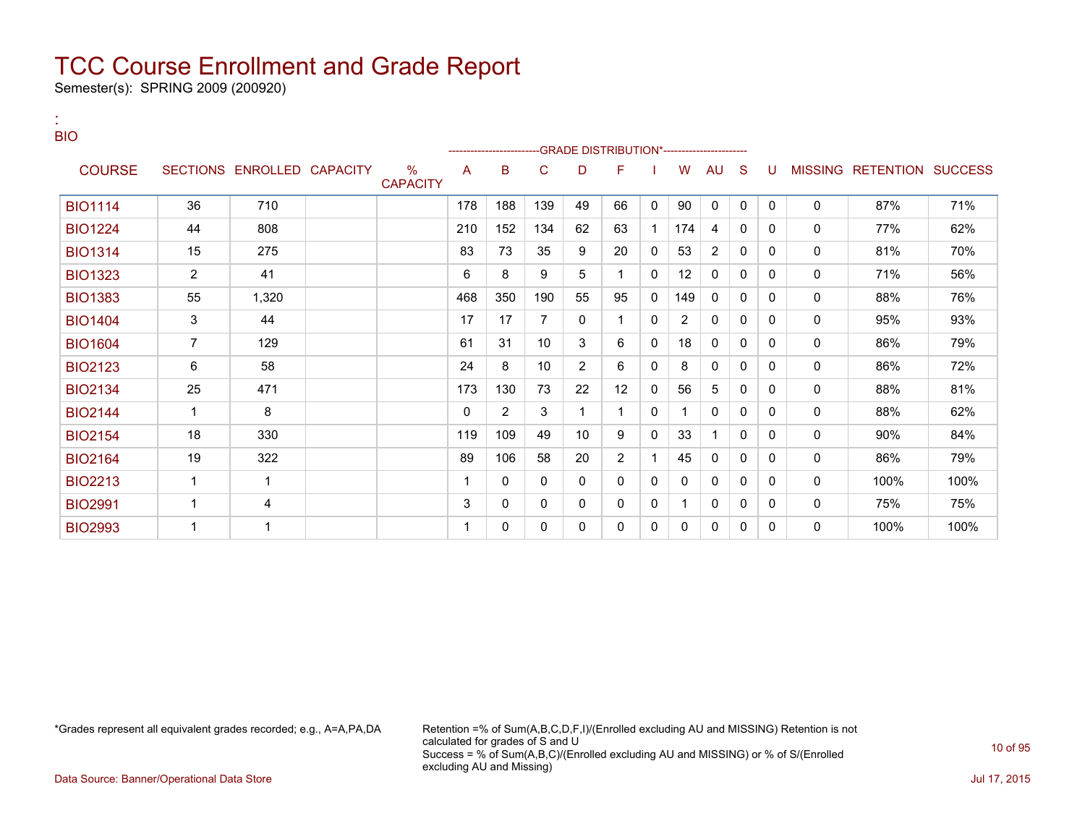Semester(s): SPRING 2009 (200920)

:

| <b>BIO</b>     |                |                            |                         |     |     | -------------------------GRADE                DISTRIBUTION*--------------------- |                 |              |              |                |              |              |          |             |                           |      |
|----------------|----------------|----------------------------|-------------------------|-----|-----|----------------------------------------------------------------------------------|-----------------|--------------|--------------|----------------|--------------|--------------|----------|-------------|---------------------------|------|
| <b>COURSE</b>  |                | SECTIONS ENROLLED CAPACITY | $\%$<br><b>CAPACITY</b> | A   | в   | С                                                                                | D               | F            |              | W              | <b>AU</b>    | <sub>S</sub> | U        |             | MISSING RETENTION SUCCESS |      |
| <b>BIO1114</b> | 36             | 710                        |                         | 178 | 188 | 139                                                                              | 49              | 66           | $\mathbf{0}$ | 90             | 0            | $\Omega$     | $\Omega$ | $\mathbf 0$ | 87%                       | 71%  |
| <b>BIO1224</b> | 44             | 808                        |                         | 210 | 152 | 134                                                                              | 62              | 63           |              | 174            | 4            | $\mathbf{0}$ | $\Omega$ | $\Omega$    | 77%                       | 62%  |
| <b>BIO1314</b> | 15             | 275                        |                         | 83  | 73  | 35                                                                               | 9               | 20           | 0            | 53             | 2            | 0            | $\Omega$ | $\Omega$    | 81%                       | 70%  |
| <b>BIO1323</b> | $\overline{2}$ | 41                         |                         | 6   | 8   | 9                                                                                | 5               |              | 0            | 12             | $\mathbf{0}$ | 0            | $\Omega$ | $\Omega$    | 71%                       | 56%  |
| <b>BIO1383</b> | 55             | 1,320                      |                         | 468 | 350 | 190                                                                              | 55              | 95           | 0            | 149            | 0            | 0            | 0        | $\Omega$    | 88%                       | 76%  |
| <b>BIO1404</b> | 3              | 44                         |                         | 17  | 17  | $\overline{7}$                                                                   | 0               | 1            | 0            | $\overline{2}$ | 0            | 0            | $\Omega$ | 0           | 95%                       | 93%  |
| <b>BIO1604</b> | $\overline{7}$ | 129                        |                         | 61  | 31  | 10 <sup>1</sup>                                                                  | 3               | 6            | 0            | 18             | $\mathbf{0}$ | 0            | 0        | $\Omega$    | 86%                       | 79%  |
| <b>BIO2123</b> | 6              | 58                         |                         | 24  | 8   | 10 <sup>1</sup>                                                                  | $\overline{2}$  | 6            | 0            | 8              | 0            | $\Omega$     | 0        | $\Omega$    | 86%                       | 72%  |
| <b>BIO2134</b> | 25             | 471                        |                         | 173 | 130 | 73                                                                               | 22              | 12           | $\Omega$     | 56             | 5            | 0            | 0        | $\mathbf 0$ | 88%                       | 81%  |
| <b>BIO2144</b> | $\mathbf{1}$   | 8                          |                         | 0   | 2   | 3                                                                                | 1               |              | 0            |                | $\mathbf{0}$ | 0            | $\Omega$ | 0           | 88%                       | 62%  |
| <b>BIO2154</b> | 18             | 330                        |                         | 119 | 109 | 49                                                                               | 10 <sup>°</sup> | 9            | 0            | 33             |              | $\Omega$     | $\Omega$ | 0           | 90%                       | 84%  |
| <b>BIO2164</b> | 19             | 322                        |                         | 89  | 106 | 58                                                                               | 20              | 2            |              | 45             | 0            | 0            | $\Omega$ | $\mathbf 0$ | 86%                       | 79%  |
| <b>BIO2213</b> | $\mathbf{1}$   | 1                          |                         |     | 0   | 0                                                                                | 0               | $\Omega$     | $\Omega$     | $\mathbf{0}$   | $\mathbf{0}$ | $\Omega$     | $\Omega$ | $\Omega$    | 100%                      | 100% |
| <b>BIO2991</b> | $\overline{1}$ | 4                          |                         | 3   | 0   | 0                                                                                | 0               | $\mathbf{0}$ | 0            |                | $\mathbf{0}$ | $\Omega$     | $\Omega$ | 0           | 75%                       | 75%  |
| <b>BIO2993</b> |                | 1                          |                         |     | 0   | 0                                                                                | 0               | 0            | 0            | 0              | 0            | 0            | 0        | $\Omega$    | 100%                      | 100% |

\*Grades represent all equivalent grades recorded; e.g., A=A,PA,DA Retention =% of Sum(A,B,C,D,F,I)/(Enrolled excluding AU and MISSING) Retention is not calculated for grades of S and U Success = % of Sum(A,B,C)/(Enrolled excluding AU and MISSING) or % of S/(Enrolled excluding AU and Missing)

Data Source: Banner/Operational Data Store Jul 17, 2015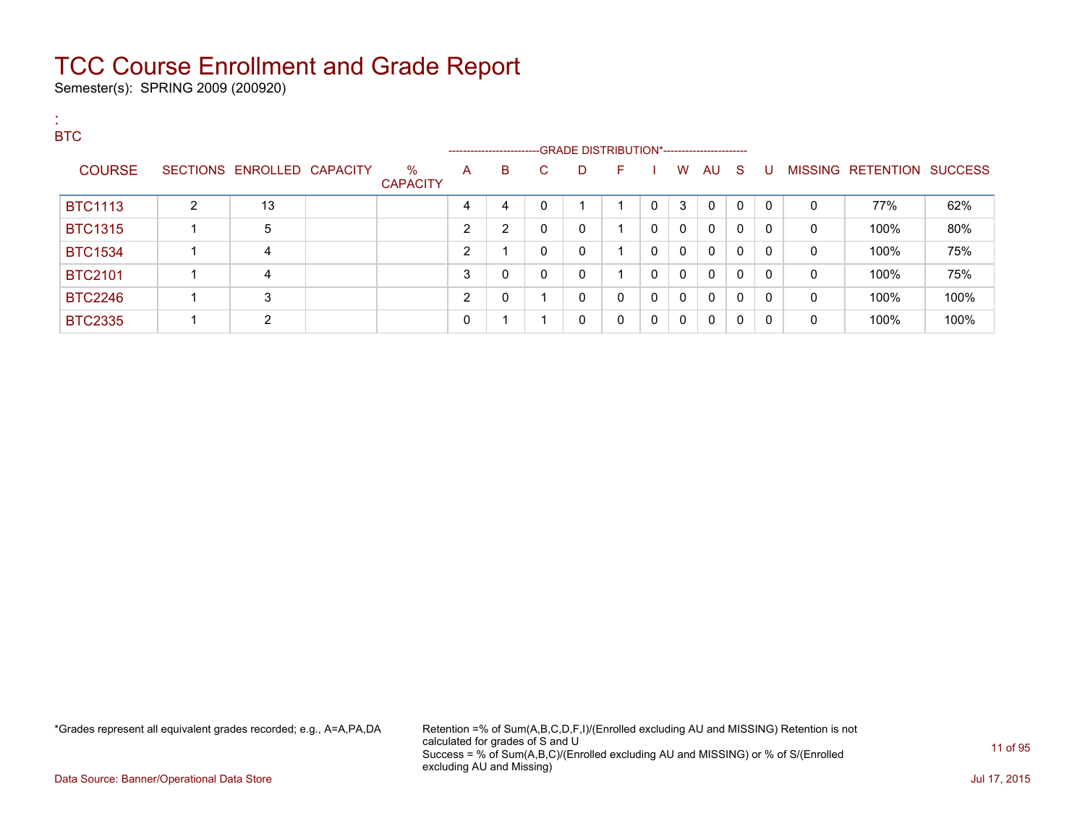Semester(s): SPRING 2009 (200920)

| л.<br><b>ALC</b><br><b>BTC</b> |   |                            |                      |   |                                                                           |    |   |              |              |              |              |              |          |   |                           |      |
|--------------------------------|---|----------------------------|----------------------|---|---------------------------------------------------------------------------|----|---|--------------|--------------|--------------|--------------|--------------|----------|---|---------------------------|------|
| <b>COURSE</b>                  |   | SECTIONS ENROLLED CAPACITY | %<br><b>CAPACITY</b> | A | --------------------------GRADE DISTRIBUTION*-----------------------<br>В | C. | D | F.           |              | W            | AU S         |              | U        |   | MISSING RETENTION SUCCESS |      |
| <b>BTC1113</b>                 | 2 | 13                         |                      | 4 | 4                                                                         | 0  |   |              | $\mathbf{0}$ | 3            | $\mathbf{0}$ | $\mathbf{0}$ | $\Omega$ | 0 | 77%                       | 62%  |
| <b>BTC1315</b>                 |   | 5                          |                      | 2 | 2                                                                         | 0  | 0 |              | 0            | $\mathbf{0}$ | $\mathbf{0}$ | $\mathbf{0}$ | 0        | 0 | 100%                      | 80%  |
| <b>BTC1534</b>                 |   | 4                          |                      | າ | 4                                                                         | 0  | 0 |              | 0            | $\mathbf{0}$ | $\mathbf{0}$ | 0            | 0        | 0 | 100%                      | 75%  |
| <b>BTC2101</b>                 |   | 4                          |                      | 3 | 0                                                                         | 0  | 0 |              | 0            | $\mathbf{0}$ | 0            | 0            | $\Omega$ | 0 | 100%                      | 75%  |
| <b>BTC2246</b>                 |   | 3                          |                      | າ | $\mathbf{0}$                                                              |    | 0 | $\mathbf{0}$ | 0            | 0            | 0            | $\mathbf{0}$ | $\Omega$ | 0 | 100%                      | 100% |
| <b>BTC2335</b>                 |   | $\overline{2}$             |                      | 0 | 1                                                                         |    | 0 | 0            | 0            | 0            | 0            | $\mathbf{0}$ | 0        | 0 | 100%                      | 100% |

\*Grades represent all equivalent grades recorded; e.g., A=A,PA,DA Retention =% of Sum(A,B,C,D,F,I)/(Enrolled excluding AU and MISSING) Retention is not calculated for grades of S and U Success = % of Sum(A,B,C)/(Enrolled excluding AU and MISSING) or % of S/(Enrolled excluding AU and Missing)

Data Source: Banner/Operational Data Store Jul 17, 2015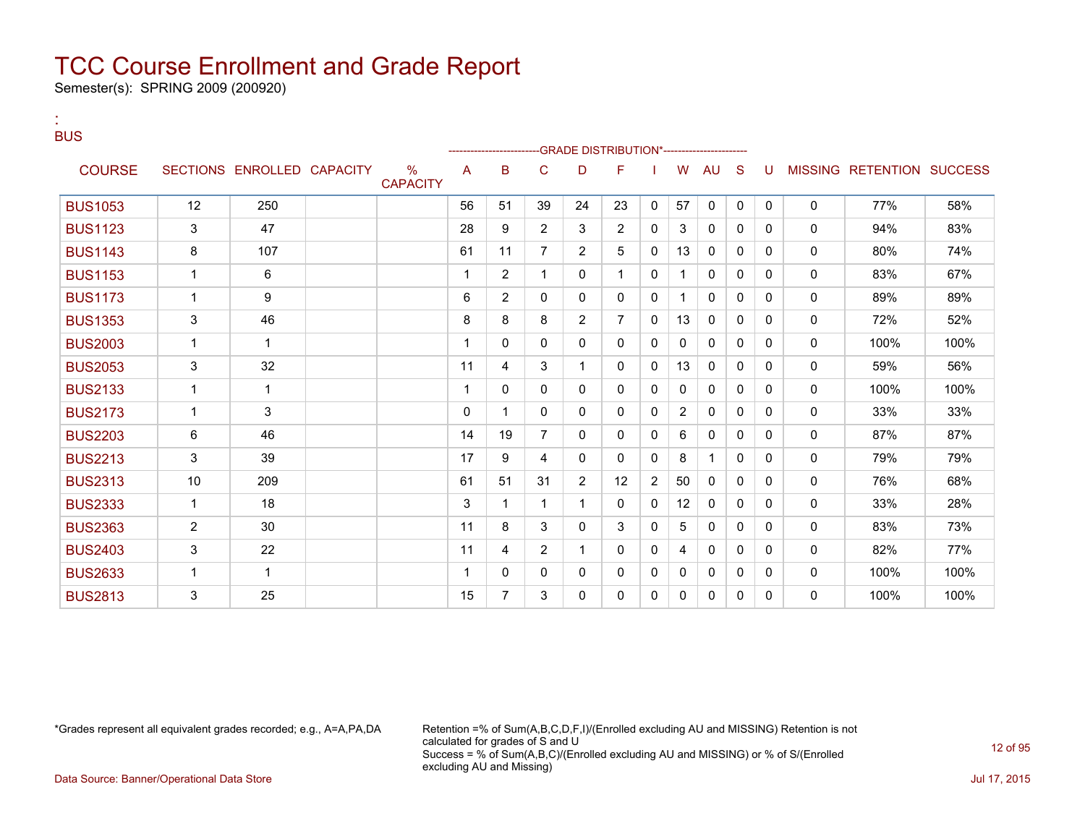Semester(s): SPRING 2009 (200920)

| <b>BUS</b>     |                |                            |                                  |    |                |                | -GRADE DISTRIBUTION*---------------------- |                |              |                |              |              |              |              |                           |      |
|----------------|----------------|----------------------------|----------------------------------|----|----------------|----------------|--------------------------------------------|----------------|--------------|----------------|--------------|--------------|--------------|--------------|---------------------------|------|
| <b>COURSE</b>  |                | SECTIONS ENROLLED CAPACITY | $\frac{9}{6}$<br><b>CAPACITY</b> | A  | B              | C              | D                                          | F              |              | W              | <b>AU</b>    | S            | U            |              | MISSING RETENTION SUCCESS |      |
| <b>BUS1053</b> | 12             | 250                        |                                  | 56 | 51             | 39             | 24                                         | 23             | $\mathbf{0}$ | 57             | $\mathbf{0}$ | $\mathbf{0}$ | $\mathbf{0}$ | $\mathbf{0}$ | 77%                       | 58%  |
| <b>BUS1123</b> | 3              | 47                         |                                  | 28 | 9              | $\overline{2}$ | 3                                          | 2              | 0            | 3              | $\mathbf{0}$ | 0            | $\mathbf{0}$ | $\mathbf{0}$ | 94%                       | 83%  |
| <b>BUS1143</b> | 8              | 107                        |                                  | 61 | 11             | $\overline{7}$ | $\overline{2}$                             | 5              | 0            | 13             | $\mathbf{0}$ | 0            | $\mathbf{0}$ | $\mathbf{0}$ | 80%                       | 74%  |
| <b>BUS1153</b> | $\mathbf{1}$   | 6                          |                                  | 1  | $\overline{2}$ | 1              | 0                                          | 1              | 0            | 1              | 0            | 0            | 0            | $\mathbf{0}$ | 83%                       | 67%  |
| <b>BUS1173</b> | $\mathbf{1}$   | 9                          |                                  | 6  | $\overline{2}$ | $\mathbf{0}$   | 0                                          | $\mathbf{0}$   | $\mathbf{0}$ | 1              | $\mathbf{0}$ | $\Omega$     | $\Omega$     | 0            | 89%                       | 89%  |
| <b>BUS1353</b> | 3              | 46                         |                                  | 8  | 8              | 8              | $\overline{2}$                             | $\overline{7}$ | $\mathbf{0}$ | 13             | $\mathbf{0}$ | 0            | $\mathbf{0}$ | 0            | 72%                       | 52%  |
| <b>BUS2003</b> | $\mathbf{1}$   | 1                          |                                  |    | 0              | $\mathbf{0}$   | 0                                          | $\mathbf{0}$   | 0            | $\mathbf{0}$   | $\mathbf{0}$ | 0            | $\Omega$     | $\mathbf{0}$ | 100%                      | 100% |
| <b>BUS2053</b> | 3              | 32                         |                                  | 11 | 4              | 3              | $\mathbf{1}$                               | 0              | 0            | 13             | 0            | 0            | 0            | $\mathbf 0$  | 59%                       | 56%  |
| <b>BUS2133</b> | $\mathbf{1}$   | $\mathbf{1}$               |                                  | 1  | 0              | 0              | 0                                          | 0              | 0            | 0              | 0            | 0            | 0            | 0            | 100%                      | 100% |
| <b>BUS2173</b> | $\mathbf{1}$   | 3                          |                                  | 0  | 1              | $\mathbf{0}$   | 0                                          | $\mathbf{0}$   | 0            | $\overline{2}$ | $\mathbf{0}$ | $\Omega$     | $\Omega$     | 0            | 33%                       | 33%  |
| <b>BUS2203</b> | 6              | 46                         |                                  | 14 | 19             | $\overline{7}$ | 0                                          | $\mathbf{0}$   | 0            | 6              | 0            | 0            | 0            | 0            | 87%                       | 87%  |
| <b>BUS2213</b> | 3              | 39                         |                                  | 17 | 9              | 4              | 0                                          | 0              | 0            | 8              | 1            | 0            | $\Omega$     | $\mathbf{0}$ | 79%                       | 79%  |
| <b>BUS2313</b> | 10             | 209                        |                                  | 61 | 51             | 31             | $\overline{2}$                             | 12             | 2            | 50             | 0            | $\mathbf{0}$ | 0            | 0            | 76%                       | 68%  |
| <b>BUS2333</b> | $\mathbf{1}$   | 18                         |                                  | 3  | 1              | 1              | $\mathbf{1}$                               | 0              | 0            | 12             | 0            | 0            | 0            | 0            | 33%                       | 28%  |
| <b>BUS2363</b> | $\overline{2}$ | 30                         |                                  | 11 | 8              | 3              | $\mathbf{0}$                               | 3              | 0            | 5              | 0            | $\Omega$     | $\Omega$     | $\mathbf{0}$ | 83%                       | 73%  |
| <b>BUS2403</b> | 3              | 22                         |                                  | 11 | 4              | $\overline{2}$ | $\mathbf{1}$                               | $\mathbf{0}$   | 0            | 4              | $\mathbf{0}$ | 0            | 0            | 0            | 82%                       | 77%  |
| <b>BUS2633</b> | $\mathbf 1$    | $\mathbf{1}$               |                                  |    | 0              | $\Omega$       | 0                                          | 0              | 0            | 0              | $\mathbf{0}$ | $\Omega$     | $\Omega$     | 0            | 100%                      | 100% |
| <b>BUS2813</b> | 3              | 25                         |                                  | 15 | $\overline{7}$ | 3              | 0                                          | 0              | 0            | 0              | 0            | 0            | 0            | 0            | 100%                      | 100% |

:

\*Grades represent all equivalent grades recorded; e.g., A=A,PA,DA Retention =% of Sum(A,B,C,D,F,I)/(Enrolled excluding AU and MISSING) Retention is not calculated for grades of S and U Success = % of Sum(A,B,C)/(Enrolled excluding AU and MISSING) or % of S/(Enrolled excluding AU and Missing) Data Source: Banner/Operational Data Store Jul 17, 2015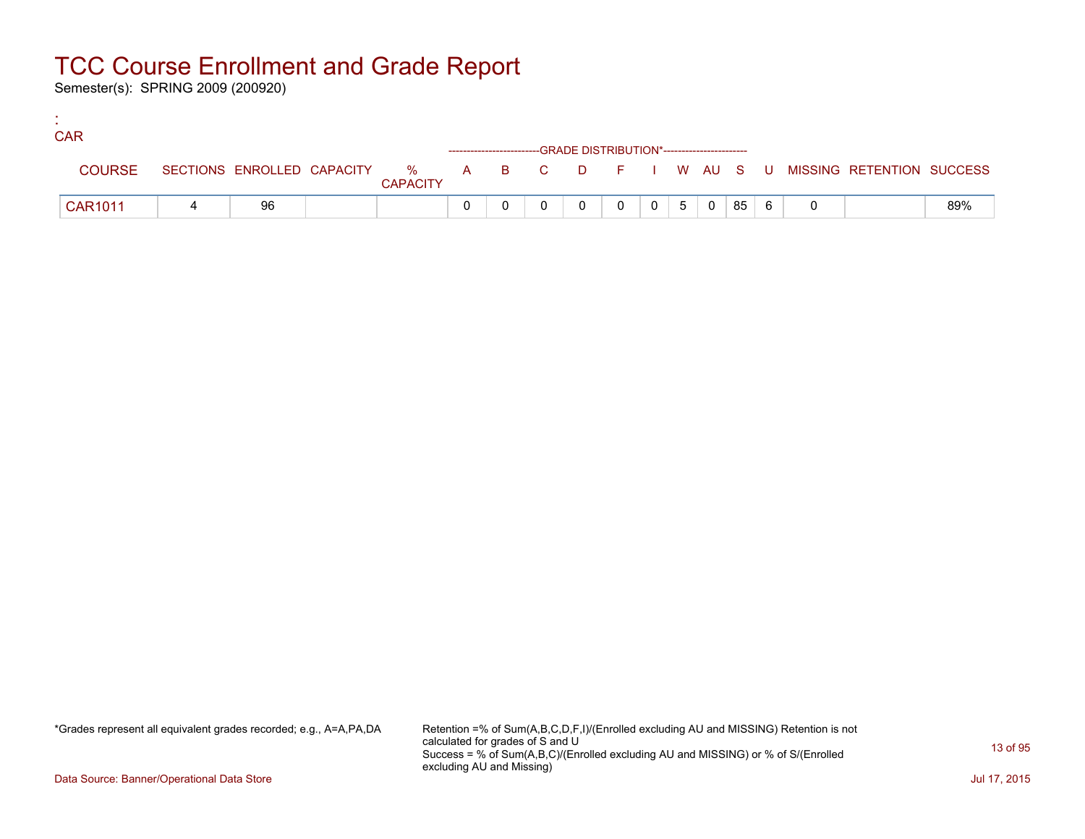Semester(s): SPRING 2009 (200920)

:

| <b>CAR</b>     |    |                 |  |                                                                    |          |  |                     |      |  |                                                                             |     |
|----------------|----|-----------------|--|--------------------------------------------------------------------|----------|--|---------------------|------|--|-----------------------------------------------------------------------------|-----|
|                |    |                 |  | ------------------------GRADE DISTRIBUTION*----------------------- |          |  |                     |      |  |                                                                             |     |
| <b>COURSE</b>  |    | <b>CAPACITY</b> |  |                                                                    |          |  |                     |      |  | SECTIONS ENROLLED CAPACITY % A B C D F I W AU S U MISSING RETENTION SUCCESS |     |
| <b>CAR1011</b> | 96 |                 |  |                                                                    | $\Omega$ |  | $0 \quad 5 \quad 0$ | 8561 |  |                                                                             | 89% |

\*Grades represent all equivalent grades recorded; e.g., A=A,PA,DA Retention =% of Sum(A,B,C,D,F,I)/(Enrolled excluding AU and MISSING) Retention is not calculated for grades of S and U Success = % of Sum(A,B,C)/(Enrolled excluding AU and MISSING) or % of S/(Enrolled excluding AU and Missing)

Data Source: Banner/Operational Data Store Jul 17, 2015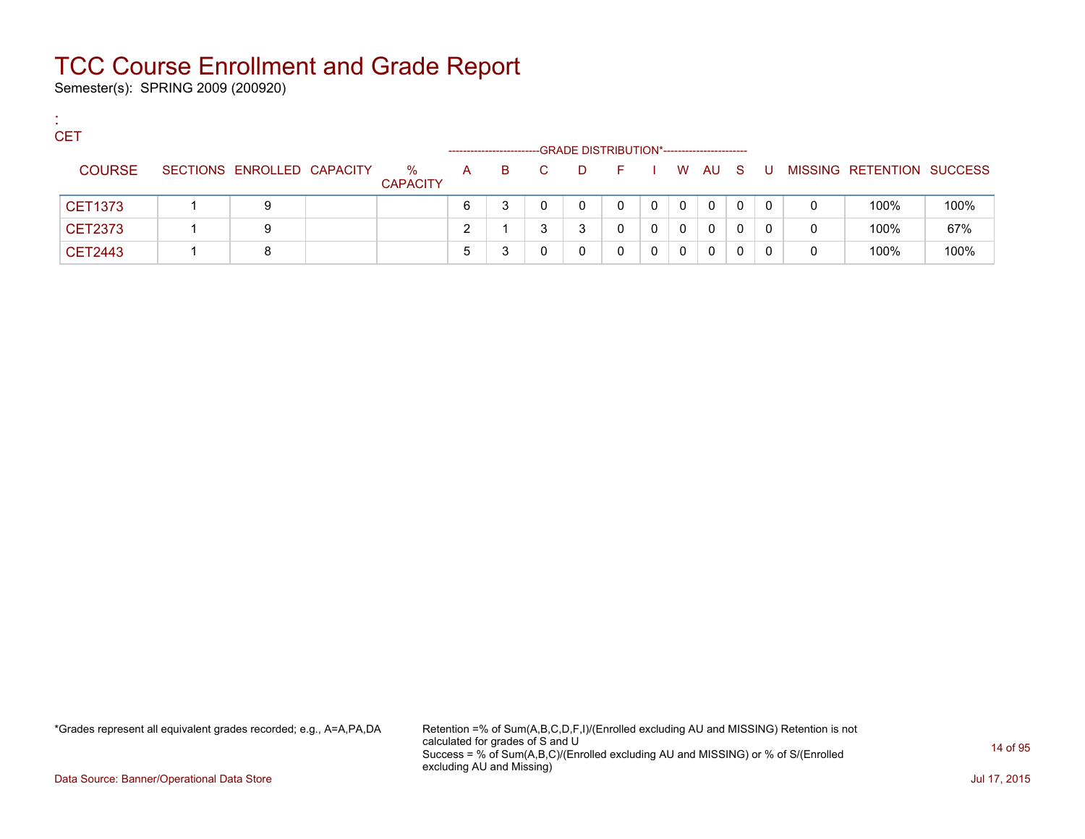Semester(s): SPRING 2009 (200920)

:

| <b>CET</b>    |                            |                         |    |    |    | -GRADE DISTRIBUTION*----------------------- |         |   |              |              |    |     |          |                           |      |
|---------------|----------------------------|-------------------------|----|----|----|---------------------------------------------|---------|---|--------------|--------------|----|-----|----------|---------------------------|------|
| <b>COURSE</b> | SECTIONS ENROLLED CAPACITY | $\%$<br><b>CAPACITY</b> | A  | B. | C. | D.                                          | in Fine |   |              | W AU         | S. | . U |          | MISSING RETENTION SUCCESS |      |
| CET1373       | 9                          |                         | 6  |    |    | 0                                           | 0       | 0 | $\mathbf{0}$ | 0            | 0  | 0   | 0        | 100%                      | 100% |
| CET2373       | 9                          |                         |    |    | ຈ  | ຈ                                           | 0       | 0 | $\Omega$     | 0            | 0  | 0   | $\Omega$ | 100%                      | 67%  |
| CET2443       | 8                          |                         | b. |    |    |                                             |         | 0 | 0            | $\mathbf{0}$ | 0  | 0   | 0        | 100%                      | 100% |

\*Grades represent all equivalent grades recorded; e.g., A=A,PA,DA Retention =% of Sum(A,B,C,D,F,I)/(Enrolled excluding AU and MISSING) Retention is not calculated for grades of S and U Success = % of Sum(A,B,C)/(Enrolled excluding AU and MISSING) or % of S/(Enrolled excluding AU and Missing)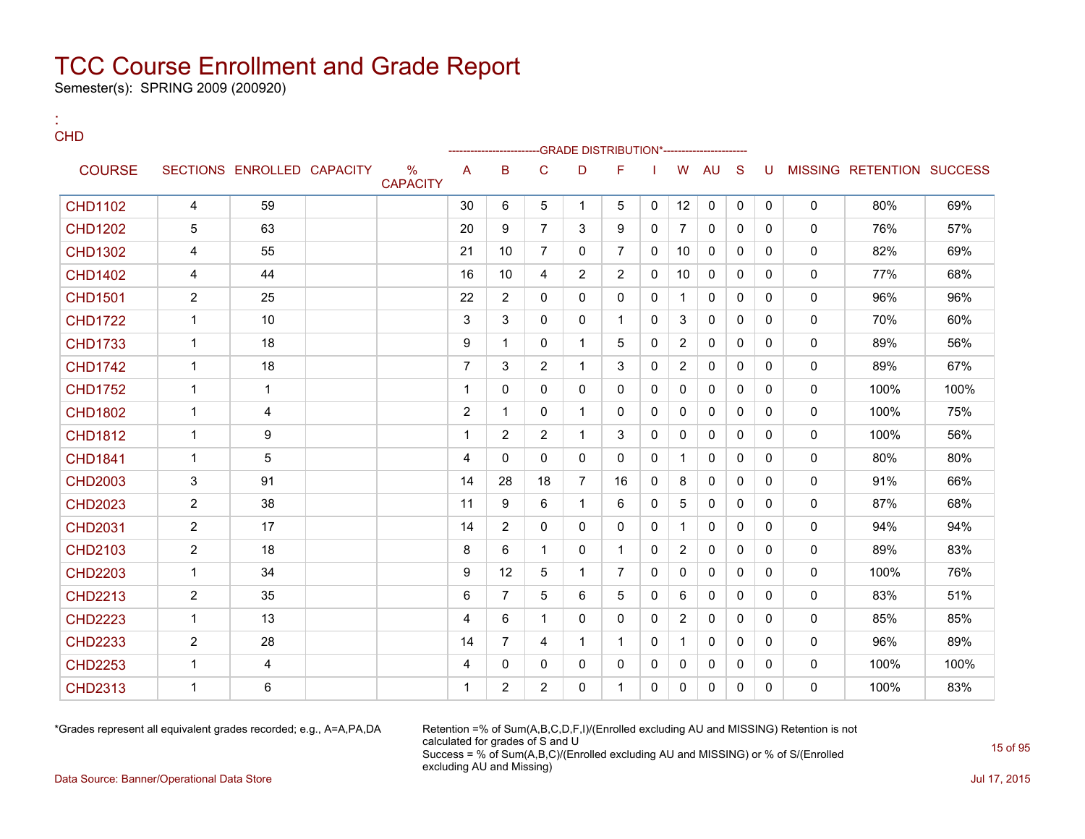Semester(s): SPRING 2009 (200920)

:

| <b>CHD</b>     |                |                            |                                  |                |                 |                | -GRADE DISTRIBUTION*---------------------- |                |              |                |              |              |              |              |                           |      |
|----------------|----------------|----------------------------|----------------------------------|----------------|-----------------|----------------|--------------------------------------------|----------------|--------------|----------------|--------------|--------------|--------------|--------------|---------------------------|------|
| <b>COURSE</b>  |                | SECTIONS ENROLLED CAPACITY | $\frac{0}{0}$<br><b>CAPACITY</b> | A              | B               | C              | D                                          | F              |              | W              | <b>AU</b>    | <sub>S</sub> | U            |              | MISSING RETENTION SUCCESS |      |
| <b>CHD1102</b> | 4              | 59                         |                                  | 30             | 6               | 5              | $\mathbf{1}$                               | 5              | 0            | 12             | $\mathbf 0$  | $\mathbf{0}$ | $\mathbf{0}$ | $\mathbf{0}$ | 80%                       | 69%  |
| <b>CHD1202</b> | 5              | 63                         |                                  | 20             | 9               | $\overline{7}$ | 3                                          | 9              | 0            | $\overline{7}$ | $\mathbf{0}$ | $\mathbf{0}$ | $\mathbf{0}$ | $\Omega$     | 76%                       | 57%  |
| <b>CHD1302</b> | 4              | 55                         |                                  | 21             | 10 <sup>1</sup> | $\overline{7}$ | $\Omega$                                   | $\overline{7}$ | $\mathbf{0}$ | 10             | $\Omega$     | $\Omega$     | $\Omega$     | $\Omega$     | 82%                       | 69%  |
| <b>CHD1402</b> | 4              | 44                         |                                  | 16             | 10 <sup>1</sup> | 4              | $\overline{2}$                             | 2              | 0            | 10             | $\Omega$     | $\mathbf{0}$ | $\mathbf{0}$ | $\Omega$     | 77%                       | 68%  |
| <b>CHD1501</b> | $\overline{2}$ | 25                         |                                  | 22             | $\overline{2}$  | $\Omega$       | $\Omega$                                   | $\Omega$       | 0            | $\mathbf{1}$   | $\Omega$     | $\Omega$     | $\Omega$     | $\Omega$     | 96%                       | 96%  |
| <b>CHD1722</b> | $\mathbf{1}$   | 10                         |                                  | 3              | 3               | $\Omega$       | 0                                          | $\mathbf{1}$   | 0            | 3              | $\Omega$     | $\mathbf{0}$ | $\mathbf{0}$ | $\Omega$     | 70%                       | 60%  |
| <b>CHD1733</b> | $\mathbf{1}$   | 18                         |                                  | 9              | 1               | $\Omega$       | $\mathbf{1}$                               | 5              | $\Omega$     | $\overline{2}$ | $\Omega$     | $\Omega$     | $\Omega$     | $\Omega$     | 89%                       | 56%  |
| <b>CHD1742</b> | $\mathbf{1}$   | 18                         |                                  | $\overline{7}$ | 3               | $\overline{2}$ | $\mathbf{1}$                               | 3              | 0            | $\overline{2}$ | $\mathbf{0}$ | $\Omega$     | $\Omega$     | $\Omega$     | 89%                       | 67%  |
| <b>CHD1752</b> | $\mathbf{1}$   | $\mathbf{1}$               |                                  | 1              | $\Omega$        | $\Omega$       | $\Omega$                                   | $\Omega$       | $\mathbf{0}$ | $\Omega$       | $\Omega$     | $\Omega$     | $\Omega$     | $\Omega$     | 100%                      | 100% |
| <b>CHD1802</b> | $\mathbf{1}$   | 4                          |                                  | $\overline{2}$ | 1               | $\mathbf{0}$   | $\mathbf{1}$                               | 0              | 0            | 0              | 0            | $\mathbf{0}$ | $\mathbf{0}$ | $\Omega$     | 100%                      | 75%  |
| <b>CHD1812</b> | $\mathbf{1}$   | 9                          |                                  | 1              | 2               | $\overline{2}$ | $\mathbf{1}$                               | 3              | 0            | $\Omega$       | $\Omega$     | $\Omega$     | $\Omega$     | $\Omega$     | 100%                      | 56%  |
| <b>CHD1841</b> | $\mathbf{1}$   | $\sqrt{5}$                 |                                  | 4              | $\Omega$        | $\mathbf{0}$   | $\Omega$                                   | $\mathbf{0}$   | 0            | $\mathbf{1}$   | $\Omega$     | $\mathbf{0}$ | $\mathbf{0}$ | $\Omega$     | 80%                       | 80%  |
| <b>CHD2003</b> | 3              | 91                         |                                  | 14             | 28              | 18             | $\overline{7}$                             | 16             | 0            | 8              | $\Omega$     | $\Omega$     | $\Omega$     | $\Omega$     | 91%                       | 66%  |
| <b>CHD2023</b> | $\overline{2}$ | 38                         |                                  | 11             | 9               | 6              | $\mathbf{1}$                               | 6              | 0            | 5              | $\Omega$     | $\Omega$     | $\mathbf{0}$ | $\Omega$     | 87%                       | 68%  |
| <b>CHD2031</b> | $\overline{2}$ | 17                         |                                  | 14             | $\overline{2}$  | $\Omega$       | $\Omega$                                   | $\Omega$       | $\mathbf{0}$ | $\mathbf{1}$   | $\Omega$     | $\Omega$     | $\Omega$     | $\Omega$     | 94%                       | 94%  |
| <b>CHD2103</b> | $\overline{2}$ | 18                         |                                  | 8              | 6               | $\mathbf{1}$   | $\mathbf{0}$                               | $\mathbf{1}$   | 0            | $\overline{2}$ | $\mathbf{0}$ | $\Omega$     | $\Omega$     | $\Omega$     | 89%                       | 83%  |
| <b>CHD2203</b> | $\mathbf{1}$   | 34                         |                                  | 9              | 12              | 5              | $\mathbf{1}$                               | $\overline{7}$ | $\Omega$     | $\Omega$       | $\Omega$     | $\Omega$     | $\Omega$     | $\Omega$     | 100%                      | 76%  |
| <b>CHD2213</b> | $\overline{2}$ | 35                         |                                  | 6              | $\overline{7}$  | 5              | 6                                          | 5              | 0            | 6              | $\mathbf{0}$ | $\mathbf{0}$ | $\mathbf{0}$ | $\Omega$     | 83%                       | 51%  |
| <b>CHD2223</b> | $\mathbf{1}$   | 13                         |                                  | 4              | 6               | $\mathbf 1$    | $\Omega$                                   | $\Omega$       | 0            | $\overline{2}$ | $\mathbf{0}$ | $\Omega$     | $\Omega$     | $\Omega$     | 85%                       | 85%  |
| <b>CHD2233</b> | $\overline{2}$ | 28                         |                                  | 14             | $\overline{7}$  | 4              | $\mathbf{1}$                               | $\mathbf{1}$   | 0            | $\mathbf{1}$   | $\Omega$     | $\mathbf{0}$ | $\mathbf{0}$ | $\Omega$     | 96%                       | 89%  |
| <b>CHD2253</b> | $\mathbf{1}$   | 4                          |                                  | 4              | $\Omega$        | 0              | 0                                          | $\mathbf{0}$   | 0            | 0              | 0            | $\mathbf{0}$ | $\mathbf{0}$ | $\mathbf 0$  | 100%                      | 100% |
| <b>CHD2313</b> | $\mathbf{1}$   | 6                          |                                  | 1              | $\overline{2}$  | $\overline{2}$ | $\Omega$                                   | $\mathbf 1$    | 0            | $\mathbf{0}$   | $\mathbf{0}$ | $\mathbf{0}$ | $\Omega$     | $\Omega$     | 100%                      | 83%  |

\*Grades represent all equivalent grades recorded; e.g., A=A,PA,DA Retention =% of Sum(A,B,C,D,F,I)/(Enrolled excluding AU and MISSING) Retention is not calculated for grades of S and U Success = % of Sum(A,B,C)/(Enrolled excluding AU and MISSING) or % of S/(Enrolled excluding AU and Missing)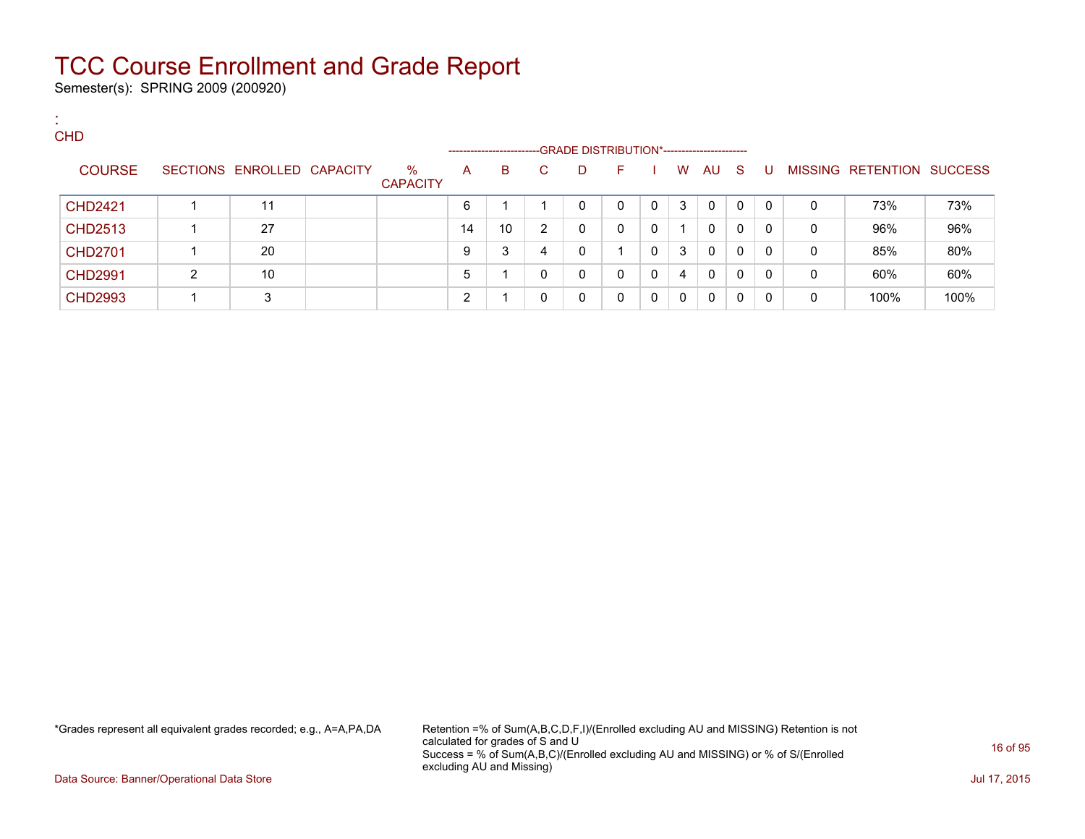Semester(s): SPRING 2009 (200920)

:

| <b>CHD</b>     |   |                            |                         | --------------------- |                 |    | -GRADE DISTRIBUTION*----------------------- |              |              |              |              |     |          |   |                           |      |
|----------------|---|----------------------------|-------------------------|-----------------------|-----------------|----|---------------------------------------------|--------------|--------------|--------------|--------------|-----|----------|---|---------------------------|------|
| <b>COURSE</b>  |   | SECTIONS ENROLLED CAPACITY | $\%$<br><b>CAPACITY</b> | A                     | B               | C. | D                                           | F.           |              | W            | AU           | - S | -U       |   | MISSING RETENTION SUCCESS |      |
| <b>CHD2421</b> |   | 11                         |                         | 6                     |                 |    | 0                                           | $\mathbf{0}$ | $\mathbf{0}$ | 3            | $\mathbf{0}$ | 0   | $\Omega$ | 0 | 73%                       | 73%  |
| <b>CHD2513</b> |   | 27                         |                         | 14                    | 10 <sup>°</sup> | 2  | 0                                           | 0            | $\Omega$     | 1.           | 0            | 0   | $\Omega$ | 0 | 96%                       | 96%  |
| <b>CHD2701</b> |   | 20                         |                         | 9                     | 3               | 4  | 0                                           |              |              | 3            | 0            | 0   | $\Omega$ | 0 | 85%                       | 80%  |
| <b>CHD2991</b> | 2 | 10                         |                         | 5                     |                 | 0  | 0                                           | 0            | $\Omega$     | 4            | $\mathbf{0}$ | 0   | $\Omega$ | 0 | 60%                       | 60%  |
| <b>CHD2993</b> |   | 3                          |                         | ົ                     |                 |    | $\Omega$                                    | 0            | $\Omega$     | $\mathbf{0}$ | 0            | 0   | 0        | 0 | 100%                      | 100% |

\*Grades represent all equivalent grades recorded; e.g., A=A,PA,DA Retention =% of Sum(A,B,C,D,F,I)/(Enrolled excluding AU and MISSING) Retention is not calculated for grades of S and U Success = % of Sum(A,B,C)/(Enrolled excluding AU and MISSING) or % of S/(Enrolled excluding AU and Missing)

Data Source: Banner/Operational Data Store Jul 17, 2015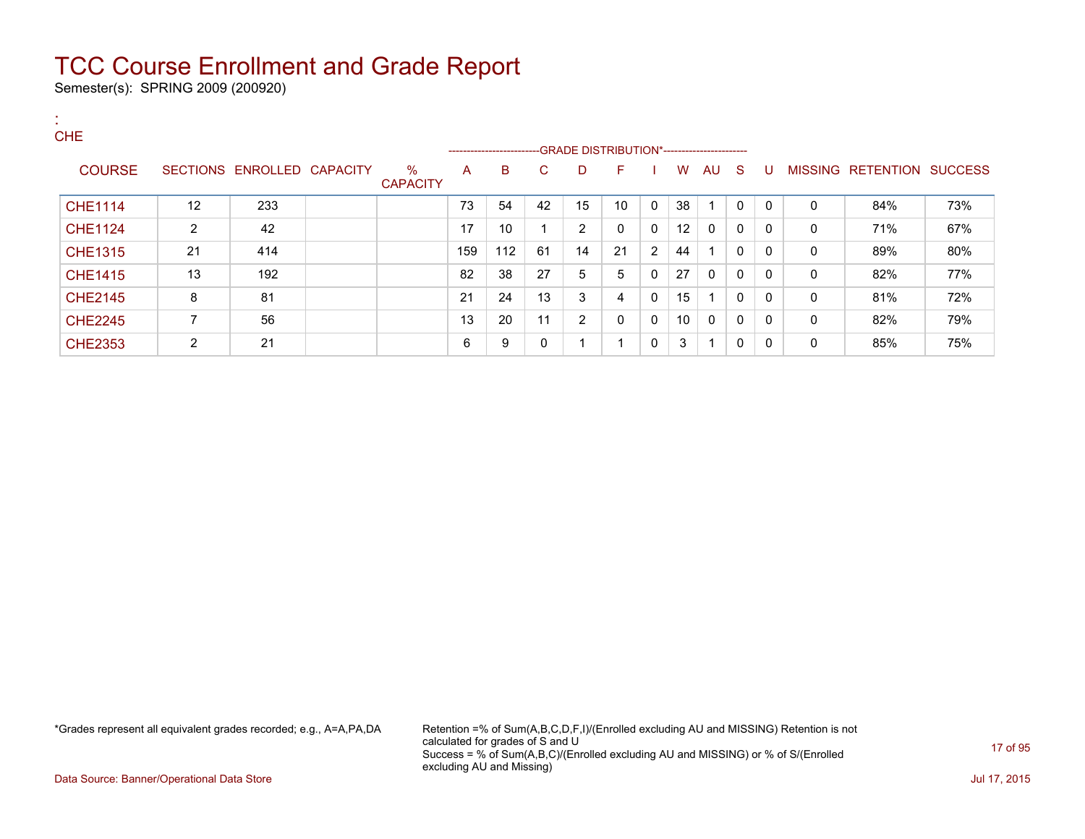Semester(s): SPRING 2009 (200920)

| ж.<br><b>CHE</b> |                |                            |                         |     |                                                                   |    |                |              |                      |    |              |          |              |              |                           |     |
|------------------|----------------|----------------------------|-------------------------|-----|-------------------------------------------------------------------|----|----------------|--------------|----------------------|----|--------------|----------|--------------|--------------|---------------------------|-----|
|                  |                |                            |                         |     | -----------------------GRADE DISTRIBUTION*----------------------- |    |                |              |                      |    |              |          |              |              |                           |     |
| <b>COURSE</b>    |                | SECTIONS ENROLLED CAPACITY | $\%$<br><b>CAPACITY</b> | A   | B                                                                 | C. | D              | F            |                      | W  | AU S         |          | U            |              | MISSING RETENTION SUCCESS |     |
| <b>CHE1114</b>   | 12             | 233                        |                         | 73  | 54                                                                | 42 | 15             | 10           | $\mathbf{0}$         | 38 |              | $\Omega$ | $\mathbf{0}$ | $\mathbf{0}$ | 84%                       | 73% |
| <b>CHE1124</b>   | $\overline{2}$ | 42                         |                         | 17  | 10                                                                |    | $\overline{2}$ | $\mathbf{0}$ | 0                    | 12 | 0            | 0        | $\Omega$     | 0            | 71%                       | 67% |
| <b>CHE1315</b>   | 21             | 414                        |                         | 159 | 112                                                               | 61 | 14             | 21           | $\mathbf{2}^{\circ}$ | 44 |              | 0        | $\Omega$     | 0            | 89%                       | 80% |
| <b>CHE1415</b>   | 13             | 192                        |                         | 82  | 38                                                                | 27 | 5              | 5            | 0                    | 27 | $\mathbf{0}$ | 0        | $\Omega$     | 0            | 82%                       | 77% |
| <b>CHE2145</b>   | 8              | 81                         |                         | 21  | 24                                                                | 13 | 3              | 4            | 0                    | 15 |              | 0        | $\Omega$     | $\mathbf{0}$ | 81%                       | 72% |
| <b>CHE2245</b>   | 7              | 56                         |                         | 13  | 20                                                                | 11 | $\overline{2}$ | $\mathbf{0}$ | 0                    | 10 | 0            | 0        | $\Omega$     | 0            | 82%                       | 79% |
| <b>CHE2353</b>   | $\overline{2}$ | 21                         |                         | 6   | 9                                                                 | 0  |                |              | 0                    | 3  |              | 0        | $\Omega$     | 0            | 85%                       | 75% |

\*Grades represent all equivalent grades recorded; e.g., A=A,PA,DA Retention =% of Sum(A,B,C,D,F,I)/(Enrolled excluding AU and MISSING) Retention is not calculated for grades of S and U Success = % of Sum(A,B,C)/(Enrolled excluding AU and MISSING) or % of S/(Enrolled excluding AU and Missing)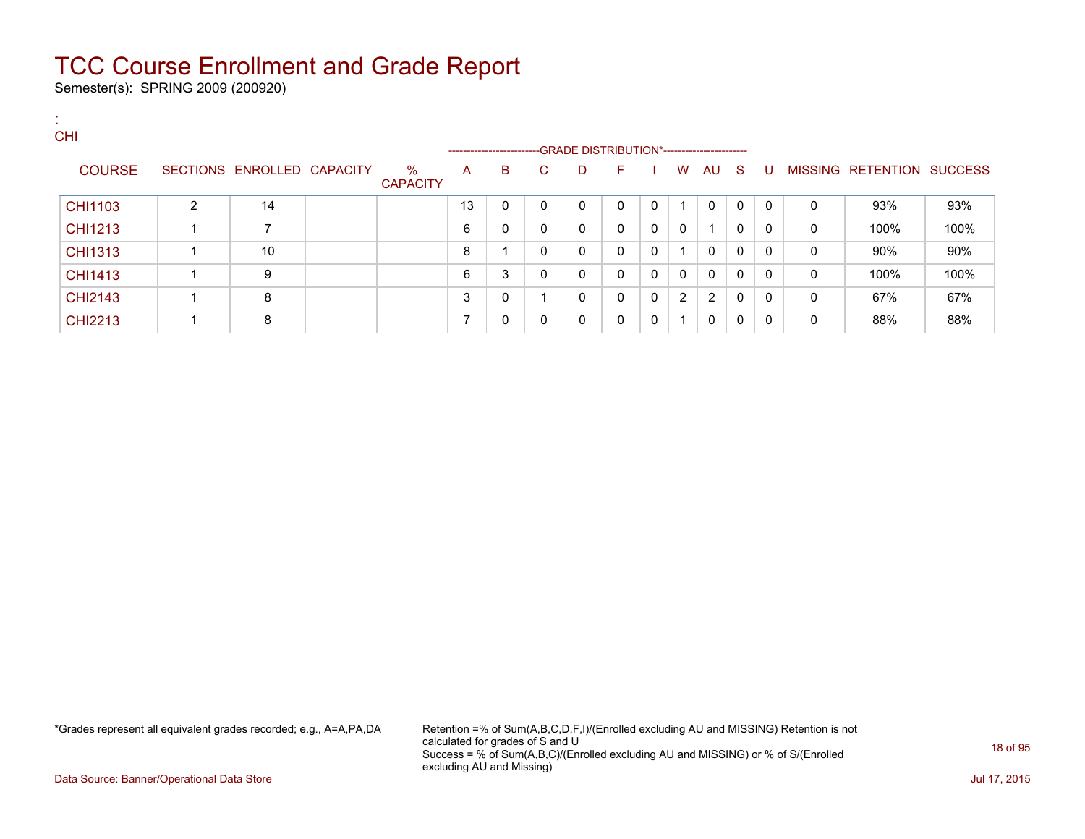Semester(s): SPRING 2009 (200920)

:

| . .<br><b>CHI</b> |   |                            |                         |    | ------------------------GRADE                DISTRIBUTION*---------------------- |    |             |              |   |   |              |              |          |              |                           |      |
|-------------------|---|----------------------------|-------------------------|----|----------------------------------------------------------------------------------|----|-------------|--------------|---|---|--------------|--------------|----------|--------------|---------------------------|------|
| <b>COURSE</b>     |   | SECTIONS ENROLLED CAPACITY | $\%$<br><b>CAPACITY</b> | A  | B                                                                                | C. | D           | F.           |   | W | AU S         |              | -U       |              | MISSING RETENTION SUCCESS |      |
| CHI1103           | 2 | 14                         |                         | 13 | $\mathbf{0}$                                                                     | 0  | $\mathbf 0$ | $\Omega$     | 0 |   | $\mathbf{0}$ | $\mathbf{0}$ | $\Omega$ | $\mathbf{0}$ | 93%                       | 93%  |
| CHI1213           |   | $\overline{ }$             |                         | 6  | 0                                                                                | 0  | 0           | $\mathbf{0}$ | 0 | 0 |              | 0            | 0        | 0            | 100%                      | 100% |
| CHI1313           |   | 10                         |                         | 8  |                                                                                  | 0  | 0           | $\mathbf{0}$ | 0 |   | 0            | $\mathbf{0}$ | 0        | $\mathbf{0}$ | 90%                       | 90%  |
| CHI1413           |   | 9                          |                         | 6  | 3                                                                                | 0  | 0           | 0            | 0 | 0 | 0            | 0            | $\Omega$ | 0            | 100%                      | 100% |
| <b>CHI2143</b>    |   | 8                          |                         | 3  | $\Omega$                                                                         |    | 0           | 0            | 0 | 2 | 2            | 0            | 0        | 0            | 67%                       | 67%  |
| CHI2213           |   | 8                          |                         | ⇁  | 0                                                                                | 0  | 0           | 0            | 0 |   | 0            | $\mathbf 0$  | $\Omega$ | 0            | 88%                       | 88%  |

\*Grades represent all equivalent grades recorded; e.g., A=A,PA,DA Retention =% of Sum(A,B,C,D,F,I)/(Enrolled excluding AU and MISSING) Retention is not calculated for grades of S and U Success = % of Sum(A,B,C)/(Enrolled excluding AU and MISSING) or % of S/(Enrolled excluding AU and Missing)

Data Source: Banner/Operational Data Store Jul 17, 2015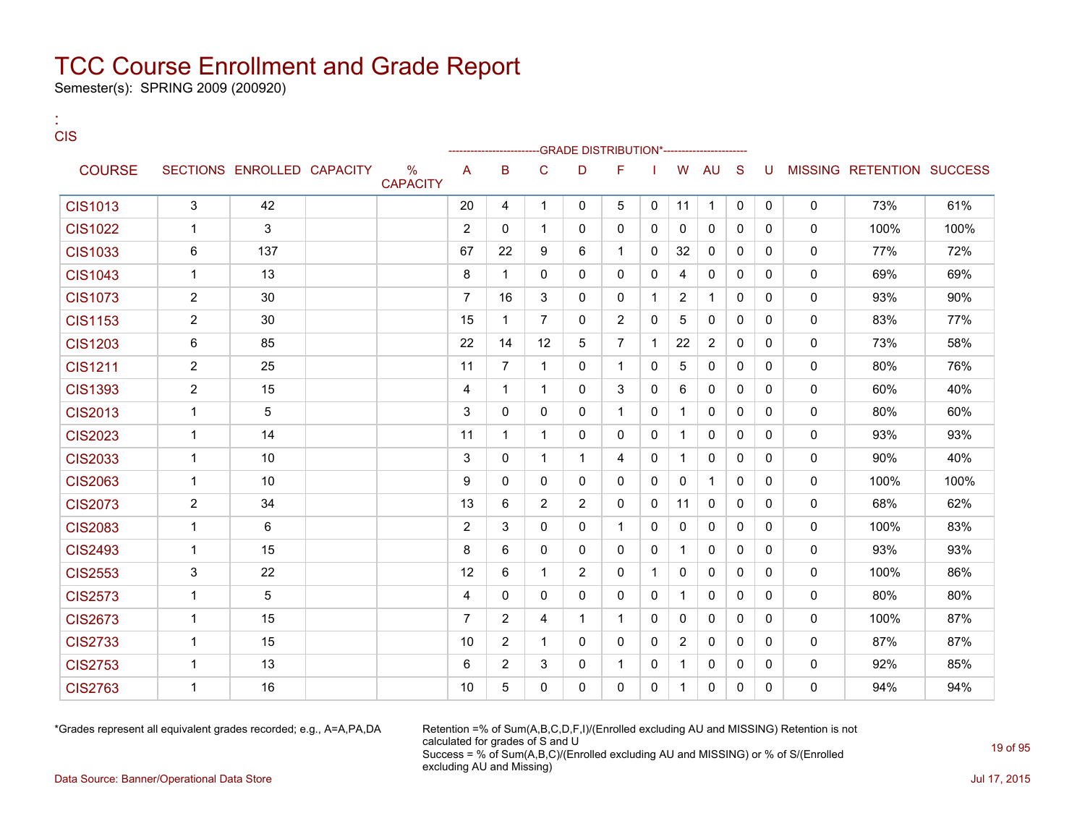Semester(s): SPRING 2009 (200920)

:

| <b>CIS</b>     |                |                            |                                  |                |                |                | -GRADE DISTRIBUTION*--------------- |                |              |                |              |              |              |              |                           |      |
|----------------|----------------|----------------------------|----------------------------------|----------------|----------------|----------------|-------------------------------------|----------------|--------------|----------------|--------------|--------------|--------------|--------------|---------------------------|------|
| <b>COURSE</b>  |                | SECTIONS ENROLLED CAPACITY | $\frac{0}{0}$<br><b>CAPACITY</b> | A              | B              | C              | D                                   | F              |              | W              | AU           | S            | U            |              | MISSING RETENTION SUCCESS |      |
| <b>CIS1013</b> | 3              | 42                         |                                  | 20             | 4              | $\mathbf{1}$   | $\Omega$                            | 5              | $\mathbf{0}$ | 11             | $\mathbf{1}$ | $\mathbf{0}$ | $\Omega$     | $\mathbf{0}$ | 73%                       | 61%  |
| <b>CIS1022</b> | $\mathbf{1}$   | 3                          |                                  | $\overline{2}$ | $\mathbf{0}$   | 1              | $\mathbf{0}$                        | $\mathbf{0}$   | 0            | 0              | 0            | 0            | $\mathbf{0}$ | $\mathbf{0}$ | 100%                      | 100% |
| <b>CIS1033</b> | 6              | 137                        |                                  | 67             | 22             | 9              | 6                                   | $\mathbf{1}$   | $\mathbf{0}$ | 32             | $\mathbf{0}$ | $\Omega$     | $\Omega$     | $\Omega$     | 77%                       | 72%  |
| <b>CIS1043</b> | $\mathbf{1}$   | 13                         |                                  | 8              | $\mathbf{1}$   | 0              | $\Omega$                            | $\Omega$       | 0            | 4              | 0            | $\mathbf{0}$ | $\Omega$     | $\mathbf{0}$ | 69%                       | 69%  |
| <b>CIS1073</b> | $\overline{2}$ | 30                         |                                  | $\overline{7}$ | 16             | 3              | $\mathbf{0}$                        | $\mathbf{0}$   | 1            | $\overline{2}$ | $\mathbf 1$  | 0            | $\mathbf{0}$ | $\mathbf{0}$ | 93%                       | 90%  |
| <b>CIS1153</b> | $\overline{2}$ | 30                         |                                  | 15             | $\mathbf{1}$   | $\overline{7}$ | $\mathbf{0}$                        | 2              | 0            | 5              | $\mathbf{0}$ | $\Omega$     | $\Omega$     | $\mathbf{0}$ | 83%                       | 77%  |
| <b>CIS1203</b> | 6              | 85                         |                                  | 22             | 14             | 12             | 5                                   | $\overline{7}$ | 1            | 22             | 2            | $\Omega$     | $\Omega$     | $\mathbf{0}$ | 73%                       | 58%  |
| <b>CIS1211</b> | $\overline{2}$ | 25                         |                                  | 11             | $\overline{7}$ | $\mathbf 1$    | $\mathbf{0}$                        | $\mathbf{1}$   | 0            | 5              | 0            | $\mathbf{0}$ | $\mathbf{0}$ | $\mathbf{0}$ | 80%                       | 76%  |
| <b>CIS1393</b> | $\overline{2}$ | 15                         |                                  | 4              | $\mathbf{1}$   | 1              | $\Omega$                            | 3              | $\Omega$     | 6              | $\Omega$     | $\Omega$     | $\Omega$     | $\mathbf{0}$ | 60%                       | 40%  |
| <b>CIS2013</b> | $\mathbf{1}$   | 5                          |                                  | 3              | $\Omega$       | 0              | $\Omega$                            | $\mathbf{1}$   | 0            | $\mathbf{1}$   | $\mathbf{0}$ | $\Omega$     | $\Omega$     | $\mathbf{0}$ | 80%                       | 60%  |
| <b>CIS2023</b> | $\mathbf{1}$   | 14                         |                                  | 11             | $\mathbf{1}$   | $\mathbf 1$    | $\Omega$                            | $\Omega$       | $\mathbf{0}$ | $\mathbf{1}$   | $\mathbf{0}$ | $\Omega$     | $\Omega$     | $\mathbf{0}$ | 93%                       | 93%  |
| <b>CIS2033</b> | $\mathbf{1}$   | 10 <sup>1</sup>            |                                  | 3              | $\mathbf{0}$   | 1              | $\mathbf{1}$                        | 4              | $\mathbf{0}$ | $\mathbf{1}$   | $\mathbf{0}$ | $\Omega$     | $\Omega$     | $\mathbf{0}$ | 90%                       | 40%  |
| <b>CIS2063</b> | $\mathbf{1}$   | 10 <sup>1</sup>            |                                  | 9              | $\Omega$       | $\Omega$       | $\Omega$                            | $\Omega$       | $\mathbf{0}$ | $\Omega$       | $\mathbf{1}$ | $\Omega$     | $\Omega$     | $\mathbf{0}$ | 100%                      | 100% |
| <b>CIS2073</b> | $\overline{2}$ | 34                         |                                  | 13             | 6              | $\overline{2}$ | $\overline{2}$                      | $\mathbf{0}$   | 0            | 11             | $\mathbf{0}$ | 0            | $\mathbf{0}$ | $\mathbf{0}$ | 68%                       | 62%  |
| <b>CIS2083</b> | $\mathbf{1}$   | 6                          |                                  | 2              | 3              | 0              | $\mathbf{0}$                        | $\mathbf{1}$   | $\mathbf{0}$ | $\mathbf{0}$   | $\mathbf{0}$ | 0            | $\mathbf{0}$ | $\mathbf{0}$ | 100%                      | 83%  |
| <b>CIS2493</b> | $\mathbf{1}$   | 15                         |                                  | 8              | 6              | 0              | $\Omega$                            | $\Omega$       | 0            | $\mathbf{1}$   | $\mathbf{0}$ | $\Omega$     | $\Omega$     | $\mathbf{0}$ | 93%                       | 93%  |
| <b>CIS2553</b> | $\mathsf 3$    | 22                         |                                  | 12             | 6              | $\mathbf 1$    | $\overline{2}$                      | $\Omega$       | 1            | $\Omega$       | $\mathbf{0}$ | $\Omega$     | $\Omega$     | $\mathbf{0}$ | 100%                      | 86%  |
| <b>CIS2573</b> | $\mathbf{1}$   | 5                          |                                  | 4              | 0              | 0              | 0                                   | 0              | 0            | $\mathbf{1}$   | $\mathbf{0}$ | 0            | $\mathbf{0}$ | 0            | 80%                       | 80%  |
| <b>CIS2673</b> | $\mathbf{1}$   | 15                         |                                  | $\overline{7}$ | 2              | 4              | $\mathbf{1}$                        | $\mathbf{1}$   | $\mathbf{0}$ | $\mathbf{0}$   | $\mathbf{0}$ | $\Omega$     | $\Omega$     | $\mathbf{0}$ | 100%                      | 87%  |
| <b>CIS2733</b> | $\mathbf{1}$   | 15                         |                                  | 10             | 2              | $\mathbf 1$    | $\mathbf{0}$                        | $\mathbf{0}$   | 0            | $\overline{2}$ | $\mathbf{0}$ | 0            | $\mathbf{0}$ | $\mathbf{0}$ | 87%                       | 87%  |
| <b>CIS2753</b> | $\mathbf{1}$   | 13                         |                                  | 6              | $\overline{2}$ | 3              | $\mathbf{0}$                        | $\mathbf{1}$   | 0            | $\mathbf 1$    | 0            | 0            | $\mathbf{0}$ | $\mathbf 0$  | 92%                       | 85%  |
| <b>CIS2763</b> | $\mathbf{1}$   | 16                         |                                  | 10             | 5              | 0              | $\Omega$                            | $\mathbf{0}$   | $\Omega$     | $\mathbf 1$    | $\mathbf{0}$ | $\Omega$     | $\Omega$     | $\mathbf{0}$ | 94%                       | 94%  |

\*Grades represent all equivalent grades recorded; e.g., A=A,PA,DA Retention =% of Sum(A,B,C,D,F,I)/(Enrolled excluding AU and MISSING) Retention is not calculated for grades of S and U Success = % of Sum(A,B,C)/(Enrolled excluding AU and MISSING) or % of S/(Enrolled excluding AU and Missing)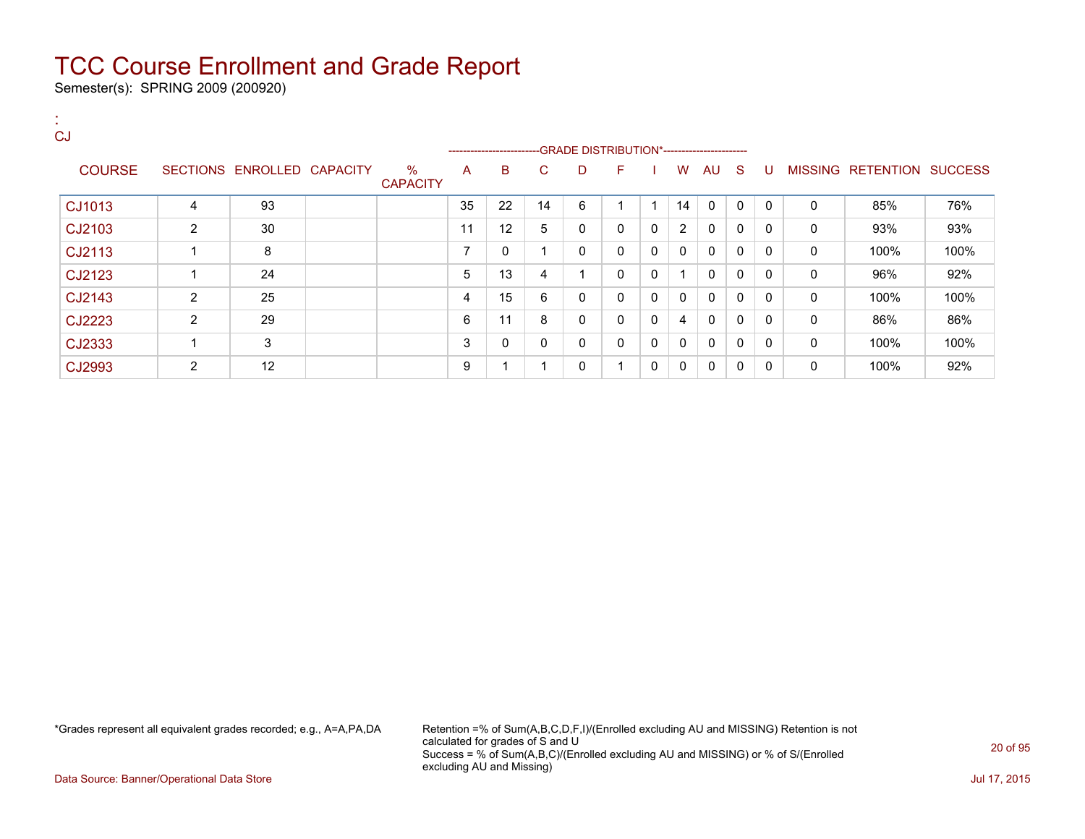Semester(s): SPRING 2009 (200920)

| <b>CJ</b>     |                |                            |                         |                |                           |    |    |                                               |              |                |              |              |              |              |                           |      |
|---------------|----------------|----------------------------|-------------------------|----------------|---------------------------|----|----|-----------------------------------------------|--------------|----------------|--------------|--------------|--------------|--------------|---------------------------|------|
|               |                |                            |                         |                | ------------------------- |    |    | --GRADE DISTRIBUTION*------------------------ |              |                |              |              |              |              |                           |      |
| <b>COURSE</b> |                | SECTIONS ENROLLED CAPACITY | $\%$<br><b>CAPACITY</b> | A              | B                         | C  | D  | F                                             |              | W              | AU S         |              | -U           |              | MISSING RETENTION SUCCESS |      |
| CJ1013        | 4              | 93                         |                         | 35             | 22                        | 14 | 6  | и                                             |              | 14             | $\Omega$     | $\mathbf{0}$ | $\Omega$     | $\mathbf{0}$ | 85%                       | 76%  |
| CJ2103        | $\overline{2}$ | 30                         |                         | 11             | 12                        | 5  | 0  | $\mathbf{0}$                                  | $\mathbf{0}$ | $\overline{2}$ | $\Omega$     | $\mathbf{0}$ | 0            | $\mathbf{0}$ | 93%                       | 93%  |
| CJ2113        |                | 8                          |                         | $\overline{ }$ | 0                         |    | 0  | $\mathbf{0}$                                  | $\mathbf{0}$ | $\Omega$       | $\mathbf{0}$ | $\mathbf{0}$ | 0            | $\mathbf{0}$ | 100%                      | 100% |
| CJ2123        |                | 24                         |                         | 5              | 13                        | 4  | -4 | $\mathbf{0}$                                  | 0            |                | $\mathbf{0}$ | $\mathbf{0}$ | $\mathbf{0}$ | 0            | 96%                       | 92%  |
| CJ2143        | 2              | 25                         |                         | 4              | 15                        | 6  | 0  | $\mathbf{0}$                                  | $\mathbf{0}$ | $\mathbf{0}$   | $\mathbf{0}$ | $\mathbf{0}$ | $\mathbf{0}$ | 0            | 100%                      | 100% |
| CJ2223        | 2              | 29                         |                         | 6              | 11                        | 8  | 0  | $\mathbf{0}$                                  | $\mathbf{0}$ | 4              | $\mathbf{0}$ | $\mathbf{0}$ | $\Omega$     | $\mathbf{0}$ | 86%                       | 86%  |
| CJ2333        |                | 3                          |                         | 3              | 0                         | 0  | 0  | $\mathbf{0}$                                  | $\mathbf{0}$ | $\mathbf{0}$   | $\mathbf{0}$ | $\mathbf{0}$ | 0            | $\mathbf{0}$ | 100%                      | 100% |
| CJ2993        | $\overline{2}$ | 12                         |                         | 9              |                           |    | 0  | 4                                             | 0            | 0              | $\mathbf{0}$ | $\mathbf{0}$ | $\mathbf{0}$ | 0            | 100%                      | 92%  |

\*Grades represent all equivalent grades recorded; e.g., A=A,PA,DA Retention =% of Sum(A,B,C,D,F,I)/(Enrolled excluding AU and MISSING) Retention is not calculated for grades of S and U Success = % of Sum(A,B,C)/(Enrolled excluding AU and MISSING) or % of S/(Enrolled excluding AU and Missing)

Data Source: Banner/Operational Data Store Jul 17, 2015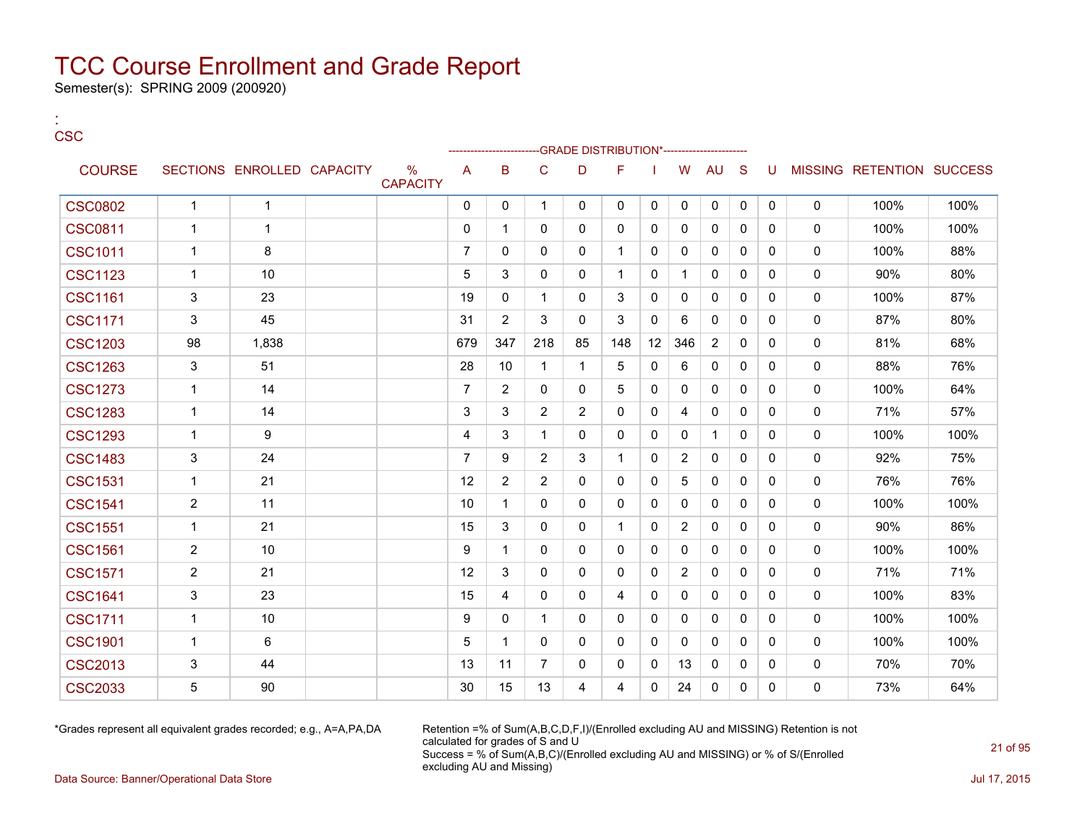Semester(s): SPRING 2009 (200920)

| ×<br>v<br>$\overline{\phantom{a}}$ | -<br>v |
|------------------------------------|--------|

:

|                |                |                            |                      |                |                |                |                | -GRADE DISTRIBUTION*----------------------- |              |                |              |              |              |             |                           |      |
|----------------|----------------|----------------------------|----------------------|----------------|----------------|----------------|----------------|---------------------------------------------|--------------|----------------|--------------|--------------|--------------|-------------|---------------------------|------|
| <b>COURSE</b>  |                | SECTIONS ENROLLED CAPACITY | %<br><b>CAPACITY</b> | A              | B              | $\mathsf{C}$   | D              | F                                           |              | W              | <b>AU</b>    | S            | U            |             | MISSING RETENTION SUCCESS |      |
| <b>CSC0802</b> | $\mathbf{1}$   | $\mathbf{1}$               |                      | $\mathbf 0$    | 0              | $\mathbf 1$    | $\mathbf 0$    | 0                                           | 0            | $\mathbf{0}$   | 0            | $\mathbf 0$  | $\mathbf 0$  | $\mathbf 0$ | 100%                      | 100% |
| <b>CSC0811</b> | 1              | $\mathbf{1}$               |                      | 0              | 1              | 0              | 0              | $\mathbf 0$                                 | $\mathbf 0$  | 0              | $\mathbf 0$  | $\mathbf{0}$ | 0            | $\mathbf 0$ | 100%                      | 100% |
| <b>CSC1011</b> | $\mathbf 1$    | 8                          |                      | $\overline{7}$ | 0              | 0              | 0              | $\overline{1}$                              | 0            | 0              | 0            | $\mathbf{0}$ | $\mathbf{0}$ | $\mathbf 0$ | 100%                      | 88%  |
| <b>CSC1123</b> | 1              | 10                         |                      | 5              | 3              | 0              | $\mathbf{0}$   | $\overline{1}$                              | $\mathbf{0}$ | 1              | $\mathbf{0}$ | $\mathbf{0}$ | $\Omega$     | $\mathbf 0$ | 90%                       | 80%  |
| <b>CSC1161</b> | 3              | 23                         |                      | 19             | 0              | $\mathbf{1}$   | $\mathbf{0}$   | 3                                           | $\mathbf{0}$ | 0              | $\mathbf{0}$ | $\mathbf{0}$ | $\Omega$     | $\mathbf 0$ | 100%                      | 87%  |
| <b>CSC1171</b> | 3              | 45                         |                      | 31             | $\overline{2}$ | 3              | $\Omega$       | 3                                           | $\mathbf 0$  | 6              | $\mathbf 0$  | $\mathbf{0}$ | $\Omega$     | $\mathbf 0$ | 87%                       | 80%  |
| <b>CSC1203</b> | 98             | 1,838                      |                      | 679            | 347            | 218            | 85             | 148                                         | 12           | 346            | 2            | $\mathbf{0}$ | 0            | $\mathbf 0$ | 81%                       | 68%  |
| <b>CSC1263</b> | 3              | 51                         |                      | 28             | 10             | $\mathbf{1}$   | -1             | 5                                           | $\mathbf{0}$ | 6              | $\mathbf{0}$ | $\mathbf{0}$ | $\Omega$     | $\mathbf 0$ | 88%                       | 76%  |
| <b>CSC1273</b> | $\mathbf 1$    | 14                         |                      | $\overline{7}$ | 2              | 0              | $\mathbf{0}$   | 5                                           | 0            | 0              | $\mathbf{0}$ | $\Omega$     | 0            | $\mathbf 0$ | 100%                      | 64%  |
| <b>CSC1283</b> | 1              | 14                         |                      | 3              | 3              | 2              | 2              | 0                                           | 0            | 4              | 0            | 0            | 0            | 0           | 71%                       | 57%  |
| <b>CSC1293</b> | 1              | 9                          |                      | 4              | 3              | 1              | 0              | 0                                           | 0            | 0              | $\mathbf{1}$ | $\mathbf{0}$ | 0            | 0           | 100%                      | 100% |
| <b>CSC1483</b> | 3              | 24                         |                      | $\overline{7}$ | 9              | 2              | 3              | -1                                          | 0            | 2              | 0            | $\mathbf{0}$ | 0            | $\mathbf 0$ | 92%                       | 75%  |
| <b>CSC1531</b> | $\mathbf 1$    | 21                         |                      | 12             | $\overline{2}$ | 2              | $\mathbf{0}$   | $\mathbf{0}$                                | $\mathbf{0}$ | 5              | $\mathbf{0}$ | $\Omega$     | $\Omega$     | $\mathbf 0$ | 76%                       | 76%  |
| <b>CSC1541</b> | $\overline{2}$ | 11                         |                      | 10             | 1              | 0              | $\mathbf{0}$   | 0                                           | 0            | 0              | 0            | $\mathbf{0}$ | 0            | 0           | 100%                      | 100% |
| <b>CSC1551</b> | 1              | 21                         |                      | 15             | 3              | $\Omega$       | $\Omega$       | $\overline{1}$                              | $\mathbf 0$  | $\overline{2}$ | $\mathbf 0$  | $\mathbf{0}$ | $\Omega$     | $\mathbf 0$ | 90%                       | 86%  |
| <b>CSC1561</b> | $\overline{2}$ | 10                         |                      | 9              | 1              | $\mathbf{0}$   | $\mathbf{0}$   | $\mathbf{0}$                                | $\mathbf{0}$ | 0              | $\mathbf{0}$ | $\mathbf{0}$ | $\Omega$     | $\mathbf 0$ | 100%                      | 100% |
| <b>CSC1571</b> | $\overline{2}$ | 21                         |                      | 12             | 3              | $\Omega$       | $\Omega$       | $\mathbf 0$                                 | $\mathbf 0$  | $\overline{2}$ | $\mathbf 0$  | $\mathbf{0}$ | $\mathbf{0}$ | $\mathbf 0$ | 71%                       | 71%  |
| <b>CSC1641</b> | 3              | 23                         |                      | 15             | 4              | 0              | 0              | 4                                           | 0            | 0              | 0            | $\mathbf{0}$ | $\Omega$     | 0           | 100%                      | 83%  |
| <b>CSC1711</b> | $\mathbf 1$    | 10                         |                      | 9              | $\mathbf{0}$   | $\mathbf 1$    | $\mathbf{0}$   | $\mathbf{0}$                                | $\mathbf{0}$ | 0              | $\mathbf{0}$ | $\mathbf{0}$ | $\Omega$     | 0           | 100%                      | 100% |
| <b>CSC1901</b> | 1              | 6                          |                      | 5              | $\mathbf 1$    | $\Omega$       | $\mathbf{0}$   | $\mathbf{0}$                                | $\mathbf{0}$ | 0              | $\mathbf{0}$ | $\Omega$     | 0            | $\mathbf 0$ | 100%                      | 100% |
| <b>CSC2013</b> | 3              | 44                         |                      | 13             | 11             | $\overline{7}$ | 0              | 0                                           | 0            | 13             | 0            | 0            | 0            | $\mathbf 0$ | 70%                       | 70%  |
| <b>CSC2033</b> | 5              | 90                         |                      | 30             | 15             | 13             | $\overline{4}$ | 4                                           | 0            | 24             | 0            | 0            | 0            | 0           | 73%                       | 64%  |

\*Grades represent all equivalent grades recorded; e.g., A=A,PA,DA Retention =% of Sum(A,B,C,D,F,I)/(Enrolled excluding AU and MISSING) Retention is not calculated for grades of S and U Success = % of Sum(A,B,C)/(Enrolled excluding AU and MISSING) or % of S/(Enrolled excluding AU and Missing)

Data Source: Banner/Operational Data Store Jul 17, 2015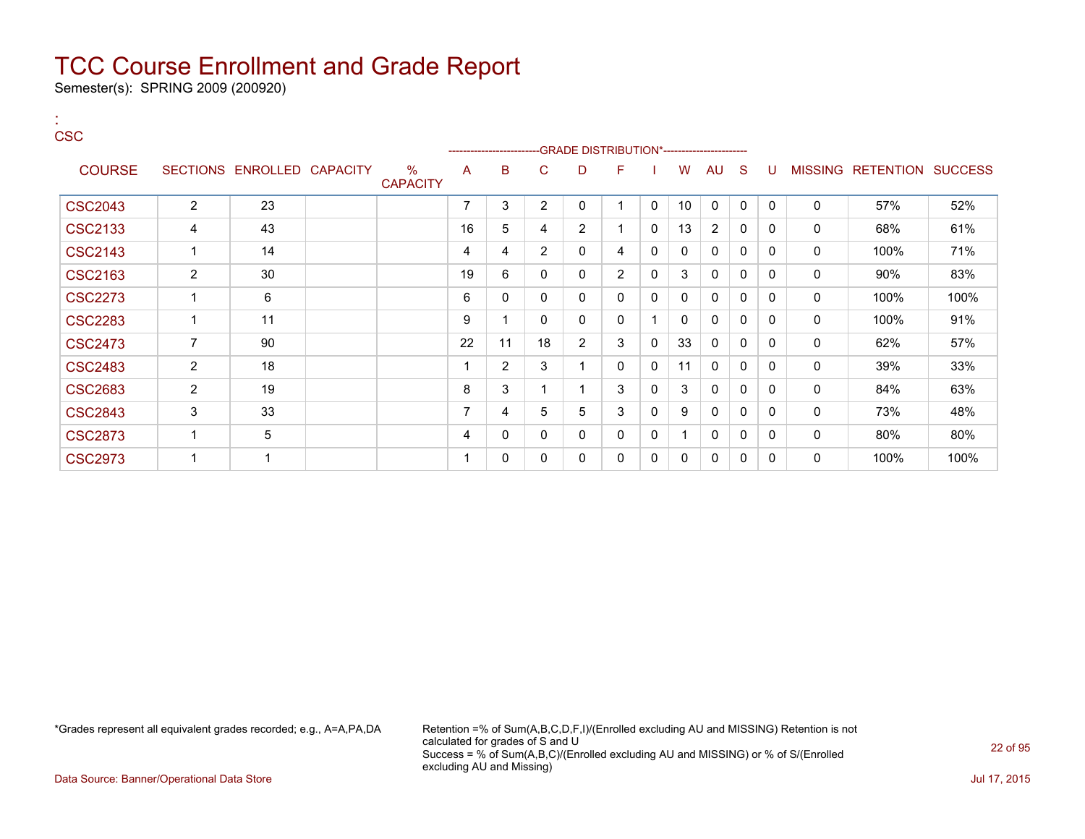Semester(s): SPRING 2009 (200920)

:

#### **CSC** ---GRADE DISTRIBUTION\*------------------------COURSE SECTIONS ENROLLED CAPACITY % **CAPACITY** A B C D F I W AU S U MISSING RETENTION SUCCESS  $\text{CSC2043} \quad | \quad 2 \quad | \quad 23 \quad | \quad 1 \quad | \quad 7 \quad | \quad 3 \quad | \quad 2 \quad | \quad 0 \quad | \quad 1 \quad | \quad 0 \quad | \quad 0 \quad | \quad 0 \quad | \quad 0 \quad | \quad 57\% \quad | \quad 52\%$ CSC2133 | 4 | 43 | | 16 | 5 | 4 | 2 | 1 | 0 | 13 | 2 | 0 | 0 | 0 | 68% | 61% CSC2143 | 1 | 14 | | | 4 | 4 | 2 | 0 | 4 | 0 | 0 | 0 | 0 | 0 | 0 | 100% | 71%  $\text{CSC2163} \quad | \quad 2 \quad | \quad 30 \quad | \quad 19 \quad | \quad 6 \quad | \quad 0 \quad | \quad 0 \quad | \quad 2 \quad | \quad 0 \quad | \quad 0 \quad | \quad 0 \quad | \quad 0 \quad | \quad 90\% \quad | \quad 83\%$ CSC2273 1 6 6 0 0 0 0 0 0 0 0 0 0 100% 100% CSC2283 1 11 9 1 0 0 0 1 0 0 0 0 0 100% 91% CSC2473 | 7 | 90 | | | | | | | | 18 | 2 | 3 | 0 | 33 | 0 | 0 | 0 | 0 | 62% | 57% CSC2483 | 2 | 18 | | 1 | 2 | 3 | 1 | 0 | 0 | 11 | 0 | 0 | 0 | 0 | 39% | 33% CSC2683 | 2 | 19 | | 8 |3 | 1 | 1 | 3 |0 | 3 |0 | 0 | 0 | 84% | 63%

 $\text{CSC2843} \quad | \quad 3 \quad | \quad 33 \quad | \quad 1 \quad | \quad 7 \quad | \quad 4 \quad | \quad 5 \quad | \quad 5 \quad | \quad 3 \quad | \quad 0 \quad | \quad 0 \quad | \quad 0 \quad | \quad 0 \quad | \quad 73\% \quad | \quad 48\%$ CSC2873 1 5 4 0 0 0 0 0 1 0 0 0 0 80% 80% CSC2973 1 1 1 0 0 0 0 0 0 0 0 0 0 100% 100%

\*Grades represent all equivalent grades recorded; e.g., A=A,PA,DA Retention =% of Sum(A,B,C,D,F,I)/(Enrolled excluding AU and MISSING) Retention is not calculated for grades of S and U Success = % of Sum(A,B,C)/(Enrolled excluding AU and MISSING) or % of S/(Enrolled excluding AU and Missing)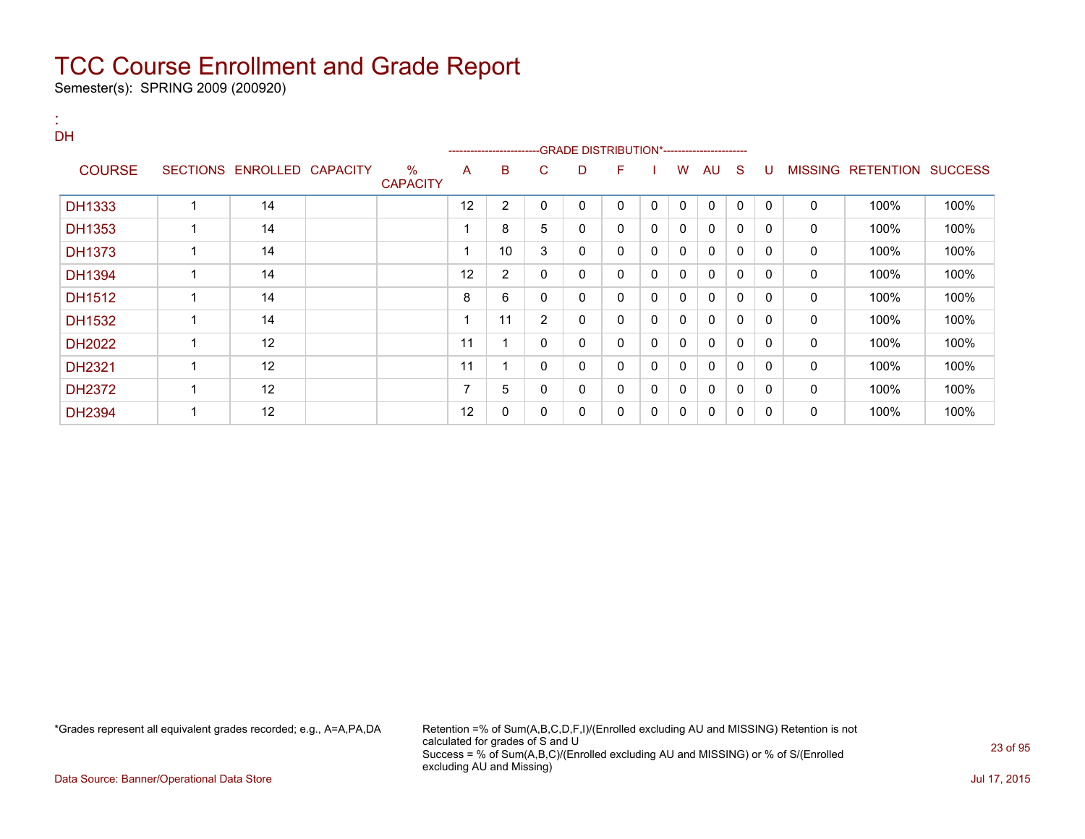Semester(s): SPRING 2009 (200920)

:

| <b>DH</b>     |                         |                            |                         |    | -------------------------GRADE                DISTRIBUTION*---------------------- |                |   |   |              |              |              |              |              |              |                   |                |
|---------------|-------------------------|----------------------------|-------------------------|----|-----------------------------------------------------------------------------------|----------------|---|---|--------------|--------------|--------------|--------------|--------------|--------------|-------------------|----------------|
|               |                         |                            |                         |    |                                                                                   |                |   |   |              |              |              |              |              |              |                   |                |
| <b>COURSE</b> |                         | SECTIONS ENROLLED CAPACITY | $\%$<br><b>CAPACITY</b> | A  | B                                                                                 | C              | D | F |              | W            | AU           | <sub>S</sub> | U            |              | MISSING RETENTION | <b>SUCCESS</b> |
| DH1333        |                         | 14                         |                         | 12 | 2                                                                                 | 0              | 0 | 0 | $\Omega$     | $\mathbf{0}$ | $\mathbf{0}$ | $\Omega$     | $\Omega$     | $\mathbf{0}$ | 100%              | 100%           |
| DH1353        |                         | 14                         |                         |    | 8                                                                                 | 5              | 0 | 0 | $\mathbf{0}$ | $\Omega$     | 0            | $\mathbf{0}$ | 0            | 0            | 100%              | 100%           |
| <b>DH1373</b> | 1                       | 14                         |                         |    | 10                                                                                | 3              | 0 | 0 | 0            | $\Omega$     | $\mathbf{0}$ | $\mathbf{0}$ | 0            | 0            | 100%              | 100%           |
| <b>DH1394</b> | ۸                       | 14                         |                         | 12 | 2                                                                                 | 0              | 0 | 0 | 0            | $\Omega$     | $\mathbf{0}$ | $\mathbf{0}$ | 0            | $\mathbf{0}$ | 100%              | 100%           |
| DH1512        |                         | 14                         |                         | 8  | 6                                                                                 | 0              | 0 | 0 | $\mathbf 0$  | $\mathbf{0}$ | $\mathbf{0}$ | $\mathbf{0}$ | 0            | $\mathbf{0}$ | 100%              | 100%           |
| DH1532        |                         | 14                         |                         |    | 11                                                                                | $\overline{2}$ | 0 | 0 | 0            | $\mathbf{0}$ | $\mathbf{0}$ | $\mathbf{0}$ | $\mathbf{0}$ | 0            | 100%              | 100%           |
| DH2022        | 4                       | 12                         |                         | 11 |                                                                                   | 0              | 0 | 0 | 0            | 0            | 0            | 0            | 0            | 0            | 100%              | 100%           |
| DH2321        | $\overline{\mathbf{A}}$ | 12                         |                         | 11 |                                                                                   | 0              | 0 | 0 | $\Omega$     | 0            | 0            | 0            | 0            | 0            | 100%              | 100%           |
| <b>DH2372</b> | 1                       | 12                         |                         | ⇁  | 5                                                                                 | 0              | 0 | 0 | $\Omega$     | 0            | $\mathbf{0}$ | $\mathbf{0}$ | $\Omega$     | 0            | 100%              | 100%           |
| <b>DH2394</b> |                         | 12                         |                         | 12 | 0                                                                                 | 0              | 0 | 0 | 0            | 0            | 0            | 0            | 0            | 0            | 100%              | 100%           |

\*Grades represent all equivalent grades recorded; e.g., A=A,PA,DA Retention =% of Sum(A,B,C,D,F,I)/(Enrolled excluding AU and MISSING) Retention is not calculated for grades of S and U Success = % of Sum(A,B,C)/(Enrolled excluding AU and MISSING) or % of S/(Enrolled excluding AU and Missing)

Data Source: Banner/Operational Data Store Jul 17, 2015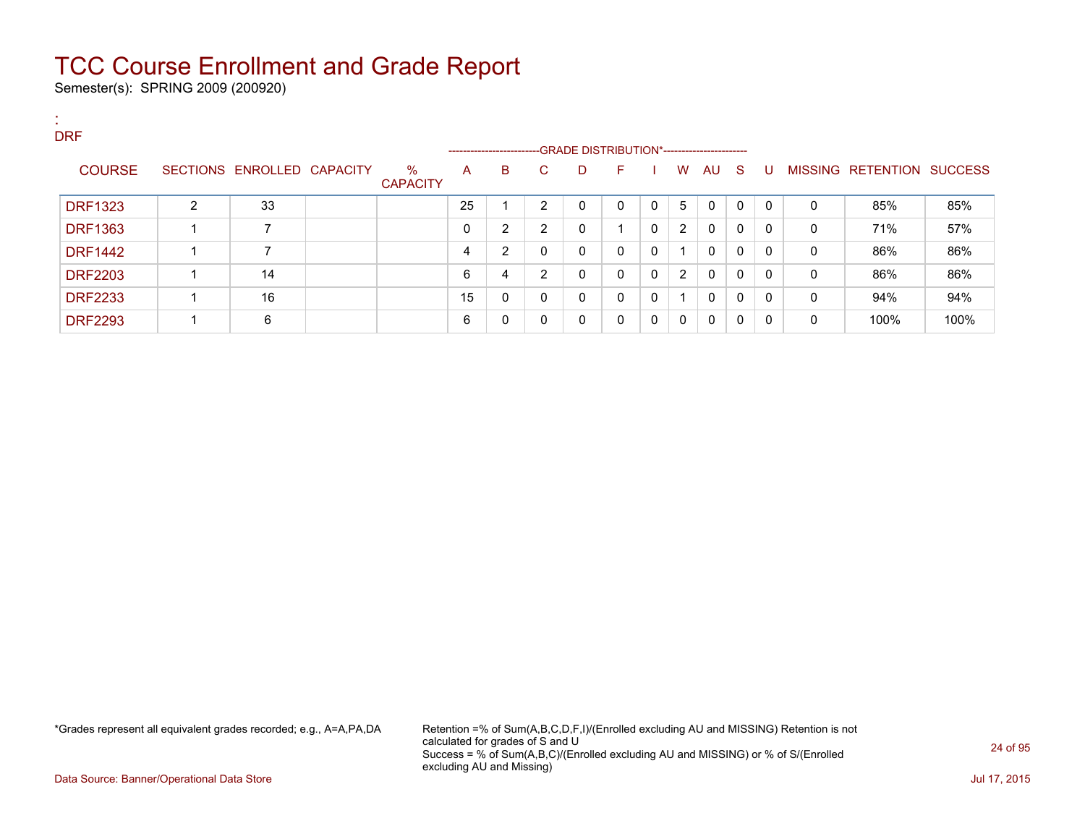Semester(s): SPRING 2009 (200920)

| . .<br><b>COL</b> | <b>DRF</b>     |   |                            |                         |    |                                                                    |    |   |              |              |                |              |              |              |              |                           |      |
|-------------------|----------------|---|----------------------------|-------------------------|----|--------------------------------------------------------------------|----|---|--------------|--------------|----------------|--------------|--------------|--------------|--------------|---------------------------|------|
|                   |                |   |                            |                         |    | ------------------------GRADE DISTRIBUTION*----------------------- |    |   |              |              |                |              |              |              |              |                           |      |
|                   | <b>COURSE</b>  |   | SECTIONS ENROLLED CAPACITY | $\%$<br><b>CAPACITY</b> | A  | B                                                                  | C. | D | F.           |              | W              | AU S         |              | U            |              | MISSING RETENTION SUCCESS |      |
|                   | <b>DRF1323</b> | 2 | 33                         |                         | 25 |                                                                    | 2  | 0 | $\mathbf{0}$ | $\mathbf 0$  | 5              | $\mathbf{0}$ | $\mathbf{0}$ | $\mathbf{0}$ | $\Omega$     | 85%                       | 85%  |
|                   | <b>DRF1363</b> |   | 7                          |                         | 0  | 2                                                                  | 2  | 0 |              | $\mathbf{0}$ | $\overline{2}$ | $\mathbf{0}$ | $\mathbf{0}$ | $\mathbf{0}$ | $\mathbf{0}$ | 71%                       | 57%  |
|                   | <b>DRF1442</b> |   | 7                          |                         | 4  | 2                                                                  | 0  | 0 | $\mathbf{0}$ | $\mathbf{0}$ | 1              | $\mathbf{0}$ | $\mathbf{0}$ | 0            | $\mathbf{0}$ | 86%                       | 86%  |
|                   | <b>DRF2203</b> |   | 14                         |                         | 6  | 4                                                                  | 2  | 0 | $\Omega$     | $\mathbf 0$  | 2              | 0            | $\mathbf{0}$ | $\mathbf{0}$ | 0            | 86%                       | 86%  |
|                   | <b>DRF2233</b> |   | 16                         |                         | 15 | $\mathbf 0$                                                        | 0  | 0 | $\Omega$     | $\mathbf 0$  | 1              | $\mathbf{0}$ | $\mathbf{0}$ | $\mathbf{0}$ | $\Omega$     | 94%                       | 94%  |
|                   | <b>DRF2293</b> |   | 6                          |                         | 6  | 0                                                                  | 0  | 0 | 0            | $\mathbf{0}$ | $\mathbf{0}$   | 0            | $\mathbf{0}$ | 0            | 0            | 100%                      | 100% |

\*Grades represent all equivalent grades recorded; e.g., A=A,PA,DA Retention =% of Sum(A,B,C,D,F,I)/(Enrolled excluding AU and MISSING) Retention is not calculated for grades of S and U Success = % of Sum(A,B,C)/(Enrolled excluding AU and MISSING) or % of S/(Enrolled excluding AU and Missing)

Data Source: Banner/Operational Data Store Jul 17, 2015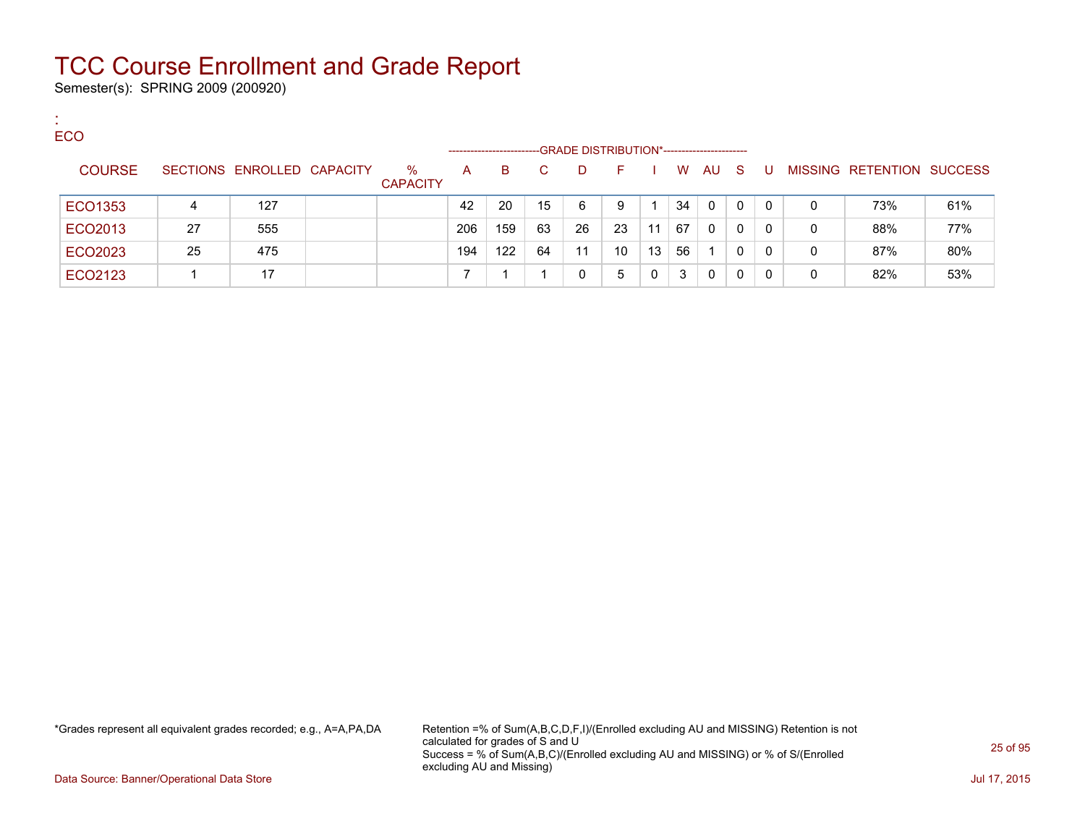Semester(s): SPRING 2009 (200920)

:

| <b>ECO</b>    |    |                            |                         |                   |     |    |                                             |    |    |    |          |              |              |   |                                  |     |
|---------------|----|----------------------------|-------------------------|-------------------|-----|----|---------------------------------------------|----|----|----|----------|--------------|--------------|---|----------------------------------|-----|
|               |    |                            |                         | ----------------- |     |    | -GRADE DISTRIBUTION*----------------------- |    |    |    |          |              |              |   |                                  |     |
| <b>COURSE</b> |    | SECTIONS ENROLLED CAPACITY | $\%$<br><b>CAPACITY</b> | A                 | B.  | C  | D.                                          | E  |    | W  | AU       | -S           | U            |   | <b>MISSING RETENTION SUCCESS</b> |     |
| ECO1353       | 4  | 127                        |                         | 42                | 20  | 15 | 6                                           | 9  |    | 34 | $\Omega$ | $\Omega$     | $\mathbf{0}$ | 0 | 73%                              | 61% |
| ECO2013       | 27 | 555                        |                         | 206               | 159 | 63 | 26                                          | 23 | 11 | 67 | $\Omega$ | $\mathbf{0}$ | 0            | 0 | 88%                              | 77% |
| ECO2023       | 25 | 475                        |                         | 194               | 122 | 64 | 11                                          | 10 | 13 | 56 |          | 0            | $\mathbf{0}$ | 0 | 87%                              | 80% |
| ECO2123       |    | 17                         |                         |                   |     |    |                                             | 5  |    | 3  | $\Omega$ | 0            |              | 0 | 82%                              | 53% |

\*Grades represent all equivalent grades recorded; e.g., A=A,PA,DA Retention =% of Sum(A,B,C,D,F,I)/(Enrolled excluding AU and MISSING) Retention is not calculated for grades of S and U Success = % of Sum(A,B,C)/(Enrolled excluding AU and MISSING) or % of S/(Enrolled excluding AU and Missing)

Data Source: Banner/Operational Data Store Jul 17, 2015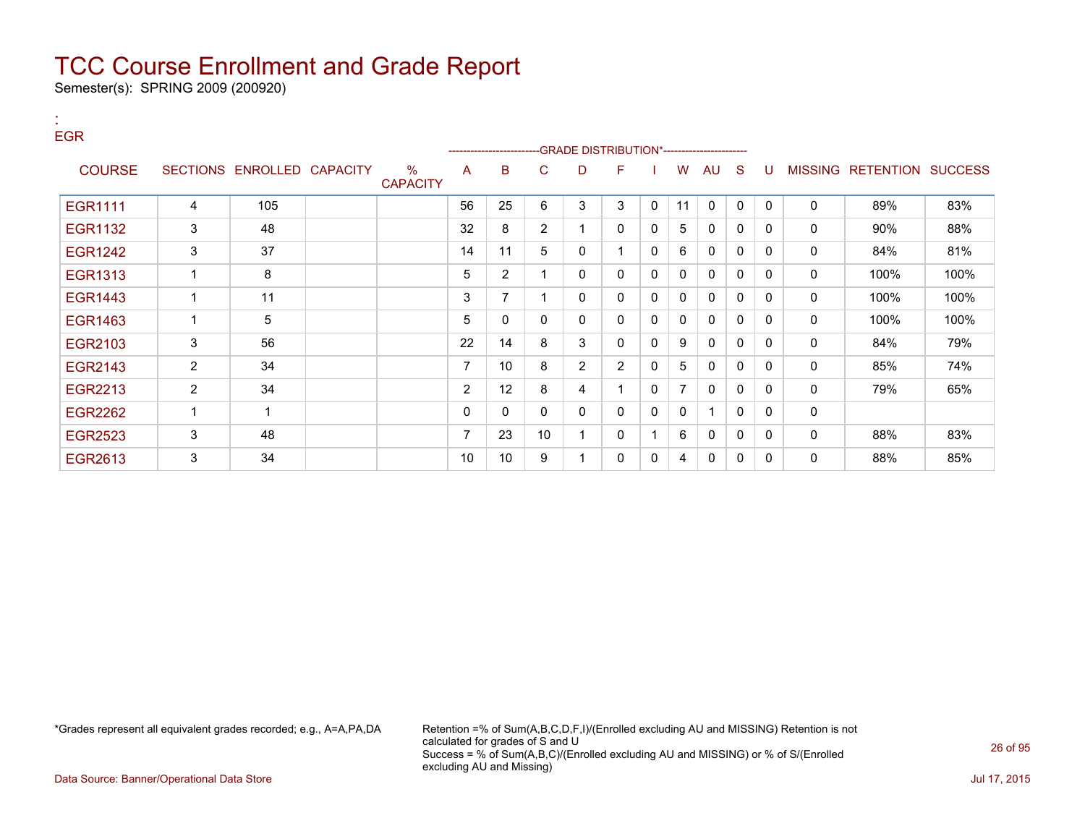Semester(s): SPRING 2009 (200920)

| <b>EGR</b>     |                |                            |                                  |                | --------------------- |                | -GRADE DISTRIBUTION*---------------------- |                |          |                |              |              |              |                |                          |      |
|----------------|----------------|----------------------------|----------------------------------|----------------|-----------------------|----------------|--------------------------------------------|----------------|----------|----------------|--------------|--------------|--------------|----------------|--------------------------|------|
| <b>COURSE</b>  |                | SECTIONS ENROLLED CAPACITY | $\frac{0}{0}$<br><b>CAPACITY</b> | A              | В                     | C              | D                                          | F.             |          | W              | AU           | <sub>S</sub> | U            | <b>MISSING</b> | <b>RETENTION SUCCESS</b> |      |
| <b>EGR1111</b> | 4              | 105                        |                                  | 56             | 25                    | 6              | 3                                          | 3              | 0        | 11             | $\mathbf{0}$ | $\Omega$     | $\mathbf{0}$ | $\mathbf{0}$   | 89%                      | 83%  |
| EGR1132        | 3              | 48                         |                                  | 32             | 8                     | $\overline{2}$ | $\mathbf{1}$                               | $\mathbf{0}$   | 0        | 5              | 0            | 0            | $\Omega$     | 0              | 90%                      | 88%  |
| EGR1242        | 3              | 37                         |                                  | 14             | 11                    | 5              | 0                                          |                | 0        | 6              | 0            | 0            | 0            | $\mathbf{0}$   | 84%                      | 81%  |
| EGR1313        | 1              | 8                          |                                  | 5              | $\overline{2}$        | 1              | 0                                          | $\mathbf{0}$   | 0        | $\mathbf{0}$   | $\mathbf{0}$ | 0            | $\Omega$     | 0              | 100%                     | 100% |
| <b>EGR1443</b> | 1              | 11                         |                                  | 3              | 7                     | 1              | 0                                          | $\mathbf{0}$   | 0        | $\mathbf{0}$   | 0            | 0            | $\Omega$     | $\mathbf{0}$   | 100%                     | 100% |
| EGR1463        | 1              | 5                          |                                  | 5              | 0                     | 0              | $\mathbf{0}$                               | $\mathbf{0}$   | $\Omega$ | $\mathbf{0}$   | $\mathbf{0}$ | 0            | $\Omega$     | $\mathbf{0}$   | 100%                     | 100% |
| EGR2103        | 3              | 56                         |                                  | 22             | 14                    | 8              | 3                                          | 0              | $\Omega$ | 9              | 0            | 0            | 0            | 0              | 84%                      | 79%  |
| EGR2143        | $\overline{2}$ | 34                         |                                  | 7              | 10                    | 8              | $\overline{2}$                             | $\overline{2}$ | $\Omega$ | 5              | 0            | $\Omega$     | $\Omega$     | 0              | 85%                      | 74%  |
| EGR2213        | $\overline{2}$ | 34                         |                                  | $\overline{2}$ | 12                    | 8              | 4                                          |                | 0        | $\overline{7}$ | $\mathbf{0}$ | 0            | 0            | 0              | 79%                      | 65%  |
| EGR2262        | 1              | $\mathbf 1$                |                                  | 0              | 0                     | 0              | $\mathbf{0}$                               | $\mathbf{0}$   | $\Omega$ | $\mathbf{0}$   | -1           | $\mathbf{0}$ | $\Omega$     | $\mathbf 0$    |                          |      |
| <b>EGR2523</b> | 3              | 48                         |                                  | 7              | 23                    | 10             | 1                                          | 0              |          | 6              | 0            | 0            | 0            | 0              | 88%                      | 83%  |
| EGR2613        | 3              | 34                         |                                  | 10             | 10                    | 9              |                                            | $\mathbf{0}$   | $\Omega$ | 4              | $\mathbf{0}$ | 0            | 0            | $\mathbf{0}$   | 88%                      | 85%  |

:

\*Grades represent all equivalent grades recorded; e.g., A=A,PA,DA Retention =% of Sum(A,B,C,D,F,I)/(Enrolled excluding AU and MISSING) Retention is not calculated for grades of S and U Success = % of Sum(A,B,C)/(Enrolled excluding AU and MISSING) or % of S/(Enrolled excluding AU and Missing)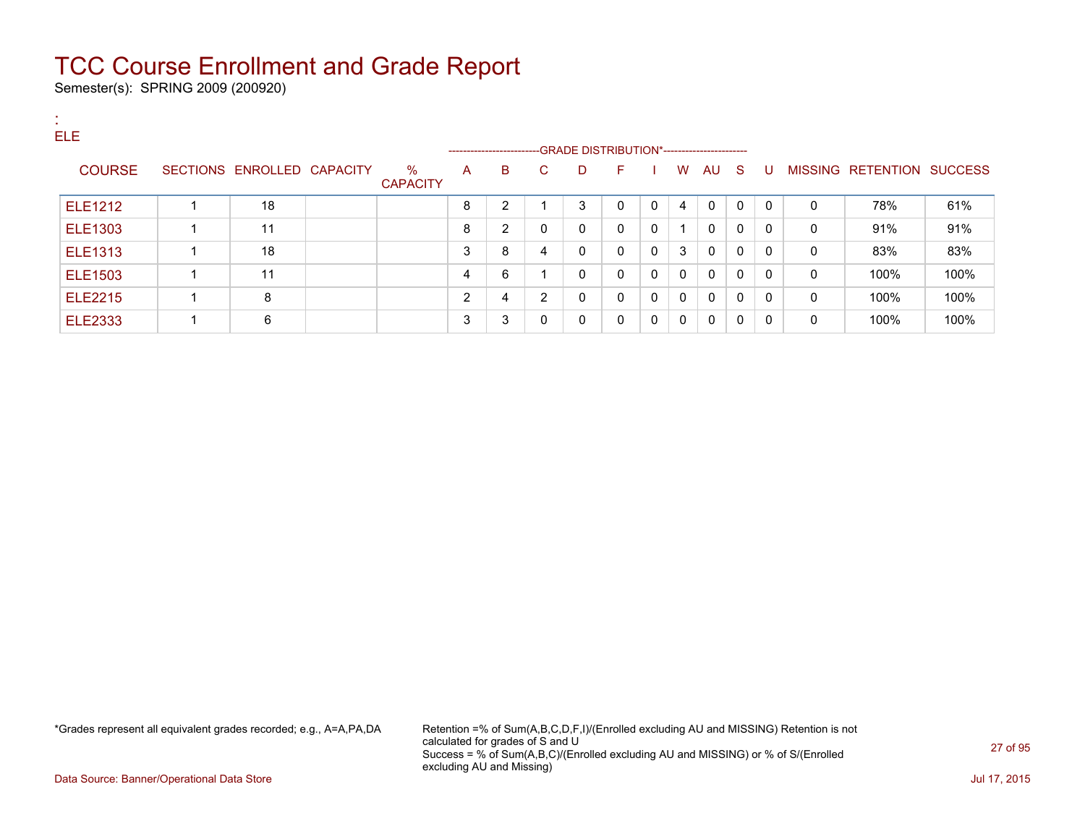Semester(s): SPRING 2009 (200920)

:

| . .<br><b>ELE</b> |                            |                         |   | ----------------------- |              | --GRADE DISTRIBUTION*----------------------- |              |              |              |              |              |          |              |                           |      |
|-------------------|----------------------------|-------------------------|---|-------------------------|--------------|----------------------------------------------|--------------|--------------|--------------|--------------|--------------|----------|--------------|---------------------------|------|
| <b>COURSE</b>     | SECTIONS ENROLLED CAPACITY | $\%$<br><b>CAPACITY</b> | A | B                       | C.           | D                                            | F.           |              | W            | AU S         |              | -U       |              | MISSING RETENTION SUCCESS |      |
| ELE1212           | 18                         |                         | 8 | 2                       |              | 3                                            | $\Omega$     | $\mathbf{0}$ | 4            | $\mathbf{0}$ | $\Omega$     | $\Omega$ | $\mathbf{0}$ | 78%                       | 61%  |
| <b>ELE1303</b>    | 11                         |                         | 8 | $\overline{2}$          | $\mathbf{0}$ | 0                                            | $\mathbf{0}$ | $\mathbf{0}$ |              | $\Omega$     | $\mathbf{0}$ | 0        | $\Omega$     | 91%                       | 91%  |
| <b>ELE1313</b>    | 18                         |                         | 3 | 8                       | 4            | 0                                            | $\Omega$     | $\mathbf{0}$ | 3            | $\Omega$     | $\Omega$     | 0        | $\Omega$     | 83%                       | 83%  |
| ELE1503           | 11                         |                         | 4 | 6                       |              | 0                                            | $\Omega$     | $\mathbf 0$  | $\mathbf{0}$ | $\Omega$     | $\Omega$     | 0        | $\mathbf{0}$ | 100%                      | 100% |
| <b>ELE2215</b>    | 8                          |                         | ົ | 4                       | 2            | $\mathbf{0}$                                 | $\Omega$     | $\mathbf{0}$ | $\mathbf{0}$ | $\Omega$     | $\Omega$     | 0        | $\Omega$     | 100%                      | 100% |
| <b>ELE2333</b>    | 6                          |                         | 3 | 3                       | $\mathbf{0}$ | 0                                            | 0            | $\mathbf 0$  | 0            | $\Omega$     | $\mathbf{0}$ | 0        | 0            | 100%                      | 100% |

\*Grades represent all equivalent grades recorded; e.g., A=A,PA,DA Retention =% of Sum(A,B,C,D,F,I)/(Enrolled excluding AU and MISSING) Retention is not calculated for grades of S and U Success = % of Sum(A,B,C)/(Enrolled excluding AU and MISSING) or % of S/(Enrolled excluding AU and Missing)

Data Source: Banner/Operational Data Store Jul 17, 2015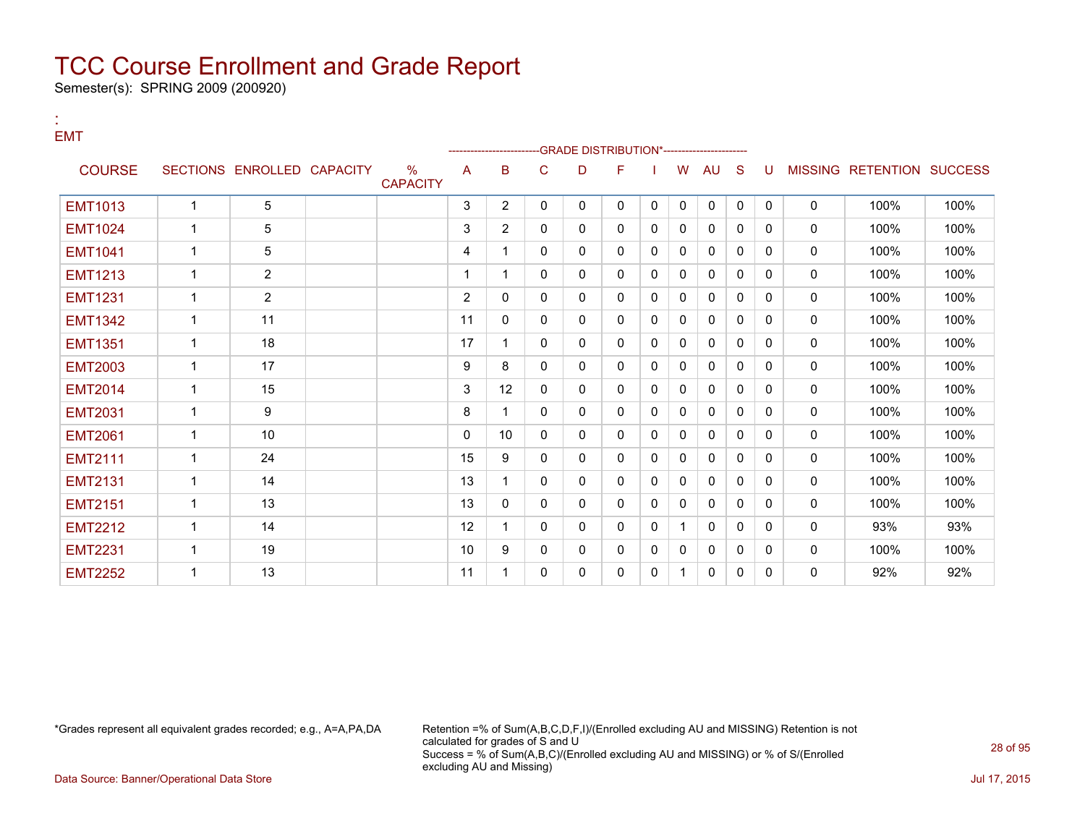Semester(s): SPRING 2009 (200920)

:

#### EMT --GRADE DISTRIBUTION\*-----------------------COURSE SECTIONS ENROLLED CAPACITY % **CAPACITY** A B C D F I W AU S U MISSING RETENTION SUCCESS EMT1013 | 1 | 5 | | | 3 |2 | 0 | 0 | 0 | 0 | 0 | 0 | 0 | 0 | 100% | 100% EMT1024 | 1 | 5 | | 1 | 3 | 2 | 0 | 0 | 0 | 0 | 0 | 0 | 0 | 0 | 100% | 100% EMT1041 | 1 | 5 | | | 4 | 1 | 0 | 0 | 0 | 0 | 0 | 0 | 0 | 0 | 100% | 100% EMT1213 1 2 1 1 0 0 0 0 0 0 0 0 0 100% 100% EMT1231 1 2 2 0 0 0 0 0 0 0 0 0 0 100% 100% EMT1342 1 11 11 0 0 0 0 0 0 0 0 0 0 100% 100% EMT1351 | 1 | 18 | | | 17 | 1 | 0 | 0 | 0 | 0 | 0 | 0 | 0 | 0 | 100% | 100% EMT2003 | 1 | 17 | | | 9 | 8 | 0 | 0 | 0 | 0 | 0 | 0 | 0 | 0 | 100% | 100% EMT2014 | 1 | 15 | | | 3 | 12 | 0 | 0 | 0 | 0 | 0 | 0 | 0 | 0 | 100% | 100% EMT2031 | 1 | 9 | | 8 |1 | 0 |0 |0 |0 |0 |0 |0 | 100% | 100% EMT2061 | 1 | 10 | | | 0 |10 | 0 |0 |0 |0 |0 |0 |0 |0 | 100% | 100% EMT2111 | 1 | 24 | | 15 | 9 | 0 | 0 | 0 | 0 | 0 | 0 | 0 | 0 | 100% | 100% EMT2131 1 14 13 1 0 0 0 0 0 0 0 0 0 100% 100% EMT2151 1 13 13 0 0 0 0 0 0 0 0 0 0 100% 100% EMT2212 | 1 | 14 | | 12 | 1 | 0 | 0 | 0 | 1 | 0 | 0 | 0 | 0 | 93% | 93% EMT2231 | 1 | 19 | | 1 | 10 |9 | 0 | 0 | 0 | 0 | 0 | 0 | 0 | 0 | 100% | 100% EMT2252 1 13 11 1 0 0 0 0 1 0 0 0 0 92% 92%

\*Grades represent all equivalent grades recorded; e.g., A=A,PA,DA Retention =% of Sum(A,B,C,D,F,I)/(Enrolled excluding AU and MISSING) Retention is not calculated for grades of S and U Success = % of Sum(A,B,C)/(Enrolled excluding AU and MISSING) or % of S/(Enrolled excluding AU and Missing)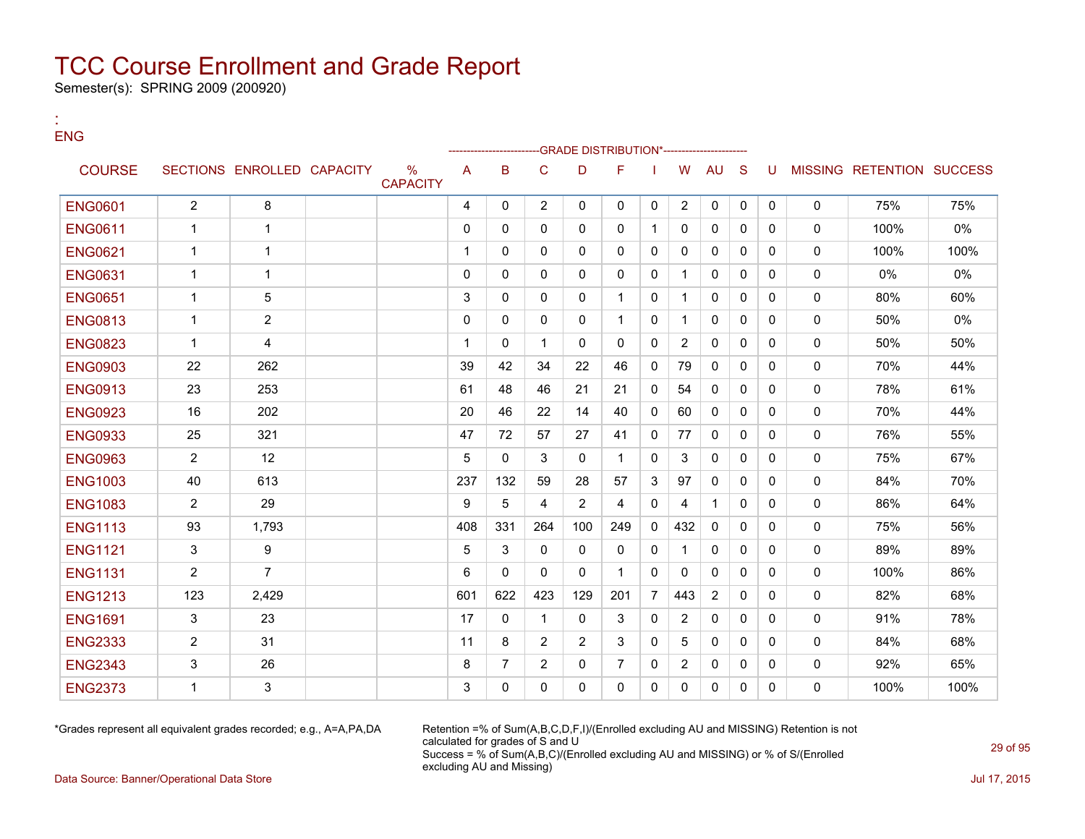Semester(s): SPRING 2009 (200920)

:

| <b>ENG</b>     |                |                            |                                  |                |                |                         |                | -GRADE DISTRIBUTION*------------------ |                |                |                |              |              |              |                           |       |
|----------------|----------------|----------------------------|----------------------------------|----------------|----------------|-------------------------|----------------|----------------------------------------|----------------|----------------|----------------|--------------|--------------|--------------|---------------------------|-------|
| <b>COURSE</b>  |                | SECTIONS ENROLLED CAPACITY | $\frac{0}{0}$<br><b>CAPACITY</b> | $\overline{A}$ | B              | C                       | D              | F                                      |                | W              | <b>AU</b>      | <sub>S</sub> | U            |              | MISSING RETENTION SUCCESS |       |
| <b>ENG0601</b> | $\overline{2}$ | 8                          |                                  | 4              | $\Omega$       | $\overline{2}$          | $\Omega$       | $\mathbf{0}$                           | $\mathbf{0}$   | $\overline{2}$ | 0              | $\mathbf{0}$ | $\mathbf{0}$ | $\mathbf{0}$ | 75%                       | 75%   |
| <b>ENG0611</b> | $\mathbf{1}$   | $\mathbf{1}$               |                                  | $\Omega$       | 0              | $\mathbf{0}$            | $\mathbf{0}$   | $\mathbf{0}$                           | 1              | $\mathbf{0}$   | $\mathbf{0}$   | $\mathbf{0}$ | $\mathbf{0}$ | $\mathbf{0}$ | 100%                      | 0%    |
| <b>ENG0621</b> | $\mathbf{1}$   | $\mathbf{1}$               |                                  | $\mathbf{1}$   | $\Omega$       | $\Omega$                | $\Omega$       | $\Omega$                               | $\Omega$       | $\Omega$       | $\Omega$       | $\Omega$     | $\Omega$     | $\mathbf{0}$ | 100%                      | 100%  |
| <b>ENG0631</b> | $\mathbf 1$    | $\mathbf{1}$               |                                  | $\mathbf 0$    | $\Omega$       | $\Omega$                | $\mathbf{0}$   | $\Omega$                               | $\mathbf{0}$   | $\mathbf{1}$   | $\mathbf{0}$   | $\mathbf{0}$ | $\Omega$     | $\mathbf{0}$ | 0%                        | $0\%$ |
| <b>ENG0651</b> | $\mathbf{1}$   | 5                          |                                  | 3              | $\Omega$       | $\Omega$                | $\Omega$       | $\mathbf{1}$                           | $\Omega$       | $\mathbf{1}$   | $\Omega$       | $\Omega$     | $\Omega$     | $\Omega$     | 80%                       | 60%   |
| <b>ENG0813</b> | $\mathbf{1}$   | $\overline{2}$             |                                  | $\Omega$       | $\Omega$       | $\Omega$                | $\mathbf{0}$   | $\mathbf{1}$                           | $\Omega$       | $\mathbf{1}$   | $\Omega$       | $\Omega$     | $\Omega$     | $\mathbf{0}$ | 50%                       | $0\%$ |
| <b>ENG0823</b> | $\mathbf{1}$   | 4                          |                                  | $\mathbf 1$    | $\Omega$       | 1                       | $\Omega$       | $\Omega$                               | $\Omega$       | 2              | $\Omega$       | $\Omega$     | $\Omega$     | $\mathbf{0}$ | 50%                       | 50%   |
| <b>ENG0903</b> | 22             | 262                        |                                  | 39             | 42             | 34                      | 22             | 46                                     | $\Omega$       | 79             | $\mathbf{0}$   | $\Omega$     | $\Omega$     | $\mathbf{0}$ | 70%                       | 44%   |
| <b>ENG0913</b> | 23             | 253                        |                                  | 61             | 48             | 46                      | 21             | 21                                     | $\Omega$       | 54             | $\Omega$       | $\Omega$     | $\Omega$     | $\mathbf{0}$ | 78%                       | 61%   |
| <b>ENG0923</b> | 16             | 202                        |                                  | 20             | 46             | 22                      | 14             | 40                                     | $\mathbf{0}$   | 60             | 0              | $\mathbf{0}$ | $\Omega$     | $\mathbf 0$  | 70%                       | 44%   |
| <b>ENG0933</b> | 25             | 321                        |                                  | 47             | 72             | 57                      | 27             | 41                                     | $\Omega$       | 77             | $\Omega$       | $\Omega$     | $\Omega$     | $\mathbf{0}$ | 76%                       | 55%   |
| <b>ENG0963</b> | $\overline{2}$ | 12                         |                                  | 5              | $\Omega$       | 3                       | $\Omega$       | $\mathbf{1}$                           | $\Omega$       | 3              | $\Omega$       | $\mathbf{0}$ | $\Omega$     | $\mathbf{0}$ | 75%                       | 67%   |
| <b>ENG1003</b> | 40             | 613                        |                                  | 237            | 132            | 59                      | 28             | 57                                     | 3              | 97             | $\Omega$       | $\Omega$     | $\Omega$     | $\mathbf{0}$ | 84%                       | 70%   |
| <b>ENG1083</b> | $\overline{2}$ | 29                         |                                  | 9              | 5              | $\overline{\mathbf{4}}$ | $\overline{2}$ | $\overline{\mathbf{4}}$                | $\Omega$       | 4              | $\mathbf 1$    | $\Omega$     | $\Omega$     | $\mathbf{0}$ | 86%                       | 64%   |
| <b>ENG1113</b> | 93             | 1,793                      |                                  | 408            | 331            | 264                     | 100            | 249                                    | $\Omega$       | 432            | $\Omega$       | $\Omega$     | $\Omega$     | $\mathbf{0}$ | 75%                       | 56%   |
| <b>ENG1121</b> | 3              | 9                          |                                  | 5              | 3              | $\mathbf{0}$            | $\mathbf{0}$   | $\mathbf{0}$                           | $\mathbf{0}$   | $\mathbf 1$    | 0              | $\Omega$     | $\Omega$     | $\mathbf{0}$ | 89%                       | 89%   |
| <b>ENG1131</b> | $\overline{2}$ | $\overline{7}$             |                                  | 6              | $\Omega$       | $\Omega$                | $\Omega$       | $\mathbf{1}$                           | $\Omega$       | $\Omega$       | $\Omega$       | $\Omega$     | $\Omega$     | $\mathbf{0}$ | 100%                      | 86%   |
| <b>ENG1213</b> | 123            | 2,429                      |                                  | 601            | 622            | 423                     | 129            | 201                                    | $\overline{7}$ | 443            | $\overline{2}$ | $\mathbf{0}$ | $\mathbf{0}$ | $\mathbf{0}$ | 82%                       | 68%   |
| <b>ENG1691</b> | 3              | 23                         |                                  | 17             | $\Omega$       | 1                       | $\mathbf{0}$   | 3                                      | $\Omega$       | 2              | $\mathbf{0}$   | $\Omega$     | $\Omega$     | $\mathbf{0}$ | 91%                       | 78%   |
| <b>ENG2333</b> | $\overline{2}$ | 31                         |                                  | 11             | 8              | $\overline{2}$          | $\overline{2}$ | 3                                      | $\Omega$       | 5              | $\mathbf{0}$   | $\Omega$     | $\Omega$     | $\mathbf{0}$ | 84%                       | 68%   |
| <b>ENG2343</b> | 3              | 26                         |                                  | 8              | $\overline{7}$ | $\overline{2}$          | $\mathbf{0}$   | $\overline{7}$                         | $\Omega$       | 2              | 0              | $\mathbf{0}$ | $\Omega$     | $\mathbf 0$  | 92%                       | 65%   |
| <b>ENG2373</b> | $\mathbf{1}$   | 3                          |                                  | 3              | $\Omega$       | 0                       | $\mathbf{0}$   | $\mathbf{0}$                           | $\Omega$       | $\Omega$       | $\mathbf{0}$   | $\Omega$     | $\Omega$     | $\mathbf{0}$ | 100%                      | 100%  |

\*Grades represent all equivalent grades recorded; e.g., A=A,PA,DA Retention =% of Sum(A,B,C,D,F,I)/(Enrolled excluding AU and MISSING) Retention is not calculated for grades of S and U Success = % of Sum(A,B,C)/(Enrolled excluding AU and MISSING) or % of S/(Enrolled excluding AU and Missing)

Data Source: Banner/Operational Data Store Jul 17, 2015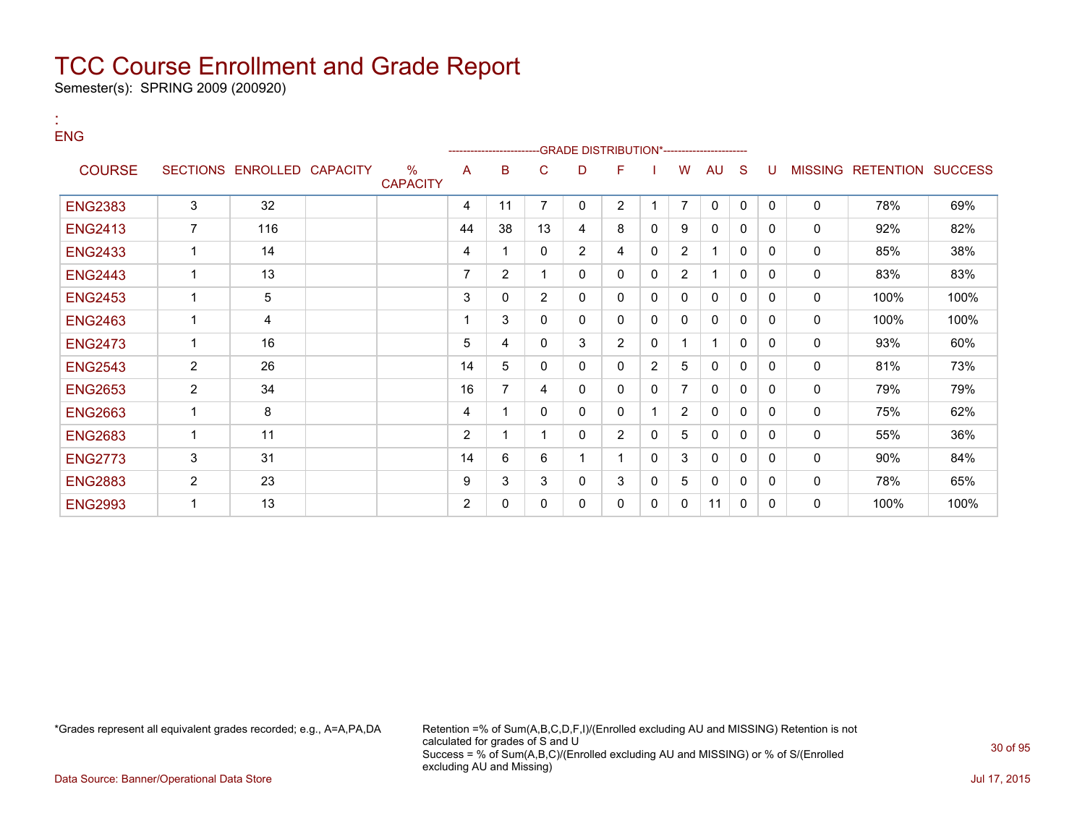Semester(s): SPRING 2009 (200920)

:

| <b>ENG</b>     |                |                            |                                  |                | -------------------- |                |                | --GRADE DISTRIBUTION*----------------------- |                |                |              |    |              |   |                           |      |
|----------------|----------------|----------------------------|----------------------------------|----------------|----------------------|----------------|----------------|----------------------------------------------|----------------|----------------|--------------|----|--------------|---|---------------------------|------|
| <b>COURSE</b>  |                | SECTIONS ENROLLED CAPACITY | $\frac{0}{0}$<br><b>CAPACITY</b> | A              | B                    | C              | D              | F.                                           |                | W              | AU           | -S | U            |   | MISSING RETENTION SUCCESS |      |
| <b>ENG2383</b> | 3              | 32                         |                                  | 4              | 11                   | 7              | 0              | $\overline{2}$                               | 1              | $\overline{7}$ | $\mathbf 0$  | 0  | $\mathbf{0}$ | 0 | 78%                       | 69%  |
| <b>ENG2413</b> | $\overline{7}$ | 116                        |                                  | 44             | 38                   | 13             | 4              | 8                                            | 0              | 9              | 0            | 0  | 0            | 0 | 92%                       | 82%  |
| <b>ENG2433</b> | 1              | 14                         |                                  | 4              | 1                    | $\mathbf{0}$   | $\overline{2}$ | 4                                            | $\mathbf{0}$   | $\overline{2}$ | 1            | 0  | $\mathbf{0}$ | 0 | 85%                       | 38%  |
| <b>ENG2443</b> | 1              | 13                         |                                  | $\overline{7}$ | $\overline{2}$       |                | 0              | 0                                            | $\mathbf{0}$   | $\overline{2}$ |              | 0  | $\Omega$     | 0 | 83%                       | 83%  |
| <b>ENG2453</b> | 1              | 5                          |                                  | 3              | $\mathbf{0}$         | $\overline{2}$ | 0              | 0                                            | $\mathbf{0}$   | $\mathbf{0}$   | $\mathbf{0}$ | 0  | $\Omega$     | 0 | 100%                      | 100% |
| <b>ENG2463</b> | 1              | 4                          |                                  |                | 3                    | 0              | 0              | 0                                            | 0              | 0              | 0            | 0  | 0            | 0 | 100%                      | 100% |
| <b>ENG2473</b> | 1              | 16                         |                                  | 5              | 4                    | $\mathbf{0}$   | 3              | $\overline{2}$                               | $\mathbf{0}$   |                | 1            | 0  | $\Omega$     | 0 | 93%                       | 60%  |
| <b>ENG2543</b> | $\overline{c}$ | 26                         |                                  | 14             | 5                    | $\mathbf{0}$   | $\mathbf{0}$   | $\Omega$                                     | $\overline{2}$ | 5              | $\mathbf{0}$ | 0  | $\mathbf{0}$ | 0 | 81%                       | 73%  |
| <b>ENG2653</b> | $\overline{2}$ | 34                         |                                  | 16             | 7                    | 4              | 0              | 0                                            | $\mathbf{0}$   | 7              | $\Omega$     | 0  | $\mathbf{0}$ | 0 | 79%                       | 79%  |
| <b>ENG2663</b> | 1              | 8                          |                                  | 4              | 1                    | $\Omega$       | 0              | 0                                            | 1              | $\overline{2}$ | 0            | 0  | 0            | 0 | 75%                       | 62%  |
| <b>ENG2683</b> | 1              | 11                         |                                  | $\overline{2}$ | 1                    |                | 0              | $\overline{2}$                               | 0              | 5              | 0            | 0  | $\Omega$     | 0 | 55%                       | 36%  |
| <b>ENG2773</b> | 3              | 31                         |                                  | 14             | 6                    | 6              |                |                                              | $\mathbf{0}$   | 3              | $\Omega$     | 0  | $\Omega$     | 0 | 90%                       | 84%  |
| <b>ENG2883</b> | 2              | 23                         |                                  | 9              | 3                    | 3              | 0              | 3                                            | $\mathbf 0$    | 5              | 0            | 0  | $\Omega$     | 0 | 78%                       | 65%  |
| <b>ENG2993</b> | 1              | 13                         |                                  | 2              | 0                    | 0              | 0              | 0                                            | $\mathbf{0}$   | $\Omega$       | 11           | 0  | $\Omega$     | 0 | 100%                      | 100% |

\*Grades represent all equivalent grades recorded; e.g., A=A,PA,DA Retention =% of Sum(A,B,C,D,F,I)/(Enrolled excluding AU and MISSING) Retention is not calculated for grades of S and U Success = % of Sum(A,B,C)/(Enrolled excluding AU and MISSING) or % of S/(Enrolled excluding AU and Missing)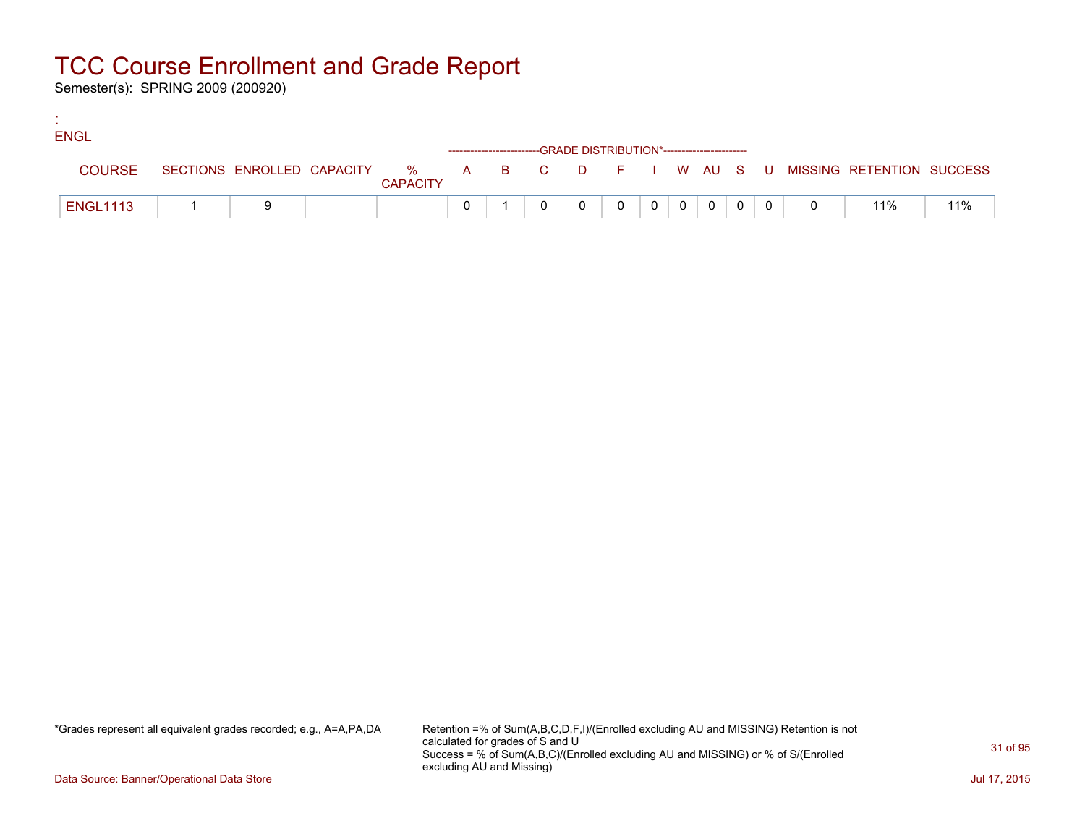Semester(s): SPRING 2009 (200920)

:

| <b>ENGL</b>     |  |                 |  |                                                                    |  |        |                          |                |  |                                                                             |     |
|-----------------|--|-----------------|--|--------------------------------------------------------------------|--|--------|--------------------------|----------------|--|-----------------------------------------------------------------------------|-----|
|                 |  |                 |  | ------------------------GRADE DISTRIBUTION*----------------------- |  |        |                          |                |  |                                                                             |     |
| <b>COURSE</b>   |  | <b>CAPACITY</b> |  |                                                                    |  |        |                          |                |  | SECTIONS ENROLLED CAPACITY % A B C D F I W AU S U MISSING RETENTION SUCCESS |     |
| <b>ENGL1113</b> |  |                 |  |                                                                    |  | $\cap$ | $\overline{\phantom{0}}$ | $\overline{0}$ |  | 11%                                                                         | 11% |

\*Grades represent all equivalent grades recorded; e.g., A=A,PA,DA Retention =% of Sum(A,B,C,D,F,I)/(Enrolled excluding AU and MISSING) Retention is not calculated for grades of S and U Success = % of Sum(A,B,C)/(Enrolled excluding AU and MISSING) or % of S/(Enrolled excluding AU and Missing)

Data Source: Banner/Operational Data Store Jul 17, 2015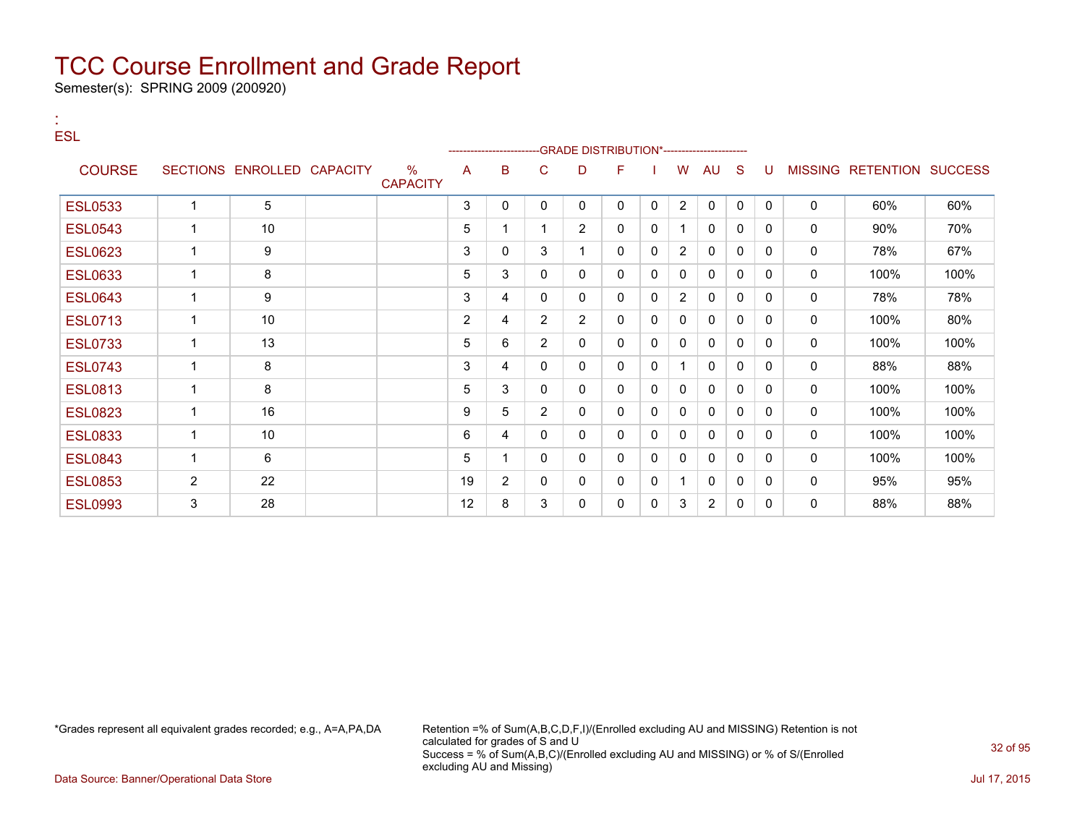Semester(s): SPRING 2009 (200920)

:

| <b>ESL</b>     |                          |                            |                         |                | ----------------------- |                | -GRADE DISTRIBUTION*---------------------- |              |   |                |                |              |              |              |                           |      |
|----------------|--------------------------|----------------------------|-------------------------|----------------|-------------------------|----------------|--------------------------------------------|--------------|---|----------------|----------------|--------------|--------------|--------------|---------------------------|------|
| <b>COURSE</b>  |                          | SECTIONS ENROLLED CAPACITY | $\%$<br><b>CAPACITY</b> | A              | в                       | C              | D                                          | F            |   | W              | AU             | <sub>S</sub> | U            |              | MISSING RETENTION SUCCESS |      |
| <b>ESL0533</b> |                          | 5                          |                         | 3              | 0                       | 0              | 0                                          | 0            | 0 | $\overline{2}$ | 0              | $\mathbf{0}$ | $\mathbf{0}$ | 0            | 60%                       | 60%  |
| <b>ESL0543</b> | $\overline{1}$           | 10                         |                         | 5              | 1                       |                | $\overline{2}$                             | $\mathbf{0}$ | 0 | 1              | $\mathbf{0}$   | $\Omega$     | $\Omega$     | $\mathbf{0}$ | 90%                       | 70%  |
| <b>ESL0623</b> |                          | 9                          |                         | 3              | 0                       | 3              | 1                                          | $\mathbf{0}$ | 0 | 2              | 0              | 0            | 0            | 0            | 78%                       | 67%  |
| <b>ESL0633</b> | $\overline{1}$           | 8                          |                         | 5              | 3                       | $\mathbf{0}$   | $\mathbf{0}$                               | $\mathbf{0}$ | 0 | 0              | $\mathbf{0}$   | 0            | $\Omega$     | 0            | 100%                      | 100% |
| <b>ESL0643</b> |                          | 9                          |                         | 3              | 4                       | 0              | $\mathbf{0}$                               | 0            | 0 | $\overline{2}$ | $\mathbf 0$    | 0            | 0            | 0            | 78%                       | 78%  |
| <b>ESL0713</b> | $\overline{1}$           | 10                         |                         | $\overline{2}$ | 4                       | $\overline{2}$ | $\overline{2}$                             | $\mathbf{0}$ | 0 | 0              | 0              | 0            | 0            | 0            | 100%                      | 80%  |
| <b>ESL0733</b> | $\overline{\phantom{a}}$ | 13                         |                         | 5              | 6                       | $\overline{2}$ | 0                                          | $\mathbf{0}$ | 0 | 0              | 0              | $\Omega$     | $\Omega$     | 0            | 100%                      | 100% |
| <b>ESL0743</b> |                          | 8                          |                         | 3              | 4                       | 0              | 0                                          | $\mathbf{0}$ | 0 | 1              | 0              | 0            | $\Omega$     | 0            | 88%                       | 88%  |
| <b>ESL0813</b> | $\overline{1}$           | 8                          |                         | 5              | 3                       | $\mathbf{0}$   | 0                                          | $\mathbf{0}$ | 0 | 0              | $\mathbf{0}$   | $\Omega$     | $\Omega$     | 0            | 100%                      | 100% |
| <b>ESL0823</b> |                          | 16                         |                         | 9              | 5                       | $\overline{2}$ | 0                                          | $\mathbf{0}$ | 0 | 0              | 0              | $\Omega$     | $\Omega$     | 0            | 100%                      | 100% |
| <b>ESL0833</b> | $\overline{1}$           | 10                         |                         | 6              | 4                       | 0              | $\mathbf{0}$                               | $\mathbf{0}$ | 0 | 0              | 0              | 0            | 0            | $\mathbf{0}$ | 100%                      | 100% |
| <b>ESL0843</b> | $\overline{1}$           | 6                          |                         | 5              | 1                       | 0              | $\mathbf{0}$                               | $\mathbf{0}$ | 0 | 0              | $\mathbf{0}$   | $\Omega$     | $\Omega$     | 0            | 100%                      | 100% |
| <b>ESL0853</b> | $\overline{2}$           | 22                         |                         | 19             | $\overline{2}$          | 0              | 0                                          | $\mathbf{0}$ | 0 | 1              | 0              | 0            | 0            | 0            | 95%                       | 95%  |
| <b>ESL0993</b> | 3                        | 28                         |                         | 12             | 8                       | 3              | $\mathbf{0}$                               | $\mathbf{0}$ | 0 | 3              | $\overline{2}$ | 0            | $\Omega$     | 0            | 88%                       | 88%  |

\*Grades represent all equivalent grades recorded; e.g., A=A,PA,DA Retention =% of Sum(A,B,C,D,F,I)/(Enrolled excluding AU and MISSING) Retention is not calculated for grades of S and U Success = % of Sum(A,B,C)/(Enrolled excluding AU and MISSING) or % of S/(Enrolled excluding AU and Missing)

Data Source: Banner/Operational Data Store Jul 17, 2015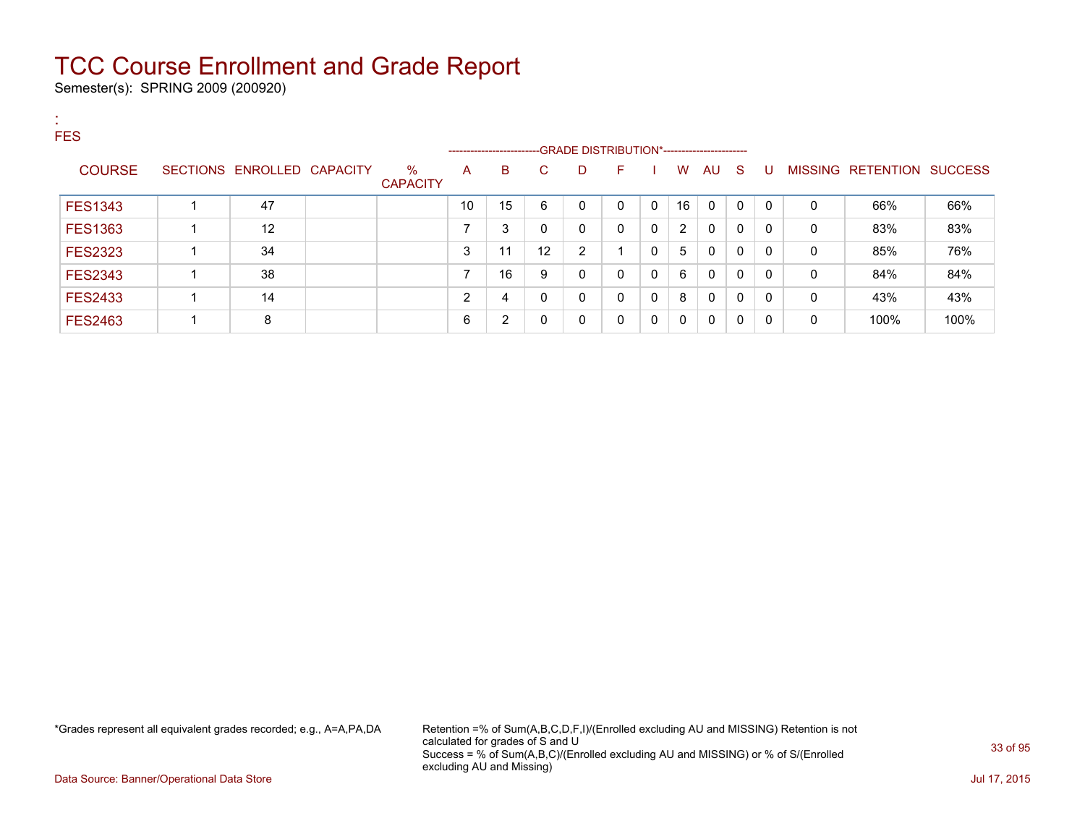Semester(s): SPRING 2009 (200920)

:

| . .<br><b>FES</b> |                            |                         |                | ------------------------GRADE DISTRIBUTION*----------------------- |          |          |              |              |    |             |              |          |              |                           |      |
|-------------------|----------------------------|-------------------------|----------------|--------------------------------------------------------------------|----------|----------|--------------|--------------|----|-------------|--------------|----------|--------------|---------------------------|------|
| <b>COURSE</b>     | SECTIONS ENROLLED CAPACITY | $\%$<br><b>CAPACITY</b> | A              | B                                                                  | C.       | D        | F.           |              | W  | AU S        |              | -U       |              | MISSING RETENTION SUCCESS |      |
| <b>FES1343</b>    | 47                         |                         | 10             | 15                                                                 | 6        | $\Omega$ | $\mathbf{0}$ | $\Omega$     | 16 | $\Omega$    | $\mathbf{0}$ | $\Omega$ | $\mathbf{0}$ | 66%                       | 66%  |
| <b>FES1363</b>    | 12                         |                         | ⇁              | 3                                                                  | 0        | 0        | $\mathbf{0}$ | $\mathbf{0}$ | 2  | $\mathbf 0$ | 0            | $\Omega$ | 0            | 83%                       | 83%  |
| <b>FES2323</b>    | 34                         |                         | 3              | 11                                                                 | 12       | 2        |              | $\mathbf{0}$ | 5  | 0           | 0            | $\Omega$ | 0            | 85%                       | 76%  |
| <b>FES2343</b>    | 38                         |                         |                | 16                                                                 | 9        | 0        | $\mathbf{0}$ | 0            | 6  | $\Omega$    | 0            | $\Omega$ | $\mathbf{0}$ | 84%                       | 84%  |
| <b>FES2433</b>    | 14                         |                         | $\overline{2}$ | 4                                                                  | $\Omega$ | 0        | $\mathbf{0}$ | $\mathbf{0}$ | 8  | $\Omega$    | 0            | $\Omega$ | 0            | 43%                       | 43%  |
| <b>FES2463</b>    | 8                          |                         | 6              | $\overline{2}$                                                     |          | 0        | $\mathbf{0}$ | 0            | 0  | 0           | 0            | $\Omega$ | 0            | 100%                      | 100% |

\*Grades represent all equivalent grades recorded; e.g., A=A,PA,DA Retention =% of Sum(A,B,C,D,F,I)/(Enrolled excluding AU and MISSING) Retention is not calculated for grades of S and U Success = % of Sum(A,B,C)/(Enrolled excluding AU and MISSING) or % of S/(Enrolled excluding AU and Missing)

Data Source: Banner/Operational Data Store Jul 17, 2015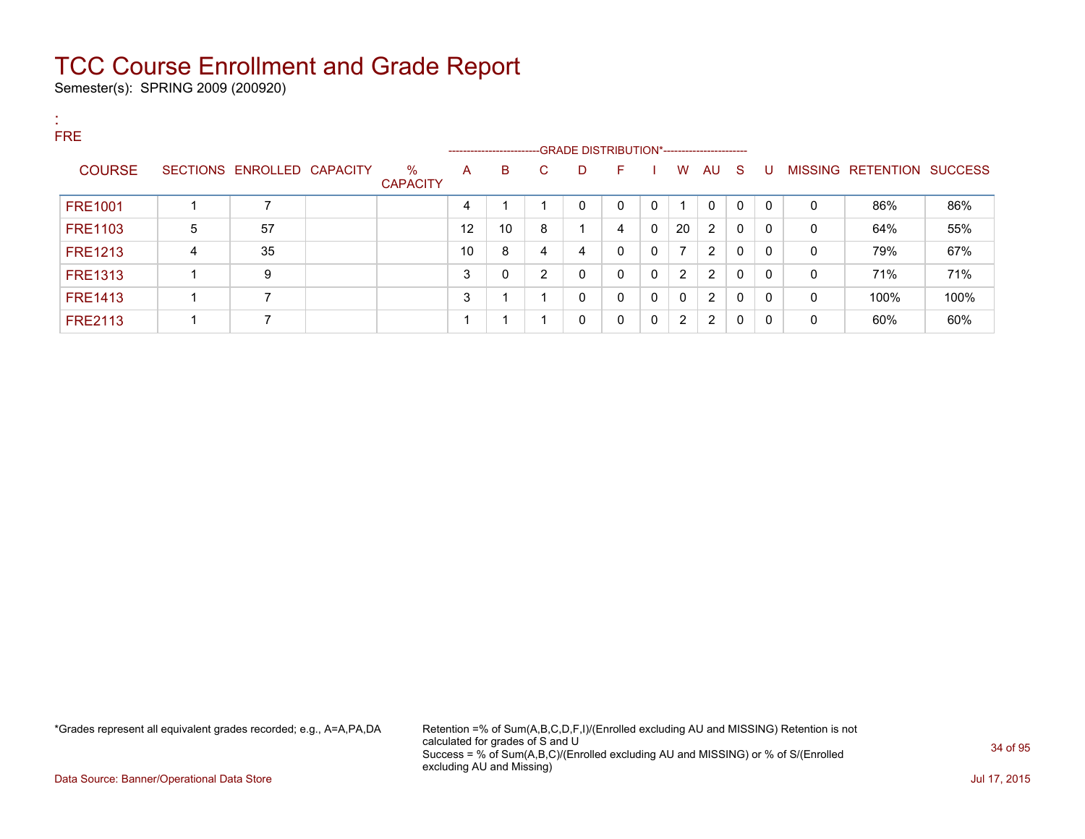Semester(s): SPRING 2009 (200920)

:

| . .<br><b>FRE</b> |   |                            |                         |    |    | --------------------------GRADE DISTRIBUTION*----------------------- |             |              |              |              |             |              |          |              |                           |      |
|-------------------|---|----------------------------|-------------------------|----|----|----------------------------------------------------------------------|-------------|--------------|--------------|--------------|-------------|--------------|----------|--------------|---------------------------|------|
| <b>COURSE</b>     |   | SECTIONS ENROLLED CAPACITY | $\%$<br><b>CAPACITY</b> | A  | B  | C.                                                                   | D           | F.           |              | W            | AU S        |              | U        |              | MISSING RETENTION SUCCESS |      |
| <b>FRE1001</b>    |   |                            |                         | 4  |    |                                                                      | $\mathbf 0$ | $\Omega$     | 0            |              | $\mathbf 0$ | $\mathbf{0}$ | $\Omega$ | $\mathbf{0}$ | 86%                       | 86%  |
| <b>FRE1103</b>    | 5 | 57                         |                         | 12 | 10 | 8                                                                    |             | 4            | $\mathbf{0}$ | 20           | 2           | 0            | 0        | 0            | 64%                       | 55%  |
| <b>FRE1213</b>    | 4 | 35                         |                         | 10 | 8  | 4                                                                    | 4           | $\mathbf{0}$ | 0            | 7            | 2           | 0            | $\Omega$ | $\mathbf{0}$ | 79%                       | 67%  |
| <b>FRE1313</b>    |   | 9                          |                         | 3  | 0  | C                                                                    | 0           | $\mathbf{0}$ | 0            | 2            | 2           | 0            | $\Omega$ | $\mathbf{0}$ | 71%                       | 71%  |
| <b>FRE1413</b>    |   |                            |                         | 3  |    |                                                                      | 0           | $\mathbf{0}$ | 0            | $\mathbf{0}$ | 2           | 0            | $\Omega$ | $\mathbf{0}$ | 100%                      | 100% |
| <b>FRE2113</b>    |   |                            |                         |    |    |                                                                      | 0           | 0            | 0            | 2            | 2           | 0            | $\Omega$ | 0            | 60%                       | 60%  |

\*Grades represent all equivalent grades recorded; e.g., A=A,PA,DA Retention =% of Sum(A,B,C,D,F,I)/(Enrolled excluding AU and MISSING) Retention is not calculated for grades of S and U Success = % of Sum(A,B,C)/(Enrolled excluding AU and MISSING) or % of S/(Enrolled excluding AU and Missing)

Data Source: Banner/Operational Data Store Jul 17, 2015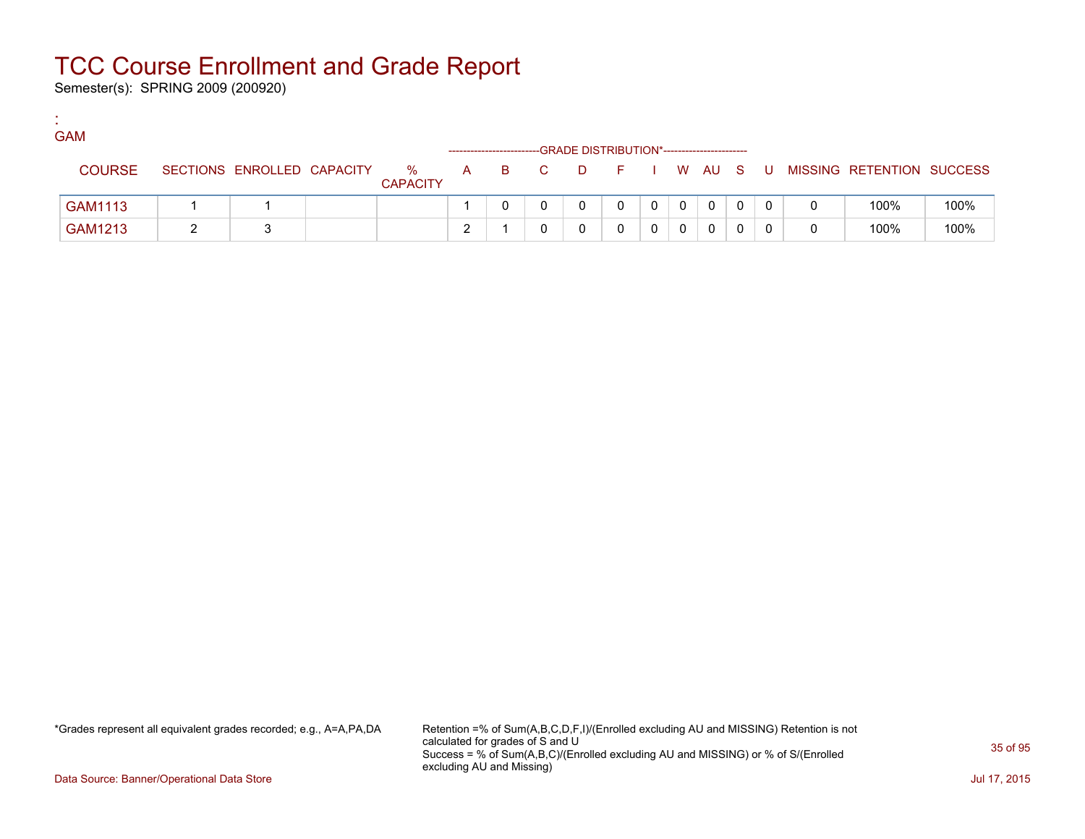Semester(s): SPRING 2009 (200920)

:

| <b>GAM</b> |               |                            |                         |   |     | -GRADE DISTRIBUTION*---------------------- |        |  |              |    |                           |      |
|------------|---------------|----------------------------|-------------------------|---|-----|--------------------------------------------|--------|--|--------------|----|---------------------------|------|
|            | <b>COURSE</b> | SECTIONS ENROLLED CAPACITY | $\%$<br><b>CAPACITY</b> | A | B C | D                                          | FIWAUS |  |              | -U | MISSING RETENTION SUCCESS |      |
|            | GAM1113       |                            |                         |   |     |                                            |        |  | $\mathbf{0}$ |    | 100%                      | 100% |
|            | GAM1213       |                            |                         |   |     |                                            |        |  |              |    | 100%                      | 100% |

\*Grades represent all equivalent grades recorded; e.g., A=A,PA,DA Retention =% of Sum(A,B,C,D,F,I)/(Enrolled excluding AU and MISSING) Retention is not calculated for grades of S and U Success = % of Sum(A,B,C)/(Enrolled excluding AU and MISSING) or % of S/(Enrolled excluding AU and Missing)

Data Source: Banner/Operational Data Store Jul 17, 2015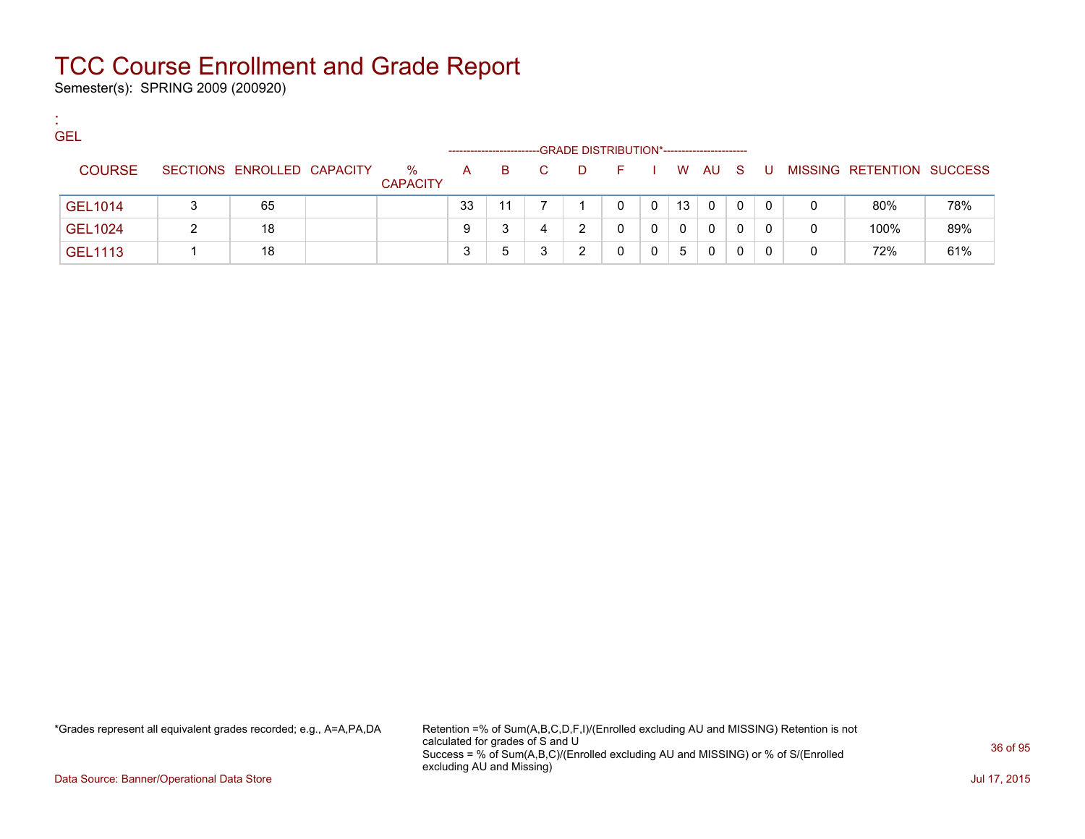Semester(s): SPRING 2009 (200920)

:

| <b>GEL</b>     |                            |                         |    |    |    |     | -GRADE DISTRIBUTION*----------------------- |              |              |          |   |     |   |                           |     |
|----------------|----------------------------|-------------------------|----|----|----|-----|---------------------------------------------|--------------|--------------|----------|---|-----|---|---------------------------|-----|
| <b>COURSE</b>  | SECTIONS ENROLLED CAPACITY | $\%$<br><b>CAPACITY</b> | A  | B. | C. | - D | E.                                          |              |              | I W AU S |   | U.  |   | MISSING RETENTION SUCCESS |     |
| <b>GEL1014</b> | 65                         |                         | 33 | 11 |    |     | 0                                           | $\mathbf{0}$ | 13           | 0        | 0 | - 0 | 0 | 80%                       | 78% |
| GEL1024        | 18                         |                         | 9  |    |    |     |                                             | 0            | $\mathbf{0}$ | 0        | 0 | 0   | 0 | 100%                      | 89% |
| <b>GEL1113</b> | 18                         |                         | 3  | h  |    |     |                                             | 0            | 5            | 0        | 0 | 0   | 0 | 72%                       | 61% |

\*Grades represent all equivalent grades recorded; e.g., A=A,PA,DA Retention =% of Sum(A,B,C,D,F,I)/(Enrolled excluding AU and MISSING) Retention is not calculated for grades of S and U Success = % of Sum(A,B,C)/(Enrolled excluding AU and MISSING) or % of S/(Enrolled excluding AU and Missing)

Data Source: Banner/Operational Data Store Jul 17, 2015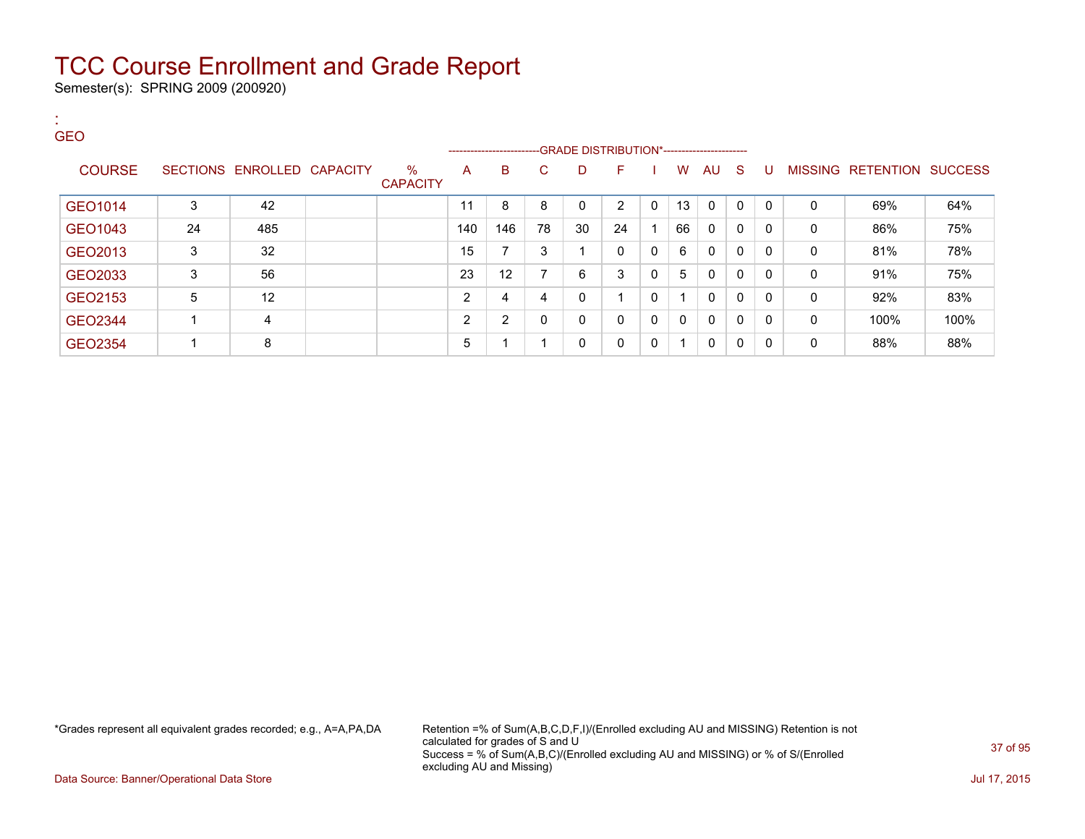Semester(s): SPRING 2009 (200920)

:

| <b>GEO</b>    |    |                            |                      |     | ------------------------GRADE DISTRIBUTION*----------------------- |              |              |          |              |              |              |              |              |              |                           |      |
|---------------|----|----------------------------|----------------------|-----|--------------------------------------------------------------------|--------------|--------------|----------|--------------|--------------|--------------|--------------|--------------|--------------|---------------------------|------|
| <b>COURSE</b> |    | SECTIONS ENROLLED CAPACITY | %<br><b>CAPACITY</b> | A   | B                                                                  | C            | D            | F        |              | W            | AU S         |              | U            |              | MISSING RETENTION SUCCESS |      |
| GEO1014       | 3  | 42                         |                      | 11  | 8                                                                  | 8            | 0            | 2        | 0            | 13           | $\mathbf{0}$ | 0            | $\Omega$     | $\mathbf 0$  | 69%                       | 64%  |
| GEO1043       | 24 | 485                        |                      | 140 | 146                                                                | 78           | 30           | 24       |              | 66           | $\mathbf{0}$ | $\mathbf{0}$ | 0            | 0            | 86%                       | 75%  |
| GEO2013       | 3  | 32                         |                      | 15  | $\overline{ }$                                                     | 3            | 1            | $\Omega$ | 0            | 6            | $\mathbf{0}$ | $\mathbf{0}$ | $\mathbf{0}$ | $\mathbf{0}$ | 81%                       | 78%  |
| GEO2033       | 3  | 56                         |                      | 23  | 12                                                                 | ⇁            | 6            | 3        | $\mathbf{0}$ | 5            | 0            | $\mathbf{0}$ | $\mathbf{0}$ | $\Omega$     | 91%                       | 75%  |
| GEO2153       | 5  | 12                         |                      | C   | 4                                                                  | 4            | 0            |          | 0            |              | $\mathbf{0}$ | $\mathbf{0}$ | $\mathbf{0}$ | 0            | 92%                       | 83%  |
| GEO2344       |    | 4                          |                      | C   | $\overline{2}$                                                     | $\mathbf{0}$ | $\mathbf{0}$ | $\Omega$ | $\mathbf{0}$ | $\mathbf{0}$ | $\mathbf{0}$ | 0            | $\mathbf{0}$ | $\mathbf{0}$ | 100%                      | 100% |
| GEO2354       |    | 8                          |                      | 5   |                                                                    |              | 0            | 0        | 0            | 1            | $\mathbf{0}$ | $\mathbf{0}$ | $\mathbf{0}$ | $\Omega$     | 88%                       | 88%  |

\*Grades represent all equivalent grades recorded; e.g., A=A,PA,DA Retention =% of Sum(A,B,C,D,F,I)/(Enrolled excluding AU and MISSING) Retention is not calculated for grades of S and U Success = % of Sum(A,B,C)/(Enrolled excluding AU and MISSING) or % of S/(Enrolled excluding AU and Missing)

Data Source: Banner/Operational Data Store Jul 17, 2015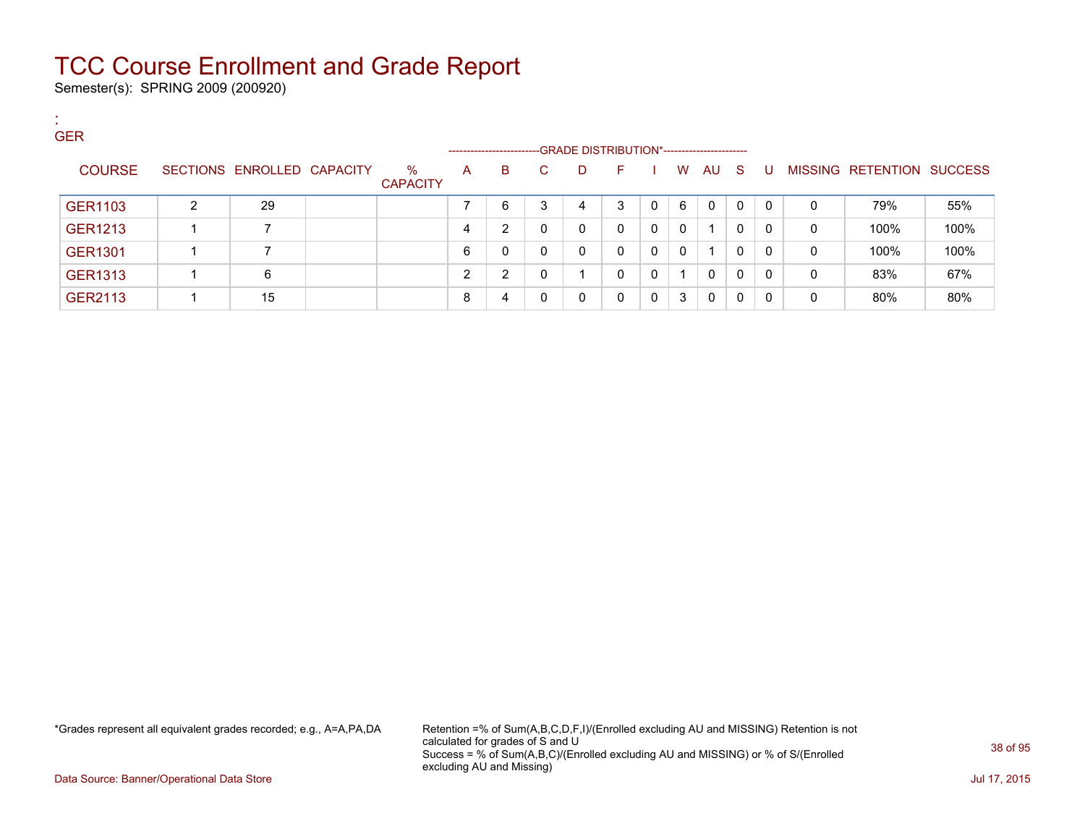Semester(s): SPRING 2009 (200920)

:

| <b>GER</b>     |   |                            |                         |                     |    |   |              |                                             |          |   |              |              |              |   |                           |      |
|----------------|---|----------------------------|-------------------------|---------------------|----|---|--------------|---------------------------------------------|----------|---|--------------|--------------|--------------|---|---------------------------|------|
|                |   |                            |                         | ------------------- |    |   |              | -GRADE DISTRIBUTION*----------------------- |          |   |              |              |              |   |                           |      |
| <b>COURSE</b>  |   | SECTIONS ENROLLED CAPACITY | $\%$<br><b>CAPACITY</b> | A                   | B. | C | D            | F.                                          |          | W | AU           | -S           | U            |   | MISSING RETENTION SUCCESS |      |
| GER1103        | C | 29                         |                         |                     | 6  | 3 | 4            | 3                                           |          | 6 | $\Omega$     | $\mathbf{0}$ | $\mathbf{0}$ | 0 | 79%                       | 55%  |
| <b>GER1213</b> |   |                            |                         |                     | 2  | 0 | $\mathbf{0}$ | $\mathbf{0}$                                | $\Omega$ | 0 |              | 0            | $\mathbf{0}$ | 0 | 100%                      | 100% |
| <b>GER1301</b> |   |                            |                         | 6                   | 0  | 0 | $\mathbf{0}$ | 0                                           | $\Omega$ | 0 |              | 0            | 0            | 0 | 100%                      | 100% |
| <b>GER1313</b> |   | 6                          |                         | ົ                   | 2  | 0 |              | 0                                           | $\Omega$ |   | $\mathbf{0}$ | $\mathbf{0}$ | 0            | 0 | 83%                       | 67%  |
| GER2113        |   | 15                         |                         | 8                   | 4  |   | $\Omega$     | 0                                           | $\Omega$ | 3 | $\Omega$     | 0            | 0            | 0 | 80%                       | 80%  |

\*Grades represent all equivalent grades recorded; e.g., A=A,PA,DA Retention =% of Sum(A,B,C,D,F,I)/(Enrolled excluding AU and MISSING) Retention is not calculated for grades of S and U Success = % of Sum(A,B,C)/(Enrolled excluding AU and MISSING) or % of S/(Enrolled excluding AU and Missing)

Data Source: Banner/Operational Data Store Jul 17, 2015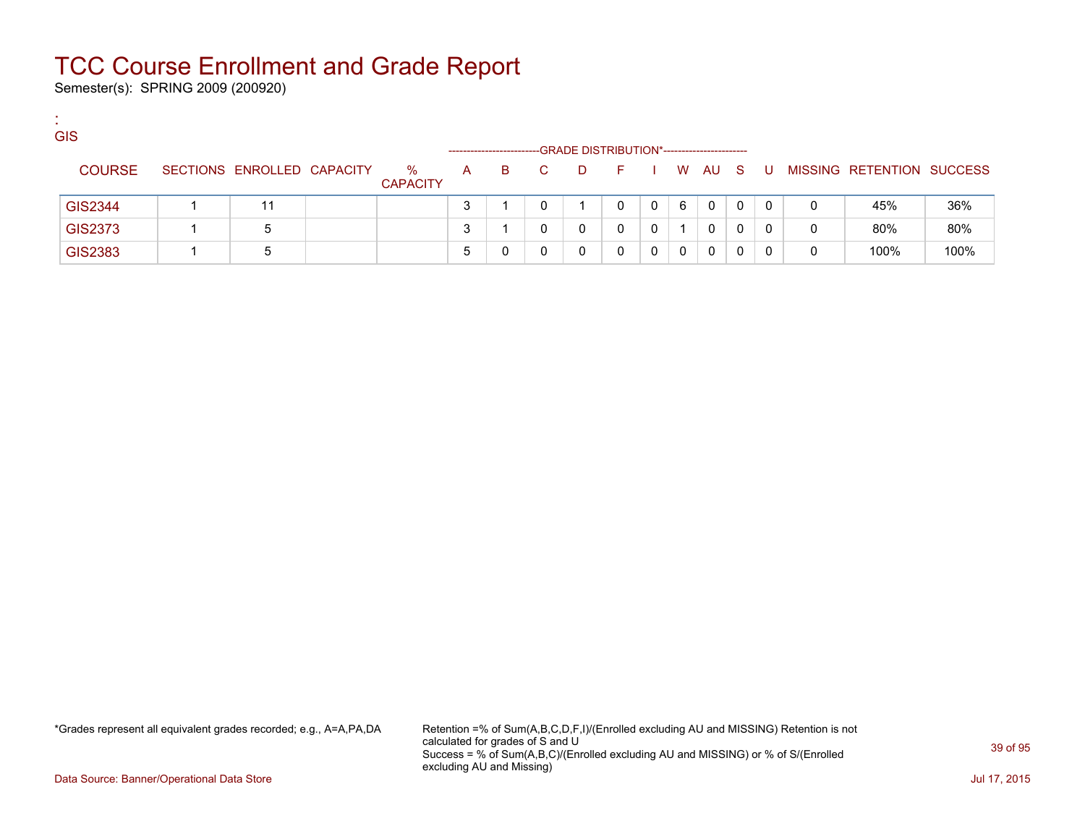Semester(s): SPRING 2009 (200920)

:

| <b>GIS</b>     |                            |                         | --------------------- |    |    |    | -GRADE DISTRIBUTION*----------------------- |   |   |              |   |   |   |                           |      |
|----------------|----------------------------|-------------------------|-----------------------|----|----|----|---------------------------------------------|---|---|--------------|---|---|---|---------------------------|------|
| <b>COURSE</b>  | SECTIONS ENROLLED CAPACITY | $\%$<br><b>CAPACITY</b> | A                     | B. | C. | D. |                                             |   |   | W AU S       |   | U |   | MISSING RETENTION SUCCESS |      |
| GIS2344        |                            |                         |                       |    |    |    |                                             | 0 | 6 | $\mathbf{0}$ | 0 |   | 0 | 45%                       | 36%  |
| GIS2373        | 5                          |                         |                       |    |    | 0  |                                             |   |   | 0            |   |   | 0 | 80%                       | 80%  |
| <b>GIS2383</b> | b                          |                         |                       |    |    | 0  |                                             | 0 | 0 | 0            |   |   | 0 | 100%                      | 100% |

\*Grades represent all equivalent grades recorded; e.g., A=A,PA,DA Retention =% of Sum(A,B,C,D,F,I)/(Enrolled excluding AU and MISSING) Retention is not calculated for grades of S and U Success = % of Sum(A,B,C)/(Enrolled excluding AU and MISSING) or % of S/(Enrolled excluding AU and Missing)

Data Source: Banner/Operational Data Store Jul 17, 2015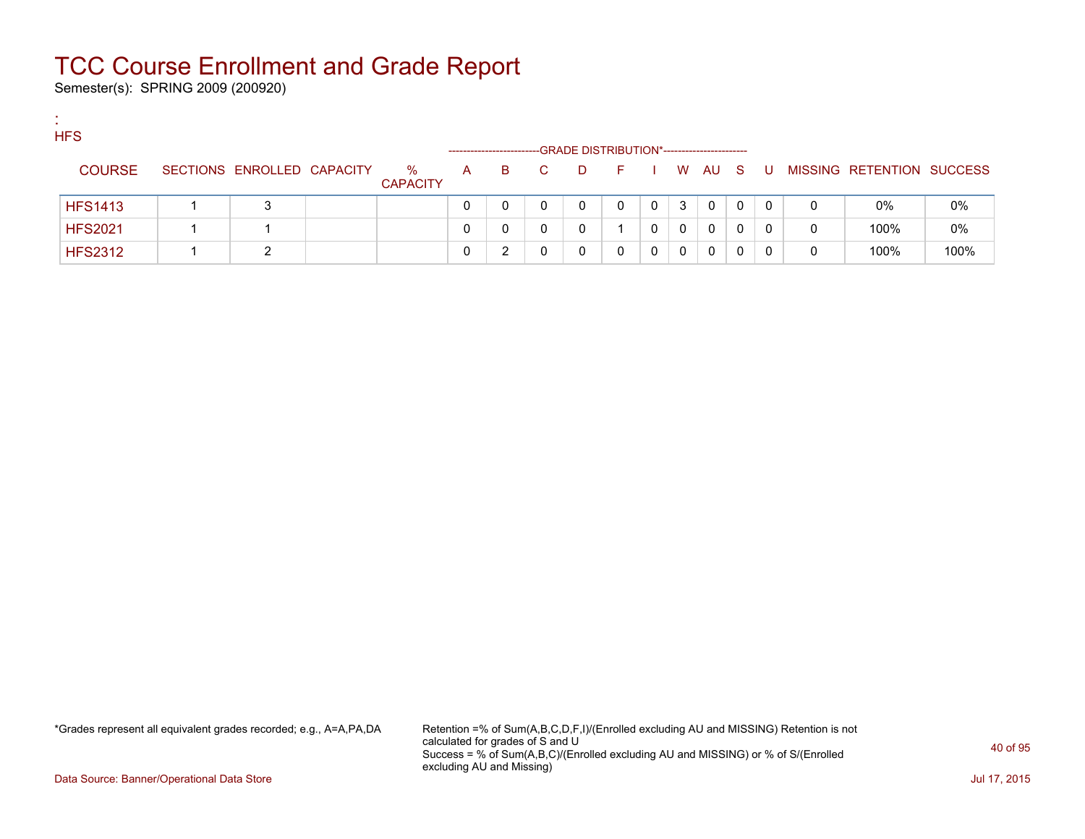Semester(s): SPRING 2009 (200920)

:

| <b>HFS</b>     |                            |                      |   |    |    | -GRADE DISTRIBUTION*----------------------- |    |   |   |      |     |    |   |                           |      |
|----------------|----------------------------|----------------------|---|----|----|---------------------------------------------|----|---|---|------|-----|----|---|---------------------------|------|
| <b>COURSE</b>  | SECTIONS ENROLLED CAPACITY | %<br><b>CAPACITY</b> | A | B. | C. | -D                                          | E. |   |   | W AU | - S | -U |   | MISSING RETENTION SUCCESS |      |
| <b>HFS1413</b> |                            |                      | 0 |    |    | 0                                           | 0  | 0 | 3 | 0    | 0   | 0  | 0 | $0\%$                     | 0%   |
| <b>HFS2021</b> |                            |                      | 0 |    |    |                                             |    |   | 0 | 0    | 0   | 0  | 0 | 100%                      | 0%   |
| <b>HFS2312</b> | ົ                          |                      |   |    |    |                                             |    |   | 0 | 0    |     | 0  | 0 | 100%                      | 100% |

\*Grades represent all equivalent grades recorded; e.g., A=A,PA,DA Retention =% of Sum(A,B,C,D,F,I)/(Enrolled excluding AU and MISSING) Retention is not calculated for grades of S and U Success = % of Sum(A,B,C)/(Enrolled excluding AU and MISSING) or % of S/(Enrolled excluding AU and Missing)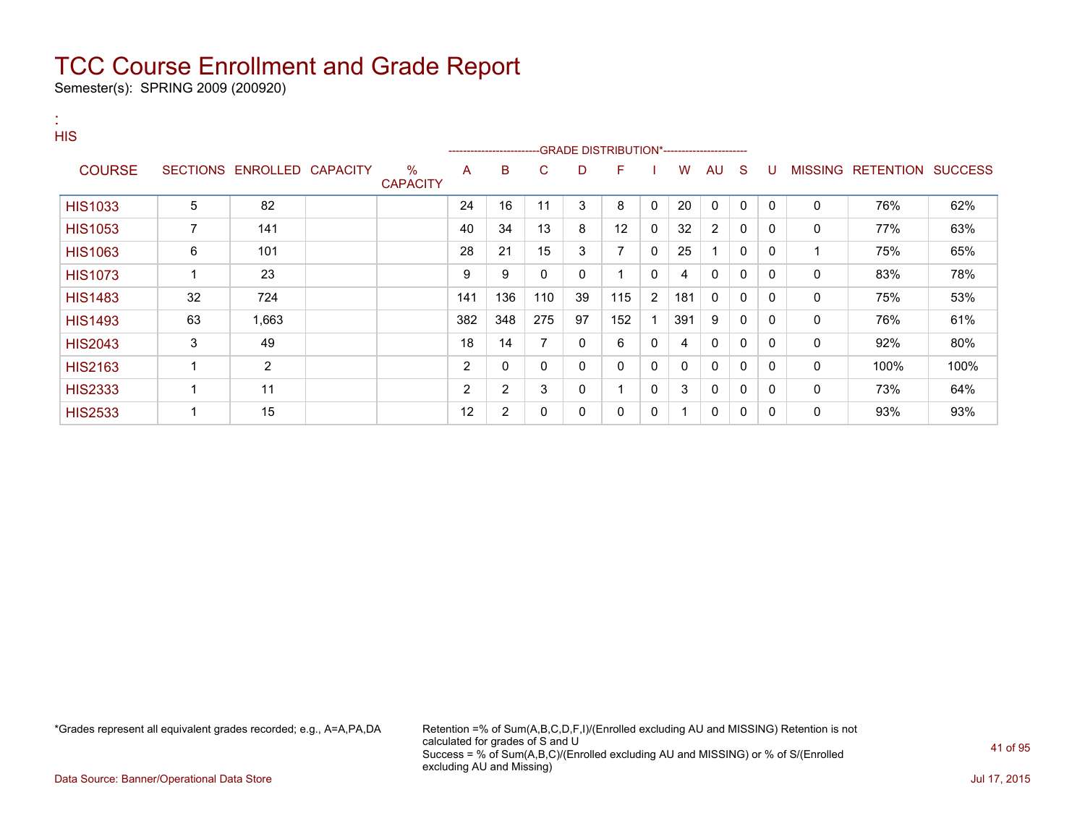Semester(s): SPRING 2009 (200920)

:

| <b>HIS</b>     |    |                            |                         |     |                | --------------------------GRADE DISTRIBUTION*----------------------- |              |                          |                |              |              |              |              |              |                   |                |
|----------------|----|----------------------------|-------------------------|-----|----------------|----------------------------------------------------------------------|--------------|--------------------------|----------------|--------------|--------------|--------------|--------------|--------------|-------------------|----------------|
| <b>COURSE</b>  |    | SECTIONS ENROLLED CAPACITY | $\%$<br><b>CAPACITY</b> | A   | в              | C.                                                                   | D            | F                        |                | w            | AU           | -S           | U            |              | MISSING RETENTION | <b>SUCCESS</b> |
| <b>HIS1033</b> | 5  | 82                         |                         | 24  | 16             | 11                                                                   | 3            | 8                        | $\mathbf{0}$   | 20           | $\mathbf{0}$ | $\mathbf{0}$ | $\mathbf{0}$ | $\Omega$     | 76%               | 62%            |
| <b>HIS1053</b> | 7  | 141                        |                         | 40  | 34             | 13                                                                   | 8            | 12                       | 0              | 32           | 2            | 0            | 0            | 0            | 77%               | 63%            |
| <b>HIS1063</b> | 6  | 101                        |                         | 28  | 21             | 15                                                                   | 3            | $\overline{ }$           | $\mathbf{0}$   | 25           |              | 0            | 0            |              | 75%               | 65%            |
| <b>HIS1073</b> |    | 23                         |                         | 9   | 9              | 0                                                                    | $\mathbf{0}$ |                          | 0              | 4            | $\Omega$     | 0            | 0            | $\mathbf{0}$ | 83%               | 78%            |
| <b>HIS1483</b> | 32 | 724                        |                         | 141 | 136            | 110                                                                  | 39           | 115                      | $\overline{2}$ | 181          | $\Omega$     | $\mathbf{0}$ | 0            | 0            | 75%               | 53%            |
| <b>HIS1493</b> | 63 | 1,663                      |                         | 382 | 348            | 275                                                                  | 97           | 152                      |                | 391          | 9            | $\mathbf{0}$ | 0            | $\mathbf{0}$ | 76%               | 61%            |
| <b>HIS2043</b> | 3  | 49                         |                         | 18  | 14             | 7                                                                    | $\mathbf{0}$ | 6                        | 0              | 4            | $\mathbf{0}$ | $\mathbf{0}$ | $\Omega$     | $\mathbf{0}$ | 92%               | 80%            |
| <b>HIS2163</b> |    | $\overline{2}$             |                         | 2   | 0              | 0                                                                    | 0            | 0                        | 0              | $\mathbf{0}$ | $\mathbf{0}$ | $\mathbf{0}$ | $\Omega$     | 0            | 100%              | 100%           |
| <b>HIS2333</b> |    | 11                         |                         | 2   | $\overline{2}$ | 3                                                                    | 0            | $\overline{\phantom{a}}$ | 0              | 3            | 0            | 0            | 0            | 0            | 73%               | 64%            |
| <b>HIS2533</b> |    | 15                         |                         | 12  | $\overline{2}$ | 0                                                                    | 0            | 0                        | 0              |              | 0            | 0            | 0            | 0            | 93%               | 93%            |

\*Grades represent all equivalent grades recorded; e.g., A=A,PA,DA Retention =% of Sum(A,B,C,D,F,I)/(Enrolled excluding AU and MISSING) Retention is not calculated for grades of S and U Success = % of Sum(A,B,C)/(Enrolled excluding AU and MISSING) or % of S/(Enrolled excluding AU and Missing)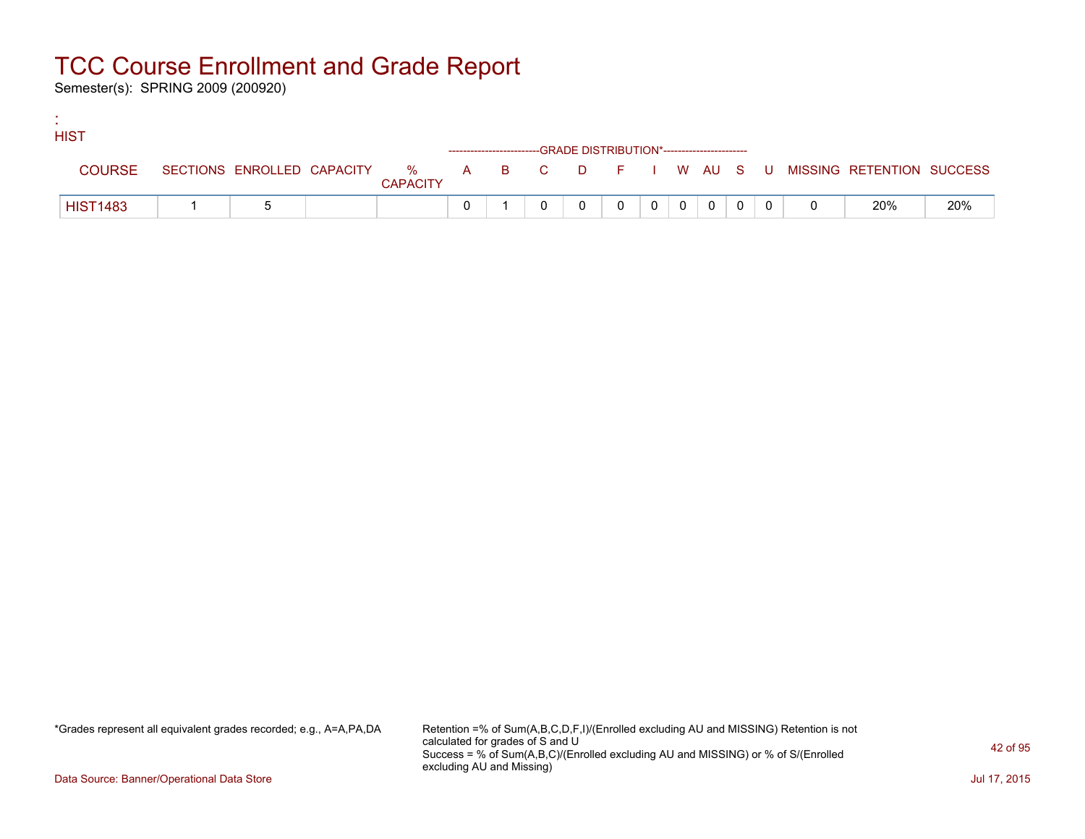Semester(s): SPRING 2009 (200920)

:

| <b>HIST</b>     |  |                 |  |                                                                    |          |          |                |  |                                                                             |     |
|-----------------|--|-----------------|--|--------------------------------------------------------------------|----------|----------|----------------|--|-----------------------------------------------------------------------------|-----|
|                 |  |                 |  | ------------------------GRADE DISTRIBUTION*----------------------- |          |          |                |  |                                                                             |     |
| <b>COURSE</b>   |  | <b>CAPACITY</b> |  |                                                                    |          |          |                |  | SECTIONS ENROLLED CAPACITY % A B C D F I W AU S U MISSING RETENTION SUCCESS |     |
| <b>HIST1483</b> |  |                 |  |                                                                    | $\Omega$ | $\Omega$ | $\overline{0}$ |  | 20%                                                                         | 20% |

\*Grades represent all equivalent grades recorded; e.g., A=A,PA,DA Retention =% of Sum(A,B,C,D,F,I)/(Enrolled excluding AU and MISSING) Retention is not calculated for grades of S and U Success = % of Sum(A,B,C)/(Enrolled excluding AU and MISSING) or % of S/(Enrolled excluding AU and Missing)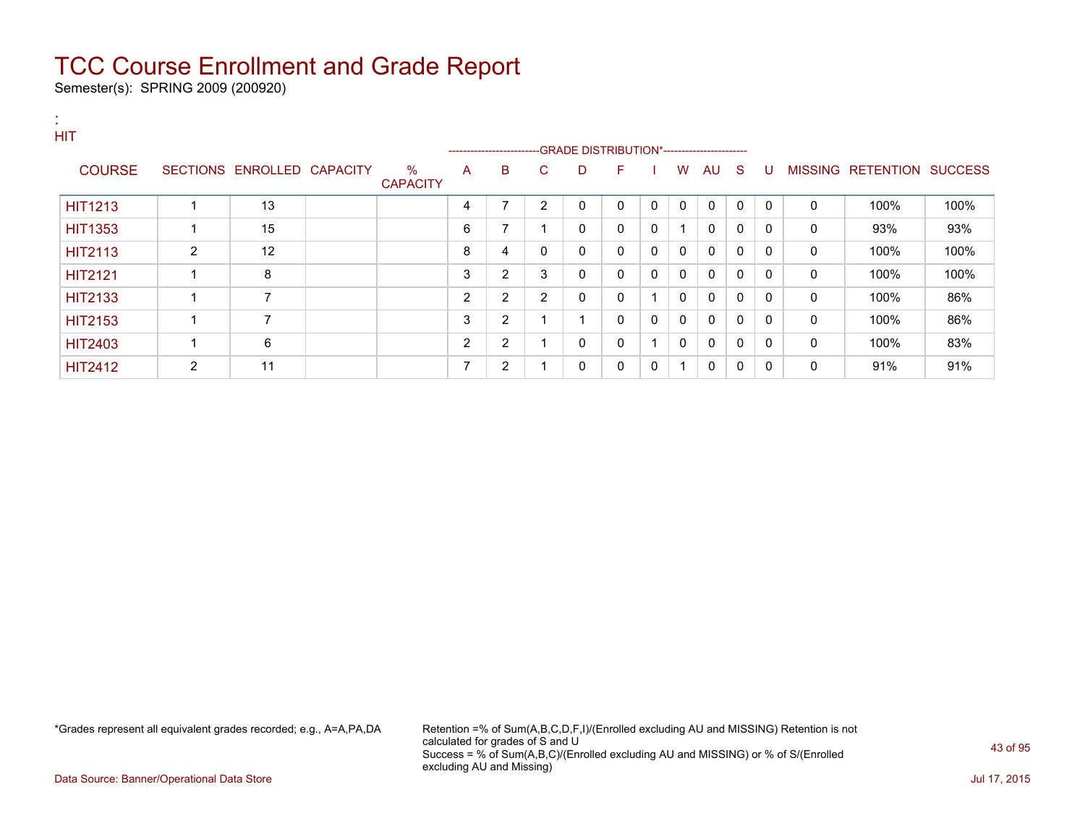Semester(s): SPRING 2009 (200920)

| <b>HIT</b>     |                |                            |                         |                |                         |    |             |              |   |                         |              |              |              |              |                           |      |
|----------------|----------------|----------------------------|-------------------------|----------------|-------------------------|----|-------------|--------------|---|-------------------------|--------------|--------------|--------------|--------------|---------------------------|------|
|                |                |                            |                         |                | ----------------------- |    |             |              |   |                         |              |              |              |              |                           |      |
| <b>COURSE</b>  |                | SECTIONS ENROLLED CAPACITY | $\%$<br><b>CAPACITY</b> | A              | B                       | C. | D           | F            |   | W                       | AU S         |              | -U           |              | MISSING RETENTION SUCCESS |      |
| <b>HIT1213</b> |                | 13                         |                         | 4              | $\overline{ }$          | 2  | 0           | $\mathbf{0}$ | 0 | $\Omega$                | $\Omega$     | $\mathbf{0}$ | $\Omega$     | $\mathbf{0}$ | 100%                      | 100% |
| <b>HIT1353</b> |                | 15                         |                         | 6              | $\overline{ }$          |    | $\mathbf 0$ | $\mathbf{0}$ | 0 | $\overline{\mathbf{A}}$ | $\mathbf{0}$ | $\mathbf{0}$ | $\Omega$     | $\mathbf{0}$ | 93%                       | 93%  |
| <b>HIT2113</b> | $\overline{2}$ | 12                         |                         | 8              | 4                       | 0  | 0           | $\mathbf{0}$ | 0 | $\mathbf{0}$            | $\mathbf{0}$ | $\mathbf{0}$ | $\Omega$     | 0            | 100%                      | 100% |
| <b>HIT2121</b> |                | 8                          |                         | 3              | 2                       | 3  | $\mathbf 0$ | $\mathbf{0}$ | 0 | $\mathbf{0}$            | $\mathbf{0}$ | $\mathbf{0}$ | $\Omega$     | 0            | 100%                      | 100% |
| <b>HIT2133</b> |                | $\overline{7}$             |                         | 2              | 2                       | 2  | 0           | $\mathbf{0}$ |   | $\mathbf{0}$            | $\mathbf{0}$ | $\mathbf{0}$ | $\mathbf{0}$ | 0            | 100%                      | 86%  |
| <b>HIT2153</b> |                | $\overline{ }$             |                         | 3              | 2                       |    |             | $\mathbf{0}$ | 0 | $\Omega$                | $\mathbf{0}$ | $\mathbf{0}$ | $\Omega$     | $\mathbf{0}$ | 100%                      | 86%  |
| <b>HIT2403</b> |                | 6                          |                         | $\overline{2}$ | 2                       |    | 0           | $\mathbf{0}$ |   | $\Omega$                | $\mathbf{0}$ | $\mathbf{0}$ | $\Omega$     | $\mathbf{0}$ | 100%                      | 83%  |
| <b>HIT2412</b> | $\overline{2}$ | 11                         |                         | ⇁              | $\overline{2}$          |    | 0           | 0            | 0 | $\overline{\mathbf{A}}$ | $\mathbf{0}$ | 0            | $\mathbf{0}$ | 0            | 91%                       | 91%  |

\*Grades represent all equivalent grades recorded; e.g., A=A,PA,DA Retention =% of Sum(A,B,C,D,F,I)/(Enrolled excluding AU and MISSING) Retention is not calculated for grades of S and U Success = % of Sum(A,B,C)/(Enrolled excluding AU and MISSING) or % of S/(Enrolled excluding AU and Missing)

Data Source: Banner/Operational Data Store Jul 17, 2015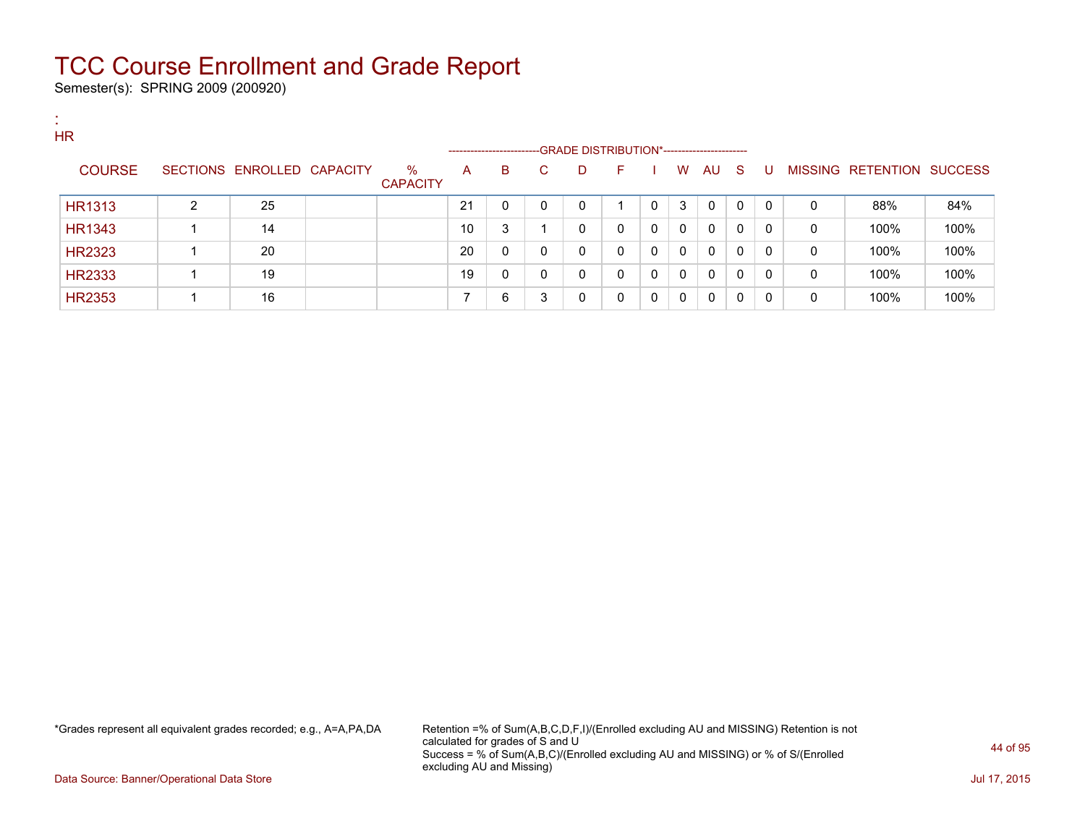Semester(s): SPRING 2009 (200920)

:

| . .<br><b>HR</b> |   |                   |                 |                         | -------------------- |              |    |   | --GRADE DISTRIBUTION*----------------------- |   |   |    |              |              |   |                           |      |
|------------------|---|-------------------|-----------------|-------------------------|----------------------|--------------|----|---|----------------------------------------------|---|---|----|--------------|--------------|---|---------------------------|------|
| <b>COURSE</b>    |   | SECTIONS ENROLLED | <b>CAPACITY</b> | $\%$<br><b>CAPACITY</b> | A                    | В            | C. | D | E                                            |   | W | AU | -S           | U            |   | MISSING RETENTION SUCCESS |      |
| <b>HR1313</b>    | 2 | 25                |                 |                         | 21                   | $\mathbf 0$  | 0  | 0 |                                              | 0 | 3 | 0  | $\mathbf{0}$ | $\Omega$     | 0 | 88%                       | 84%  |
| <b>HR1343</b>    |   | 14                |                 |                         | 10                   | 3            |    | 0 | 0                                            | 0 | 0 | 0  | $\mathbf{0}$ | $\mathbf 0$  | 0 | 100%                      | 100% |
| <b>HR2323</b>    |   | 20                |                 |                         | 20                   | $\mathbf{0}$ | 0  | 0 | $\mathbf{0}$                                 | 0 | 0 | 0  | $\mathbf{0}$ | $\Omega$     | 0 | 100%                      | 100% |
| <b>HR2333</b>    |   | 19                |                 |                         | 19                   | 0            | 0  | 0 | $\mathbf{0}$                                 | 0 | 0 | 0  | 0            | 0            | 0 | 100%                      | 100% |
| <b>HR2353</b>    |   | 16                |                 |                         |                      | 6            | 3  | 0 | 0                                            |   | 0 | 0  | 0            | $\mathbf{0}$ | 0 | 100%                      | 100% |

\*Grades represent all equivalent grades recorded; e.g., A=A,PA,DA Retention =% of Sum(A,B,C,D,F,I)/(Enrolled excluding AU and MISSING) Retention is not calculated for grades of S and U Success = % of Sum(A,B,C)/(Enrolled excluding AU and MISSING) or % of S/(Enrolled excluding AU and Missing)

Data Source: Banner/Operational Data Store Jul 17, 2015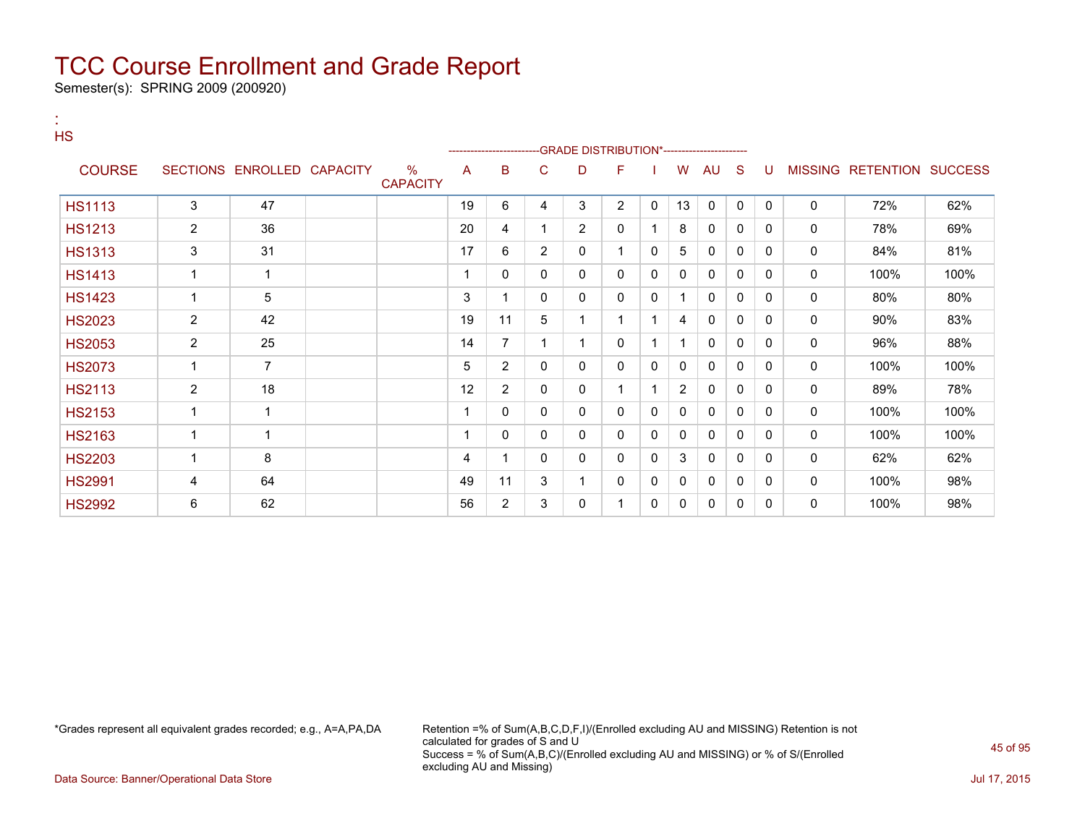Semester(s): SPRING 2009 (200920)

:

| <b>HS</b>     |                          |                            |                         |    | ----------------------- |                | -GRADE DISTRIBUTION*---------------------- |                |   |                |              |              |              |              |                           |      |
|---------------|--------------------------|----------------------------|-------------------------|----|-------------------------|----------------|--------------------------------------------|----------------|---|----------------|--------------|--------------|--------------|--------------|---------------------------|------|
| <b>COURSE</b> |                          | SECTIONS ENROLLED CAPACITY | $\%$<br><b>CAPACITY</b> | A  | в                       | С              | D                                          | F              |   | W              | AU           | <sub>S</sub> | U            |              | MISSING RETENTION SUCCESS |      |
| <b>HS1113</b> | 3                        | 47                         |                         | 19 | 6                       | 4              | 3                                          | $\overline{2}$ | 0 | 13             | 0            | 0            | $\mathbf{0}$ | 0            | 72%                       | 62%  |
| <b>HS1213</b> | $\overline{2}$           | 36                         |                         | 20 | 4                       |                | $\overline{2}$                             | 0              |   | 8              | $\mathbf{0}$ | 0            | 0            | 0            | 78%                       | 69%  |
| <b>HS1313</b> | 3                        | 31                         |                         | 17 | 6                       | $\overline{2}$ | 0                                          | $\overline{1}$ | 0 | 5              | 0            | 0            | $\Omega$     | 0            | 84%                       | 81%  |
| <b>HS1413</b> | $\mathbf 1$              | 1                          |                         |    | 0                       | 0              | 0                                          | 0              | 0 | 0              | 0            | $\mathbf{0}$ | $\mathbf{0}$ | 0            | 100%                      | 100% |
| <b>HS1423</b> | -1                       | 5                          |                         | 3  | 1                       | 0              | $\mathbf{0}$                               | 0              | 0 | 1              | $\mathbf{0}$ | $\mathbf{0}$ | 0            | 0            | 80%                       | 80%  |
| <b>HS2023</b> | $\overline{2}$           | 42                         |                         | 19 | 11                      | 5              |                                            | 1              |   | 4              | 0            | 0            | 0            | 0            | 90%                       | 83%  |
| <b>HS2053</b> | $\overline{2}$           | 25                         |                         | 14 | $\overline{7}$          | 1              |                                            | 0              |   |                | 0            | 0            | 0            | 0            | 96%                       | 88%  |
| <b>HS2073</b> |                          | $\overline{7}$             |                         | 5  | $\overline{2}$          | 0              | 0                                          | 0              | 0 | 0              | $\mathbf{0}$ | $\mathbf{0}$ | 0            | 0            | 100%                      | 100% |
| <b>HS2113</b> | $\overline{2}$           | 18                         |                         | 12 | 2                       | 0              | 0                                          | 1              |   | $\overline{2}$ | 0            | 0            | $\Omega$     | 0            | 89%                       | 78%  |
| <b>HS2153</b> | $\overline{\phantom{a}}$ | 1                          |                         |    | 0                       | 0              | 0                                          | 0              | 0 | 0              | $\Omega$     | $\mathbf{0}$ | 0            | 0            | 100%                      | 100% |
| <b>HS2163</b> | -1                       | 1                          |                         |    | 0                       | 0              | 0                                          | 0              | 0 | 0              | 0            | 0            | 0            | 0            | 100%                      | 100% |
| <b>HS2203</b> | -1                       | 8                          |                         | 4  | 1                       | 0              | 0                                          | 0              | 0 | 3              | $\mathbf{0}$ | 0            | 0            | 0            | 62%                       | 62%  |
| <b>HS2991</b> | 4                        | 64                         |                         | 49 | 11                      | 3              |                                            | 0              | 0 | 0              | 0            | 0            | 0            | 0            | 100%                      | 98%  |
| <b>HS2992</b> | 6                        | 62                         |                         | 56 | $\overline{2}$          | 3              | $\mathbf{0}$                               |                | 0 | 0              | 0            | 0            | 0            | $\mathbf{0}$ | 100%                      | 98%  |

\*Grades represent all equivalent grades recorded; e.g., A=A,PA,DA Retention =% of Sum(A,B,C,D,F,I)/(Enrolled excluding AU and MISSING) Retention is not calculated for grades of S and U Success = % of Sum(A,B,C)/(Enrolled excluding AU and MISSING) or % of S/(Enrolled excluding AU and Missing)

Data Source: Banner/Operational Data Store Jul 17, 2015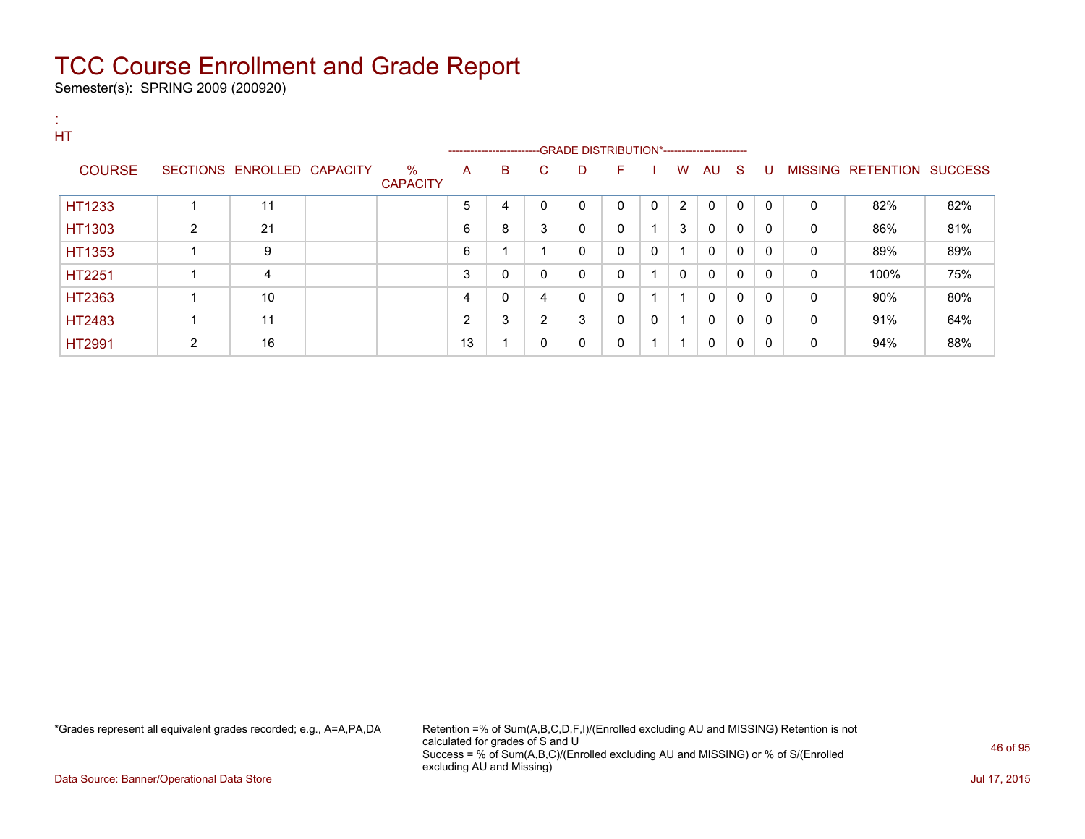Semester(s): SPRING 2009 (200920)

| HT            |               |                |                            |                         |                |                                                                    |                |   |              |             |              |              |          |              |          |                                  |     |
|---------------|---------------|----------------|----------------------------|-------------------------|----------------|--------------------------------------------------------------------|----------------|---|--------------|-------------|--------------|--------------|----------|--------------|----------|----------------------------------|-----|
|               |               |                |                            |                         |                | ------------------------GRADE DISTRIBUTION*----------------------- |                |   |              |             |              |              |          |              |          |                                  |     |
|               | <b>COURSE</b> |                | SECTIONS ENROLLED CAPACITY | $\%$<br><b>CAPACITY</b> | A              | B                                                                  | C.             | D | F            |             | W            | AU.          | - S      | U            |          | <b>MISSING RETENTION SUCCESS</b> |     |
| HT1233        |               |                | 11                         |                         | 5              | 4                                                                  | $\mathbf{0}$   | 0 | $\Omega$     | $\mathbf 0$ | 2            | 0            | $\Omega$ | $\Omega$     | $\Omega$ | 82%                              | 82% |
| HT1303        |               | $\overline{2}$ | 21                         |                         | 6              | 8                                                                  | 3              | 0 | $\Omega$     |             | 3            | $\mathbf{0}$ | 0        | 0            | 0        | 86%                              | 81% |
| HT1353        |               |                | 9                          |                         | 6              |                                                                    |                | 0 | $\mathbf{0}$ | 0           |              | $\mathbf{0}$ | 0        | $\mathbf{0}$ | $\Omega$ | 89%                              | 89% |
| <b>HT2251</b> |               |                | $\overline{4}$             |                         | 3              | 0                                                                  | $\mathbf{0}$   | 0 | $\Omega$     |             | $\mathbf{0}$ | 0            | 0        | 0            | 0        | 100%                             | 75% |
| HT2363        |               |                | 10                         |                         | 4              | 0                                                                  | 4              | 0 | $\Omega$     |             |              | $\mathbf 0$  | 0        | $\Omega$     | 0        | 90%                              | 80% |
| HT2483        |               |                | 11                         |                         | $\overline{2}$ | 3                                                                  | $\overline{2}$ | 3 | 0            | 0           |              | 0            | 0        | 0            | 0        | 91%                              | 64% |
| <b>HT2991</b> |               | $\overline{2}$ | 16                         |                         | 13             |                                                                    | 0              | 0 | 0            |             |              | $\mathbf 0$  | 0        | 0            | 0        | 94%                              | 88% |

\*Grades represent all equivalent grades recorded; e.g., A=A,PA,DA Retention =% of Sum(A,B,C,D,F,I)/(Enrolled excluding AU and MISSING) Retention is not calculated for grades of S and U Success = % of Sum(A,B,C)/(Enrolled excluding AU and MISSING) or % of S/(Enrolled excluding AU and Missing)

Data Source: Banner/Operational Data Store Jul 17, 2015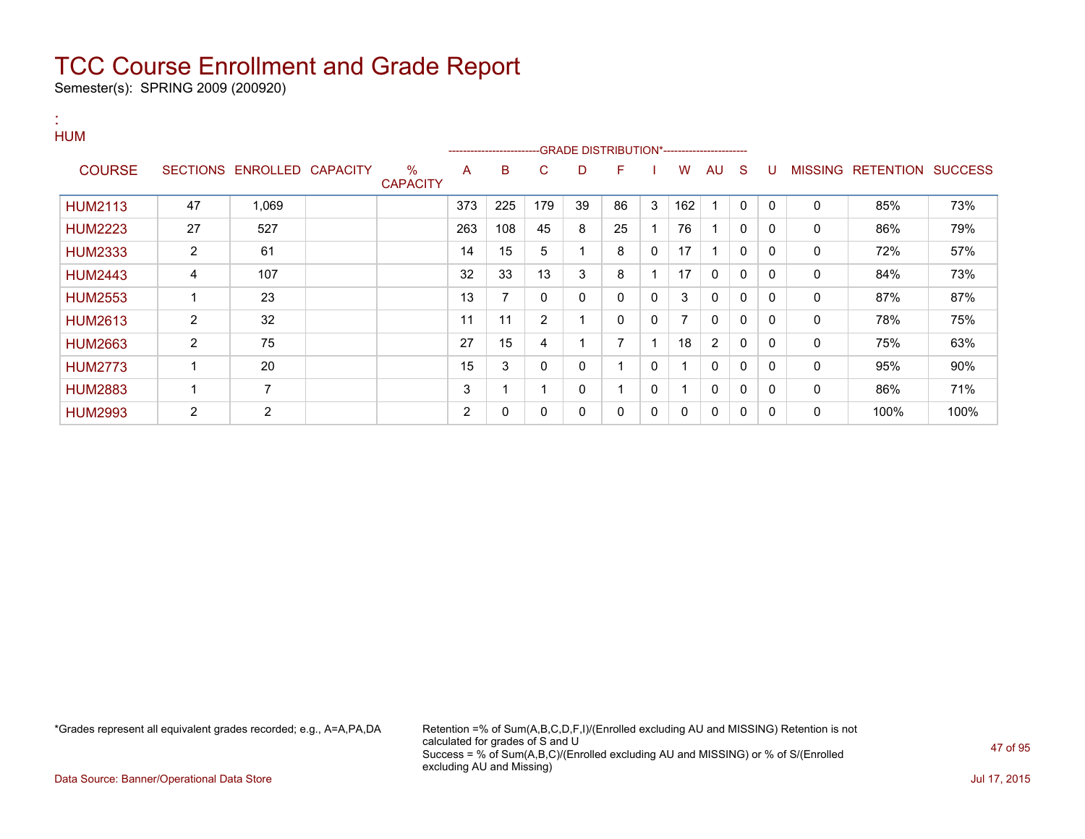Semester(s): SPRING 2009 (200920)

:

#### **HUM** ---GRADE DISTRIBUTION\*------------------------COURSE SECTIONS ENROLLED CAPACITY % **CAPACITY** A B C D F I W AU S U MISSING RETENTION SUCCESS HUM2113 | 47 | 1,069 | | |373 |225 |179 |39 | 86 | 3 |162 | 1 | 0 | 0 | 0 | 85% | 73% HUM2223 | 27 | 527 | | 263 | 108 | 45 | 8 | 25 | 1 | 76 | 1 | 0 | 0 | 0 | 86% | 79% HUM2333 | 2 | 61 | | | | | | | | 15 | 5 | 1 | 8 | 0 | 17 | 1 | 0 | 0 | 0 | 17% | 57% HUM2443 | 4 | 107 | | |32 |33 |13 |3 |8 |1 |17 |0 |0 |0 | 0 | 84% | 73% HUM2553 | 1 | 23 | | 13 | 7 | 0 | 0 | 0 | 3 | 0 | 0 | 0 | 0 | 87% | 87% HUM2613 2 32 1 1 11 11 2 1 0 0 7 0 0 0 0 78% 75% HUM2663 2 75 27 15 4 1 7 1 18 2 0 0 0 75% 63% HUM2773 | 1 | 20 | | | 15 | 3 | 0 | 0 | 1 | 0 | 0 | 0 | 0 | 95% | 90% HUM2883 | 1 | 7 | | | | | | 3 | 1 | 1 | 0 | 1 | 1 | 0 | 0 | 0 | 0 | 86% | 71% HUM2993 2 2 2 0 0 0 0 0 0 0 0 0 0 100% 100%

\*Grades represent all equivalent grades recorded; e.g., A=A,PA,DA Retention =% of Sum(A,B,C,D,F,I)/(Enrolled excluding AU and MISSING) Retention is not calculated for grades of S and U Success = % of Sum(A,B,C)/(Enrolled excluding AU and MISSING) or % of S/(Enrolled excluding AU and Missing)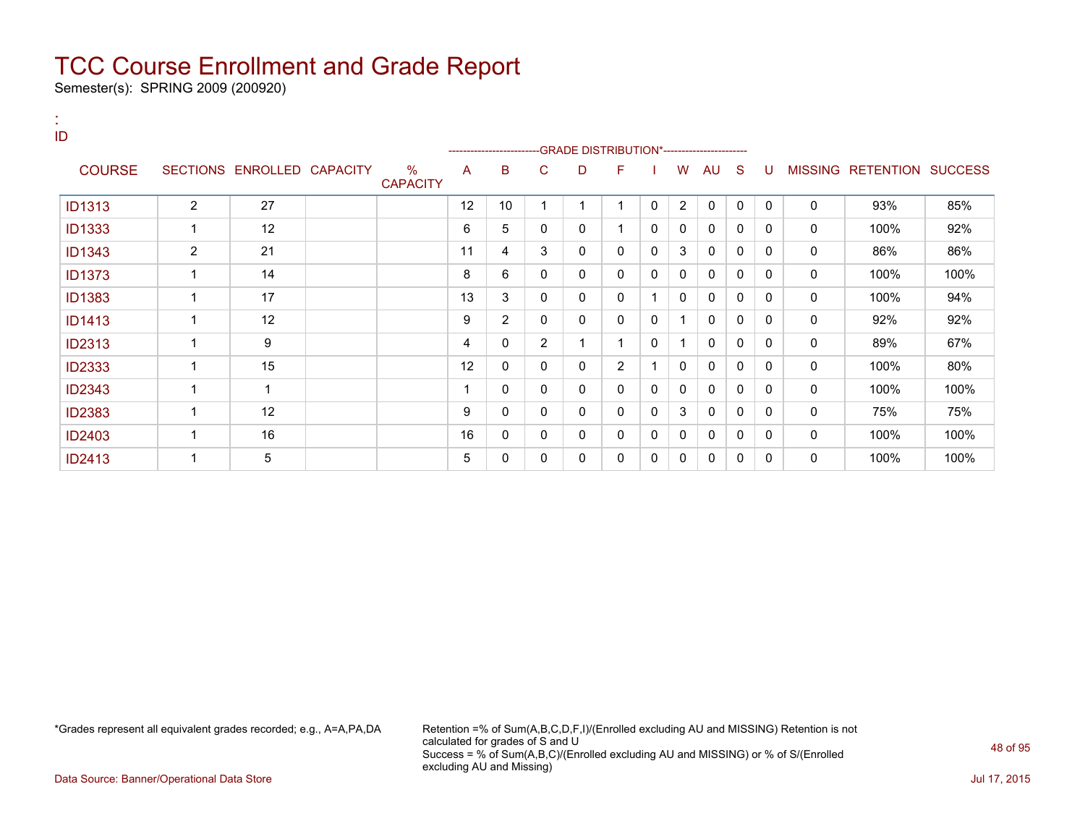Semester(s): SPRING 2009 (200920)

:

| ID            |                |                            |                                  | --------------------- |                |                | -GRADE DISTRIBUTION*---------------------- |                |          |              |              |              |              |              |                           |      |
|---------------|----------------|----------------------------|----------------------------------|-----------------------|----------------|----------------|--------------------------------------------|----------------|----------|--------------|--------------|--------------|--------------|--------------|---------------------------|------|
| <b>COURSE</b> |                | SECTIONS ENROLLED CAPACITY | $\frac{9}{6}$<br><b>CAPACITY</b> | A                     | в              | С              | D                                          | F              |          | W            | AU           | S            | U            |              | MISSING RETENTION SUCCESS |      |
| <b>ID1313</b> | $\overline{2}$ | 27                         |                                  | 12                    | 10             |                | ۰                                          |                | 0        | 2            | $\mathbf{0}$ | 0            | $\mathbf{0}$ | 0            | 93%                       | 85%  |
| <b>ID1333</b> | 1              | 12                         |                                  | 6                     | 5              | 0              | 0                                          |                | $\Omega$ | $\mathbf{0}$ | $\mathbf{0}$ | $\mathbf{0}$ | $\mathbf{0}$ | 0            | 100%                      | 92%  |
| <b>ID1343</b> | $\overline{2}$ | 21                         |                                  | 11                    | 4              | 3              | 0                                          | 0              | 0        | 3            | 0            | 0            | $\Omega$     | 0            | 86%                       | 86%  |
| <b>ID1373</b> | 1              | 14                         |                                  | 8                     | 6              | 0              | 0                                          | 0              | 0        | $\mathbf{0}$ | $\mathbf{0}$ | 0            | $\mathbf{0}$ | 0            | 100%                      | 100% |
| <b>ID1383</b> | 1              | 17                         |                                  | 13                    | 3              | 0              | 0                                          | 0              |          | 0            | 0            | 0            | $\Omega$     | 0            | 100%                      | 94%  |
| <b>ID1413</b> | 1              | 12                         |                                  | 9                     | $\overline{2}$ | 0              | 0                                          | 0              | 0        | 1            | 0            | $\mathbf{0}$ | 0            | 0            | 92%                       | 92%  |
| <b>ID2313</b> | 1              | 9                          |                                  | 4                     | 0              | $\overline{2}$ | 1                                          |                | 0        | 1            | $\mathbf{0}$ | 0            | $\Omega$     | 0            | 89%                       | 67%  |
| <b>ID2333</b> | 1              | 15                         |                                  | 12                    | 0              | 0              | 0                                          | $\overline{2}$ |          | $\mathbf{0}$ | $\mathbf{0}$ | $\mathbf{0}$ | 0            | 0            | 100%                      | 80%  |
| <b>ID2343</b> | 1              | 1                          |                                  |                       | 0              | 0              | 0                                          | 0              | 0        | 0            | $\mathbf{0}$ | 0            | $\Omega$     | 0            | 100%                      | 100% |
| <b>ID2383</b> | 1              | 12                         |                                  | 9                     | 0              | 0              | 0                                          | 0              | 0        | 3            | 0            | $\mathbf{0}$ | 0            | 0            | 75%                       | 75%  |
| <b>ID2403</b> | 1              | 16                         |                                  | 16                    | 0              | 0              | 0                                          | 0              | 0        | 0            | $\mathbf{0}$ | 0            | 0            | $\mathbf{0}$ | 100%                      | 100% |
| <b>ID2413</b> | 4              | 5                          |                                  | 5                     | 0              | 0              | 0                                          | 0              | 0        | 0            | 0            | 0            | $\Omega$     | 0            | 100%                      | 100% |

\*Grades represent all equivalent grades recorded; e.g., A=A,PA,DA Retention =% of Sum(A,B,C,D,F,I)/(Enrolled excluding AU and MISSING) Retention is not calculated for grades of S and U Success = % of Sum(A,B,C)/(Enrolled excluding AU and MISSING) or % of S/(Enrolled excluding AU and Missing)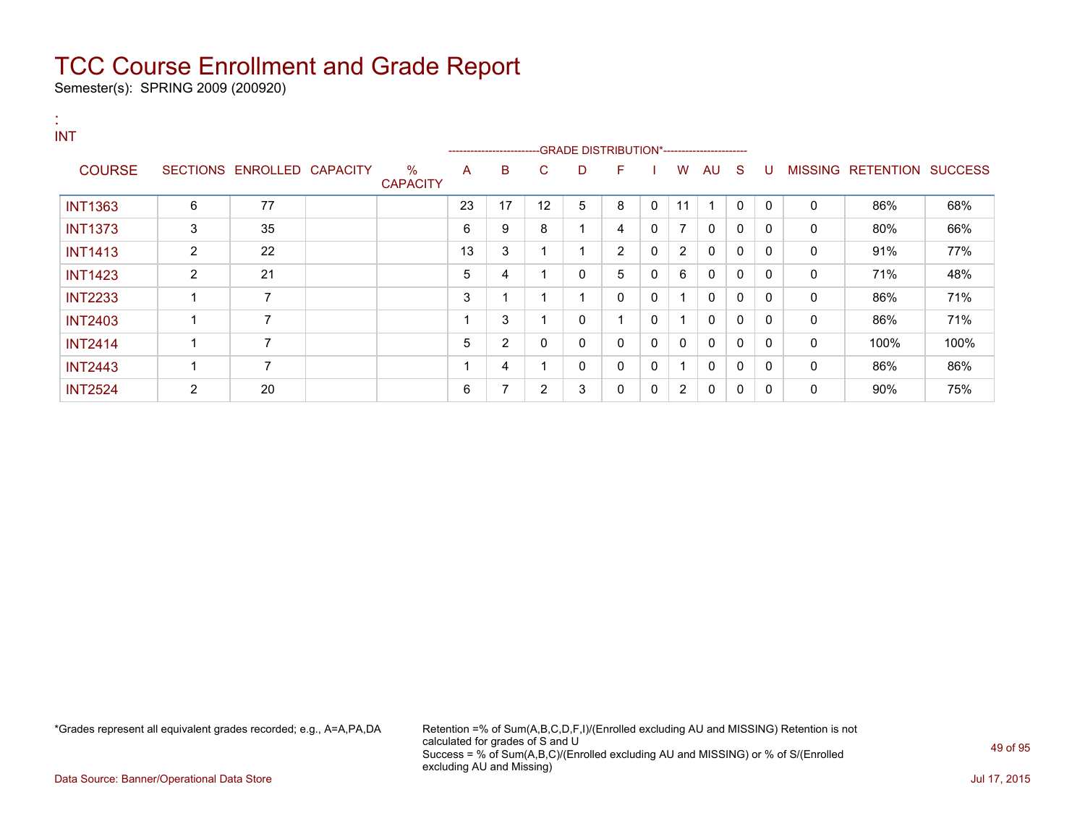Semester(s): SPRING 2009 (200920)

| . н.<br><b>INT</b> |   |                            |                      |    | ----------------------   |                | -GRADE DISTRIBUTION*----------------------- |    |              |                |    |              |              |                |                          |      |
|--------------------|---|----------------------------|----------------------|----|--------------------------|----------------|---------------------------------------------|----|--------------|----------------|----|--------------|--------------|----------------|--------------------------|------|
| <b>COURSE</b>      |   | SECTIONS ENROLLED CAPACITY | %<br><b>CAPACITY</b> | A  | B                        | C.             | D                                           | F. |              | w              | AU | S.           | U            | <b>MISSING</b> | <b>RETENTION SUCCESS</b> |      |
| <b>INT1363</b>     | 6 | 77                         |                      | 23 | 17                       | 12             | 5                                           | 8  | $\mathbf{0}$ | 11             |    | $\mathbf{0}$ | $\mathbf{0}$ | 0              | 86%                      | 68%  |
| <b>INT1373</b>     | 3 | 35                         |                      | 6  | 9                        | 8              |                                             | 4  | 0            | $\overline{7}$ | 0  | 0            | 0            | 0              | 80%                      | 66%  |
| <b>INT1413</b>     | 2 | 22                         |                      | 13 | 3                        |                |                                             | 2  | 0            | $\overline{2}$ | 0  | 0            | 0            | 0              | 91%                      | 77%  |
| <b>INT1423</b>     | 2 | 21                         |                      | 5  | 4                        |                | 0                                           | 5  | $\Omega$     | 6              | 0  | 0            | 0            | 0              | 71%                      | 48%  |
| <b>INT2233</b>     |   | 7                          |                      | 3  | $\overline{\phantom{a}}$ |                |                                             | 0  | 0            | 1              | 0  | 0            | 0            | 0              | 86%                      | 71%  |
| <b>INT2403</b>     |   | 7                          |                      |    | 3                        |                | 0                                           | и  | 0            | 1              | 0  | 0            | 0            | 0              | 86%                      | 71%  |
| <b>INT2414</b>     |   | 7                          |                      | 5  | $\overline{2}$           | 0              | 0                                           | 0  | $\mathbf{0}$ | $\mathbf{0}$   | 0  | 0            | $\mathbf{0}$ | 0              | 100%                     | 100% |
| <b>INT2443</b>     |   | 7                          |                      | 4  | 4                        |                | 0                                           | 0  | 0            | 1              | 0  | 0            | 0            | 0              | 86%                      | 86%  |
| <b>INT2524</b>     | 2 | 20                         |                      | 6  | 7                        | $\overline{2}$ | 3                                           | 0  | 0            | $\overline{2}$ | 0  | $\mathbf{0}$ | 0            | 0              | 90%                      | 75%  |

\*Grades represent all equivalent grades recorded; e.g., A=A,PA,DA Retention =% of Sum(A,B,C,D,F,I)/(Enrolled excluding AU and MISSING) Retention is not calculated for grades of S and U Success = % of Sum(A,B,C)/(Enrolled excluding AU and MISSING) or % of S/(Enrolled excluding AU and Missing)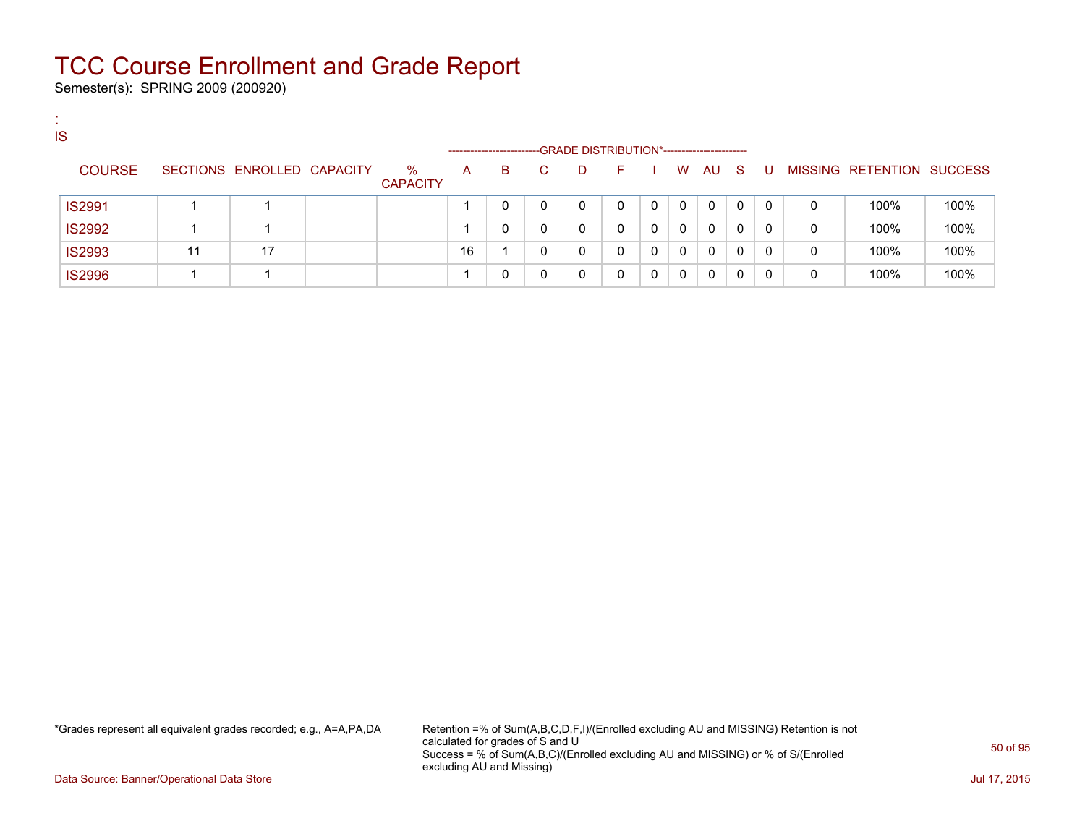Semester(s): SPRING 2009 (200920)

:

| <b>IS</b>     |    |                            |                         |    |                        |                                            |              |   |   |    |              |              |   |                   |                |
|---------------|----|----------------------------|-------------------------|----|------------------------|--------------------------------------------|--------------|---|---|----|--------------|--------------|---|-------------------|----------------|
|               |    |                            |                         |    | ---------------------- | -GRADE DISTRIBUTION*---------------------- |              |   |   |    |              |              |   |                   |                |
| <b>COURSE</b> |    | SECTIONS ENROLLED CAPACITY | $\%$<br><b>CAPACITY</b> | A  | B.                     | D.                                         | <b>F</b>     |   | W | AU | - S          | U            |   | MISSING RETENTION | <b>SUCCESS</b> |
| <b>IS2991</b> |    |                            |                         |    | 0                      | 0                                          | 0            | 0 | 0 | 0  | 0            | $\Omega$     | 0 | 100%              | 100%           |
| <b>IS2992</b> |    |                            |                         |    | 0                      | 0                                          | $\mathbf{0}$ | 0 | 0 | 0  | 0            | $\Omega$     | 0 | 100%              | 100%           |
| <b>IS2993</b> | 11 | 17                         |                         | 16 |                        | 0                                          | 0            | 0 | 0 | 0  | 0            | 0            | 0 | 100%              | 100%           |
| <b>IS2996</b> |    |                            |                         |    | 0                      | 0                                          | 0            | 0 | 0 | 0  | $\mathbf{0}$ | $\mathbf{0}$ | 0 | 100%              | 100%           |

\*Grades represent all equivalent grades recorded; e.g., A=A,PA,DA Retention =% of Sum(A,B,C,D,F,I)/(Enrolled excluding AU and MISSING) Retention is not calculated for grades of S and U Success = % of Sum(A,B,C)/(Enrolled excluding AU and MISSING) or % of S/(Enrolled excluding AU and Missing)

Data Source: Banner/Operational Data Store Jul 17, 2015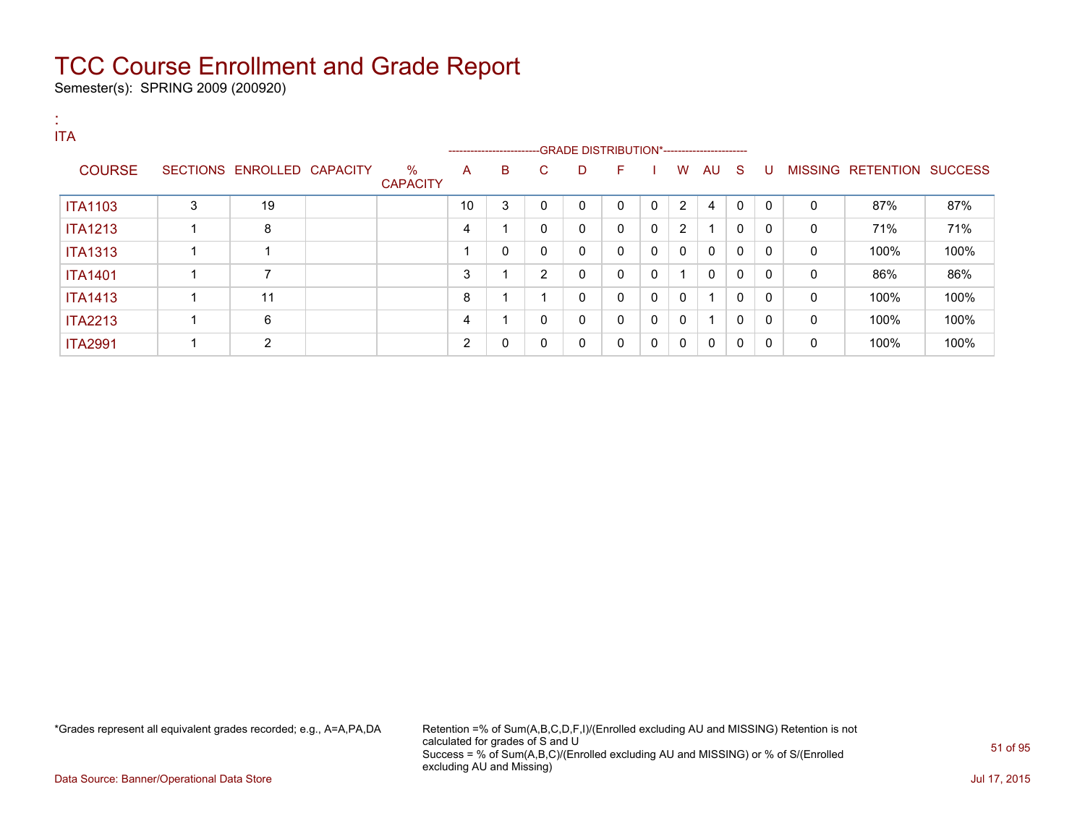Semester(s): SPRING 2009 (200920)

| <b>ITA</b>     |   |                            |                         |    |                                                                    |              |              |              |                |                |              |              |              |              |                           |      |
|----------------|---|----------------------------|-------------------------|----|--------------------------------------------------------------------|--------------|--------------|--------------|----------------|----------------|--------------|--------------|--------------|--------------|---------------------------|------|
|                |   |                            |                         |    | ------------------------GRADE DISTRIBUTION*----------------------- |              |              |              |                |                |              |              |              |              |                           |      |
| <b>COURSE</b>  |   | SECTIONS ENROLLED CAPACITY | $\%$<br><b>CAPACITY</b> | A  | B                                                                  | C.           | D            | F.           |                | W              | AU S         |              | . U          |              | MISSING RETENTION SUCCESS |      |
| <b>ITA1103</b> | 3 | 19                         |                         | 10 | 3                                                                  | $\mathbf{0}$ | $\mathbf{0}$ | $\mathbf{0}$ | $\overline{0}$ | 2              | 4            | $\mathbf{0}$ | $\mathbf{0}$ | $\Omega$     | 87%                       | 87%  |
| <b>ITA1213</b> | 4 | 8                          |                         | 4  |                                                                    | $\mathbf{0}$ | 0            | $\mathbf{0}$ | $\mathbf 0$    | $\overline{2}$ |              | 0            | $\Omega$     | 0            | 71%                       | 71%  |
| <b>ITA1313</b> | 4 |                            |                         |    | 0                                                                  | $\mathbf{0}$ | 0            | $\mathbf{0}$ | 0              | $\mathbf{0}$   | $\mathbf{0}$ | $\Omega$     | $\Omega$     | $\mathbf{0}$ | 100%                      | 100% |
| <b>ITA1401</b> | ◢ | ⇁                          |                         | 3  |                                                                    | 2            | 0            | $\mathbf{0}$ | 0              | 1              | $\mathbf{0}$ | $\Omega$     | $\Omega$     | 0            | 86%                       | 86%  |
| <b>ITA1413</b> | 1 | 11                         |                         | 8  |                                                                    |              | 0            | $\mathbf{0}$ | 0              | $\mathbf{0}$   |              | $\Omega$     | $\Omega$     | $\mathbf{0}$ | 100%                      | 100% |
| <b>ITA2213</b> |   | 6                          |                         | 4  |                                                                    | 0            | 0            | $\mathbf{0}$ | $\mathbf 0$    | 0              |              | 0            | $\mathbf{0}$ | 0            | 100%                      | 100% |
| <b>ITA2991</b> |   | 2                          |                         | 2  | 0                                                                  | 0            | 0            | 0            | $\mathbf 0$    | 0              | 0            | 0            | $\Omega$     | 0            | 100%                      | 100% |

\*Grades represent all equivalent grades recorded; e.g., A=A,PA,DA Retention =% of Sum(A,B,C,D,F,I)/(Enrolled excluding AU and MISSING) Retention is not calculated for grades of S and U Success = % of Sum(A,B,C)/(Enrolled excluding AU and MISSING) or % of S/(Enrolled excluding AU and Missing)

Data Source: Banner/Operational Data Store Jul 17, 2015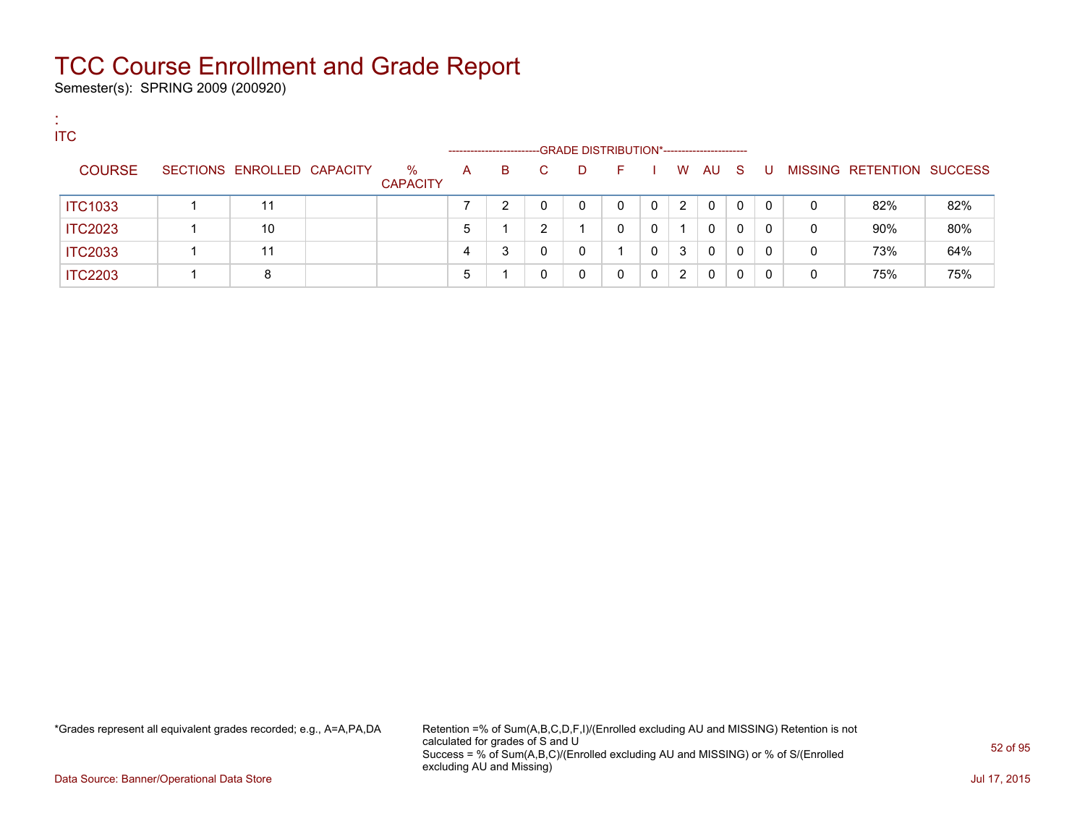Semester(s): SPRING 2009 (200920)

:

| <b>ITC</b>     |                            |                         |              |                        |    |                                            |          |          |   |          |     |              |   |                           |     |
|----------------|----------------------------|-------------------------|--------------|------------------------|----|--------------------------------------------|----------|----------|---|----------|-----|--------------|---|---------------------------|-----|
|                |                            |                         |              | ---------------------- |    | -GRADE DISTRIBUTION*---------------------- |          |          |   |          |     |              |   |                           |     |
| <b>COURSE</b>  | SECTIONS ENROLLED CAPACITY | $\%$<br><b>CAPACITY</b> | $\mathsf{A}$ | В                      | C. | D                                          | <b>F</b> |          | W | AU       | - S | U            |   | MISSING RETENTION SUCCESS |     |
| <b>ITC1033</b> | 11                         |                         |              | າ                      |    | 0                                          | 0        | $\Omega$ | 2 | $\Omega$ | 0   | $\mathbf{0}$ | 0 | 82%                       | 82% |
| <b>ITC2023</b> | 10                         |                         | 5            |                        | ົ  |                                            | 0        | $\Omega$ |   | 0        | 0   | $\Omega$     | 0 | 90%                       | 80% |
| <b>ITC2033</b> | 11                         |                         | 4            | 3                      |    | 0                                          |          |          | 3 | 0        | 0   | $\Omega$     | 0 | 73%                       | 64% |
| <b>ITC2203</b> | 8                          |                         | 5            |                        |    | 0                                          | 0        | $\Omega$ | 2 | 0        | 0   | $\Omega$     | 0 | 75%                       | 75% |

\*Grades represent all equivalent grades recorded; e.g., A=A,PA,DA Retention =% of Sum(A,B,C,D,F,I)/(Enrolled excluding AU and MISSING) Retention is not calculated for grades of S and U Success = % of Sum(A,B,C)/(Enrolled excluding AU and MISSING) or % of S/(Enrolled excluding AU and Missing)

Data Source: Banner/Operational Data Store Jul 17, 2015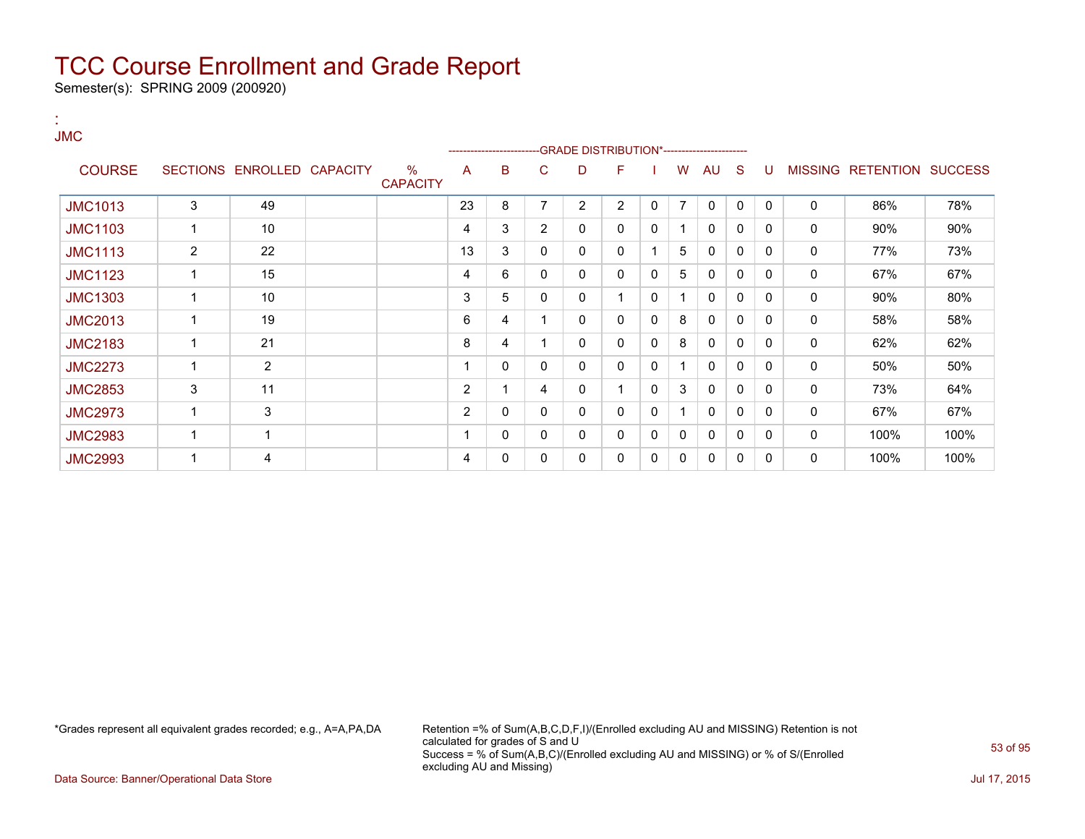Semester(s): SPRING 2009 (200920)

| <b>JMC</b>     |   |                            |                         |                | ----------------------- |                |   | -GRADE DISTRIBUTION*---------------------- |   |                |              |              |              |   |                           |      |
|----------------|---|----------------------------|-------------------------|----------------|-------------------------|----------------|---|--------------------------------------------|---|----------------|--------------|--------------|--------------|---|---------------------------|------|
| <b>COURSE</b>  |   | SECTIONS ENROLLED CAPACITY | $\%$<br><b>CAPACITY</b> | A              | B                       | C              | D | F                                          |   | W              | AU           | S            | U            |   | MISSING RETENTION SUCCESS |      |
| <b>JMC1013</b> | 3 | 49                         |                         | 23             | 8                       | 7              | 2 | 2                                          | 0 | $\overline{7}$ | $\mathbf{0}$ | 0            | $\mathbf{0}$ | 0 | 86%                       | 78%  |
| <b>JMC1103</b> | 1 | 10                         |                         | 4              | 3                       | $\overline{2}$ | 0 | 0                                          | 0 |                | $\mathbf{0}$ | 0            | 0            | 0 | 90%                       | 90%  |
| <b>JMC1113</b> | 2 | 22                         |                         | 13             | 3                       | 0              | 0 | 0                                          |   | 5              | 0            | 0            | 0            | 0 | 77%                       | 73%  |
| <b>JMC1123</b> |   | 15                         |                         | 4              | 6                       | 0              | 0 | 0                                          | 0 | 5              | 0            | 0            | 0            | 0 | 67%                       | 67%  |
| <b>JMC1303</b> | 1 | 10                         |                         | 3              | 5                       | 0              | 0 |                                            | 0 |                | 0            | 0            | 0            | 0 | 90%                       | 80%  |
| <b>JMC2013</b> |   | 19                         |                         | 6              | 4                       |                | 0 | 0                                          | 0 | 8              | 0            | 0            | 0            | 0 | 58%                       | 58%  |
| <b>JMC2183</b> | 1 | 21                         |                         | 8              | 4                       |                | 0 | 0                                          | 0 | 8              | 0            | 0            | 0            | 0 | 62%                       | 62%  |
| <b>JMC2273</b> | 1 | 2                          |                         |                | 0                       | 0              | 0 | 0                                          | 0 |                | $\mathbf{0}$ | $\mathbf{0}$ | 0            | 0 | 50%                       | 50%  |
| <b>JMC2853</b> | 3 | 11                         |                         | 2              |                         | 4              | 0 | 1                                          | 0 | 3              | $\mathbf{0}$ | 0            | 0            | 0 | 73%                       | 64%  |
| <b>JMC2973</b> | 1 | 3                          |                         | $\overline{2}$ | 0                       | 0              | 0 | 0                                          | 0 |                | $\Omega$     | $\mathbf{0}$ | 0            | 0 | 67%                       | 67%  |
| <b>JMC2983</b> | 1 | 1                          |                         |                | 0                       | 0              | 0 | 0                                          | 0 | 0              | $\mathbf{0}$ | 0            | 0            | 0 | 100%                      | 100% |
| <b>JMC2993</b> |   | 4                          |                         | 4              | 0                       | 0              | 0 | 0                                          | 0 | 0              | $\mathbf{0}$ | 0            | 0            | 0 | 100%                      | 100% |

:

\*Grades represent all equivalent grades recorded; e.g., A=A,PA,DA Retention =% of Sum(A,B,C,D,F,I)/(Enrolled excluding AU and MISSING) Retention is not calculated for grades of S and U Success = % of Sum(A,B,C)/(Enrolled excluding AU and MISSING) or % of S/(Enrolled excluding AU and Missing)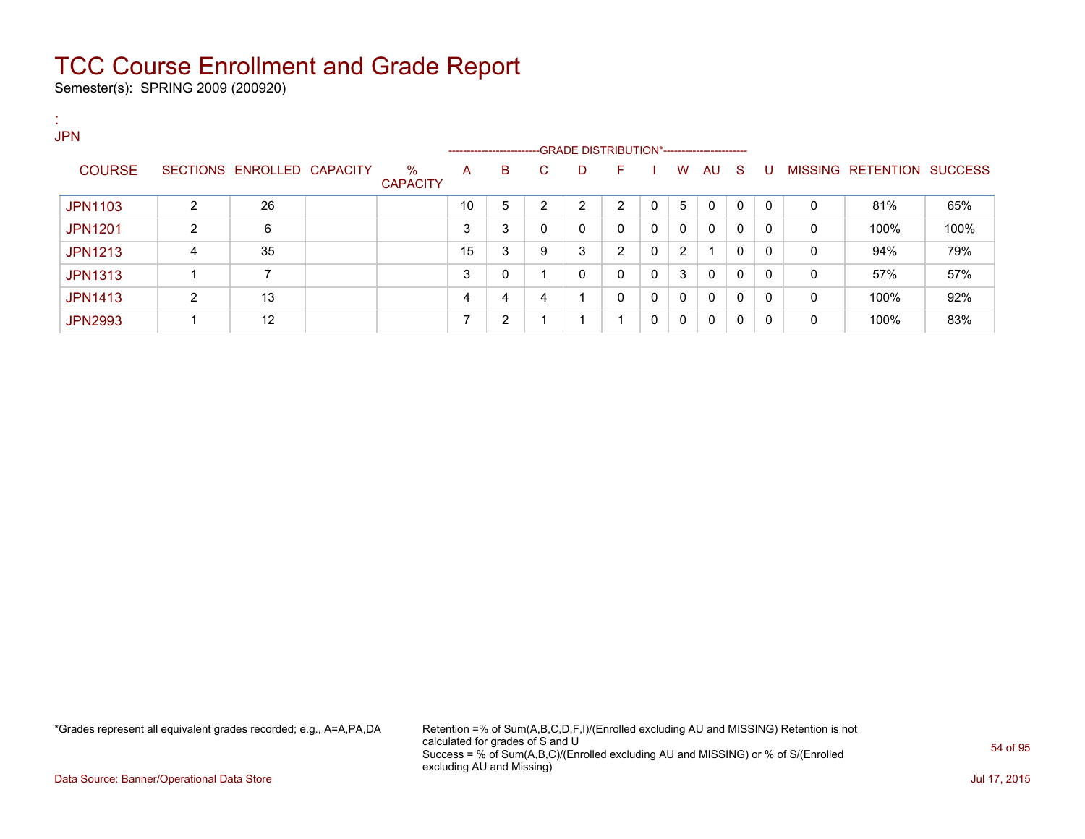Semester(s): SPRING 2009 (200920)

| ж.<br><b>ALC</b><br><b>JPN</b> |   |                            |                 |    |   |              |                                                                         |              |              |                |              |              |              |   |                           |      |
|--------------------------------|---|----------------------------|-----------------|----|---|--------------|-------------------------------------------------------------------------|--------------|--------------|----------------|--------------|--------------|--------------|---|---------------------------|------|
| <b>COURSE</b>                  |   | SECTIONS ENROLLED CAPACITY | %               | A  | B | C.           | ------------------------GRADE DISTRIBUTION*-----------------------<br>D | н.           |              | W              | AU S         |              | U            |   | MISSING RETENTION SUCCESS |      |
|                                |   |                            | <b>CAPACITY</b> |    |   |              |                                                                         |              |              |                |              |              |              |   |                           |      |
| <b>JPN1103</b>                 | 2 | 26                         |                 | 10 | 5 | ົ            | $\overline{2}$                                                          | 2            | $\mathbf{0}$ | 5              | 0            | $\mathbf{0}$ | $\Omega$     | 0 | 81%                       | 65%  |
| <b>JPN1201</b>                 | 2 | 6                          |                 | 3  | 3 | $\mathbf{0}$ | 0                                                                       | $\Omega$     | $\mathbf{0}$ | $\mathbf{0}$   | $\mathbf{0}$ | 0            | $\Omega$     | 0 | 100%                      | 100% |
| <b>JPN1213</b>                 | 4 | 35                         |                 | 15 | 3 | 9            | 3                                                                       | 2            | $\mathbf{0}$ | $\overline{2}$ |              | 0            | $\Omega$     | 0 | 94%                       | 79%  |
| <b>JPN1313</b>                 |   | 7                          |                 | 3  | 0 |              | 0                                                                       | 0            | $\mathbf{0}$ | 3              | 0            | $\mathbf{0}$ | $\mathbf{0}$ | 0 | 57%                       | 57%  |
| <b>JPN1413</b>                 | 2 | 13                         |                 | 4  | 4 | 4            |                                                                         | $\mathbf{0}$ | $\Omega$     | $\mathbf{0}$   | 0            | 0            | $\Omega$     | 0 | 100%                      | 92%  |
| <b>JPN2993</b>                 |   | 12                         |                 |    | 2 |              |                                                                         | -1           | $\mathbf{0}$ | 0              | $\Omega$     | 0            | 0            | 0 | 100%                      | 83%  |

\*Grades represent all equivalent grades recorded; e.g., A=A,PA,DA Retention =% of Sum(A,B,C,D,F,I)/(Enrolled excluding AU and MISSING) Retention is not calculated for grades of S and U Success = % of Sum(A,B,C)/(Enrolled excluding AU and MISSING) or % of S/(Enrolled excluding AU and Missing)

Data Source: Banner/Operational Data Store Jul 17, 2015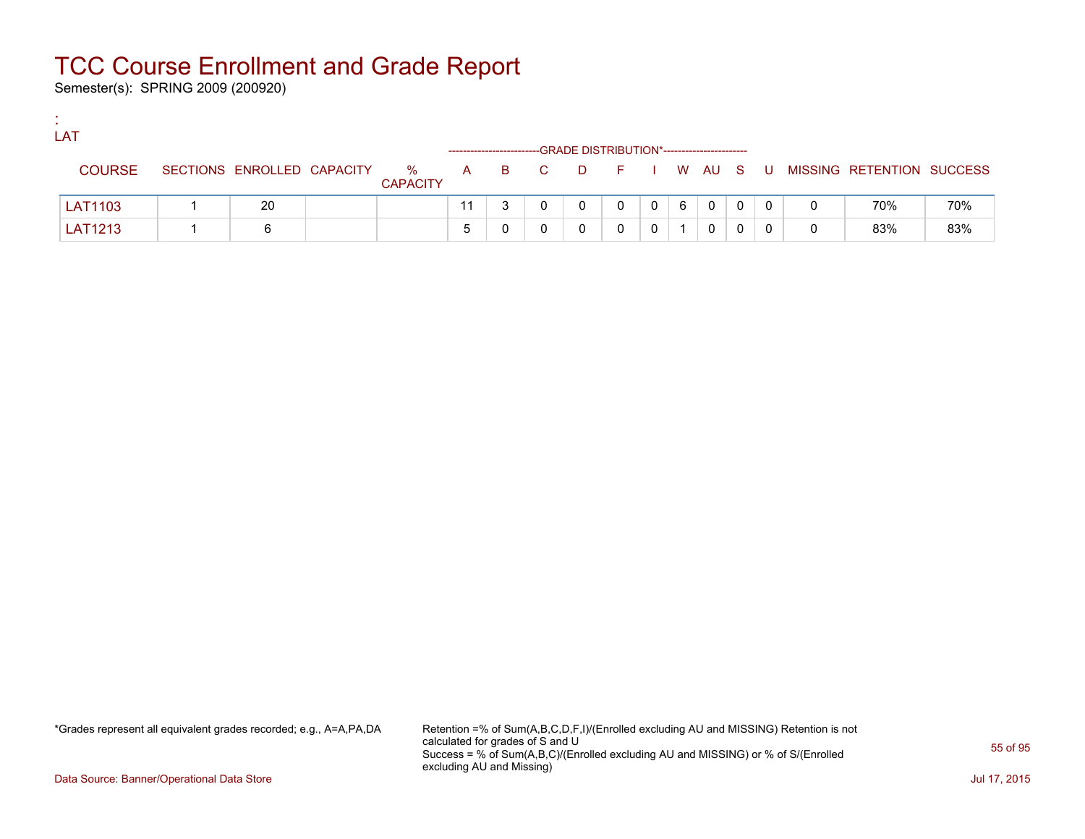Semester(s): SPRING 2009 (200920)

:

| LAT           |                            |                      |       |   | -GRADE DISTRIBUTION*----------------------- |                |   |             |             |  |                                          |     |
|---------------|----------------------------|----------------------|-------|---|---------------------------------------------|----------------|---|-------------|-------------|--|------------------------------------------|-----|
| <b>COURSE</b> | SECTIONS ENROLLED CAPACITY | %<br><b>CAPACITY</b> | A B C |   |                                             |                |   |             |             |  | D F I W AU S U MISSING RETENTION SUCCESS |     |
| LAT1103       | 20                         |                      |       | 0 | 0                                           | 0 <sup>1</sup> | 6 | $\mathbf 0$ | $\mathbf 0$ |  | 70%                                      | 70% |
| LAT1213       |                            |                      |       |   |                                             |                |   | 0           |             |  | 83%                                      | 83% |

\*Grades represent all equivalent grades recorded; e.g., A=A,PA,DA Retention =% of Sum(A,B,C,D,F,I)/(Enrolled excluding AU and MISSING) Retention is not calculated for grades of S and U Success = % of Sum(A,B,C)/(Enrolled excluding AU and MISSING) or % of S/(Enrolled excluding AU and Missing)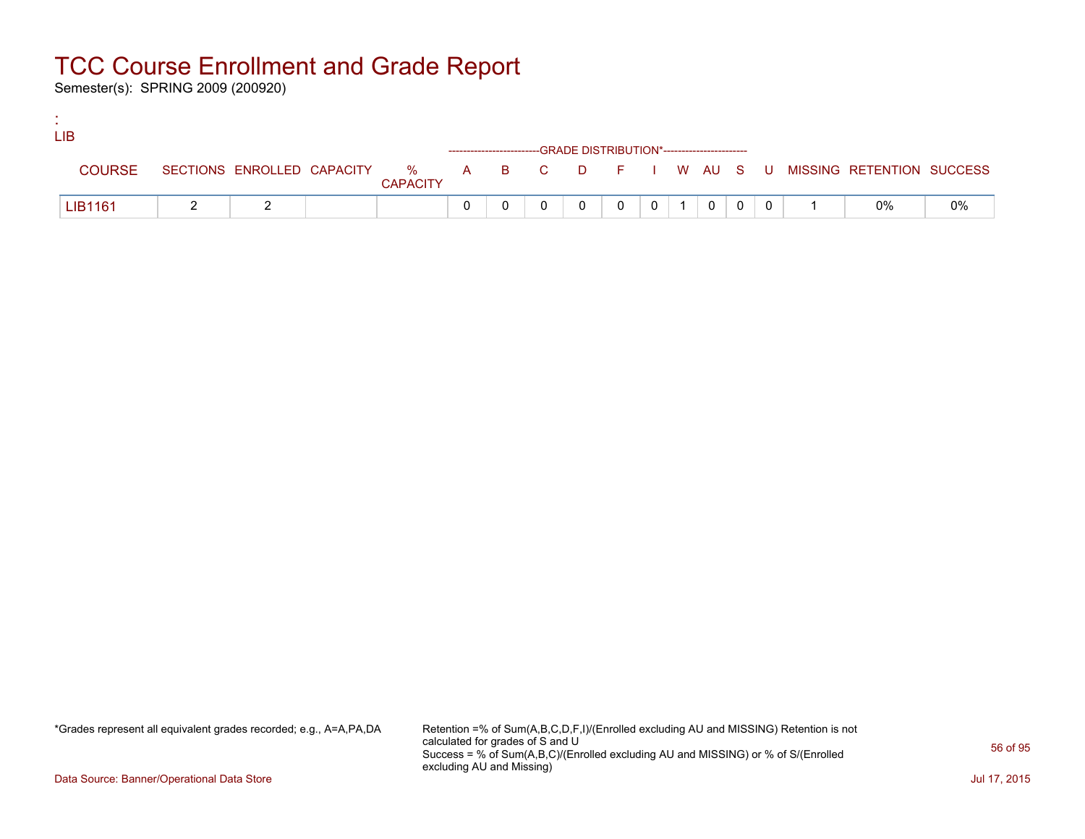Semester(s): SPRING 2009 (200920)

:

| <b>LIB</b>    |  |                 |  |                                                                    |                |  |                 |          |                                                                               |    |
|---------------|--|-----------------|--|--------------------------------------------------------------------|----------------|--|-----------------|----------|-------------------------------------------------------------------------------|----|
|               |  |                 |  | ------------------------GRADE DISTRIBUTION*----------------------- |                |  |                 |          |                                                                               |    |
| <b>COURSE</b> |  | <b>CAPACITY</b> |  |                                                                    |                |  |                 |          | SECTIONS ENROLLED CAPACITY 5 % A B C D F I W AU S U MISSING RETENTION SUCCESS |    |
| LIB1161       |  |                 |  |                                                                    | $\overline{0}$ |  | $0 \mid 0 \mid$ | $\sim 0$ | 0%                                                                            | 0% |

\*Grades represent all equivalent grades recorded; e.g., A=A,PA,DA Retention =% of Sum(A,B,C,D,F,I)/(Enrolled excluding AU and MISSING) Retention is not calculated for grades of S and U Success = % of Sum(A,B,C)/(Enrolled excluding AU and MISSING) or % of S/(Enrolled excluding AU and Missing)

Data Source: Banner/Operational Data Store Jul 17, 2015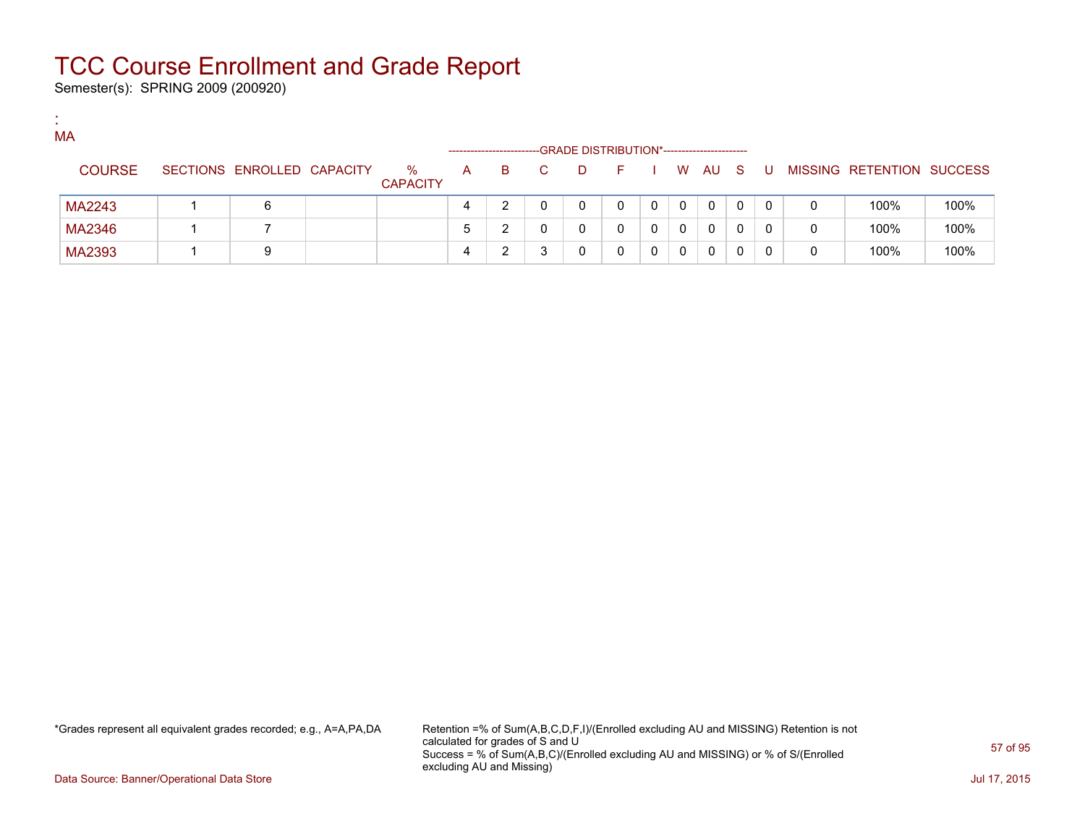Semester(s): SPRING 2009 (200920)

:

| MA            |                            |                         |   | ----------------------- |    |   | -GRADE DISTRIBUTION*----------------------- |             |              |     |   |                           |      |
|---------------|----------------------------|-------------------------|---|-------------------------|----|---|---------------------------------------------|-------------|--------------|-----|---|---------------------------|------|
| <b>COURSE</b> | SECTIONS ENROLLED CAPACITY | $\%$<br><b>CAPACITY</b> | A | B.                      | C. | D | F.                                          |             | W AU S       | . U |   | MISSING RETENTION SUCCESS |      |
| MA2243        | 6                          |                         | 4 |                         |    |   |                                             | $\mathbf 0$ | $\mathbf{0}$ |     | 0 | 100%                      | 100% |
| MA2346        |                            |                         | 5 | ົ                       |    |   |                                             | 0           | 0            |     | 0 | 100%                      | 100% |
| MA2393        | 9                          |                         | 4 |                         |    |   | 0                                           | 0           | 0            |     | 0 | 100%                      | 100% |

\*Grades represent all equivalent grades recorded; e.g., A=A,PA,DA Retention =% of Sum(A,B,C,D,F,I)/(Enrolled excluding AU and MISSING) Retention is not calculated for grades of S and U Success = % of Sum(A,B,C)/(Enrolled excluding AU and MISSING) or % of S/(Enrolled excluding AU and Missing)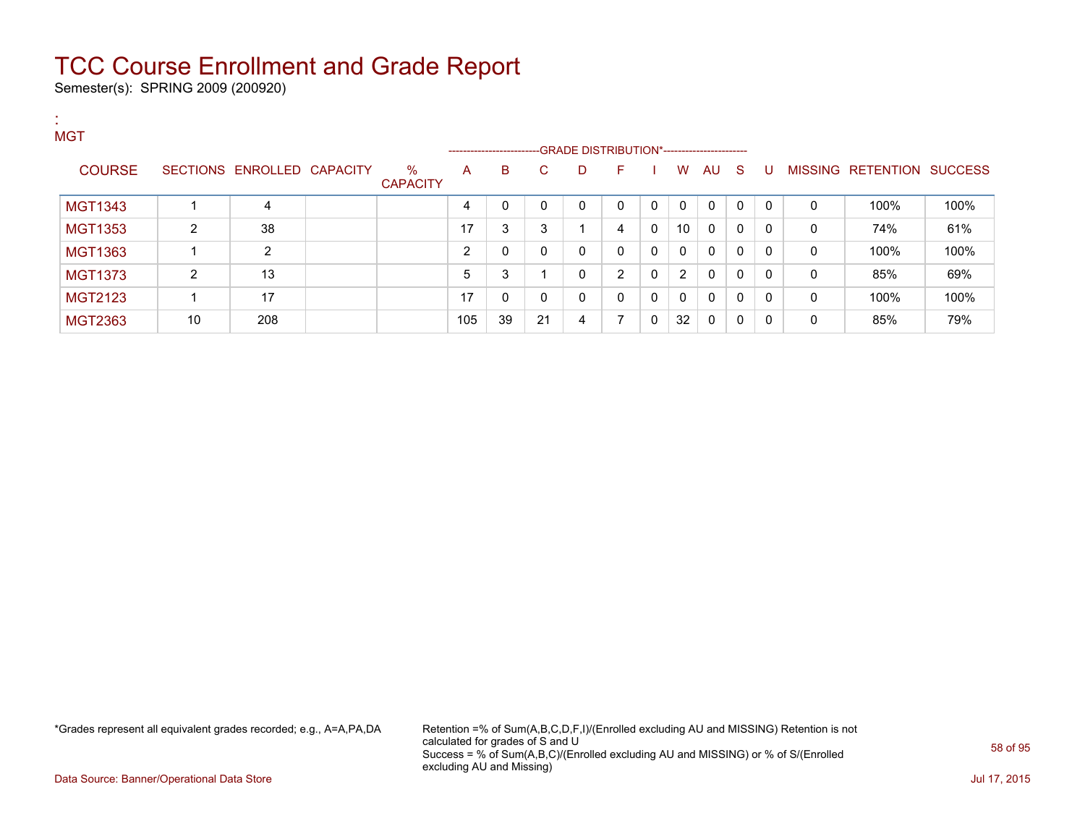Semester(s): SPRING 2009 (200920)

| л.<br><b>A</b><br><b>MGT</b> |                |                            |                         |                |    | -------------------------GRADE DISTRIBUTION*----------------------- |   |              |              |              |             |              |              |   |                           |      |
|------------------------------|----------------|----------------------------|-------------------------|----------------|----|---------------------------------------------------------------------|---|--------------|--------------|--------------|-------------|--------------|--------------|---|---------------------------|------|
| <b>COURSE</b>                |                | SECTIONS ENROLLED CAPACITY | $\%$<br><b>CAPACITY</b> | A              | B  | C.                                                                  | D | F            |              | W            | AU          | <b>S</b>     | U            |   | MISSING RETENTION SUCCESS |      |
| <b>MGT1343</b>               |                | 4                          |                         | 4              | 0  | $\Omega$                                                            | 0 | $\mathbf{0}$ | $\mathbf{0}$ | $\mathbf{0}$ | $\mathbf 0$ | $\mathbf{0}$ | $\Omega$     | 0 | 100%                      | 100% |
| <b>MGT1353</b>               | $\overline{2}$ | 38                         |                         | 17             | 3  | 3                                                                   |   | 4            | 0            | 10           | $\mathbf 0$ | 0            | $\Omega$     | 0 | 74%                       | 61%  |
| MGT1363                      |                | 2                          |                         | $\overline{2}$ | 0  | 0                                                                   | 0 | $\mathbf{0}$ | $\mathbf{0}$ | $\mathbf{0}$ | 0           | 0            | $\Omega$     | 0 | 100%                      | 100% |
| <b>MGT1373</b>               | 2              | 13                         |                         | 5              | 3  |                                                                     | 0 | 2            | $\mathbf{0}$ | 2            | 0           | 0            | $\mathbf{0}$ | 0 | 85%                       | 69%  |
| <b>MGT2123</b>               |                | 17                         |                         | 17             | 0  | $\Omega$                                                            | 0 | $\mathbf{0}$ | $\mathbf{0}$ | 0            | 0           | 0            | $\Omega$     | 0 | 100%                      | 100% |
| MGT2363                      | 10             | 208                        |                         | 105            | 39 | 21                                                                  | 4 | 7            | $\mathbf{0}$ | 32           | $\mathbf 0$ | 0            | 0            | 0 | 85%                       | 79%  |

\*Grades represent all equivalent grades recorded; e.g., A=A,PA,DA Retention =% of Sum(A,B,C,D,F,I)/(Enrolled excluding AU and MISSING) Retention is not calculated for grades of S and U Success = % of Sum(A,B,C)/(Enrolled excluding AU and MISSING) or % of S/(Enrolled excluding AU and Missing)

Data Source: Banner/Operational Data Store Jul 17, 2015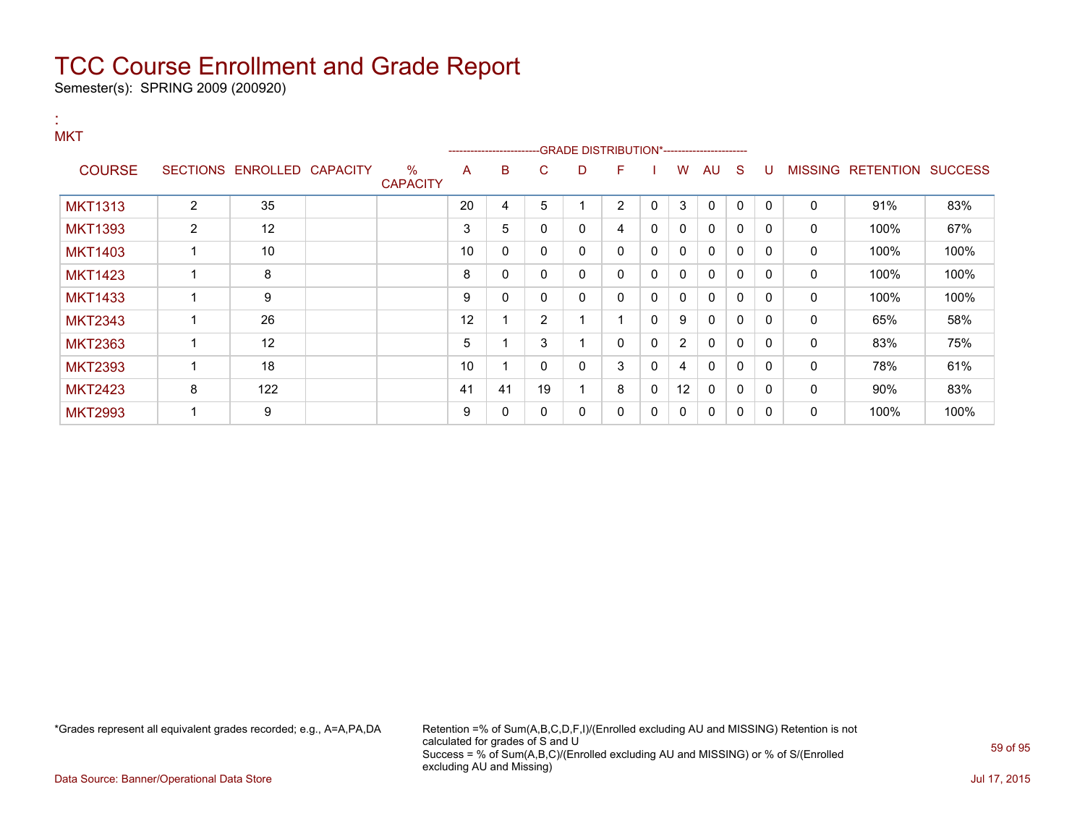Semester(s): SPRING 2009 (200920)

:

#### **MKT** ---GRADE DISTRIBUTION\*------------------------COURSE SECTIONS ENROLLED CAPACITY % **CAPACITY** A B C D F I W AU S U MISSING RETENTION SUCCESS MKT1313 | 2 | 35 | | 20 | 4 | 5 | 1 | 2 | 0 | 3 | 0 | 0 | 0 | 0 | 91% | 83% MKT1393 2 12 2 3 5 0 0 4 0 0 0 0 0 0 100% 67% MKT1403 1 10 10 0 0 0 0 0 0 0 0 0 0 100% 100% MKT1423 1 8 8 0 0 0 0 0 0 0 0 0 0 100% 100% MKT1433 1 9 9 0 0 0 0 0 0 0 0 0 0 100% 100% MKT2343 | 1 | 26 | | 12 | 1 | 2 | 1 | 1 | 0 | 9 | 0 | 0 | 0 | 0 | 65% | 58% MKT2363 1 12 5 1 3 1 0 0 2 0 0 0 83% 75% MKT2393 | 1 | 18 | | 10 | 1 | 0 | 0 | 3 | 0 | 4 | 0 | 0 | 0 | 0 | 78% | 61% MKT2423 | 8 | 122 | | 41 | 41 | 19 | 1 | 8 | 0 | 12 | 0 | 0 | 0 | 0 | 90% | 83% MKT2993 1 9 9 0 0 0 0 0 0 0 0 0 0 100% 100%

\*Grades represent all equivalent grades recorded; e.g., A=A,PA,DA Retention =% of Sum(A,B,C,D,F,I)/(Enrolled excluding AU and MISSING) Retention is not calculated for grades of S and U Success = % of Sum(A,B,C)/(Enrolled excluding AU and MISSING) or % of S/(Enrolled excluding AU and Missing)

Data Source: Banner/Operational Data Store Jul 17, 2015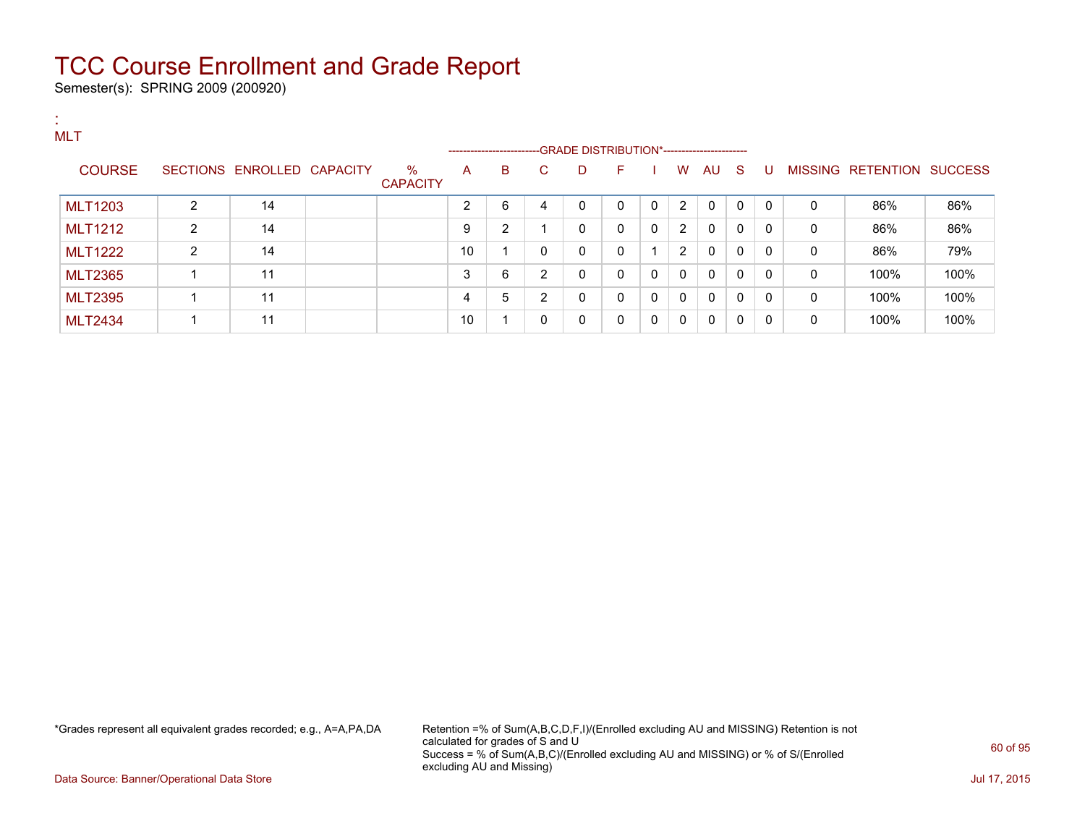Semester(s): SPRING 2009 (200920)

| <b>A</b> | MLT            |                |                            |                      |    | ----------------------- |              | --GRADE DISTRIBUTION*----------------------- |              |              |              |              |          |              |              |                   |                |
|----------|----------------|----------------|----------------------------|----------------------|----|-------------------------|--------------|----------------------------------------------|--------------|--------------|--------------|--------------|----------|--------------|--------------|-------------------|----------------|
|          | <b>COURSE</b>  |                | SECTIONS ENROLLED CAPACITY | %<br><b>CAPACITY</b> | A  | B                       | C.           | D                                            | F.           |              | W            | AU S         |          | -U           |              | MISSING RETENTION | <b>SUCCESS</b> |
|          | <b>MLT1203</b> | $\overline{2}$ | 14                         |                      | ົ  | 6                       | 4            | 0                                            | $\Omega$     | 0            | 2            | 0            | 0        | $\mathbf{0}$ | 0            | 86%               | 86%            |
|          | <b>MLT1212</b> | $\overline{2}$ | 14                         |                      | 9  | 2                       |              | 0                                            | $\mathbf{0}$ | $\mathbf 0$  | 2            | 0            | $\Omega$ | $\Omega$     | 0            | 86%               | 86%            |
|          | <b>MLT1222</b> | $\overline{2}$ | 14                         |                      | 10 |                         | $\mathbf{0}$ | 0                                            | $\Omega$     |              | 2            | $\mathbf{0}$ | 0        | $\Omega$     | 0            | 86%               | 79%            |
|          | <b>MLT2365</b> |                | 11                         |                      | 3  | 6                       | 2            | 0                                            | $\mathbf{0}$ | 0            | $\mathbf{0}$ | $\mathbf{0}$ | 0        | $\Omega$     | 0            | 100%              | 100%           |
|          | <b>MLT2395</b> |                | 11                         |                      | 4  | 5                       | 2            | 0                                            | $\Omega$     | $\mathbf{0}$ | $\mathbf{0}$ | $\mathbf{0}$ | 0        | $\mathbf{0}$ | $\mathbf{0}$ | 100%              | 100%           |
|          | <b>MLT2434</b> |                | 11                         |                      | 10 |                         | 0            | 0                                            | 0            | $\mathbf{0}$ | 0            | 0            | $\Omega$ | $\Omega$     | 0            | 100%              | 100%           |

\*Grades represent all equivalent grades recorded; e.g., A=A,PA,DA Retention =% of Sum(A,B,C,D,F,I)/(Enrolled excluding AU and MISSING) Retention is not calculated for grades of S and U Success = % of Sum(A,B,C)/(Enrolled excluding AU and MISSING) or % of S/(Enrolled excluding AU and Missing)

Data Source: Banner/Operational Data Store Jul 17, 2015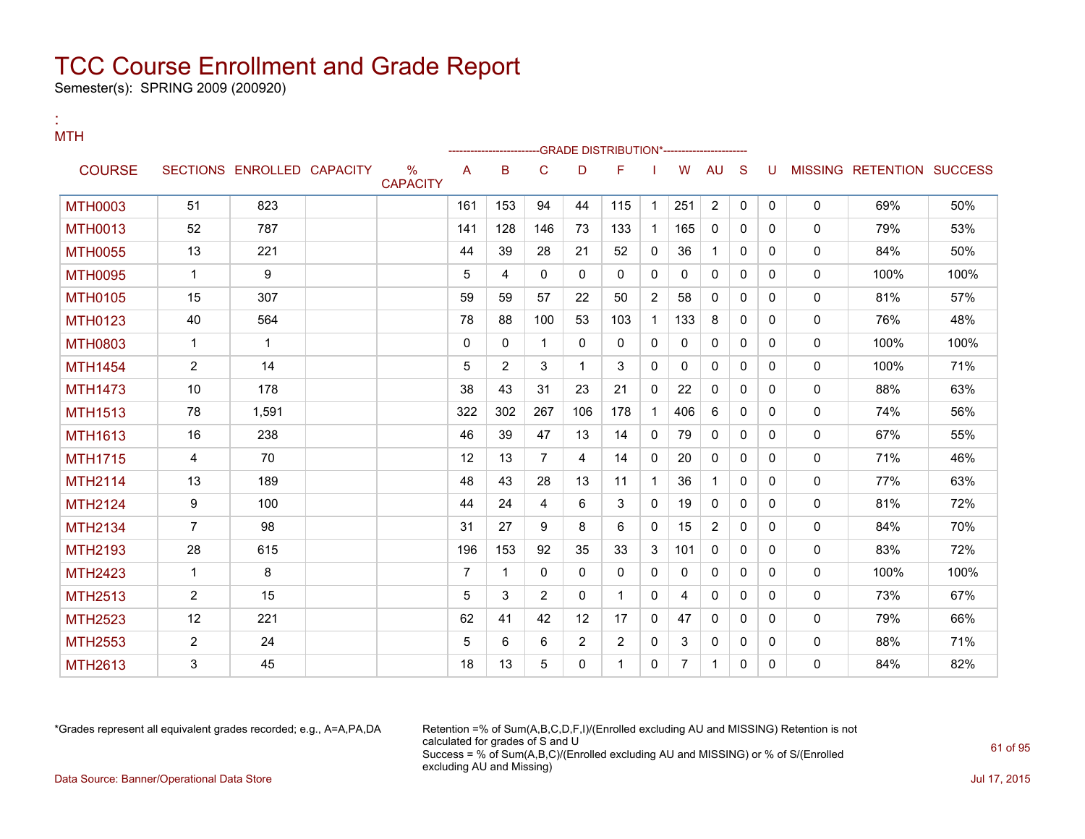Semester(s): SPRING 2009 (200920)

:

| <b>MTH</b>     |                |                            |                         |                |             |                |                | -GRADE DISTRIBUTION*------------------ |                |                |                |              |              |              |                           |      |
|----------------|----------------|----------------------------|-------------------------|----------------|-------------|----------------|----------------|----------------------------------------|----------------|----------------|----------------|--------------|--------------|--------------|---------------------------|------|
| <b>COURSE</b>  |                | SECTIONS ENROLLED CAPACITY | $\%$<br><b>CAPACITY</b> | A              | B           | C              | D              | F                                      |                | W              | <b>AU</b>      | <sub>S</sub> | U            |              | MISSING RETENTION SUCCESS |      |
| <b>MTH0003</b> | 51             | 823                        |                         | 161            | 153         | 94             | 44             | 115                                    | $\mathbf{1}$   | 251            | $\overline{2}$ | $\Omega$     | $\mathbf{0}$ | $\mathbf{0}$ | 69%                       | 50%  |
| <b>MTH0013</b> | 52             | 787                        |                         | 141            | 128         | 146            | 73             | 133                                    | $\mathbf{1}$   | 165            | $\mathbf{0}$   | $\Omega$     | 0            | 0            | 79%                       | 53%  |
| <b>MTH0055</b> | 13             | 221                        |                         | 44             | 39          | 28             | 21             | 52                                     | $\mathbf{0}$   | 36             | 1              | $\Omega$     | 0            | $\mathbf{0}$ | 84%                       | 50%  |
| <b>MTH0095</b> | $\mathbf{1}$   | 9                          |                         | 5              | 4           | $\mathbf{0}$   | $\mathbf{0}$   | 0                                      | $\mathbf{0}$   | 0              | $\mathbf 0$    | $\Omega$     | $\Omega$     | 0            | 100%                      | 100% |
| <b>MTH0105</b> | 15             | 307                        |                         | 59             | 59          | 57             | 22             | 50                                     | $\overline{2}$ | 58             | $\mathbf{0}$   | $\Omega$     | 0            | $\mathbf{0}$ | 81%                       | 57%  |
| <b>MTH0123</b> | 40             | 564                        |                         | 78             | 88          | 100            | 53             | 103                                    | $\mathbf{1}$   | 133            | 8              | $\Omega$     | 0            | 0            | 76%                       | 48%  |
| <b>MTH0803</b> | $\mathbf{1}$   | $\mathbf{1}$               |                         | $\mathbf{0}$   | $\Omega$    | 1              | $\mathbf{0}$   | $\mathbf{0}$                           | $\Omega$       | $\mathbf{0}$   | $\mathbf{0}$   | $\Omega$     | 0            | $\mathbf 0$  | 100%                      | 100% |
| <b>MTH1454</b> | $\overline{2}$ | 14                         |                         | 5              | 2           | 3              | 1              | 3                                      | $\mathbf{0}$   | $\Omega$       | $\mathbf{0}$   | $\Omega$     | 0            | 0            | 100%                      | 71%  |
| <b>MTH1473</b> | 10             | 178                        |                         | 38             | 43          | 31             | 23             | 21                                     | $\Omega$       | 22             | $\mathbf{0}$   | $\Omega$     | 0            | $\mathbf 0$  | 88%                       | 63%  |
| <b>MTH1513</b> | 78             | 1.591                      |                         | 322            | 302         | 267            | 106            | 178                                    | 1              | 406            | 6              | 0            | 0            | 0            | 74%                       | 56%  |
| <b>MTH1613</b> | 16             | 238                        |                         | 46             | 39          | 47             | 13             | 14                                     | $\Omega$       | 79             | $\mathbf{0}$   | $\Omega$     | $\Omega$     | 0            | 67%                       | 55%  |
| <b>MTH1715</b> | 4              | 70                         |                         | 12             | 13          | $\overline{7}$ | 4              | 14                                     | $\mathbf{0}$   | 20             | $\mathbf{0}$   | 0            | $\Omega$     | 0            | 71%                       | 46%  |
| <b>MTH2114</b> | 13             | 189                        |                         | 48             | 43          | 28             | 13             | 11                                     | $\mathbf{1}$   | 36             | $\mathbf{1}$   | $\Omega$     | 0            | 0            | 77%                       | 63%  |
| <b>MTH2124</b> | 9              | 100                        |                         | 44             | 24          | 4              | 6              | 3                                      | $\mathbf{0}$   | 19             | $\mathbf{0}$   | $\Omega$     | 0            | 0            | 81%                       | 72%  |
| <b>MTH2134</b> | $\overline{7}$ | 98                         |                         | 31             | 27          | 9              | 8              | 6                                      | $\mathbf{0}$   | 15             | $\overline{2}$ | $\Omega$     | 0            | 0            | 84%                       | 70%  |
| <b>MTH2193</b> | 28             | 615                        |                         | 196            | 153         | 92             | 35             | 33                                     | 3              | 101            | $\mathbf{0}$   | $\Omega$     | 0            | $\mathbf{0}$ | 83%                       | 72%  |
| <b>MTH2423</b> | $\mathbf{1}$   | 8                          |                         | $\overline{7}$ | $\mathbf 1$ | $\mathbf{0}$   | $\mathbf{0}$   | 0                                      | $\mathbf{0}$   | 0              | $\mathbf{0}$   | 0            | 0            | 0            | 100%                      | 100% |
| <b>MTH2513</b> | $\overline{2}$ | 15                         |                         | 5              | 3           | $\overline{2}$ | 0              | 1                                      | $\mathbf{0}$   | 4              | $\Omega$       | $\Omega$     | 0            | $\mathbf{0}$ | 73%                       | 67%  |
| <b>MTH2523</b> | 12             | 221                        |                         | 62             | 41          | 42             | 12             | 17                                     | $\mathbf{0}$   | 47             | $\mathbf{0}$   | $\Omega$     | 0            | $\mathbf{0}$ | 79%                       | 66%  |
| <b>MTH2553</b> | $\overline{2}$ | 24                         |                         | 5              | 6           | 6              | $\overline{2}$ | $\overline{2}$                         | $\mathbf{0}$   | 3              | $\mathbf{0}$   | $\Omega$     | 0            | 0            | 88%                       | 71%  |
| MTH2613        | 3              | 45                         |                         | 18             | 13          | 5              | $\mathbf{0}$   | 1                                      | $\mathbf{0}$   | $\overline{7}$ | $\mathbf 1$    | $\Omega$     | 0            | 0            | 84%                       | 82%  |

\*Grades represent all equivalent grades recorded; e.g., A=A,PA,DA Retention =% of Sum(A,B,C,D,F,I)/(Enrolled excluding AU and MISSING) Retention is not calculated for grades of S and U Success = % of Sum(A,B,C)/(Enrolled excluding AU and MISSING) or % of S/(Enrolled excluding AU and Missing) Data Source: Banner/Operational Data Store Jul 17, 2015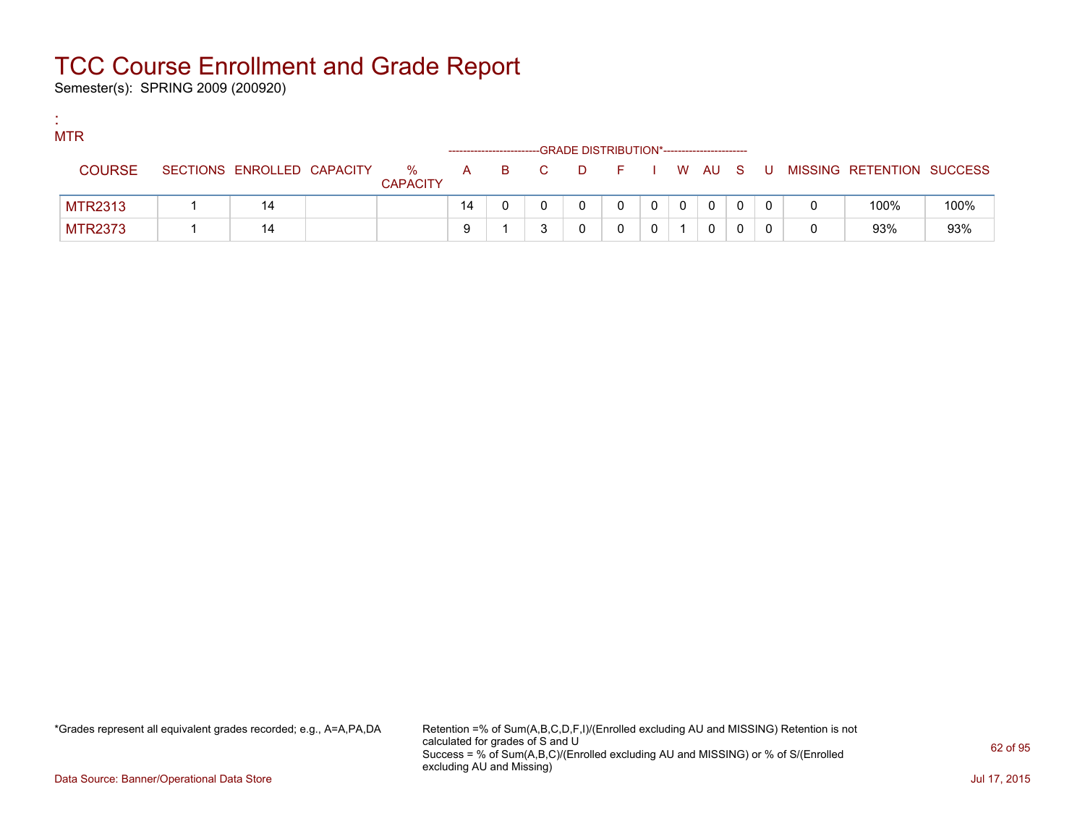Semester(s): SPRING 2009 (200920)

:

| <b>MTR</b>     |                            |                      |    |       | -GRADE DISTRIBUTION*---------------------- |   |              |              |    |                           |      |
|----------------|----------------------------|----------------------|----|-------|--------------------------------------------|---|--------------|--------------|----|---------------------------|------|
| <b>COURSE</b>  | SECTIONS ENROLLED CAPACITY | %<br><b>CAPACITY</b> |    | A B C | DFIWAUS                                    |   |              |              | U. | MISSING RETENTION SUCCESS |      |
| <b>MTR2313</b> | 14                         |                      | 14 |       |                                            | 0 | $\mathbf{0}$ | $\mathbf{0}$ |    | 100%                      | 100% |
| <b>MTR2373</b> |                            |                      | 9  |       |                                            |   |              | 0            |    | 93%                       | 93%  |

\*Grades represent all equivalent grades recorded; e.g., A=A,PA,DA Retention =% of Sum(A,B,C,D,F,I)/(Enrolled excluding AU and MISSING) Retention is not calculated for grades of S and U Success = % of Sum(A,B,C)/(Enrolled excluding AU and MISSING) or % of S/(Enrolled excluding AU and Missing)

Data Source: Banner/Operational Data Store Jul 17, 2015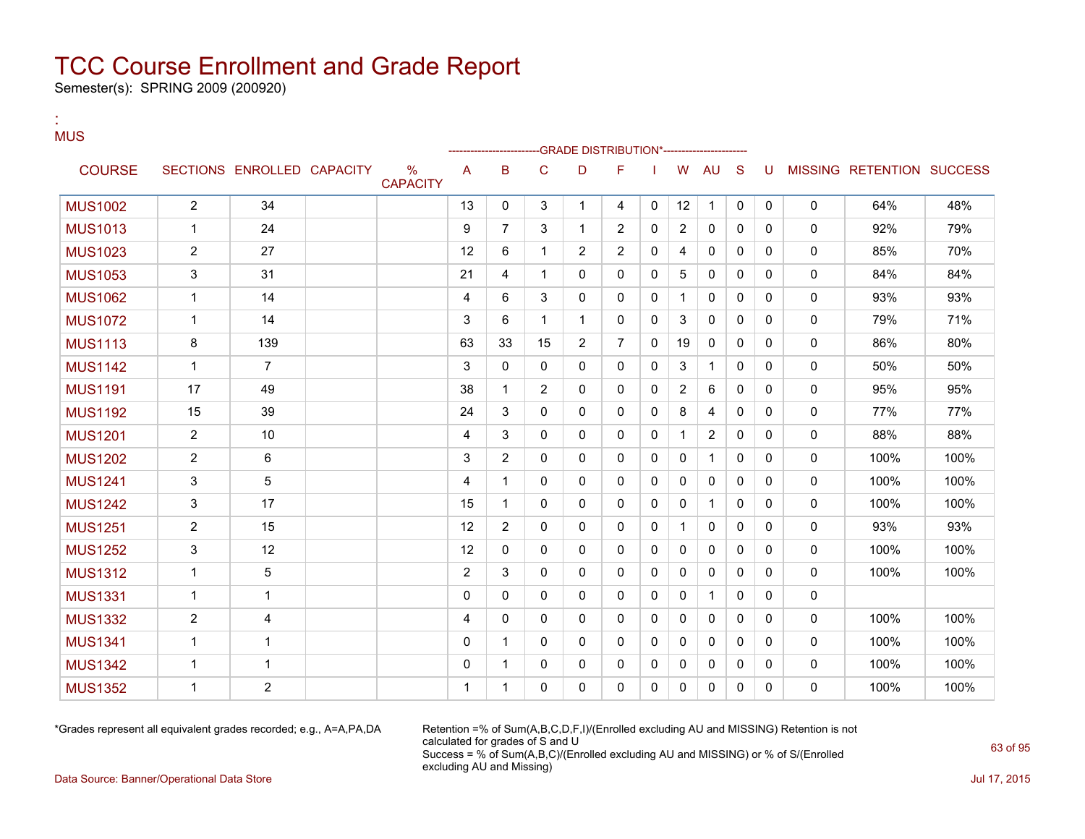Semester(s): SPRING 2009 (200920)

:

#### **MUS** --GRADE DISTRIBUTION\*------------------------COURSE SECTIONS ENROLLED CAPACITY % **CAPACITY** A B C D F I W AU S U MISSING RETENTION SUCCESS MUS1002 | 2 | 34 | | 13 | 0 | 3 | 1 | 4 | 0 | 12 | 1 | 0 | 0 | 0 | 64% | 48% MUS1013 | 1 | 24 | | 9 | 7 | 3 | 1 | 2 | 0 | 2 | 0 | 0 | 0 | 0 | 92% | 79% MUS1023 2 27 27 12 6 1 2 2 0 4 0 0 0 0 85% 70% MUS1053 | 3 | 31 | | 21 | 4 | 1 | 0 | 0 | 5 | 0 | 0 | 0 | 0 | 84% | 84% MUS1062 | 1 | 14 | | 1 | 4 | 6 | 3 | 0 | 0 | 0 | 1 | 0 | 0 | 0 | 0 | 93% | 93% MUS1072 | 1 | 14 | | 3 |6 | 1 | 1 | 0 | 0 | 3 | 0 | 0 | 0 | 0 | 79% | 71% MUS1113 | 8 | 139 | | 63 | 33 | 15 | 2 | 7 | 0 | 19 | 0 | 0 | 0 | 0 | 86% | 80% MUS1142 1 7 3 0 0 0 0 0 3 1 0 0 0 50% 50% MUS1191 | 17 | 49 | | 38 | 1 | 2 | 0 | 0 | 2 | 6 | 0 | 0 | 0 | 95% | 95% MUS1192 | 15 | 39 | | 24 | 3 | 0 | 0 | 0 | 8 | 4 | 0 | 0 | 0 | 77% | 77% MUS1201 | 2 | 10 | | 4 | 3 | 0 | 0 | 0 | 1 | 2 | 0 | 0 | 0 | 88% | 88% | 88% MUS1202 | 2 | 6 | | | | | 3 | 2 | 0 | 0 | 0 | 0 | 0 | 0 | 0 | 0 | 100% | 100% MUS1241 | 3 | 5 | | | 4 | 1 | 0 | 0 | 0 | 0 | 0 | 0 | 0 | 0 | 100% | 100% MUS1242 | 3 | 17 | | | 15 | 1 | 0 | 0 | 0 | 0 | 1 | 0 | 0 | 0 | 100% | 100% MUS1251 | 2 | 15 | | 12 | 2 | 0 | 0 | 0 | 1 | 0 | 0 | 0 | 0 | 93% | 93% MUS1252 3 12 12 0 0 0 0 0 0 0 0 0 0 100% 100% MUS1312 | 1 | 5 | | | 2 |3 | 0 | 0 | 0 | 0 | 0 | 0 | 0 | 0 | 100% | 100% MUS1331 1 1 0 0 0 0 0 0 0 1 0 0 0 MUS1332 2 4 4 0 0 0 0 0 0 0 0 0 0 100% 100% MUS1341 1 1 0 1 0 0 0 0 0 0 0 0 0 100% 100% MUS1342 1 1 0 1 0 0 0 0 0 0 0 0 0 100% 100% MUS1352 1 2 1 1 0 0 0 0 0 0 0 0 0 100% 100%

\*Grades represent all equivalent grades recorded; e.g., A=A,PA,DA Retention =% of Sum(A,B,C,D,F,I)/(Enrolled excluding AU and MISSING) Retention is not calculated for grades of S and U Success = % of Sum(A,B,C)/(Enrolled excluding AU and MISSING) or % of S/(Enrolled excluding AU and Missing)

Data Source: Banner/Operational Data Store Jul 17, 2015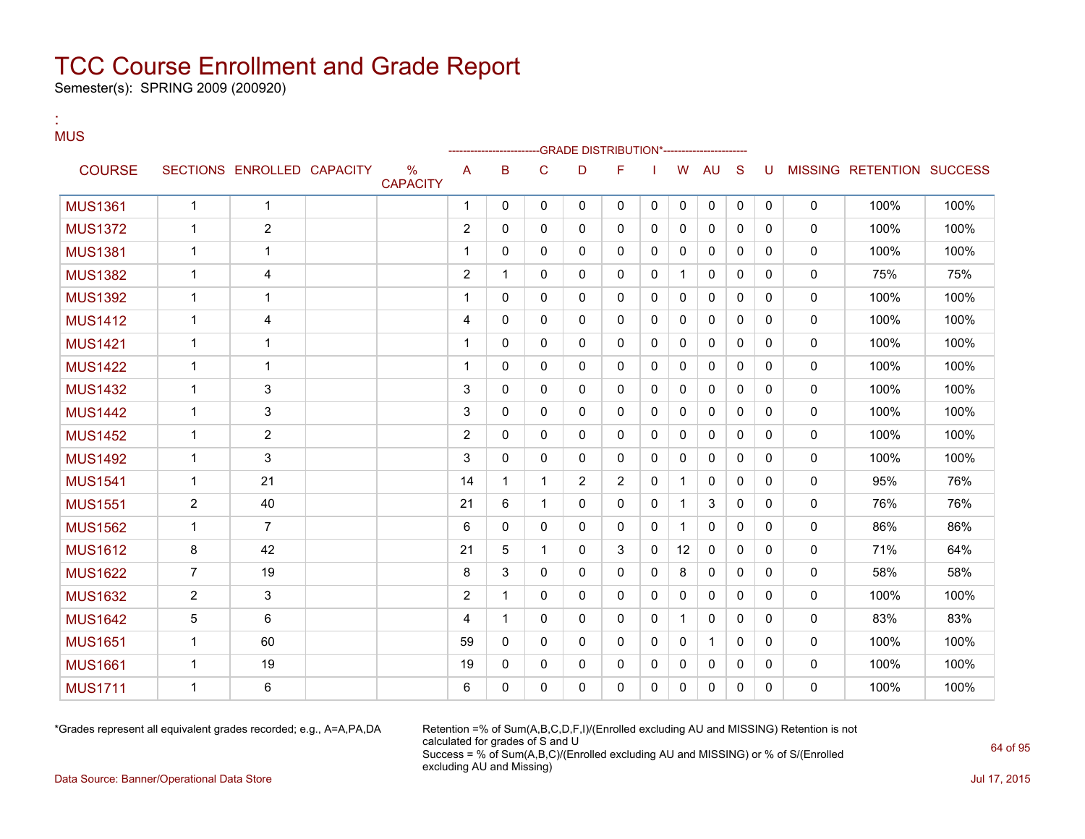Semester(s): SPRING 2009 (200920)

:

#### **MUS** --GRADE DISTRIBUTION\*------------------------COURSE SECTIONS ENROLLED CAPACITY % **CAPACITY** A B C D F I W AU S U MISSING RETENTION SUCCESS MUS1361 1 1 1 0 0 0 0 0 0 0 0 0 0 100% 100% MUS1372 1 2 2 0 0 0 0 0 0 0 0 0 0 100% 100% MUS1381 1 1 1 0 0 0 0 0 0 0 0 0 0 100% 100% MUS1382 1 4 2 1 0 0 0 0 1 0 0 0 0 75% 75% MUS1392 1 1 1 0 0 0 0 0 0 0 0 0 0 100% 100% MUS1412 1 4 4 0 0 0 0 0 0 0 0 0 0 100% 100% MUS1421 1 1 1 0 0 0 0 0 0 0 0 0 0 100% 100% MUS1422 1 1 1 0 0 0 0 0 0 0 0 0 0 100% 100% MUS1432 1 3 3 0 0 0 0 0 0 0 0 0 0 100% 100% MUS1442 1 3 3 0 0 0 0 0 0 0 0 0 0 100% 100% MUS1452 1 2 2 0 0 0 0 0 0 0 0 0 0 100% 100% MUS1492 1 3 3 0 0 0 0 0 0 0 0 0 0 100% 100% MUS1541 | 1 | 21 | | 14 | 1 | 1 | 2 | 2 | 0 | 1 | 0 | 0 | 0 | 0 | 95% | 76% MUS1551 2 40 21 6 1 0 0 0 1 3 0 0 0 76% 76% MUS1562 | 1 | 7 | | | | | | 6 | 0 | 0 | 0 | 0 | 1 | 0 | 0 | 0 | 0 | 86% | 86% | 86% MUS1612 | 8 | 42 | | 21 | 5 | 1 | 0 | 3 | 0 | 12 | 0 | 0 | 0 | 0 | 71% | 64% MUS1622 | 7 | 19 | | 8 | 3 | 0 | 0 | 0 | 8 | 0 | 0 | 0 | 0 | 58% | 58% | MUS1632 2 3 2 1 0 0 0 0 0 0 0 0 0 100% 100% MUS1642 5 6 4 1 0 0 0 0 1 0 0 0 0 83% 83% MUS1651 | 1 | 60 | | | 59 | 0 | 0 | 0 | 0 | 0 | 1 | 0 | 0 | 0 | 100% | 100% MUS1661 1 19 19 0 0 0 0 0 0 0 0 0 0 100% 100% MUS1711 1 6 6 0 0 0 0 0 0 0 0 0 0 100% 100%

\*Grades represent all equivalent grades recorded; e.g., A=A,PA,DA Retention =% of Sum(A,B,C,D,F,I)/(Enrolled excluding AU and MISSING) Retention is not calculated for grades of S and U Success = % of Sum(A,B,C)/(Enrolled excluding AU and MISSING) or % of S/(Enrolled excluding AU and Missing)

Data Source: Banner/Operational Data Store Jul 17, 2015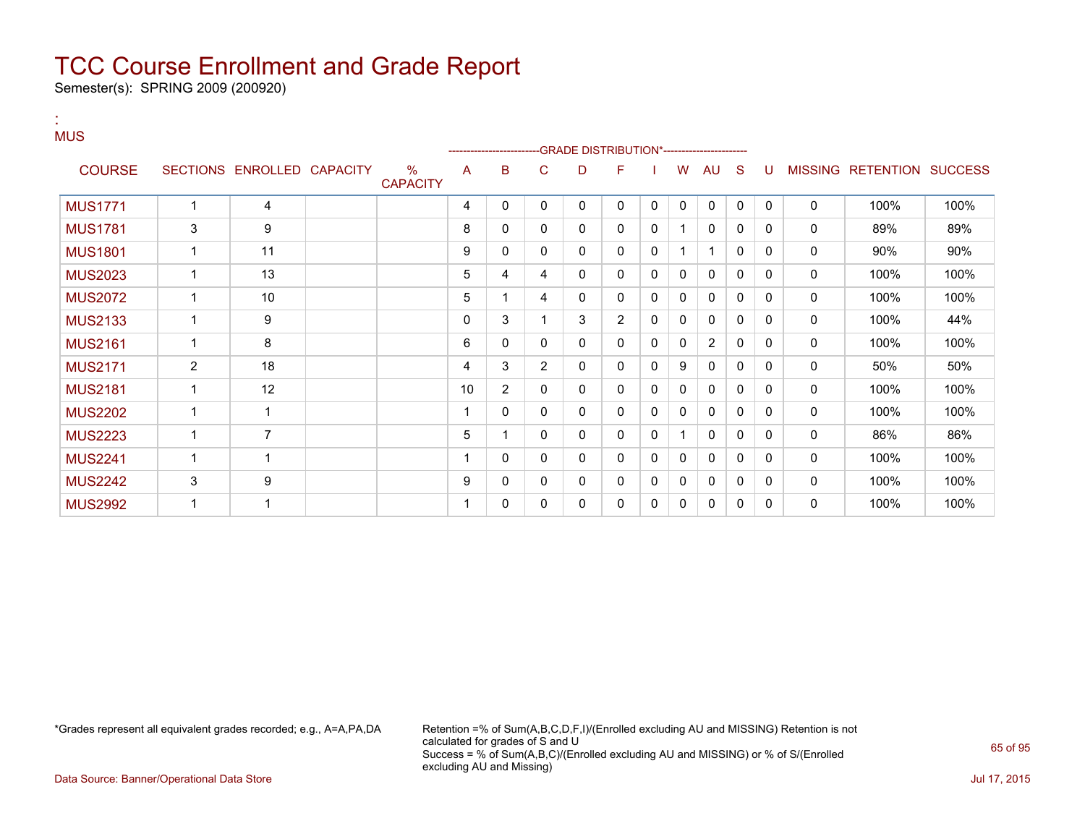Semester(s): SPRING 2009 (200920)

#### : **MUS**

|                |              |                            |  |                                  |    |                | ------------------------GRADE                DISTRIBUTION*---------------------- |   |                |              |              |              |              |          |                |                          |      |
|----------------|--------------|----------------------------|--|----------------------------------|----|----------------|----------------------------------------------------------------------------------|---|----------------|--------------|--------------|--------------|--------------|----------|----------------|--------------------------|------|
| <b>COURSE</b>  |              | SECTIONS ENROLLED CAPACITY |  | $\frac{0}{0}$<br><b>CAPACITY</b> | A  | B              | C                                                                                | D | F              |              | W            | AU           | <sub>S</sub> | U        | <b>MISSING</b> | <b>RETENTION SUCCESS</b> |      |
| <b>MUS1771</b> |              | 4                          |  |                                  | 4  | 0              | 0                                                                                | 0 | 0              | $\mathbf{0}$ | $\mathbf{0}$ | $\mathbf{0}$ | $\mathbf{0}$ | $\Omega$ | $\mathbf 0$    | 100%                     | 100% |
| <b>MUS1781</b> | 3            | 9                          |  |                                  | 8  | 0              | 0                                                                                | 0 | 0              | $\mathbf{0}$ |              | $\mathbf{0}$ | $\mathbf 0$  | $\Omega$ | $\mathbf 0$    | 89%                      | 89%  |
| <b>MUS1801</b> |              | 11                         |  |                                  | 9  | 0              | 0                                                                                | 0 | 0              | $\mathbf{0}$ |              | $\mathbf 1$  | $\mathbf{0}$ | $\Omega$ | 0              | 90%                      | 90%  |
| <b>MUS2023</b> |              | 13                         |  |                                  | 5  | 4              | 4                                                                                | 0 | 0              | 0            | 0            | 0            | 0            | $\Omega$ | $\mathbf 0$    | 100%                     | 100% |
| <b>MUS2072</b> |              | 10                         |  |                                  | 5  |                | 4                                                                                | 0 | 0              | 0            | 0            | $\mathbf{0}$ | 0            | $\Omega$ | $\mathbf 0$    | 100%                     | 100% |
| <b>MUS2133</b> |              | 9                          |  |                                  | 0  | 3              |                                                                                  | 3 | $\overline{2}$ | 0            | 0            | $\mathbf 0$  | 0            | $\Omega$ | 0              | 100%                     | 44%  |
| <b>MUS2161</b> | $\mathbf{1}$ | 8                          |  |                                  | 6  | 0              | 0                                                                                | 0 | 0              | $\mathbf{0}$ | $\Omega$     | 2            | $\Omega$     | $\Omega$ | $\mathbf 0$    | 100%                     | 100% |
| <b>MUS2171</b> | 2            | 18                         |  |                                  | 4  | 3              | $\overline{2}$                                                                   | 0 | 0              | $\mathbf{0}$ | 9            | 0            | 0            | $\Omega$ | $\mathbf 0$    | 50%                      | 50%  |
| <b>MUS2181</b> |              | 12                         |  |                                  | 10 | $\overline{2}$ | 0                                                                                | 0 | 0              | $\mathbf{0}$ | 0            | $\mathbf{0}$ | $\mathbf 0$  | $\Omega$ | $\mathbf 0$    | 100%                     | 100% |
| <b>MUS2202</b> | 1            | 1                          |  |                                  |    | $\Omega$       | 0                                                                                | 0 | 0              | $\mathbf{0}$ | 0            | $\mathbf{0}$ | $\mathbf{0}$ | $\Omega$ | 0              | 100%                     | 100% |
| <b>MUS2223</b> |              | 7                          |  |                                  | 5  |                | 0                                                                                | 0 | 0              | 0            |              | $\mathbf{0}$ | 0            | $\Omega$ | 0              | 86%                      | 86%  |
| <b>MUS2241</b> |              | -4                         |  |                                  |    | 0              | 0                                                                                | 0 | 0              | 0            | 0            | $\mathbf{0}$ | 0            | $\Omega$ | $\mathbf 0$    | 100%                     | 100% |
| <b>MUS2242</b> | 3            | 9                          |  |                                  | 9  | 0              | 0                                                                                | 0 | 0              | 0            | $\mathbf{0}$ | 0            | 0            | 0        | 0              | 100%                     | 100% |
| <b>MUS2992</b> |              |                            |  |                                  |    | 0              | 0                                                                                | 0 | 0              | 0            | 0            | 0            | 0            | 0        | 0              | 100%                     | 100% |

\*Grades represent all equivalent grades recorded; e.g., A=A,PA,DA Retention =% of Sum(A,B,C,D,F,I)/(Enrolled excluding AU and MISSING) Retention is not calculated for grades of S and U Success = % of Sum(A,B,C)/(Enrolled excluding AU and MISSING) or % of S/(Enrolled excluding AU and Missing)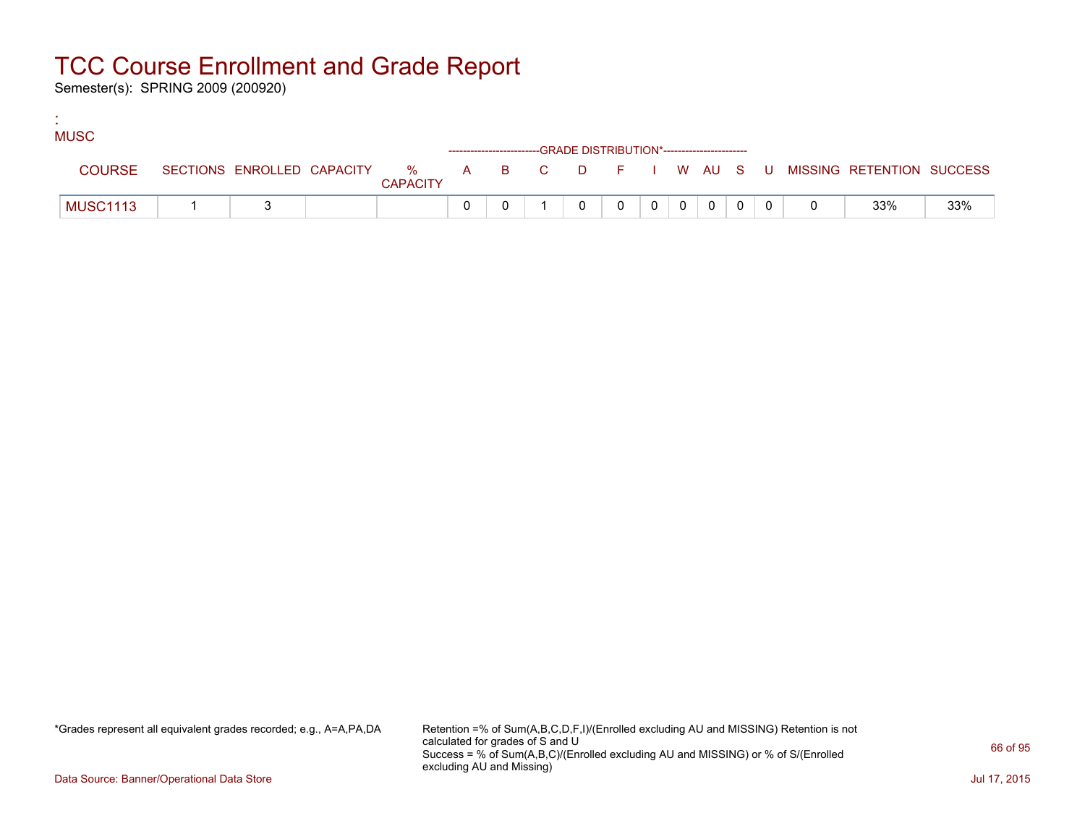Semester(s): SPRING 2009 (200920)

:

| <b>MUSC</b>     |  |                 |                                                                    |  |                |       |  |  |                                                                             |     |
|-----------------|--|-----------------|--------------------------------------------------------------------|--|----------------|-------|--|--|-----------------------------------------------------------------------------|-----|
|                 |  |                 | ------------------------GRADE DISTRIBUTION*----------------------- |  |                |       |  |  |                                                                             |     |
| <b>COURSE</b>   |  | <b>CAPACITY</b> |                                                                    |  |                |       |  |  | SECTIONS ENROLLED CAPACITY % A B C D F I W AU S U MISSING RETENTION SUCCESS |     |
| <b>MUSC1113</b> |  |                 |                                                                    |  | $\overline{0}$ | $0$ 0 |  |  | 33%                                                                         | 33% |

\*Grades represent all equivalent grades recorded; e.g., A=A,PA,DA Retention =% of Sum(A,B,C,D,F,I)/(Enrolled excluding AU and MISSING) Retention is not calculated for grades of S and U Success = % of Sum(A,B,C)/(Enrolled excluding AU and MISSING) or % of S/(Enrolled excluding AU and Missing)

Data Source: Banner/Operational Data Store Jul 17, 2015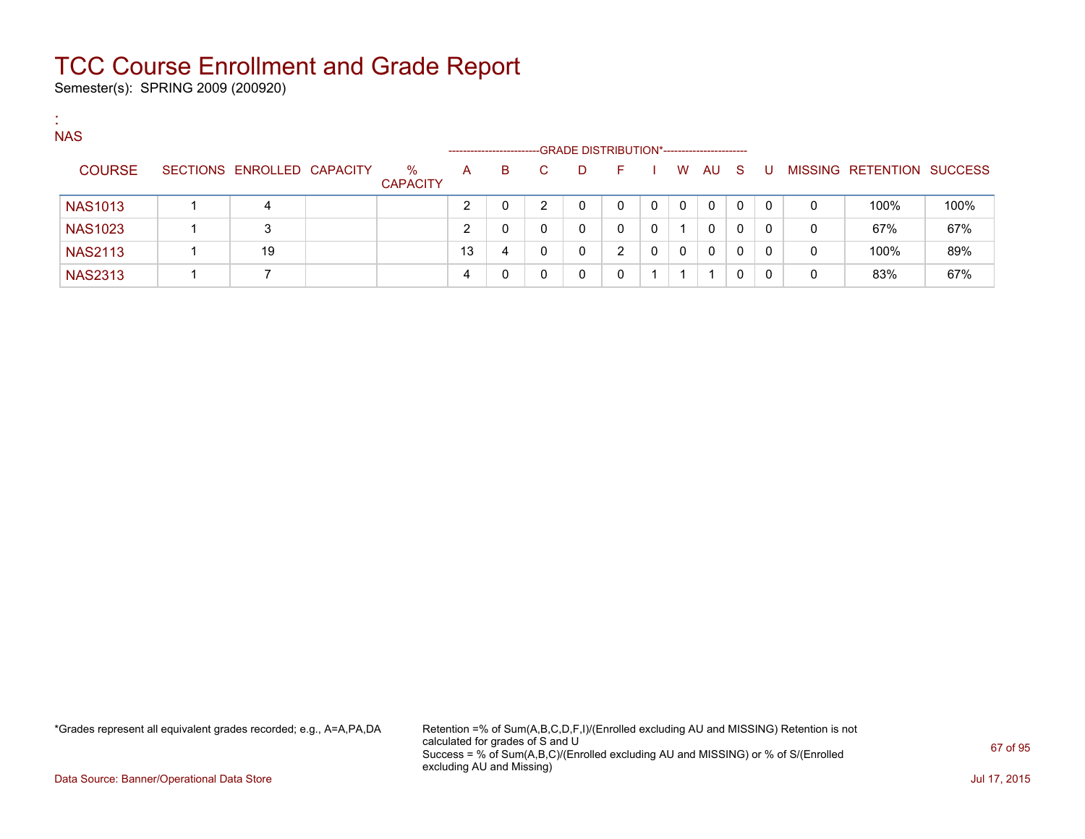Semester(s): SPRING 2009 (200920)

:

| <b>NAS</b>     |                            |                         |    | ---------------------- |    | -GRADE DISTRIBUTION*----------------------- |   |          |   |              |          |          |   |                   |                |
|----------------|----------------------------|-------------------------|----|------------------------|----|---------------------------------------------|---|----------|---|--------------|----------|----------|---|-------------------|----------------|
| <b>COURSE</b>  | SECTIONS ENROLLED CAPACITY | $\%$<br><b>CAPACITY</b> | A  | B.                     | C. | D                                           | н |          | W | AU           | - S      | - U      |   | MISSING RETENTION | <b>SUCCESS</b> |
| <b>NAS1013</b> | 4                          |                         |    |                        | ົ  | 0                                           |   | $\Omega$ | 0 | $\Omega$     | $\Omega$ | $\Omega$ | 0 | 100%              | 100%           |
| <b>NAS1023</b> | 3                          |                         |    |                        |    | 0                                           |   | 0        |   | $\mathbf{0}$ | 0        | 0        | 0 | 67%               | 67%            |
| <b>NAS2113</b> | 19                         |                         | 13 | 4                      | ∩  | 0                                           | ົ | 0        | 0 | $\Omega$     | $\Omega$ | 0        | 0 | 100%              | 89%            |
| <b>NAS2313</b> |                            |                         | 4  |                        |    | 0                                           |   |          |   |              |          | 0        | 0 | 83%               | 67%            |

\*Grades represent all equivalent grades recorded; e.g., A=A,PA,DA Retention =% of Sum(A,B,C,D,F,I)/(Enrolled excluding AU and MISSING) Retention is not calculated for grades of S and U Success = % of Sum(A,B,C)/(Enrolled excluding AU and MISSING) or % of S/(Enrolled excluding AU and Missing)

Data Source: Banner/Operational Data Store Jul 17, 2015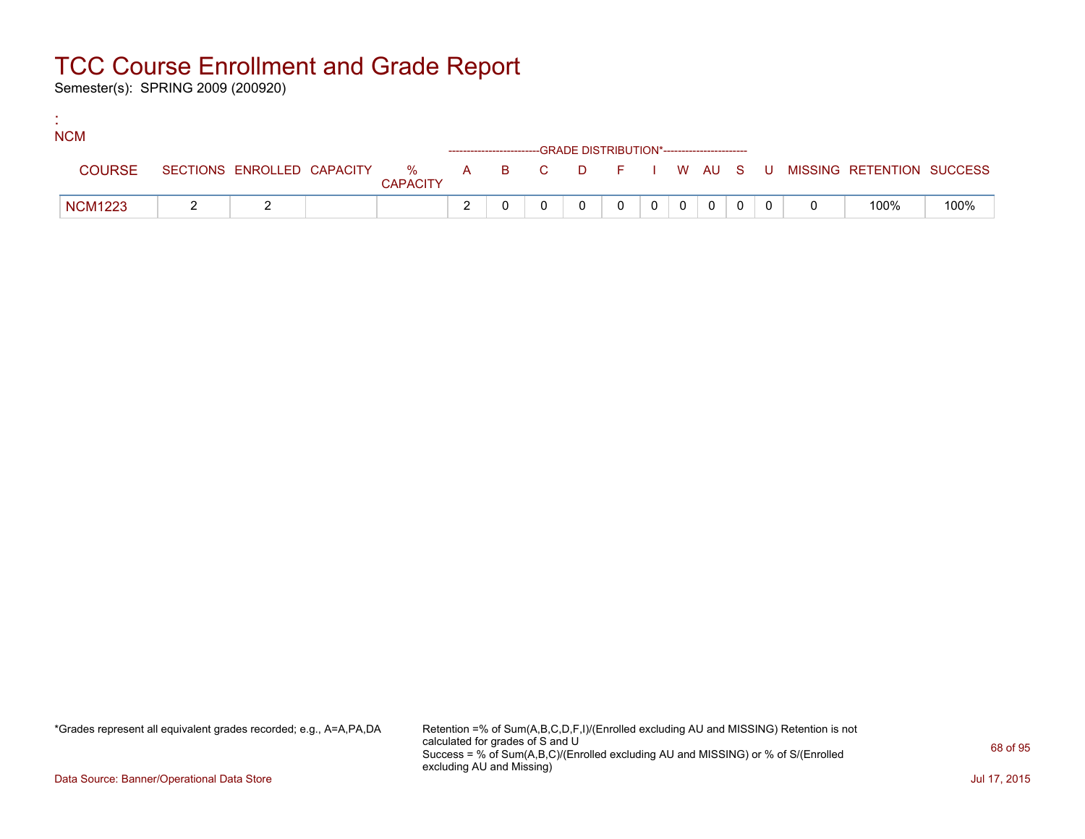Semester(s): SPRING 2009 (200920)

:

| <b>NCM</b>     |  |                 |                                                                    |  |          |         |                |  |                                                                               |      |
|----------------|--|-----------------|--------------------------------------------------------------------|--|----------|---------|----------------|--|-------------------------------------------------------------------------------|------|
|                |  |                 | ------------------------GRADE DISTRIBUTION*----------------------- |  |          |         |                |  |                                                                               |      |
| <b>COURSE</b>  |  | <b>CAPACITY</b> |                                                                    |  |          |         |                |  | SECTIONS ENROLLED CAPACITY 5 % A B C D F I W AU S U MISSING RETENTION SUCCESS |      |
| <b>NCM1223</b> |  |                 |                                                                    |  | $\Omega$ | $0$   0 | $\overline{0}$ |  | 100%                                                                          | 100% |

\*Grades represent all equivalent grades recorded; e.g., A=A,PA,DA Retention =% of Sum(A,B,C,D,F,I)/(Enrolled excluding AU and MISSING) Retention is not calculated for grades of S and U Success = % of Sum(A,B,C)/(Enrolled excluding AU and MISSING) or % of S/(Enrolled excluding AU and Missing)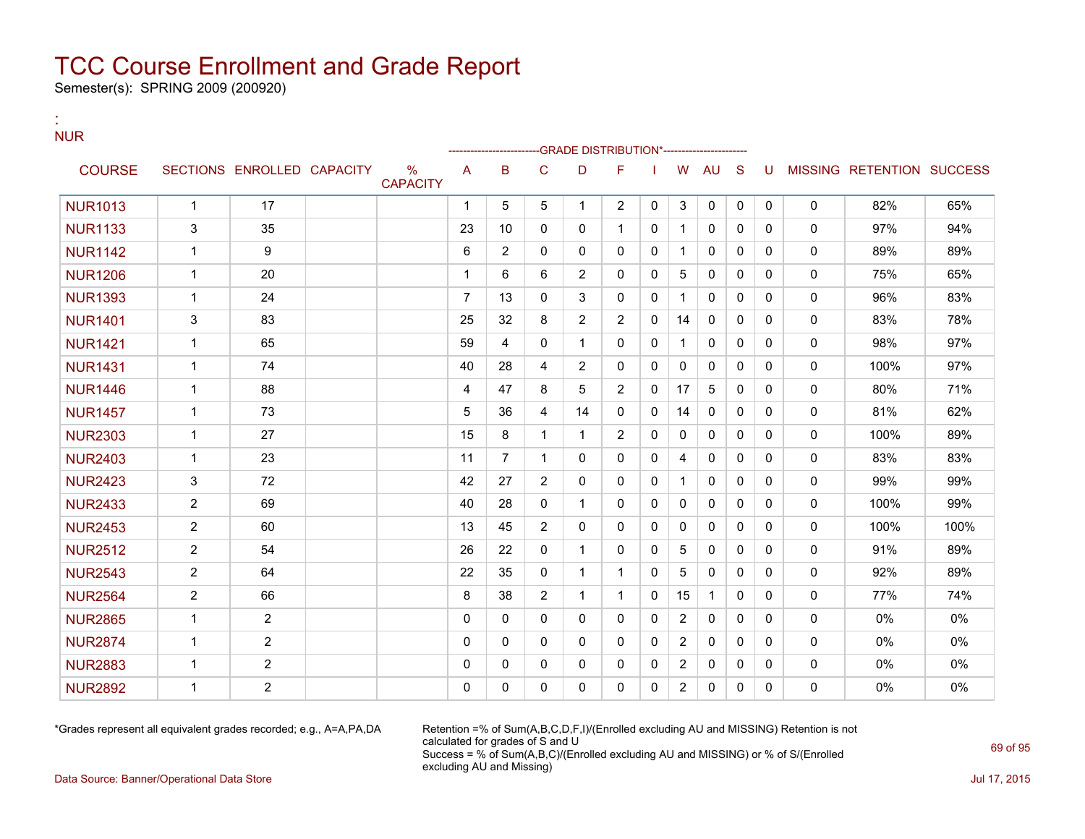Semester(s): SPRING 2009 (200920)

:

#### NUR --GRADE DISTRIBUTION\*------------------------COURSE SECTIONS ENROLLED CAPACITY % **CAPACITY** A B C D F I W AU S U MISSING RETENTION SUCCESS NUR1013 | 1 | 17 | | | | | | | | | 5 | 5 | 1 | 2 | 0 | 3 | 0 | 0 | 0 | 0 | 82% | 65% NUR1133 3 35 23 10 0 0 1 0 1 0 0 0 0 97% 94% NUR1142 1 9 6 2 0 0 0 0 1 0 0 0 0 89% 89% NUR1206 | 1 | 20 | | | | | | | | 6 | 6 | 2 | 0 | 0 | 5 | 0 | 0 | 0 | 0 | 1 | 75% | 65% NUR1393 | 1 | 24 | | 7 | 13 | 0 | 3 | 0 | 0 | 1 | 0 | 0 | 0 | 0 | 96% | 83% NUR1401 | 3 | 83 | | 25 | 32 | 8 | 2 | 0 | 14 | 0 | 0 | 0 | 0 | 83% | 78% NUR1421 | 1 | 65 | | 59 | 4 | 0 | 1 | 0 | 0 | 1 | 0 | 0 | 0 | 98% | 97% NUR1431 | 1 | 74 | | 40 | 28 | 4 | 2 | 0 | 0 | 0 | 0 | 0 | 0 | 0 | 100% | 97% NUR1446 | 1 | 88 | | 4 | 47 | 8 | 5 | 2 | 0 | 17 | 5 | 0 | 0 | 0 | 80% | 71% NUR1457 | 1 | 73 | | 5 | 36 | 4 | 14 | 0 | 0 | 14 | 0 | 0 | 0 | 0 | 81% | 62% NUR2303 | 1 | 27 | | 15 | 8 | 1 | 1 | 2 | 0 | 0 | 0 | 0 | 0 | 0 | 100% | 89% NUR2403 | 1 | 23 | | 11 | 7 | 1 | 0 | 0 | 4 | 0 | 0 | 0 | 0 | 83% | 83% NUR2423 3 72 72 42 27 2 0 0 1 0 0 0 0 0 99% 99% NUR2433 2 69 69 40 28 0 1 0 0 0 0 0 0 0 0 100% 99% NUR2453 2 60 1 13 45 2 0 0 0 0 0 0 0 0 100% 100% NUR2512 2 54 26 22 0 1 0 0 5 0 0 0 0 91% 89% NUR2543 2 64 C 22 35 0 1 1 0 5 0 0 0 0 92% 89% NUR2564 | 2 | 66 | | 8 | 38 | 2 | 1 | 1 | 0 | 15 | 1 | 0 | 0 | 0 | 77% | 74% NUR2865 1 2 0 0 0 0 0 0 2 0 0 0 0 0% 0% NUR2874 1 2 0 0 0 0 0 0 2 0 0 0 0 0% 0% NUR2883 1 2 0 0 0 0 0 0 2 0 0 0 0 0% 0% NUR2892 1 2 0 0 0 0 0 0 2 0 0 0 0 0% 0%

\*Grades represent all equivalent grades recorded; e.g., A=A,PA,DA Retention =% of Sum(A,B,C,D,F,I)/(Enrolled excluding AU and MISSING) Retention is not calculated for grades of S and U Success = % of Sum(A,B,C)/(Enrolled excluding AU and MISSING) or % of S/(Enrolled excluding AU and Missing)

Data Source: Banner/Operational Data Store Jul 17, 2015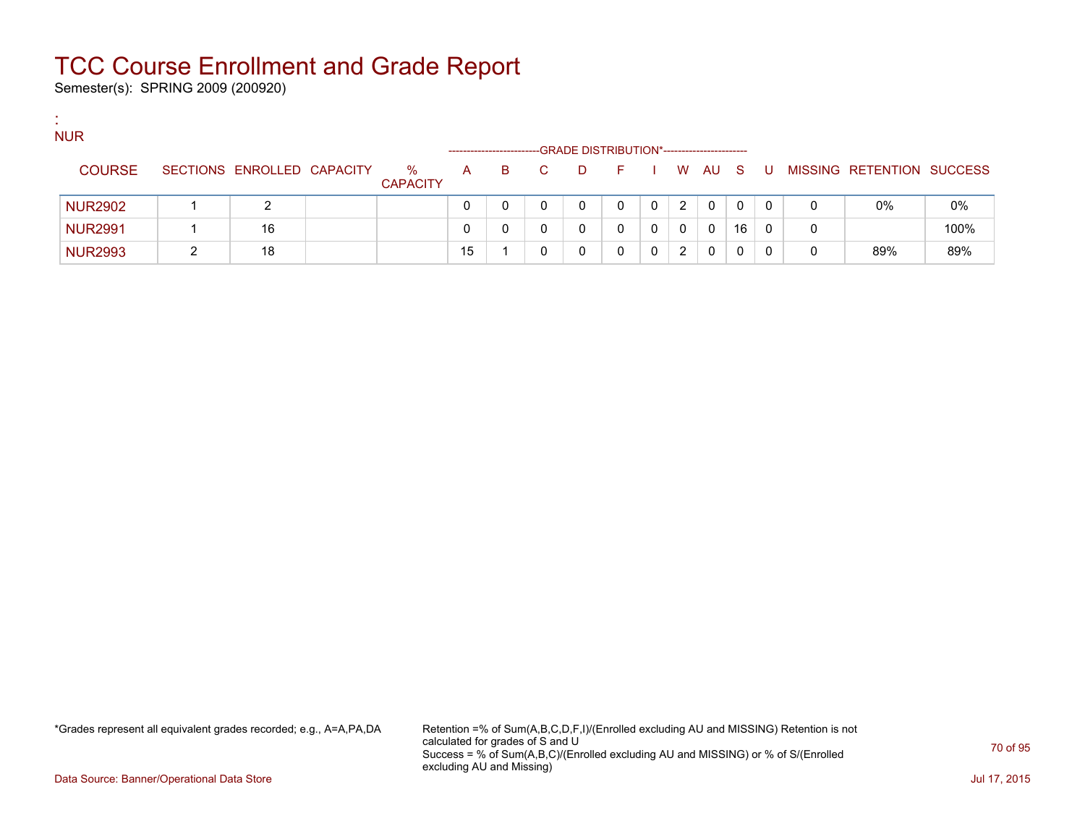Semester(s): SPRING 2009 (200920)

:

| <b>NUR</b>     |                            |                      | ---------------------- |    |    |   | -GRADE DISTRIBUTION*----------------------- |   |   |        |    |     |   |                           |      |
|----------------|----------------------------|----------------------|------------------------|----|----|---|---------------------------------------------|---|---|--------|----|-----|---|---------------------------|------|
| <b>COURSE</b>  | SECTIONS ENROLLED CAPACITY | %<br><b>CAPACITY</b> | A                      | B. | C. | D | E.                                          |   |   | I WAUS |    | - U |   | MISSING RETENTION SUCCESS |      |
| <b>NUR2902</b> | າ                          |                      |                        |    |    |   | 0                                           | 0 | 2 | 0      | 0  | 0   |   | $0\%$                     | 0%   |
| <b>NUR2991</b> | 16                         |                      |                        |    |    |   |                                             |   | 0 | 0      | 16 | 0   | 0 |                           | 100% |
| <b>NUR2993</b> | 18                         |                      | 15                     |    |    |   |                                             |   | 2 | 0      |    | 0   | 0 | 89%                       | 89%  |

\*Grades represent all equivalent grades recorded; e.g., A=A,PA,DA Retention =% of Sum(A,B,C,D,F,I)/(Enrolled excluding AU and MISSING) Retention is not calculated for grades of S and U Success = % of Sum(A,B,C)/(Enrolled excluding AU and MISSING) or % of S/(Enrolled excluding AU and Missing)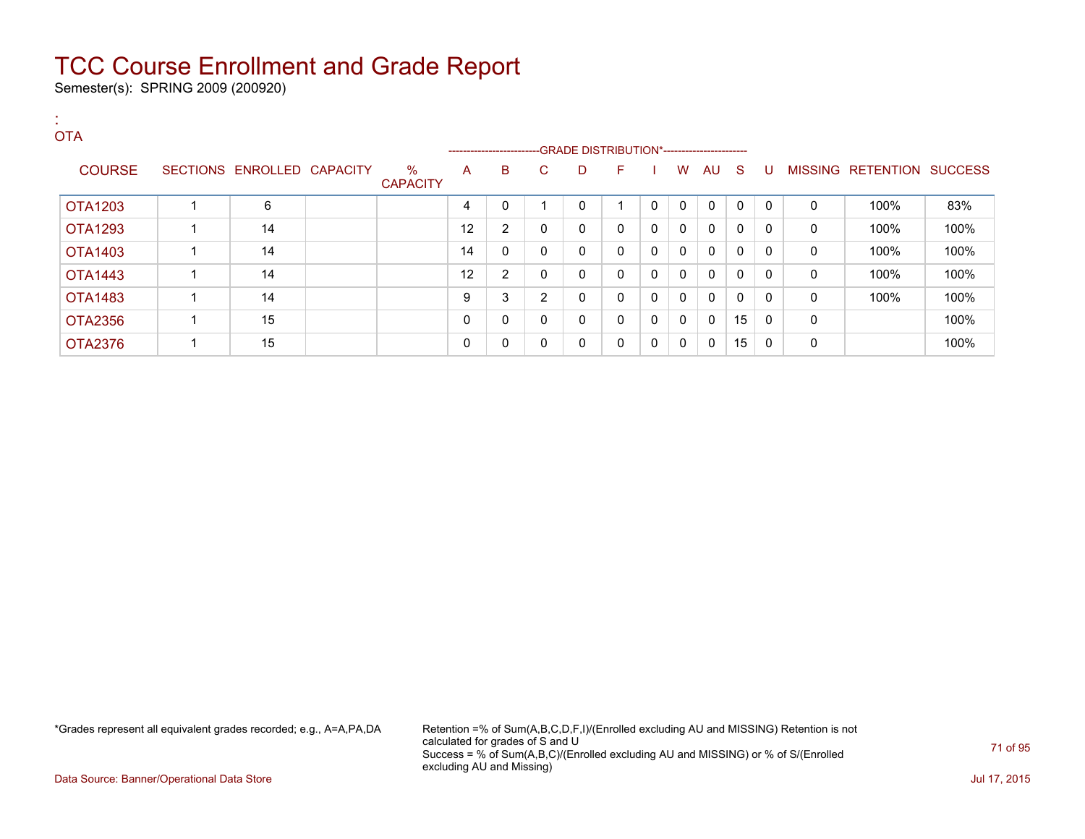Semester(s): SPRING 2009 (200920)

:

#### **OTA** ---GRADE DISTRIBUTION\*------------------------COURSE SECTIONS ENROLLED CAPACITY % **CAPACITY** A B C D F I W AU S U MISSING RETENTION SUCCESS OTA1203 | 1 | 6 | | 4 | 0 | 1 | 0 | 0 | 0 | 0 | 0 | 0 | 0 | 100% | 83% OTA1293 1 14 12 2 0 0 0 0 0 0 0 0 0 100% 100% OTA1403 1 14 14 0 0 0 0 0 0 0 0 0 0 100% 100% OTA1443 1 14 12 2 0 0 0 0 0 0 0 0 0 100% 100% OTA1483 | 1 | 14 | | | 9 |3 |2 |0 |0 |0 |0 |0 |0 | 100% | 100% OTA2356 | 1 | 15 | | | 0 | 0 | 0 | 0 | 0 | 0 | 0 | 15 | 0 | 0 | 0 | 15 | 0 | 0 | 100% OTA2376 | 1 | 15 | | | 0 | 0 | 0 | 0 | 0 | 0 | 0 | 15 | 0 | 0 | 13 | 0 | 0 | 100%

\*Grades represent all equivalent grades recorded; e.g., A=A,PA,DA Retention =% of Sum(A,B,C,D,F,I)/(Enrolled excluding AU and MISSING) Retention is not calculated for grades of S and U Success = % of Sum(A,B,C)/(Enrolled excluding AU and MISSING) or % of S/(Enrolled excluding AU and Missing)

Data Source: Banner/Operational Data Store Jul 17, 2015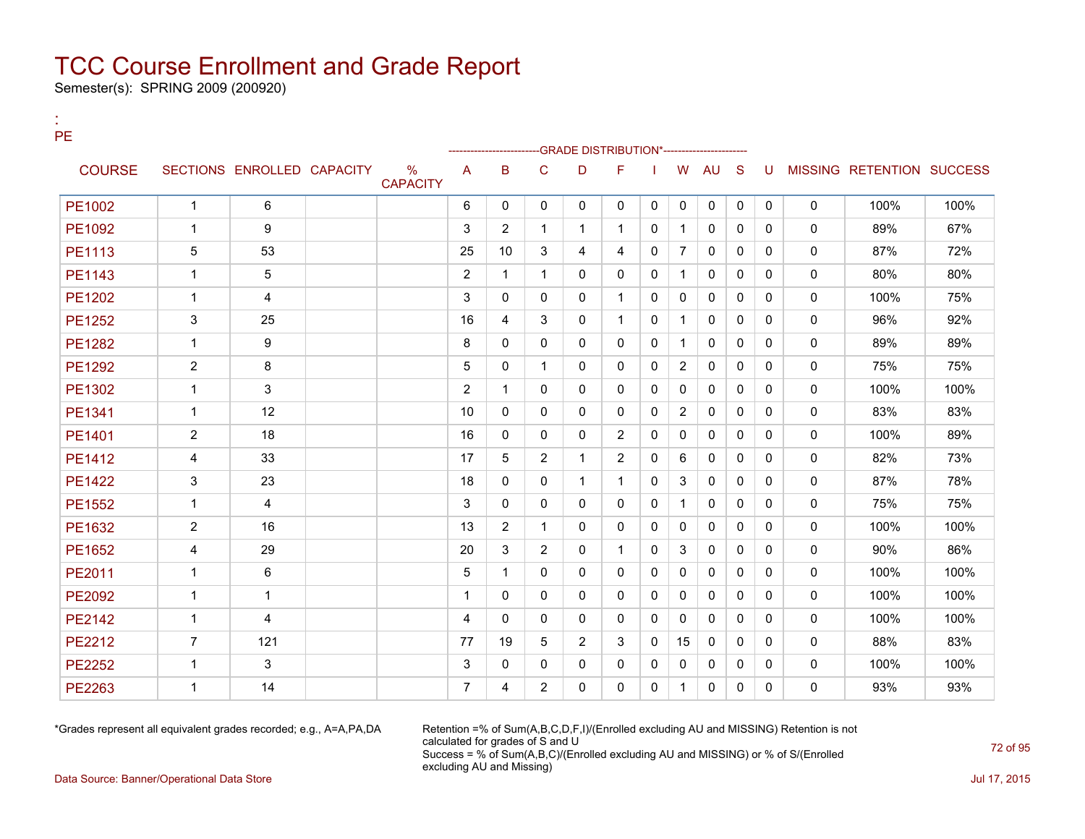Semester(s): SPRING 2009 (200920)

:

| PЕ            |                |                            |  |                                  | -GRADE DISTRIBUTION*-------------- |                |                |                |                |              |                |              |              |          |              |                                  |      |
|---------------|----------------|----------------------------|--|----------------------------------|------------------------------------|----------------|----------------|----------------|----------------|--------------|----------------|--------------|--------------|----------|--------------|----------------------------------|------|
| <b>COURSE</b> |                | SECTIONS ENROLLED CAPACITY |  | $\frac{0}{0}$<br><b>CAPACITY</b> | $\overline{A}$                     | B              | $\mathsf{C}$   | D              | F              |              | W              | AU           | S            | U        |              | <b>MISSING RETENTION SUCCESS</b> |      |
| PE1002        | $\mathbf{1}$   | 6                          |  |                                  | 6                                  | $\Omega$       | $\Omega$       | $\Omega$       | $\Omega$       | $\mathbf{0}$ | $\mathbf 0$    | $\mathbf{0}$ | $\mathbf{0}$ | $\Omega$ | $\mathbf 0$  | 100%                             | 100% |
| PE1092        | $\mathbf{1}$   | 9                          |  |                                  | 3                                  | $\overline{2}$ | $\mathbf{1}$   | $\mathbf{1}$   | $\mathbf 1$    | $\mathbf{0}$ | $\mathbf{1}$   | $\mathbf{0}$ | 0            | 0        | $\Omega$     | 89%                              | 67%  |
| PE1113        | 5              | 53                         |  |                                  | 25                                 | 10             | 3              | 4              | 4              | $\mathbf{0}$ | $\overline{7}$ | $\mathbf{0}$ | 0            | 0        | 0            | 87%                              | 72%  |
| PE1143        | $\mathbf{1}$   | 5                          |  |                                  | 2                                  | 1              | $\mathbf{1}$   | 0              | 0              | $\mathbf{0}$ | $\mathbf{1}$   | $\Omega$     | $\Omega$     | 0        | $\mathbf{0}$ | 80%                              | 80%  |
| PE1202        | $\mathbf{1}$   | 4                          |  |                                  | 3                                  | $\Omega$       | $\Omega$       | $\Omega$       | $\mathbf{1}$   | $\mathbf{0}$ | $\mathbf{0}$   | $\mathbf{0}$ | $\Omega$     | 0        | $\Omega$     | 100%                             | 75%  |
| <b>PE1252</b> | 3              | 25                         |  |                                  | 16                                 | 4              | 3              | 0              | $\mathbf 1$    | $\mathbf{0}$ | $\mathbf{1}$   | $\mathbf{0}$ | 0            | 0        | 0            | 96%                              | 92%  |
| <b>PE1282</b> | $\mathbf{1}$   | 9                          |  |                                  | 8                                  | 0              | $\Omega$       | $\Omega$       | $\Omega$       | $\Omega$     | $\mathbf{1}$   | $\Omega$     | $\Omega$     | $\Omega$ | $\Omega$     | 89%                              | 89%  |
| PE1292        | $\overline{2}$ | 8                          |  |                                  | 5                                  | $\Omega$       | $\mathbf{1}$   | $\mathbf{0}$   | 0              | $\mathbf{0}$ | 2              | $\mathbf{0}$ | $\Omega$     | 0        | $\Omega$     | 75%                              | 75%  |
| PE1302        | $\mathbf{1}$   | 3                          |  |                                  | 2                                  | 1              | $\Omega$       | 0              | $\Omega$       | $\mathbf{0}$ | $\mathbf{0}$   | $\mathbf{0}$ | $\Omega$     | 0        | 0            | 100%                             | 100% |
| PE1341        | $\mathbf{1}$   | 12                         |  |                                  | 10                                 | 0              | 0              | 0              | 0              | 0            | $\overline{2}$ | $\mathbf{0}$ | 0            | 0        | 0            | 83%                              | 83%  |
| PE1401        | $\overline{2}$ | 18                         |  |                                  | 16                                 | $\Omega$       | $\mathbf{0}$   | $\Omega$       | 2              | $\Omega$     | $\mathbf{0}$   | $\mathbf{0}$ | $\Omega$     | $\Omega$ | $\mathbf{0}$ | 100%                             | 89%  |
| PE1412        | 4              | 33                         |  |                                  | 17                                 | 5              | $\overline{2}$ | $\mathbf{1}$   | $\overline{2}$ | $\mathbf{0}$ | 6              | $\mathbf{0}$ | $\Omega$     | 0        | $\Omega$     | 82%                              | 73%  |
| <b>PE1422</b> | $\mathfrak{S}$ | 23                         |  |                                  | 18                                 | 0              | $\Omega$       | $\mathbf{1}$   | $\mathbf{1}$   | $\mathbf{0}$ | 3              | $\mathbf{0}$ | $\Omega$     | 0        | 0            | 87%                              | 78%  |
| <b>PE1552</b> | $\mathbf{1}$   | 4                          |  |                                  | 3                                  | 0              | 0              | 0              | 0              | $\mathbf{0}$ | $\mathbf{1}$   | $\mathbf{0}$ | 0            | 0        | 0            | 75%                              | 75%  |
| PE1632        | 2              | 16                         |  |                                  | 13                                 | $\overline{2}$ | 1              | $\Omega$       | 0              | $\mathbf{0}$ | $\mathbf{0}$   | $\mathbf{0}$ | $\Omega$     | 0        | $\mathbf{0}$ | 100%                             | 100% |
| PE1652        | 4              | 29                         |  |                                  | 20                                 | 3              | $\overline{2}$ | 0              | $\mathbf 1$    | $\mathbf{0}$ | 3              | $\mathbf{0}$ | $\Omega$     | 0        | 0            | 90%                              | 86%  |
| PE2011        | $\mathbf{1}$   | 6                          |  |                                  | 5                                  | 1              | $\mathbf{0}$   | $\mathbf{0}$   | 0              | $\mathbf{0}$ | $\mathbf{0}$   | $\mathbf{0}$ | 0            | 0        | 0            | 100%                             | 100% |
| <b>PE2092</b> | $\mathbf{1}$   | $\mathbf{1}$               |  |                                  | $\mathbf 1$                        | $\Omega$       | $\mathbf{0}$   | $\mathbf{0}$   | 0              | 0            | $\Omega$       | $\mathbf{0}$ | $\Omega$     | 0        | $\mathbf{0}$ | 100%                             | 100% |
| <b>PE2142</b> | $\mathbf{1}$   | 4                          |  |                                  | $\overline{4}$                     | $\Omega$       | $\Omega$       | $\Omega$       | $\Omega$       | $\Omega$     | $\Omega$       | $\mathbf{0}$ | $\Omega$     | 0        | $\Omega$     | 100%                             | 100% |
| PE2212        | $\overline{7}$ | 121                        |  |                                  | 77                                 | 19             | 5              | $\overline{2}$ | 3              | $\mathbf{0}$ | 15             | $\mathbf{0}$ | 0            | 0        | 0            | 88%                              | 83%  |
| <b>PE2252</b> | $\mathbf{1}$   | 3                          |  |                                  | 3                                  | $\mathbf{0}$   | 0              | $\mathbf{0}$   | 0              | $\mathbf{0}$ | 0              | $\mathbf{0}$ | 0            | 0        | 0            | 100%                             | 100% |
| <b>PE2263</b> | $\mathbf{1}$   | 14                         |  |                                  | 7                                  | 4              | $\overline{2}$ | $\Omega$       | 0              | $\Omega$     | 1              | $\mathbf{0}$ | 0            | 0        | $\mathbf{0}$ | 93%                              | 93%  |

\*Grades represent all equivalent grades recorded; e.g., A=A,PA,DA Retention =% of Sum(A,B,C,D,F,I)/(Enrolled excluding AU and MISSING) Retention is not calculated for grades of S and U Success = % of Sum(A,B,C)/(Enrolled excluding AU and MISSING) or % of S/(Enrolled excluding AU and Missing)

Data Source: Banner/Operational Data Store Jul 17, 2015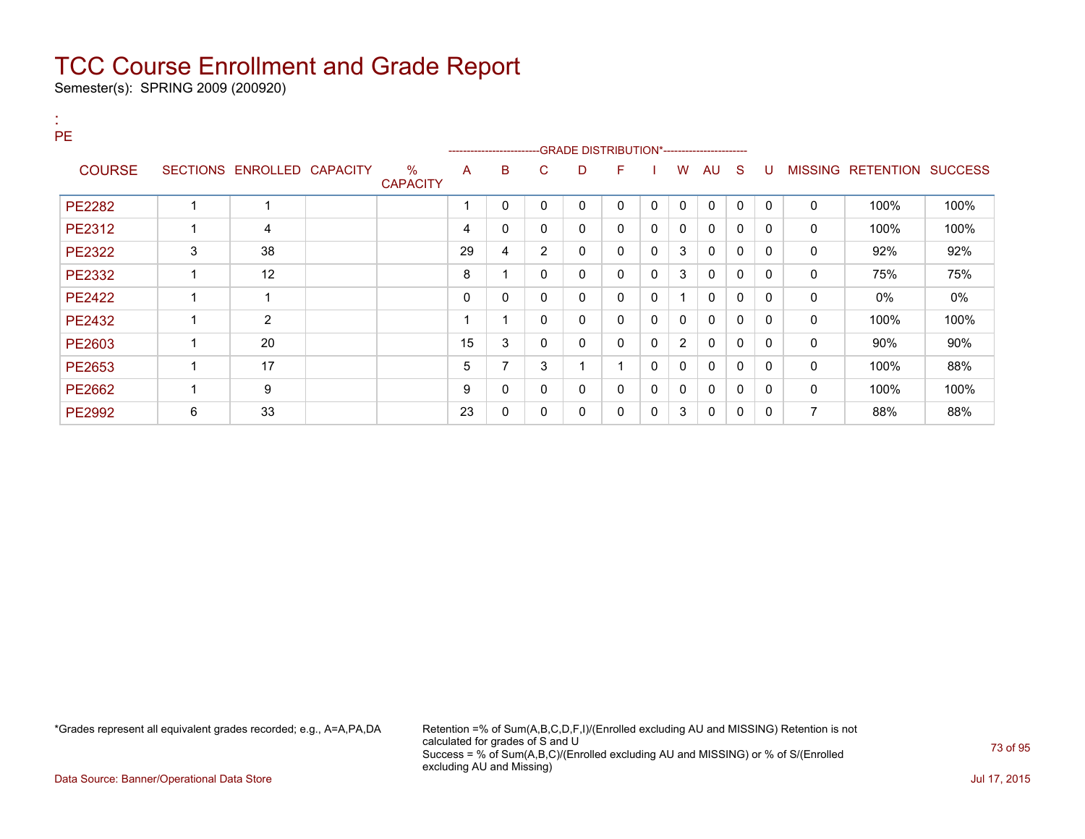Semester(s): SPRING 2009 (200920)

:

| PE.           |   |                            |                         |    | ------------------------ |                | -- GRADE DISTRIBUTION*------------------------ |                         |              |                |              |              |              |              |                           |      |
|---------------|---|----------------------------|-------------------------|----|--------------------------|----------------|------------------------------------------------|-------------------------|--------------|----------------|--------------|--------------|--------------|--------------|---------------------------|------|
| <b>COURSE</b> |   | SECTIONS ENROLLED CAPACITY | $\%$<br><b>CAPACITY</b> | A  | B                        | C.             | D                                              | F                       |              | W              | AU           | -S           | U            |              | MISSING RETENTION SUCCESS |      |
| <b>PE2282</b> |   | 1                          |                         |    | 0                        | 0              | $\mathbf{0}$                                   | $\mathbf{0}$            | $\mathbf{0}$ | $\mathbf{0}$   | $\mathbf{0}$ | $\Omega$     | $\mathbf{0}$ | 0            | 100%                      | 100% |
| PE2312        |   | 4                          |                         | 4  | 0                        | 0              | $\mathbf{0}$                                   | 0                       | 0            | 0              | $\mathbf{0}$ | 0            | $\Omega$     | $\mathbf{0}$ | 100%                      | 100% |
| <b>PE2322</b> | 3 | 38                         |                         | 29 | 4                        | $\overline{2}$ | 0                                              | 0                       | 0            | 3              | 0            | $\mathbf{0}$ | $\Omega$     | 0            | 92%                       | 92%  |
| <b>PE2332</b> |   | 12                         |                         | 8  | 4                        | $\Omega$       | $\mathbf{0}$                                   | 0                       | 0            | 3              | $\mathbf{0}$ | $\mathbf{0}$ | $\Omega$     | $\mathbf{0}$ | 75%                       | 75%  |
| <b>PE2422</b> |   | 4                          |                         | 0  | 0                        | 0              | $\mathbf{0}$                                   | 0                       | 0            | 4              | $\mathbf{0}$ | $\mathbf{0}$ | $\Omega$     | 0            | 0%                        | 0%   |
| PE2432        |   | $\overline{2}$             |                         |    |                          | 0              | $\mathbf{0}$                                   | 0                       | $\mathbf{0}$ | 0              | $\mathbf{0}$ | $\mathbf{0}$ | $\Omega$     | $\Omega$     | 100%                      | 100% |
| PE2603        |   | 20                         |                         | 15 | 3                        | 0              | $\mathbf{0}$                                   | $\Omega$                | 0            | $\overline{2}$ | $\mathbf{0}$ | $\mathbf{0}$ | $\Omega$     | $\mathbf{0}$ | 90%                       | 90%  |
| PE2653        |   | 17                         |                         | 5  | 7                        | 3              |                                                | $\overline{\mathbf{A}}$ | 0            | 0              | $\mathbf{0}$ | $\mathbf{0}$ | 0            | 0            | 100%                      | 88%  |
| <b>PE2662</b> |   | 9                          |                         | 9  | 0                        | 0              | $\mathbf{0}$                                   | 0                       | 0            | 0              | $\mathbf{0}$ | 0            | 0            | 0            | 100%                      | 100% |
| <b>PE2992</b> | 6 | 33                         |                         | 23 | 0                        | 0              | 0                                              | 0                       | 0            | 3              | 0            | 0            | 0            | 7            | 88%                       | 88%  |

\*Grades represent all equivalent grades recorded; e.g., A=A,PA,DA Retention =% of Sum(A,B,C,D,F,I)/(Enrolled excluding AU and MISSING) Retention is not calculated for grades of S and U Success = % of Sum(A,B,C)/(Enrolled excluding AU and MISSING) or % of S/(Enrolled excluding AU and Missing)

Data Source: Banner/Operational Data Store Jul 17, 2015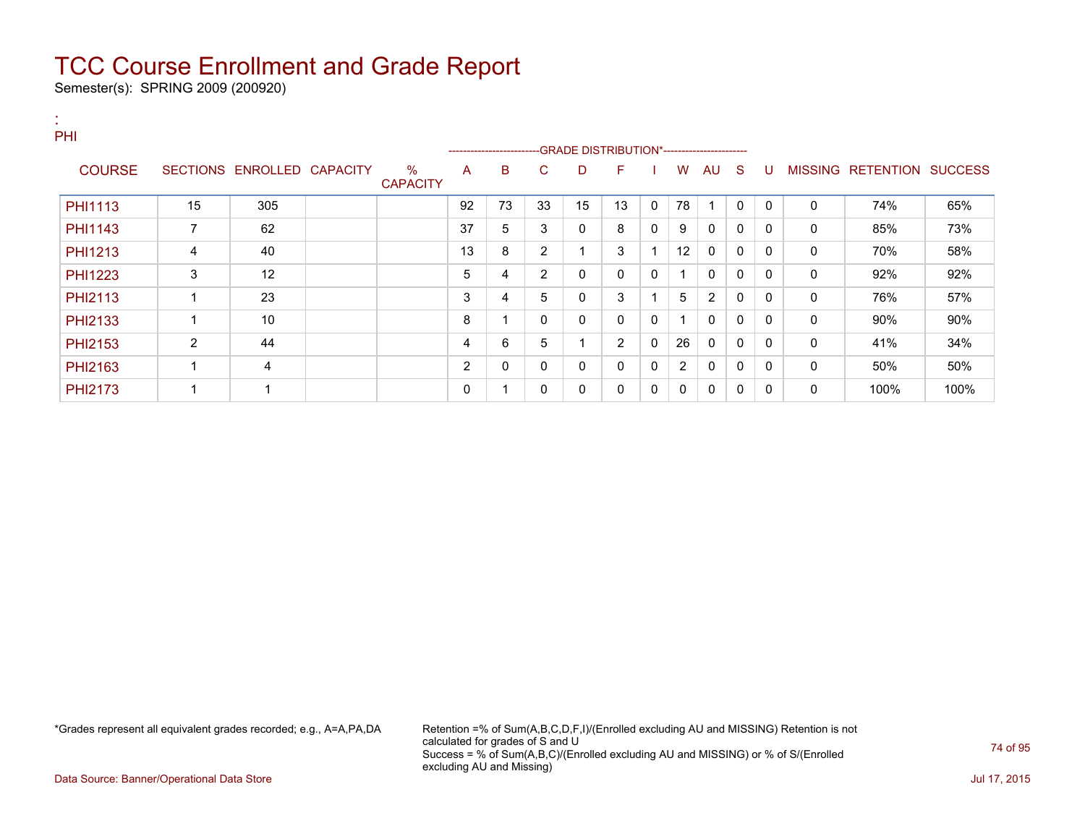Semester(s): SPRING 2009 (200920)

:

| <b>PHI</b>     |                 |                         |                         |    |                          |                |                                              |              |   |                |              |              |              |                |                  |                |
|----------------|-----------------|-------------------------|-------------------------|----|--------------------------|----------------|----------------------------------------------|--------------|---|----------------|--------------|--------------|--------------|----------------|------------------|----------------|
|                |                 |                         |                         |    | ------------------------ |                | --GRADE DISTRIBUTION*----------------------- |              |   |                |              |              |              |                |                  |                |
| <b>COURSE</b>  | <b>SECTIONS</b> | ENROLLED CAPACITY       | $\%$<br><b>CAPACITY</b> | A  | B                        | C              | D                                            | F            |   | w              | <b>AU</b>    | <sub>S</sub> | U            | <b>MISSING</b> | <b>RETENTION</b> | <b>SUCCESS</b> |
| <b>PHI1113</b> | 15              | 305                     |                         | 92 | 73                       | 33             | 15                                           | 13           | 0 | 78             |              | $\Omega$     | $\mathbf{0}$ | 0              | 74%              | 65%            |
| PHI1143        | 7               | 62                      |                         | 37 | 5                        | 3              | 0                                            | 8            | 0 | 9              | 0            | 0            | 0            | 0              | 85%              | 73%            |
| PHI1213        | 4               | 40                      |                         | 13 | 8                        | 2              |                                              | 3            |   | 12             | 0            | 0            | $\mathbf{0}$ | 0              | 70%              | 58%            |
| <b>PHI1223</b> | 3               | 12                      |                         | 5  | 4                        | $\overline{2}$ | 0                                            | $\mathbf{0}$ | 0 |                | $\mathbf{0}$ | $\Omega$     | $\mathbf{0}$ | 0              | 92%              | 92%            |
| PHI2113        |                 | 23                      |                         | 3  | 4                        | 5              | 0                                            | 3            |   | 5              | 2            | $\mathbf{0}$ | $\mathbf{0}$ | 0              | 76%              | 57%            |
| PHI2133        |                 | 10                      |                         | 8  |                          | 0              | 0                                            | $\mathbf{0}$ | 0 | -1             | $\mathbf{0}$ | 0            | 0            | 0              | 90%              | 90%            |
| PHI2153        | 2               | 44                      |                         | 4  | 6                        | 5              |                                              | 2            | 0 | 26             | $\mathbf{0}$ | $\mathbf{0}$ | 0            | $\Omega$       | 41%              | 34%            |
| PHI2163        |                 | 4                       |                         | 2  | 0                        | 0              | 0                                            | $\mathbf{0}$ | 0 | $\overline{2}$ | $\mathbf{0}$ | 0            | 0            | 0              | 50%              | 50%            |
| <b>PHI2173</b> |                 | $\overline{\mathbf{A}}$ |                         | 0  |                          | 0              | 0                                            | 0            | 0 | 0              | 0            | 0            | 0            | 0              | 100%             | 100%           |

\*Grades represent all equivalent grades recorded; e.g., A=A,PA,DA Retention =% of Sum(A,B,C,D,F,I)/(Enrolled excluding AU and MISSING) Retention is not calculated for grades of S and U Success = % of Sum(A,B,C)/(Enrolled excluding AU and MISSING) or % of S/(Enrolled excluding AU and Missing)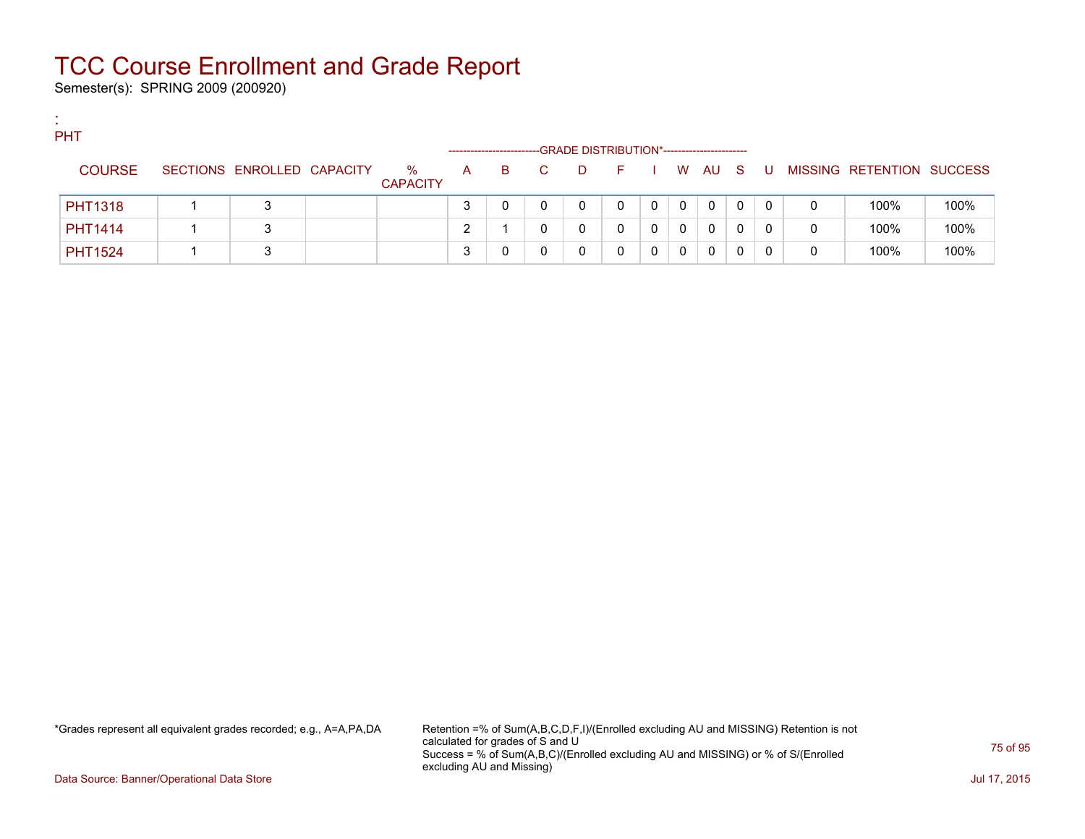Semester(s): SPRING 2009 (200920)

:

| PHT            |                            |                         |              |                        |                                             |              |   |             |    |     |     |   |                           |      |
|----------------|----------------------------|-------------------------|--------------|------------------------|---------------------------------------------|--------------|---|-------------|----|-----|-----|---|---------------------------|------|
|                |                            |                         |              | ---------------------- | -GRADE DISTRIBUTION*----------------------- |              |   |             |    |     |     |   |                           |      |
| <b>COURSE</b>  | SECTIONS ENROLLED CAPACITY | $\%$<br><b>CAPACITY</b> | $\mathsf{A}$ | B.                     | D                                           | $\mathbf{H}$ |   | <b>W</b>    | AU | - S | . U |   | MISSING RETENTION SUCCESS |      |
| <b>PHT1318</b> | 3                          |                         | っ            |                        |                                             | 0            | 0 | $\mathbf 0$ | 0  | 0   | 0   | 0 | 100%                      | 100% |
| <b>PHT1414</b> |                            |                         |              |                        |                                             |              | 0 | 0           | 0  |     |     | 0 | 100%                      | 100% |
| <b>PHT1524</b> | ◠                          |                         | ິ            |                        |                                             | 0            | 0 | 0           | 0  |     |     | 0 | 100%                      | 100% |

\*Grades represent all equivalent grades recorded; e.g., A=A,PA,DA Retention =% of Sum(A,B,C,D,F,I)/(Enrolled excluding AU and MISSING) Retention is not calculated for grades of S and U Success = % of Sum(A,B,C)/(Enrolled excluding AU and MISSING) or % of S/(Enrolled excluding AU and Missing)

Data Source: Banner/Operational Data Store Jul 17, 2015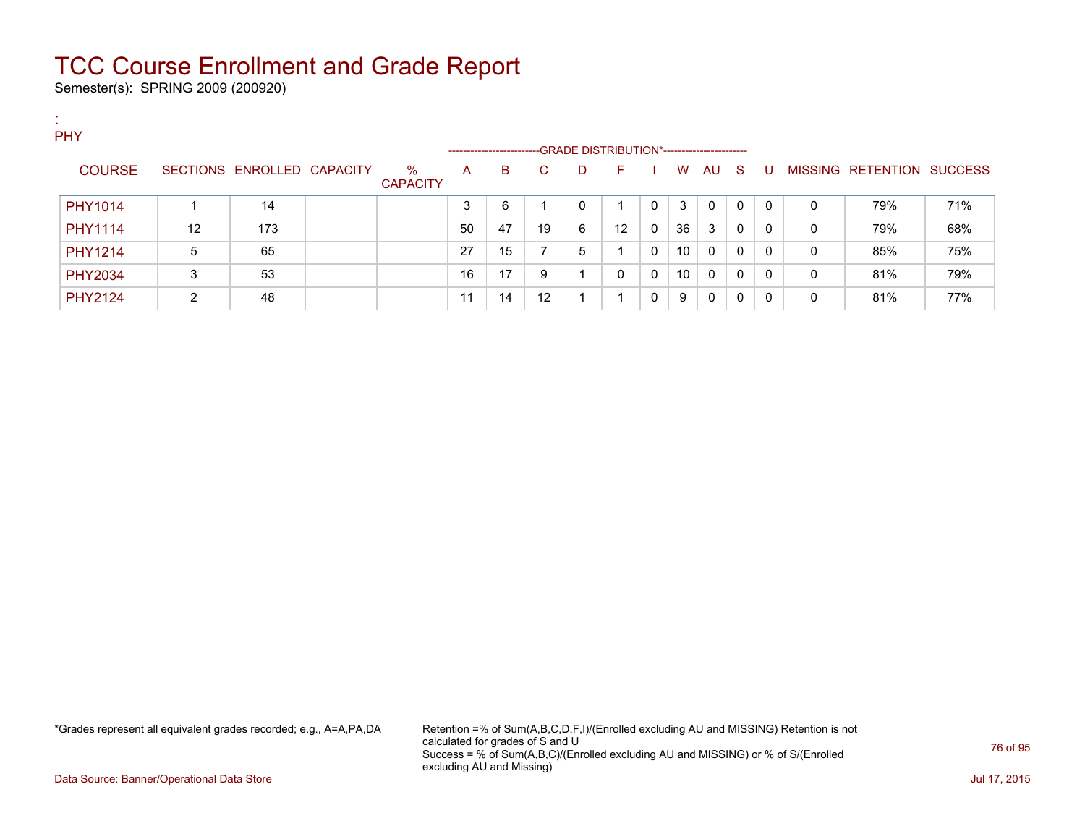Semester(s): SPRING 2009 (200920)

:

| PHY            |    |                            |                         | ------------------ |    |    |   | -GRADE DISTRIBUTION*----------------------- |   |    |          |     |          |              |                                  |     |
|----------------|----|----------------------------|-------------------------|--------------------|----|----|---|---------------------------------------------|---|----|----------|-----|----------|--------------|----------------------------------|-----|
| <b>COURSE</b>  |    | SECTIONS ENROLLED CAPACITY | $\%$<br><b>CAPACITY</b> | A                  | B  | C. | D | F                                           |   | W  | AU       | - S | U        |              | <b>MISSING RETENTION SUCCESS</b> |     |
| PHY1014        |    | 14                         |                         | 3                  | 6  |    | 0 |                                             | 0 | 3  | 0        | 0   | $\Omega$ | $\mathbf{0}$ | 79%                              | 71% |
| <b>PHY1114</b> | 12 | 173                        |                         | 50                 | 47 | 19 | 6 | 12                                          | 0 | 36 | 3        | 0   | $\Omega$ | $\mathbf{0}$ | 79%                              | 68% |
| PHY1214        | 5  | 65                         |                         | 27                 | 15 |    | 5 |                                             | 0 | 10 | $\Omega$ | 0   | $\Omega$ | $\mathbf{0}$ | 85%                              | 75% |
| <b>PHY2034</b> | 3  | 53                         |                         | 16                 | 17 | 9  |   | 0                                           | 0 | 10 | 0        | 0   | $\Omega$ | $\mathbf{0}$ | 81%                              | 79% |
| <b>PHY2124</b> | 2  | 48                         |                         | 11                 | 14 | 12 |   |                                             |   | 9  | 0        | 0   | 0        | 0            | 81%                              | 77% |

\*Grades represent all equivalent grades recorded; e.g., A=A,PA,DA Retention =% of Sum(A,B,C,D,F,I)/(Enrolled excluding AU and MISSING) Retention is not calculated for grades of S and U Success = % of Sum(A,B,C)/(Enrolled excluding AU and MISSING) or % of S/(Enrolled excluding AU and Missing)

Data Source: Banner/Operational Data Store Jul 17, 2015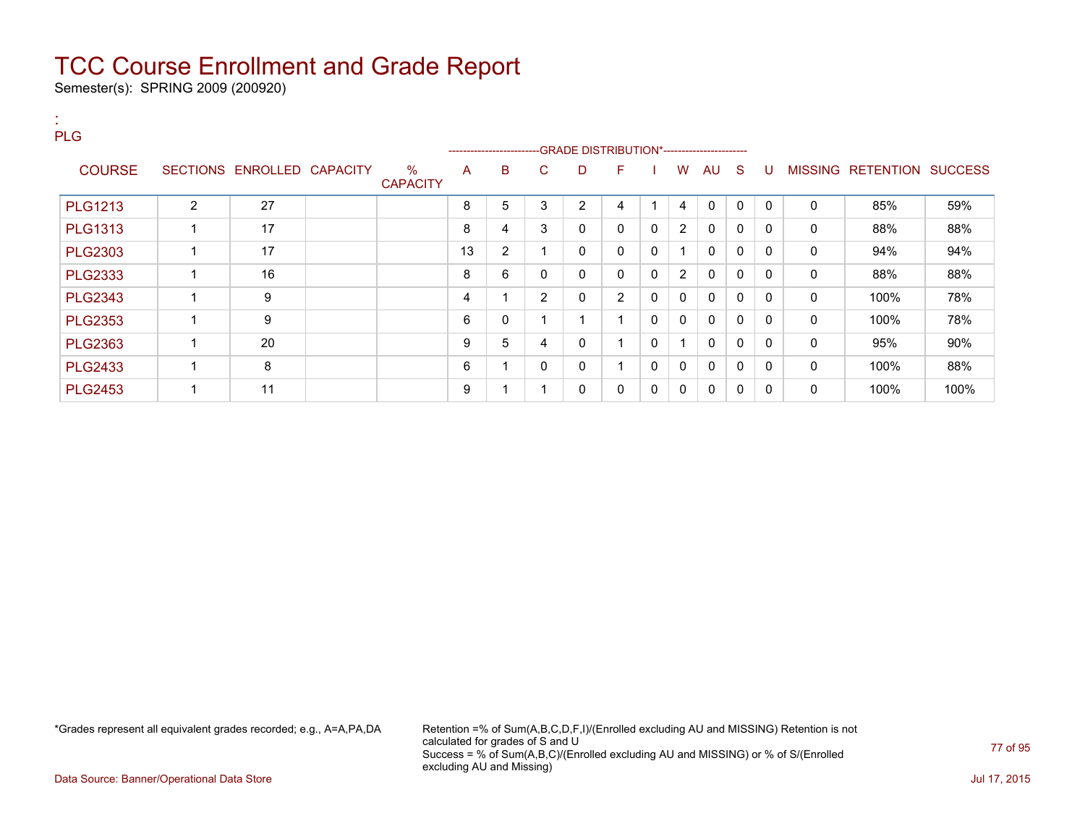Semester(s): SPRING 2009 (200920)

#### : PLG

|                |                |                            |                         |    |   |    |    | -----------------------GRADE DISTRIBUTION*----------------------- |              |                       |              |              |             |                |           |                |
|----------------|----------------|----------------------------|-------------------------|----|---|----|----|-------------------------------------------------------------------|--------------|-----------------------|--------------|--------------|-------------|----------------|-----------|----------------|
| <b>COURSE</b>  |                | SECTIONS ENROLLED CAPACITY | $\%$<br><b>CAPACITY</b> | A  | B | C. | D. | F.                                                                |              | W                     | AU           | S            | U           | <b>MISSING</b> | RETENTION | <b>SUCCESS</b> |
| <b>PLG1213</b> | $\overline{2}$ | 27                         |                         | 8  | 5 |    | 2  | 4                                                                 |              | 4                     | 0            | 0            | $\mathbf 0$ | 0              | 85%       | 59%            |
| <b>PLG1313</b> |                | 17                         |                         | 8  | 4 | 3  | 0  | 0                                                                 | $\mathbf{0}$ | $\mathbf{2}^{\prime}$ | $\mathbf{0}$ | 0            | $\Omega$    | 0              | 88%       | 88%            |
| <b>PLG2303</b> |                | 17                         |                         | 13 | 2 |    | 0  | 0                                                                 | 0            |                       | 0            | 0            | 0           | 0              | 94%       | 94%            |
| <b>PLG2333</b> |                | 16                         |                         | 8  | 6 |    | 0  | 0                                                                 | $\mathbf 0$  | 2                     | $\mathbf{0}$ | 0            | $\Omega$    | 0              | 88%       | 88%            |
| <b>PLG2343</b> |                | 9                          |                         | 4  |   | 2  | 0  | $\overline{2}$                                                    | 0            | $\mathbf{0}$          | $\mathbf{0}$ | 0            | $\Omega$    | 0              | 100%      | 78%            |
| <b>PLG2353</b> |                | 9                          |                         | 6  | 0 |    |    |                                                                   | 0            | $\mathbf{0}$          | $\mathbf{0}$ | 0            | $\Omega$    | 0              | 100%      | 78%            |
| <b>PLG2363</b> |                | 20                         |                         | 9  | 5 | 4  | 0  |                                                                   | $\mathbf 0$  |                       | $\mathbf{0}$ | 0            | $\Omega$    | 0              | 95%       | 90%            |
| <b>PLG2433</b> |                | 8                          |                         | 6  |   |    | 0  |                                                                   | 0            | 0                     | $\mathbf 0$  | $\mathbf{0}$ | $\Omega$    | 0              | 100%      | 88%            |
| <b>PLG2453</b> |                | 11                         |                         | 9  |   |    | 0  | 0                                                                 | 0            | 0                     | 0            | 0            | 0           | 0              | 100%      | 100%           |

\*Grades represent all equivalent grades recorded; e.g., A=A,PA,DA Retention =% of Sum(A,B,C,D,F,I)/(Enrolled excluding AU and MISSING) Retention is not calculated for grades of S and U Success = % of Sum(A,B,C)/(Enrolled excluding AU and MISSING) or % of S/(Enrolled excluding AU and Missing)

Data Source: Banner/Operational Data Store Jul 17, 2015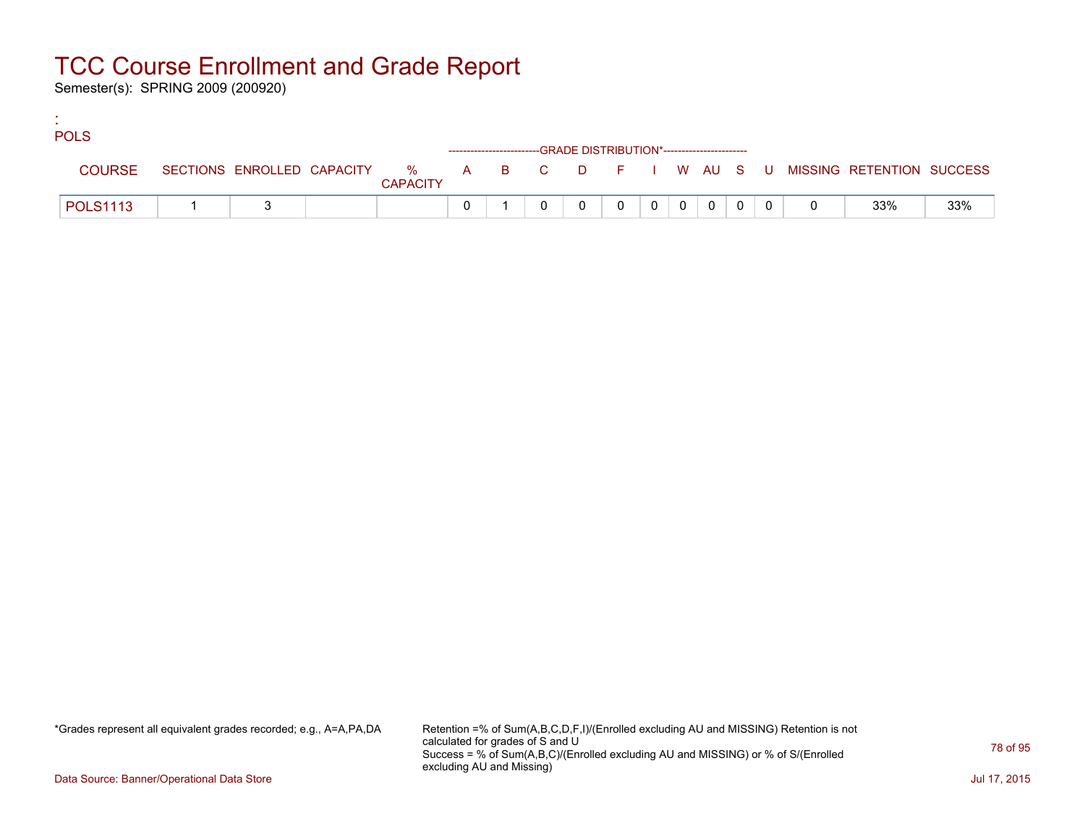Semester(s): SPRING 2009 (200920)

:

| <b>POLS</b>     |  |                 |                                                                    |  |                |       |  |  |                                                                             |     |
|-----------------|--|-----------------|--------------------------------------------------------------------|--|----------------|-------|--|--|-----------------------------------------------------------------------------|-----|
|                 |  |                 | ------------------------GRADE DISTRIBUTION*----------------------- |  |                |       |  |  |                                                                             |     |
| <b>COURSE</b>   |  | <b>CAPACITY</b> |                                                                    |  |                |       |  |  | SECTIONS ENROLLED CAPACITY % A B C D F I W AU S U MISSING RETENTION SUCCESS |     |
| <b>POLS1113</b> |  |                 |                                                                    |  | $\overline{0}$ | $0$ 0 |  |  | 33%                                                                         | 33% |

\*Grades represent all equivalent grades recorded; e.g., A=A,PA,DA Retention =% of Sum(A,B,C,D,F,I)/(Enrolled excluding AU and MISSING) Retention is not calculated for grades of S and U Success = % of Sum(A,B,C)/(Enrolled excluding AU and MISSING) or % of S/(Enrolled excluding AU and Missing)

Data Source: Banner/Operational Data Store Jul 17, 2015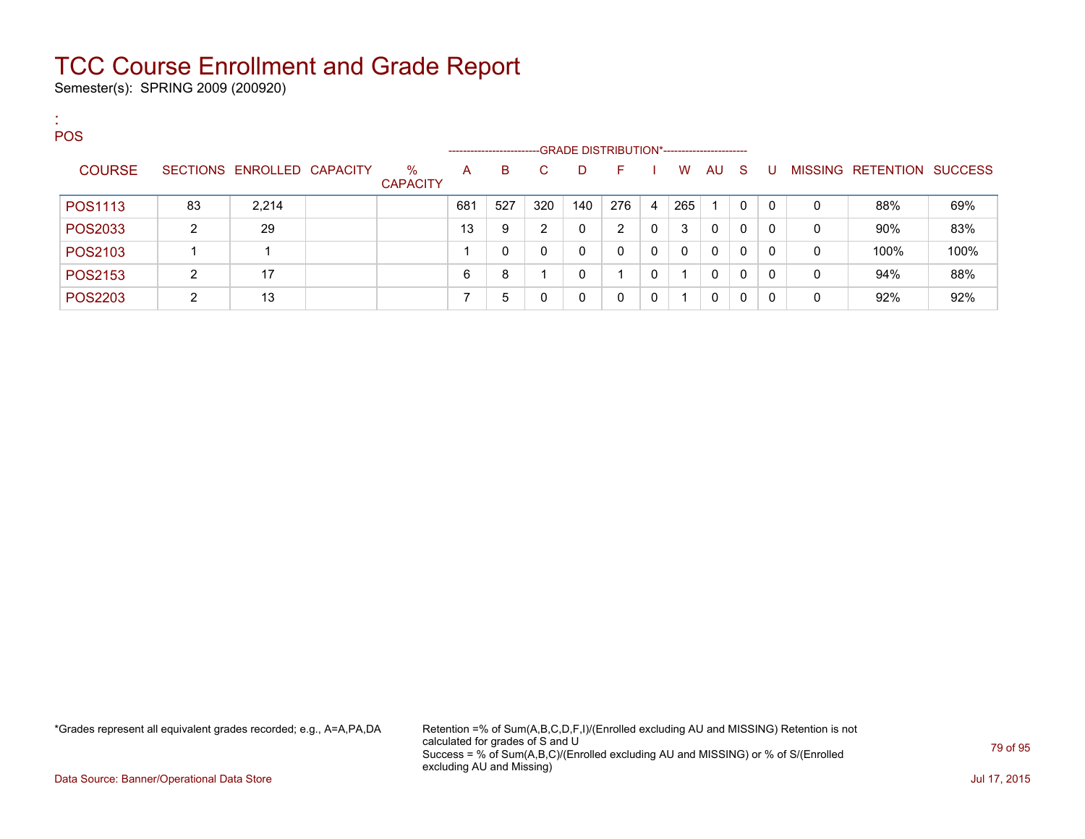Semester(s): SPRING 2009 (200920)

:

| <b>POS</b>    |    |                            |                         |                    |     |     |                                             |     |          |          |              |    |   |   |                   |                |
|---------------|----|----------------------------|-------------------------|--------------------|-----|-----|---------------------------------------------|-----|----------|----------|--------------|----|---|---|-------------------|----------------|
|               |    |                            |                         | ------------------ |     |     | -GRADE DISTRIBUTION*----------------------- |     |          |          |              |    |   |   |                   |                |
| <b>COURSE</b> |    | SECTIONS ENROLLED CAPACITY | $\%$<br><b>CAPACITY</b> | $\mathsf{A}$       | B.  | C.  | D                                           | F.  |          | W        | AU.          | -S | U |   | MISSING RETENTION | <b>SUCCESS</b> |
| POS1113       | 83 | 2,214                      |                         | 681                | 527 | 320 | 140                                         | 276 | 4        | 265      |              | 0  | 0 | 0 | 88%               | 69%            |
| POS2033       | ົ  | 29                         |                         | 13                 | 9   | 2   |                                             | 2   | 0        | 3        | $\Omega$     | 0  | 0 | 0 | 90%               | 83%            |
| POS2103       |    |                            |                         |                    | 0   |     | 0                                           |     | $\Omega$ | $\Omega$ | $\Omega$     | 0  | 0 | 0 | 100%              | 100%           |
| POS2153       | ົ  | 17                         |                         | 6                  | 8   |     |                                             |     | 0        |          | $\mathbf{0}$ | 0  | 0 | 0 | 94%               | 88%            |
| POS2203       | ົ  | 13                         |                         |                    | 5   |     |                                             |     | $\Omega$ |          | $\mathbf{0}$ | 0  |   | 0 | 92%               | 92%            |

\*Grades represent all equivalent grades recorded; e.g., A=A,PA,DA Retention =% of Sum(A,B,C,D,F,I)/(Enrolled excluding AU and MISSING) Retention is not calculated for grades of S and U Success = % of Sum(A,B,C)/(Enrolled excluding AU and MISSING) or % of S/(Enrolled excluding AU and Missing)

Data Source: Banner/Operational Data Store Jul 17, 2015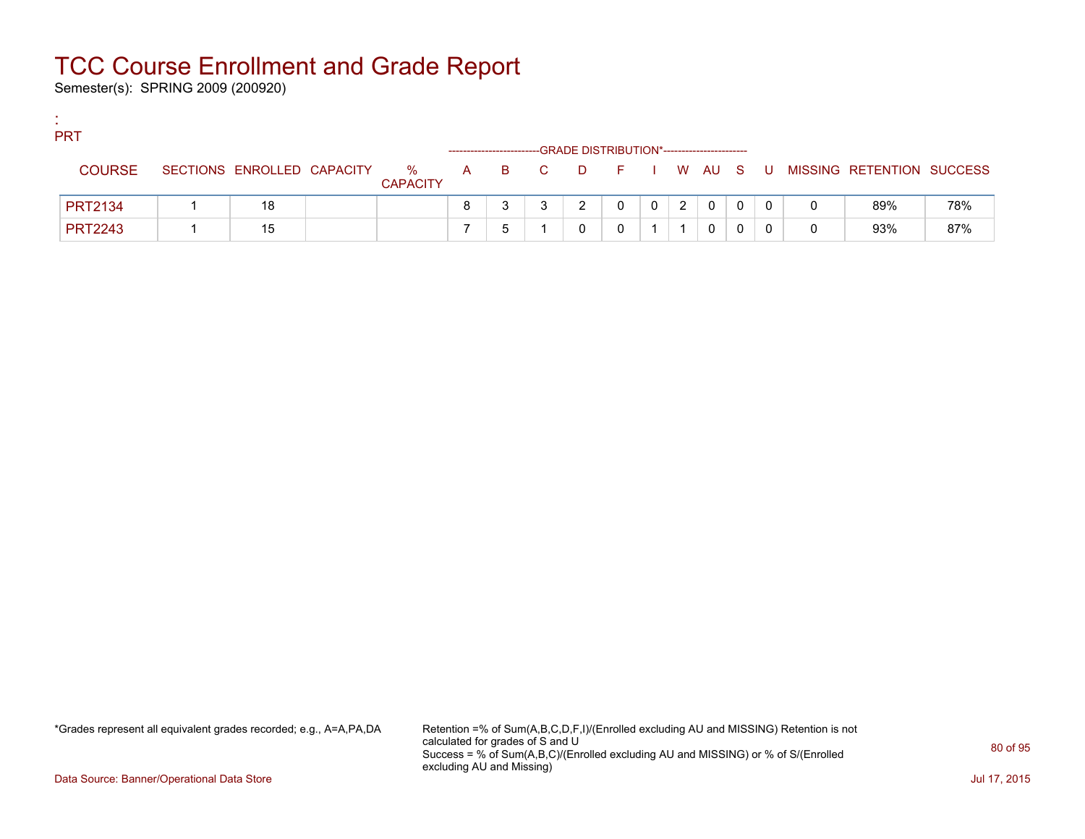Semester(s): SPRING 2009 (200920)

:

| <b>PRT</b>     |                            |                      |  |                    | -GRADE DISTRIBUTION*----------------------- |   |   |              |   |       |                           |     |
|----------------|----------------------------|----------------------|--|--------------------|---------------------------------------------|---|---|--------------|---|-------|---------------------------|-----|
| <b>COURSE</b>  | SECTIONS ENROLLED CAPACITY | %<br><b>CAPACITY</b> |  | A B C D F I W AU S |                                             |   |   |              |   | . U . | MISSING RETENTION SUCCESS |     |
| <b>PRT2134</b> | 18                         |                      |  |                    |                                             | 0 | 2 | $\mathbf{0}$ | 0 |       | 89%                       | 78% |
| <b>PRT2243</b> | 15                         |                      |  |                    |                                             |   |   | 0            |   |       | 93%                       | 87% |

\*Grades represent all equivalent grades recorded; e.g., A=A,PA,DA Retention =% of Sum(A,B,C,D,F,I)/(Enrolled excluding AU and MISSING) Retention is not calculated for grades of S and U Success = % of Sum(A,B,C)/(Enrolled excluding AU and MISSING) or % of S/(Enrolled excluding AU and Missing)

Data Source: Banner/Operational Data Store Jul 17, 2015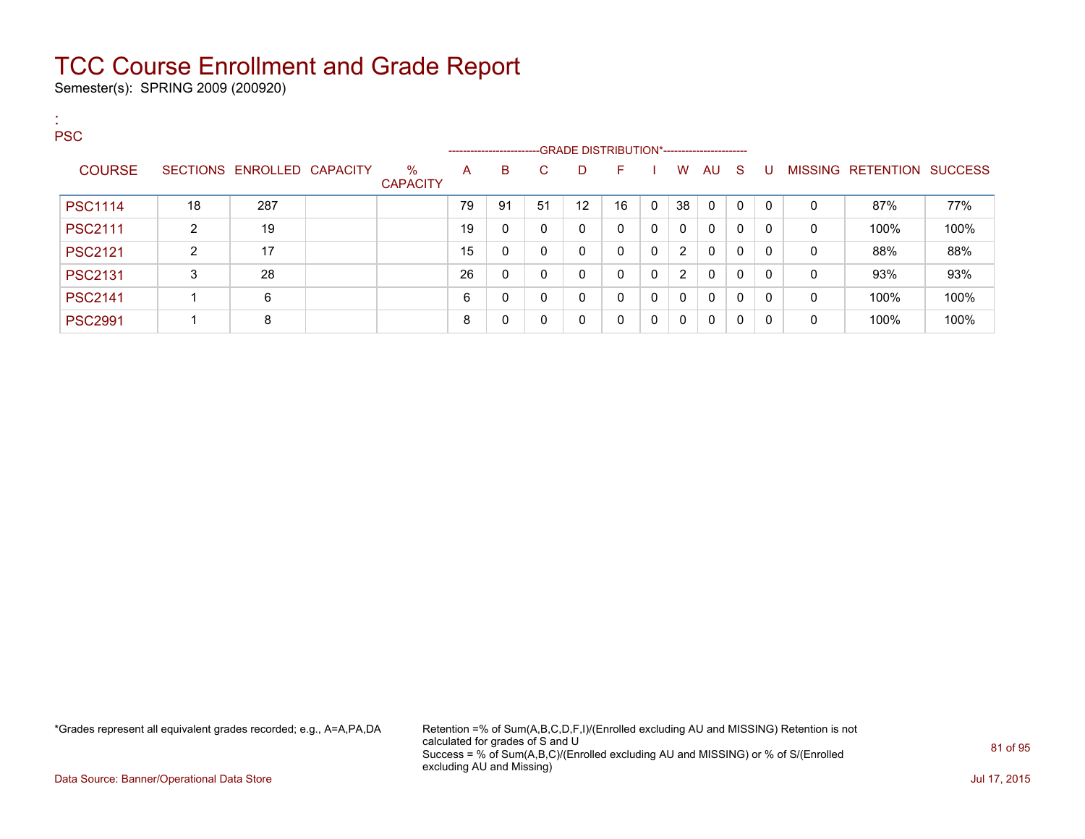Semester(s): SPRING 2009 (200920)

| <b>COL</b><br>$\mathbf{H}^{\prime}$<br><b>PSC</b> |                |                            |                         |    |                                                                    |    |    |    |          |                |              |              |    |              |                           |      |
|---------------------------------------------------|----------------|----------------------------|-------------------------|----|--------------------------------------------------------------------|----|----|----|----------|----------------|--------------|--------------|----|--------------|---------------------------|------|
|                                                   |                |                            |                         |    | ------------------------GRADE DISTRIBUTION*----------------------- |    |    |    |          |                |              |              |    |              |                           |      |
| <b>COURSE</b>                                     |                | SECTIONS ENROLLED CAPACITY | $\%$<br><b>CAPACITY</b> | A  | B.                                                                 | C. | D  | F. |          | W              | AU           | - S          | -0 |              | MISSING RETENTION SUCCESS |      |
| <b>PSC1114</b>                                    | 18             | 287                        |                         | 79 | 91                                                                 | 51 | 12 | 16 | $\Omega$ | 38             | $\mathbf{0}$ | $\mathbf{0}$ | 0  | 0            | 87%                       | 77%  |
| <b>PSC2111</b>                                    | $\overline{2}$ | 19                         |                         | 19 | 0                                                                  | 0  | 0  | 0  | $\Omega$ | $\mathbf{0}$   | $\mathbf{0}$ | 0            | 0  | 0            | 100%                      | 100% |
| <b>PSC2121</b>                                    | $\overline{2}$ | 17                         |                         | 15 | 0                                                                  | 0  | 0  | 0  | $\Omega$ | $\overline{2}$ | $\mathbf{0}$ | 0            | 0  | 0            | 88%                       | 88%  |
| <b>PSC2131</b>                                    | 3              | 28                         |                         | 26 | 0                                                                  | 0  | 0  | 0  | $\Omega$ | $\overline{2}$ | $\mathbf{0}$ | $\mathbf{0}$ | 0  | 0            | 93%                       | 93%  |
| <b>PSC2141</b>                                    |                | 6                          |                         | 6  | 0                                                                  | 0  | 0  | 0  | $\Omega$ | $\mathbf{0}$   | $\mathbf{0}$ | 0            | 0  | 0            | 100%                      | 100% |
| <b>PSC2991</b>                                    |                | 8                          |                         | 8  | 0                                                                  | 0  | 0  | 0  | $\Omega$ | 0              | $\mathbf{0}$ | 0            | 0  | $\mathbf{0}$ | 100%                      | 100% |

\*Grades represent all equivalent grades recorded; e.g., A=A,PA,DA Retention =% of Sum(A,B,C,D,F,I)/(Enrolled excluding AU and MISSING) Retention is not calculated for grades of S and U Success = % of Sum(A,B,C)/(Enrolled excluding AU and MISSING) or % of S/(Enrolled excluding AU and Missing)

Data Source: Banner/Operational Data Store Jul 17, 2015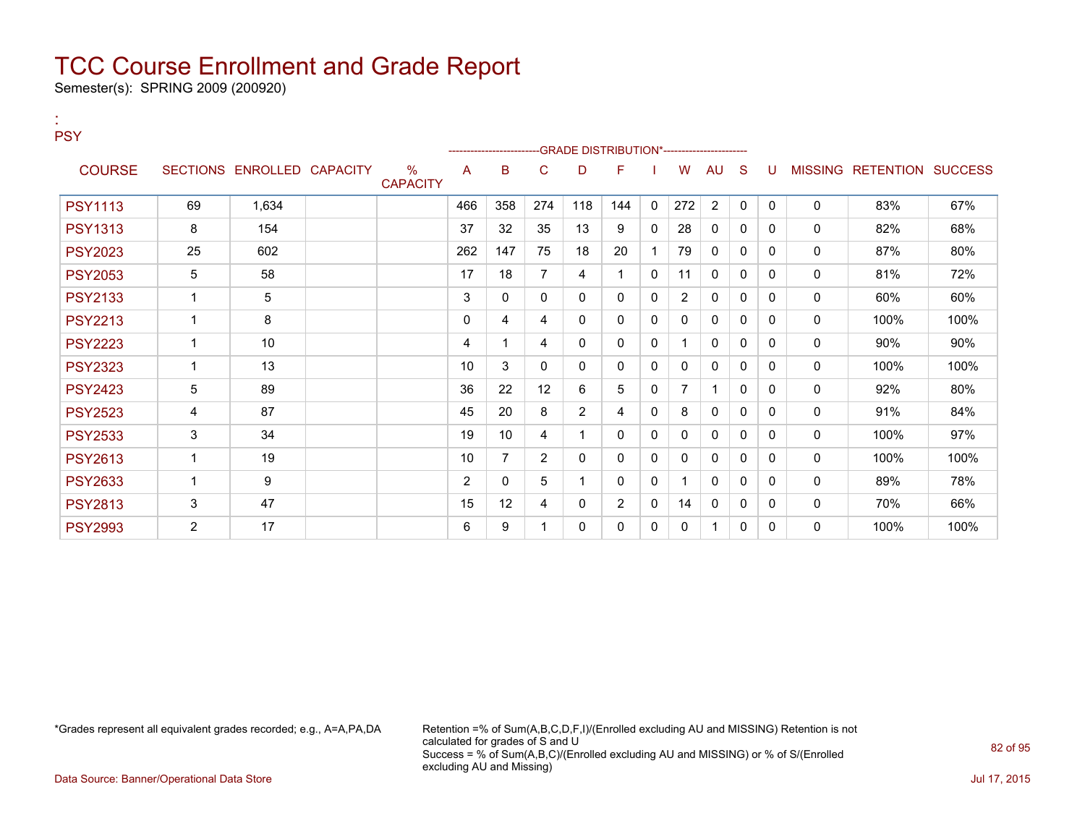Semester(s): SPRING 2009 (200920)

:

| <b>PSY</b>     |                |                            |                         |                |                |                | -------------------------GRADE DISTRIBUTION*---------------------- |          |              |                |                |              |              |              |                           |      |
|----------------|----------------|----------------------------|-------------------------|----------------|----------------|----------------|--------------------------------------------------------------------|----------|--------------|----------------|----------------|--------------|--------------|--------------|---------------------------|------|
| <b>COURSE</b>  |                | SECTIONS ENROLLED CAPACITY | $\%$<br><b>CAPACITY</b> | A              | в              | C              | D                                                                  | F        |              | W              | <b>AU</b>      | <sub>S</sub> | U            |              | MISSING RETENTION SUCCESS |      |
| <b>PSY1113</b> | 69             | 1,634                      |                         | 466            | 358            | 274            | 118                                                                | 144      | $\Omega$     | 272            | $\overline{2}$ | $\mathbf{0}$ | $\mathbf{0}$ | $\mathbf 0$  | 83%                       | 67%  |
| <b>PSY1313</b> | 8              | 154                        |                         | 37             | 32             | 35             | 13                                                                 | 9        | $\Omega$     | 28             | $\Omega$       | $\Omega$     | 0            | $\Omega$     | 82%                       | 68%  |
| <b>PSY2023</b> | 25             | 602                        |                         | 262            | 147            | 75             | 18                                                                 | 20       | 1            | 79             | $\mathbf{0}$   | 0            | 0            | $\mathbf{0}$ | 87%                       | 80%  |
| <b>PSY2053</b> | 5              | 58                         |                         | 17             | 18             |                | 4                                                                  |          | $\mathbf{0}$ | 11             | $\mathbf{0}$   | 0            | 0            | 0            | 81%                       | 72%  |
| <b>PSY2133</b> | 1              | 5                          |                         | 3              | 0              | 0              | 0                                                                  | 0        | 0            | $\overline{2}$ | 0              | 0            | 0            | $\mathbf{0}$ | 60%                       | 60%  |
| <b>PSY2213</b> | 1              | 8                          |                         | $\mathbf{0}$   | 4              | 4              | 0                                                                  | 0        | 0            | 0              | 0              | 0            | 0            | 0            | 100%                      | 100% |
| <b>PSY2223</b> | 1              | 10                         |                         | 4              |                | 4              | 0                                                                  | 0        | 0            |                | $\mathbf{0}$   | 0            | 0            | $\Omega$     | 90%                       | 90%  |
| <b>PSY2323</b> | 1              | 13                         |                         | 10             | 3              | $\Omega$       | 0                                                                  | 0        | $\Omega$     | 0              | $\mathbf{0}$   | 0            | $\Omega$     | $\mathbf{0}$ | 100%                      | 100% |
| <b>PSY2423</b> | 5              | 89                         |                         | 36             | 22             | 12             | 6                                                                  | 5        | $\Omega$     |                | ł              | 0            | 0            | 0            | 92%                       | 80%  |
| <b>PSY2523</b> | 4              | 87                         |                         | 45             | 20             | 8              | $\overline{2}$                                                     | 4        | $\mathbf{0}$ | 8              | $\mathbf{0}$   | 0            | $\Omega$     | 0            | 91%                       | 84%  |
| <b>PSY2533</b> | 3              | 34                         |                         | 19             | 10             | 4              |                                                                    | 0        | $\mathbf{0}$ | 0              | 0              | 0            | 0            | 0            | 100%                      | 97%  |
| <b>PSY2613</b> | $\overline{1}$ | 19                         |                         | 10             | $\overline{7}$ | $\overline{2}$ | 0                                                                  | 0        | 0            | $\mathbf{0}$   | 0              | 0            | 0            | 0            | 100%                      | 100% |
| <b>PSY2633</b> | $\overline{1}$ | 9                          |                         | $\overline{2}$ | 0              | 5              |                                                                    | $\Omega$ | $\Omega$     |                | $\Omega$       | 0            | $\Omega$     | $\mathbf{0}$ | 89%                       | 78%  |
| <b>PSY2813</b> | 3              | 47                         |                         | 15             | 12             | 4              | $\Omega$                                                           | 2        | $\Omega$     | 14             | $\mathbf{0}$   | 0            | $\Omega$     | 0            | 70%                       | 66%  |
| <b>PSY2993</b> | $\overline{2}$ | 17                         |                         | 6              | 9              |                | 0                                                                  | 0        | 0            | 0              |                | 0            | 0            | 0            | 100%                      | 100% |

\*Grades represent all equivalent grades recorded; e.g., A=A,PA,DA Retention =% of Sum(A,B,C,D,F,I)/(Enrolled excluding AU and MISSING) Retention is not calculated for grades of S and U Success = % of Sum(A,B,C)/(Enrolled excluding AU and MISSING) or % of S/(Enrolled excluding AU and Missing)

Data Source: Banner/Operational Data Store Jul 17, 2015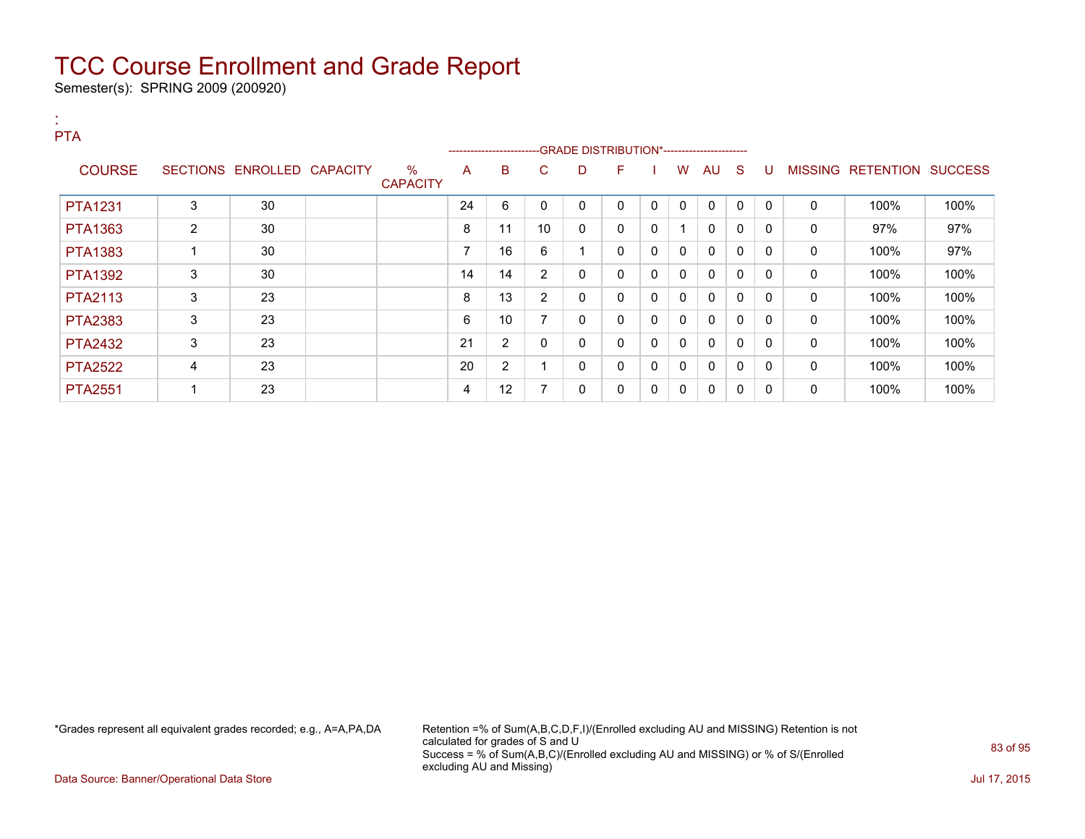Semester(s): SPRING 2009 (200920)

:

| <b>PTA</b>     |   |                            |                         |                          |                          |                |             |              |   |              |              |              |              |                |           |                |
|----------------|---|----------------------------|-------------------------|--------------------------|--------------------------|----------------|-------------|--------------|---|--------------|--------------|--------------|--------------|----------------|-----------|----------------|
|                |   |                            |                         |                          | ------------------------ |                |             |              |   |              |              |              |              |                |           |                |
| <b>COURSE</b>  |   | SECTIONS ENROLLED CAPACITY | $\%$<br><b>CAPACITY</b> | A                        | B                        | C              | D           | F            |   | w            | AU           | S.           | U            | <b>MISSING</b> | RETENTION | <b>SUCCESS</b> |
| <b>PTA1231</b> | 3 | 30                         |                         | 24                       | 6                        | 0              | 0           | 0            | 0 | 0            | 0            | $\Omega$     | $\mathbf{0}$ | 0              | 100%      | 100%           |
| <b>PTA1363</b> | 2 | 30                         |                         | 8                        | 11                       | 10             | 0           | $\mathbf{0}$ | 0 |              | $\mathbf{0}$ | 0            | 0            | 0              | 97%       | 97%            |
| <b>PTA1383</b> |   | 30                         |                         | $\overline{\phantom{a}}$ | 16                       | 6              | -4          | 0            | 0 | 0            | 0            | 0            | $\mathbf{0}$ | 0              | 100%      | 97%            |
| <b>PTA1392</b> | 3 | 30                         |                         | 14                       | 14                       | 2              | 0           | $\mathbf{0}$ | 0 | $\mathbf{0}$ | $\mathbf{0}$ | $\mathbf{0}$ | 0            | 0              | 100%      | 100%           |
| <b>PTA2113</b> | 3 | 23                         |                         | 8                        | 13                       | $\overline{2}$ | 0           | $\mathbf{0}$ | 0 | 0            | 0            | $\mathbf{0}$ | 0            | 0              | 100%      | 100%           |
| <b>PTA2383</b> | 3 | 23                         |                         | 6                        | 10 <sup>°</sup>          | 7              | 0           | $\mathbf{0}$ | 0 | 0            | $\mathbf{0}$ | $\mathbf 0$  | 0            | 0              | 100%      | 100%           |
| <b>PTA2432</b> | 3 | 23                         |                         | 21                       | $\overline{2}$           | 0              | $\mathbf 0$ | $\mathbf{0}$ | 0 | 0            | $\mathbf{0}$ | 0            | $\Omega$     | 0              | 100%      | 100%           |
| <b>PTA2522</b> | 4 | 23                         |                         | 20                       | 2                        |                | 0           | $\mathbf{0}$ | 0 | $\mathbf{0}$ | $\mathbf{0}$ | 0            | 0            | 0              | 100%      | 100%           |
| <b>PTA2551</b> |   | 23                         |                         | 4                        | 12                       |                | 0           | $\mathbf{0}$ | 0 | 0            | 0            | $\mathbf{0}$ | 0            | 0              | 100%      | 100%           |

\*Grades represent all equivalent grades recorded; e.g., A=A,PA,DA Retention =% of Sum(A,B,C,D,F,I)/(Enrolled excluding AU and MISSING) Retention is not calculated for grades of S and U Success = % of Sum(A,B,C)/(Enrolled excluding AU and MISSING) or % of S/(Enrolled excluding AU and Missing)

Data Source: Banner/Operational Data Store Jul 17, 2015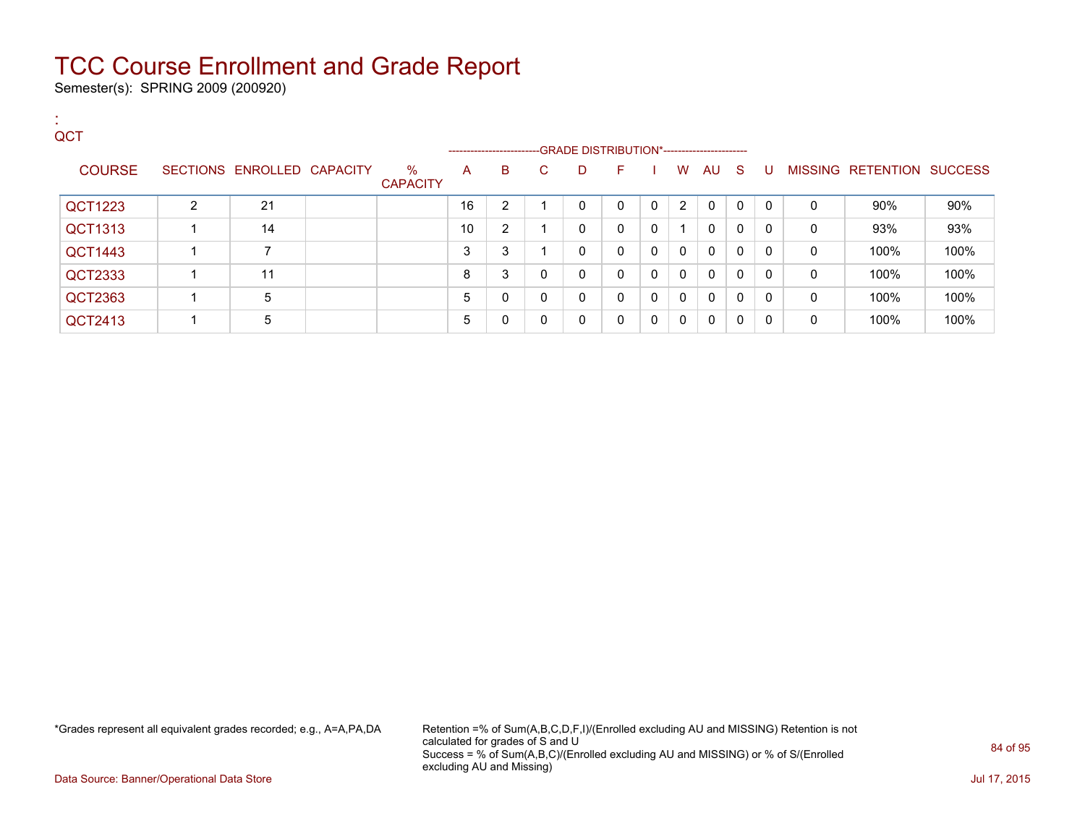Semester(s): SPRING 2009 (200920)

:

| QCT            |   |                            |                         |    | ------------------------GRADE DISTRIBUTION*----------------------- |    |   |              |              |              |              |   |          |   |                           |      |
|----------------|---|----------------------------|-------------------------|----|--------------------------------------------------------------------|----|---|--------------|--------------|--------------|--------------|---|----------|---|---------------------------|------|
| <b>COURSE</b>  |   | SECTIONS ENROLLED CAPACITY | $\%$<br><b>CAPACITY</b> | A  | B                                                                  | C. | D | F.           |              | W            | AU S         |   | - U      |   | MISSING RETENTION SUCCESS |      |
| QCT1223        | 2 | 21                         |                         | 16 | $\overline{2}$                                                     |    | 0 | 0            | $\Omega$     | 2            | $\mathbf{0}$ | 0 | $\Omega$ | 0 | 90%                       | 90%  |
| QCT1313        |   | 14                         |                         | 10 | $\overline{2}$                                                     |    | 0 | $\mathbf{0}$ | $\mathbf{0}$ | 1            | 0            | 0 | 0        | 0 | 93%                       | 93%  |
| <b>QCT1443</b> |   | ⇁                          |                         | 3  | 3                                                                  |    | 0 | 0            | $\Omega$     | $\mathbf{0}$ | $\mathbf{0}$ | 0 | 0        | 0 | 100%                      | 100% |
| QCT2333        |   | 11                         |                         | 8  | 3                                                                  | 0  | 0 | $\mathbf{0}$ | $\Omega$     | $\mathbf{0}$ | $\mathbf{0}$ | 0 | 0        | 0 | 100%                      | 100% |
| QCT2363        |   | 5                          |                         | 5  | 0                                                                  | 0  | 0 | $\mathbf{0}$ | $\Omega$     | $\Omega$     | $\mathbf{0}$ | 0 | 0        | 0 | 100%                      | 100% |
| QCT2413        |   | 5                          |                         | 5  | 0                                                                  | 0  | 0 | $\Omega$     | $\Omega$     | $\Omega$     | $\mathbf{0}$ | 0 | 0        | 0 | 100%                      | 100% |

\*Grades represent all equivalent grades recorded; e.g., A=A,PA,DA Retention =% of Sum(A,B,C,D,F,I)/(Enrolled excluding AU and MISSING) Retention is not calculated for grades of S and U Success = % of Sum(A,B,C)/(Enrolled excluding AU and MISSING) or % of S/(Enrolled excluding AU and Missing)

Data Source: Banner/Operational Data Store Jul 17, 2015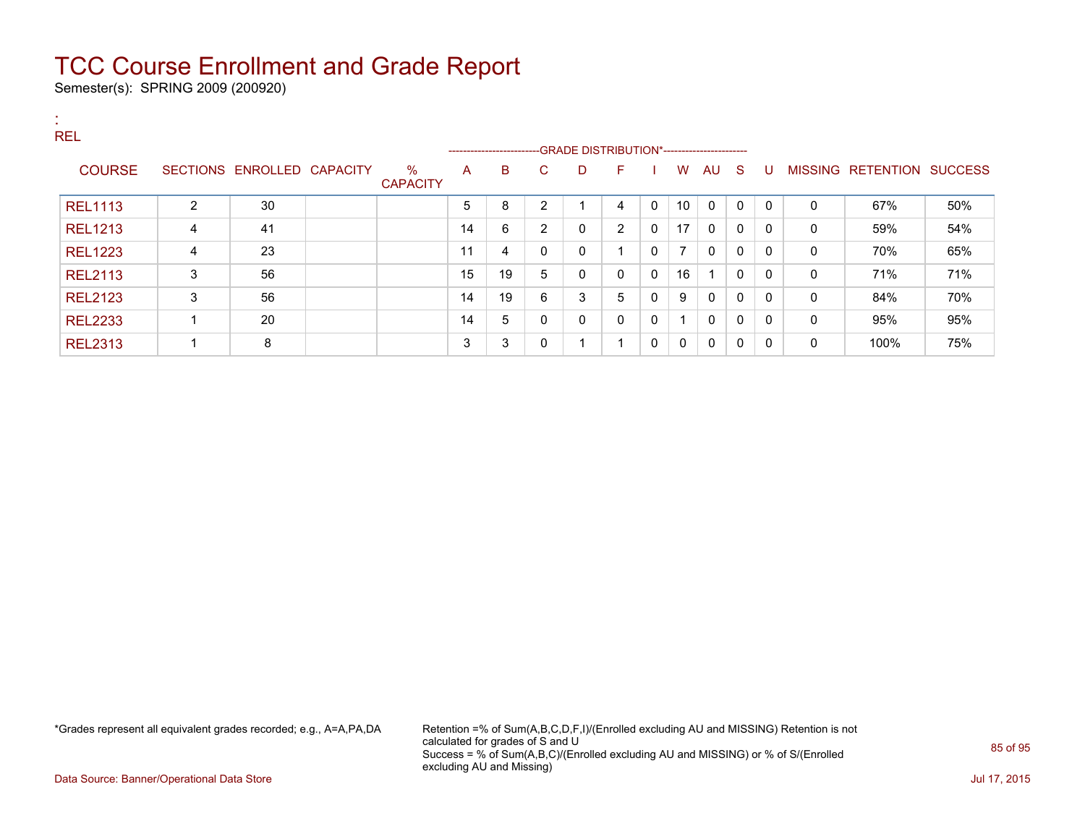Semester(s): SPRING 2009 (200920)

| . н.<br><b>REL</b> |   |                            |                         |    |                               |                |    | --GRADE DISTRIBUTION*----------------------- |              |                |              |              |              |   |                           |     |
|--------------------|---|----------------------------|-------------------------|----|-------------------------------|----------------|----|----------------------------------------------|--------------|----------------|--------------|--------------|--------------|---|---------------------------|-----|
| <b>COURSE</b>      |   | SECTIONS ENROLLED CAPACITY | $\%$<br><b>CAPACITY</b> | A  | ------------------------<br>B | C.             | D  | F.                                           |              | W              | AU S         |              | U            |   | MISSING RETENTION SUCCESS |     |
| <b>REL1113</b>     | 2 | 30                         |                         | 5  | 8                             | 2              |    | 4                                            | $\mathbf{0}$ | 10             | $\mathbf{0}$ | $\mathbf{0}$ | $\Omega$     | 0 | 67%                       | 50% |
| <b>REL1213</b>     | 4 | 41                         |                         | 14 | 6                             | $\overline{2}$ | 0  | $\overline{2}$                               | 0            | 17             | 0            | 0            | $\mathbf{0}$ | 0 | 59%                       | 54% |
| <b>REL1223</b>     | 4 | 23                         |                         | 11 | 4                             | 0              | 0  | 1                                            | 0            | $\overline{7}$ | 0            | $\mathbf{0}$ | $\Omega$     | 0 | 70%                       | 65% |
| <b>REL2113</b>     | 3 | 56                         |                         | 15 | 19                            | 5              | 0  | $\mathbf{0}$                                 | $\mathbf{0}$ | 16             |              | $\mathbf{0}$ | $\mathbf{0}$ | 0 | 71%                       | 71% |
| <b>REL2123</b>     | 3 | 56                         |                         | 14 | 19                            | 6              | 3  | 5                                            | 0            | 9              | $\mathbf{0}$ | $\mathbf{0}$ | $\Omega$     | 0 | 84%                       | 70% |
| <b>REL2233</b>     |   | 20                         |                         | 14 | 5                             | 0              | 0  | $\mathbf{0}$                                 | $\mathbf{0}$ |                | $\mathbf{0}$ | $\mathbf 0$  | $\mathbf{0}$ | 0 | 95%                       | 95% |
| <b>REL2313</b>     |   | 8                          |                         | 3  | 3                             | $\mathbf{0}$   | -1 | 1                                            | $\mathbf{0}$ | 0              | $\mathbf{0}$ | 0            | $\Omega$     | 0 | 100%                      | 75% |

\*Grades represent all equivalent grades recorded; e.g., A=A,PA,DA Retention =% of Sum(A,B,C,D,F,I)/(Enrolled excluding AU and MISSING) Retention is not calculated for grades of S and U Success = % of Sum(A,B,C)/(Enrolled excluding AU and MISSING) or % of S/(Enrolled excluding AU and Missing)

Data Source: Banner/Operational Data Store Jul 17, 2015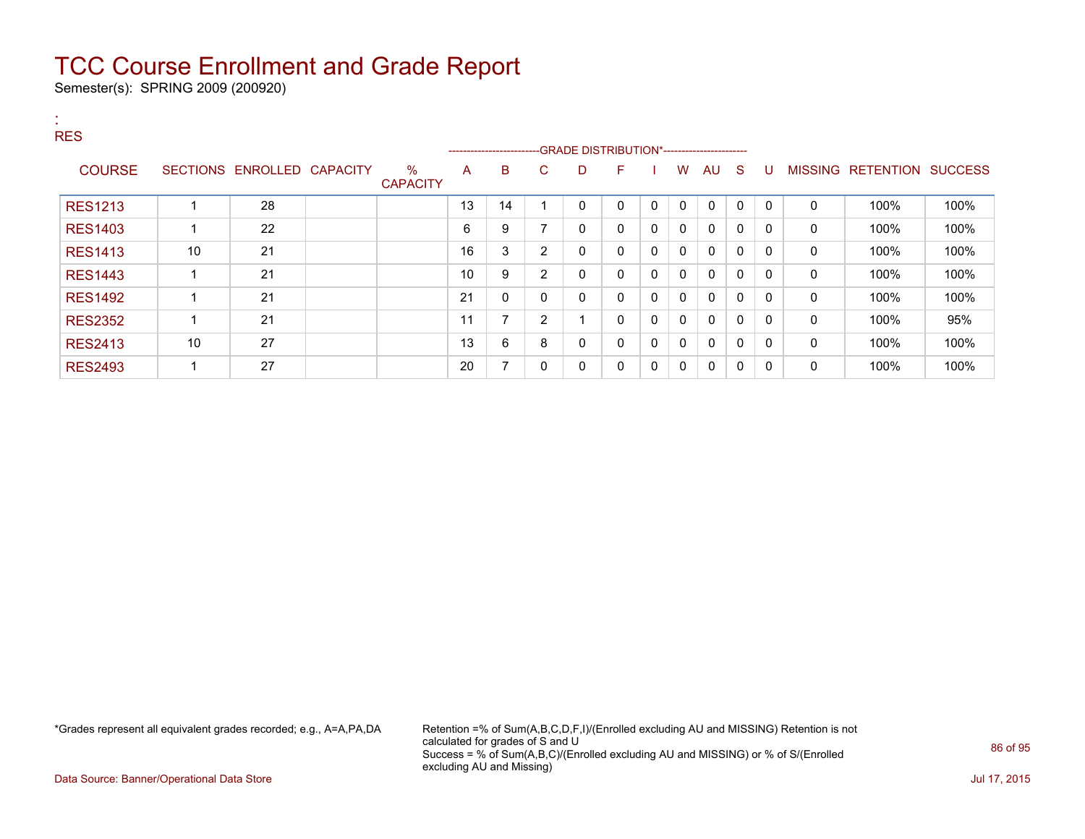Semester(s): SPRING 2009 (200920)

| <b>COL</b><br><b>RES</b> |    |                            |                      |    | ------------------------- |                |             |              |              |              |              |              |              |   |                           |      |
|--------------------------|----|----------------------------|----------------------|----|---------------------------|----------------|-------------|--------------|--------------|--------------|--------------|--------------|--------------|---|---------------------------|------|
| <b>COURSE</b>            |    | SECTIONS ENROLLED CAPACITY | %<br><b>CAPACITY</b> | A  | B                         | C              | D           | F            |              | W            | <b>AU</b>    | -S           | U            |   | MISSING RETENTION SUCCESS |      |
| <b>RES1213</b>           |    | 28                         |                      | 13 | 14                        |                | 0           | $\mathbf{0}$ | $\Omega$     | $\mathbf{0}$ | $\mathbf{0}$ | 0            | $\Omega$     | 0 | 100%                      | 100% |
| <b>RES1403</b>           |    | 22                         |                      | 6  | 9                         | 7              | 0           | $\mathbf{0}$ | $\mathbf{0}$ | $\mathbf{0}$ | $\mathbf{0}$ | $\mathbf{0}$ | 0            | 0 | 100%                      | 100% |
| <b>RES1413</b>           | 10 | 21                         |                      | 16 | 3                         | 2              | $\mathbf 0$ | 0            | $\Omega$     | $\mathbf{0}$ | 0            | $\mathbf{0}$ | 0            | 0 | 100%                      | 100% |
| <b>RES1443</b>           |    | 21                         |                      | 10 | 9                         | $\overline{2}$ | $\mathbf 0$ | 0            | 0            | $\mathbf{0}$ | 0            | 0            | 0            | 0 | 100%                      | 100% |
| <b>RES1492</b>           |    | 21                         |                      | 21 | 0                         | 0              | 0           | 0            | $\Omega$     | $\mathbf{0}$ | $\mathbf{0}$ | 0            | 0            | 0 | 100%                      | 100% |
| <b>RES2352</b>           |    | 21                         |                      | 11 | 7                         | $\overline{2}$ |             | $\mathbf{0}$ | 0            | $\mathbf{0}$ | $\mathbf{0}$ | $\mathbf{0}$ | $\mathbf{0}$ | 0 | 100%                      | 95%  |
| <b>RES2413</b>           | 10 | 27                         |                      | 13 | 6                         | 8              | 0           | $\mathbf{0}$ | $\mathbf{0}$ | $\mathbf{0}$ | $\mathbf{0}$ | 0            | 0            | 0 | 100%                      | 100% |
| <b>RES2493</b>           |    | 27                         |                      | 20 | 7                         | 0              | 0           | 0            | 0            | 0            | 0            | 0            | 0            | 0 | 100%                      | 100% |

\*Grades represent all equivalent grades recorded; e.g., A=A,PA,DA Retention =% of Sum(A,B,C,D,F,I)/(Enrolled excluding AU and MISSING) Retention is not calculated for grades of S and U Success = % of Sum(A,B,C)/(Enrolled excluding AU and MISSING) or % of S/(Enrolled excluding AU and Missing)

Data Source: Banner/Operational Data Store Jul 17, 2015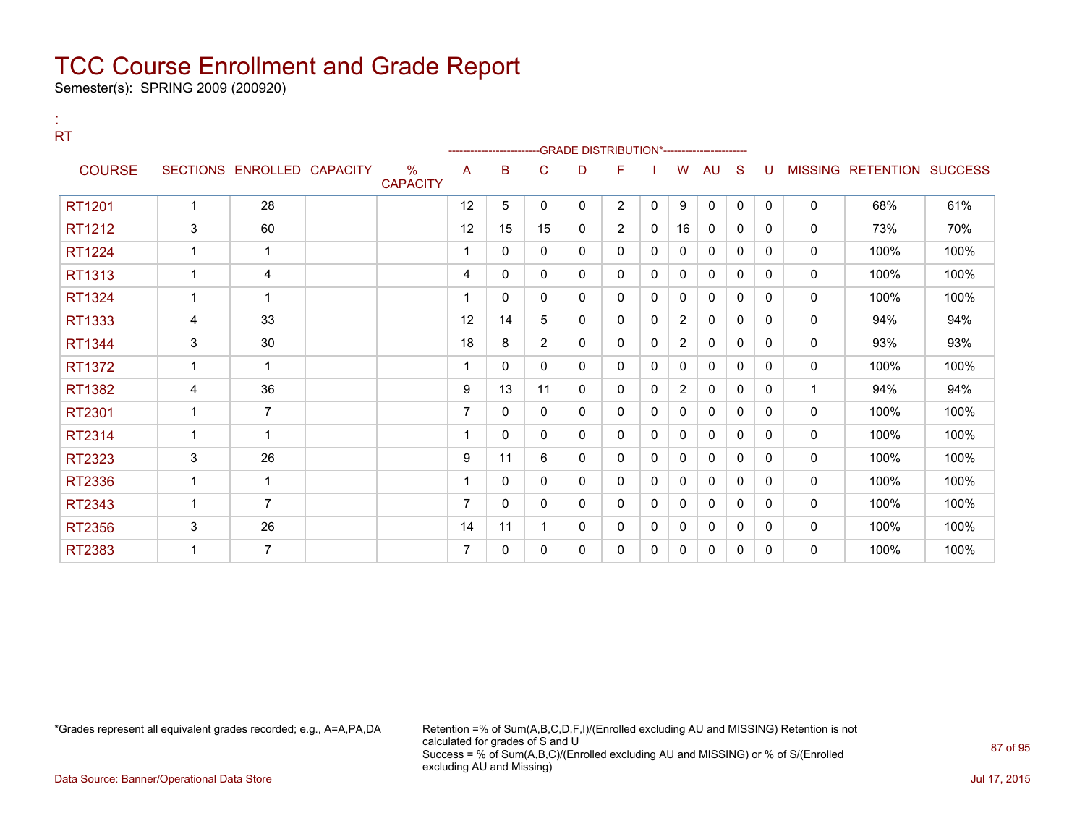Semester(s): SPRING 2009 (200920)

:

| <b>RT</b>     |                |                            |                      |                |                       |                |          | -GRADE DISTRIBUTION*---------------------- |              |                |              |              |          |              |                                  |      |
|---------------|----------------|----------------------------|----------------------|----------------|-----------------------|----------------|----------|--------------------------------------------|--------------|----------------|--------------|--------------|----------|--------------|----------------------------------|------|
| <b>COURSE</b> |                | SECTIONS ENROLLED CAPACITY | %<br><b>CAPACITY</b> | A              | ----------------<br>B | C              | D        | F                                          |              | W              | <b>AU</b>    | S            | U        |              | <b>MISSING RETENTION SUCCESS</b> |      |
| RT1201        | 1              | 28                         |                      | 12             | 5                     | $\mathbf{0}$   | $\Omega$ | $\overline{2}$                             | $\mathbf{0}$ | 9              | $\mathbf{0}$ | $\mathbf{0}$ | $\Omega$ | $\mathbf{0}$ | 68%                              | 61%  |
| RT1212        | 3              | 60                         |                      | 12             | 15                    | 15             | 0        | $\overline{2}$                             | $\mathbf{0}$ | 16             | 0            | 0            | $\Omega$ | $\mathbf 0$  | 73%                              | 70%  |
| <b>RT1224</b> | 1              | 1                          |                      |                | $\mathbf{0}$          | $\mathbf{0}$   | 0        | 0                                          | $\mathbf{0}$ | 0              | 0            | 0            | $\Omega$ | $\mathbf 0$  | 100%                             | 100% |
| RT1313        | 1              | 4                          |                      | 4              | $\Omega$              | $\mathbf{0}$   | 0        | 0                                          | $\mathbf{0}$ | 0              | 0            | 0            | $\Omega$ | $\mathbf 0$  | 100%                             | 100% |
| RT1324        | $\overline{1}$ | -1                         |                      |                | 0                     | 0              | 0        | 0                                          | $\mathbf{0}$ | 0              | 0            | $\mathbf{0}$ | $\Omega$ | 0            | 100%                             | 100% |
| RT1333        | 4              | 33                         |                      | 12             | 14                    | 5              | 0        | 0                                          | $\mathbf{0}$ | $\overline{2}$ | 0            | $\mathbf{0}$ | $\Omega$ | 0            | 94%                              | 94%  |
| RT1344        | 3              | 30                         |                      | 18             | 8                     | $\overline{2}$ | 0        | 0                                          | $\mathbf{0}$ | $\overline{2}$ | 0            | $\mathbf{0}$ | $\Omega$ | 0            | 93%                              | 93%  |
| RT1372        | $\mathbf 1$    | -1                         |                      |                | 0                     | 0              | 0        | 0                                          | 0            | 0              | 0            | 0            | 0        | 0            | 100%                             | 100% |
| RT1382        | 4              | 36                         |                      | 9              | 13                    | 11             | 0        | 0                                          | $\mathbf{0}$ | $\overline{2}$ | 0            | $\mathbf{0}$ | $\Omega$ | $\mathbf 1$  | 94%                              | 94%  |
| RT2301        | $\mathbf 1$    | $\overline{7}$             |                      | $\overline{7}$ | $\mathbf{0}$          | $\mathbf{0}$   | 0        | 0                                          | $\mathbf{0}$ | 0              | 0            | $\mathbf{0}$ | $\Omega$ | 0            | 100%                             | 100% |
| RT2314        | $\mathbf 1$    | -1                         |                      |                | $\Omega$              | $\mathbf{0}$   | 0        | 0                                          | 0            | 0              | 0            | 0            | 0        | 0            | 100%                             | 100% |
| RT2323        | 3              | 26                         |                      | 9              | 11                    | 6              | 0        | 0                                          | 0            | 0              | 0            | 0            | 0        | 0            | 100%                             | 100% |
| RT2336        | $\mathbf 1$    | 1                          |                      |                | $\Omega$              | $\mathbf{0}$   | 0        | 0                                          | 0            | 0              | 0            | 0            | 0        | 0            | 100%                             | 100% |
| RT2343        | 1              | $\overline{7}$             |                      | 7              | 0                     | $\Omega$       | $\Omega$ | 0                                          | 0            | 0              | 0            | $\mathbf{0}$ | $\Omega$ | 0            | 100%                             | 100% |
| RT2356        | 3              | 26                         |                      | 14             | 11                    |                | 0        | 0                                          | 0            | 0              | 0            | $\mathbf{0}$ | $\Omega$ | 0            | 100%                             | 100% |
| RT2383        | 1              | $\overline{7}$             |                      | 7              | $\mathbf{0}$          | 0              | 0        | 0                                          | 0            | 0              | 0            | 0            | 0        | 0            | 100%                             | 100% |
|               |                |                            |                      |                |                       |                |          |                                            |              |                |              |              |          |              |                                  |      |

\*Grades represent all equivalent grades recorded; e.g., A=A,PA,DA Retention =% of Sum(A,B,C,D,F,I)/(Enrolled excluding AU and MISSING) Retention is not calculated for grades of S and U Success = % of Sum(A,B,C)/(Enrolled excluding AU and MISSING) or % of S/(Enrolled excluding AU and Missing)

Data Source: Banner/Operational Data Store Jul 17, 2015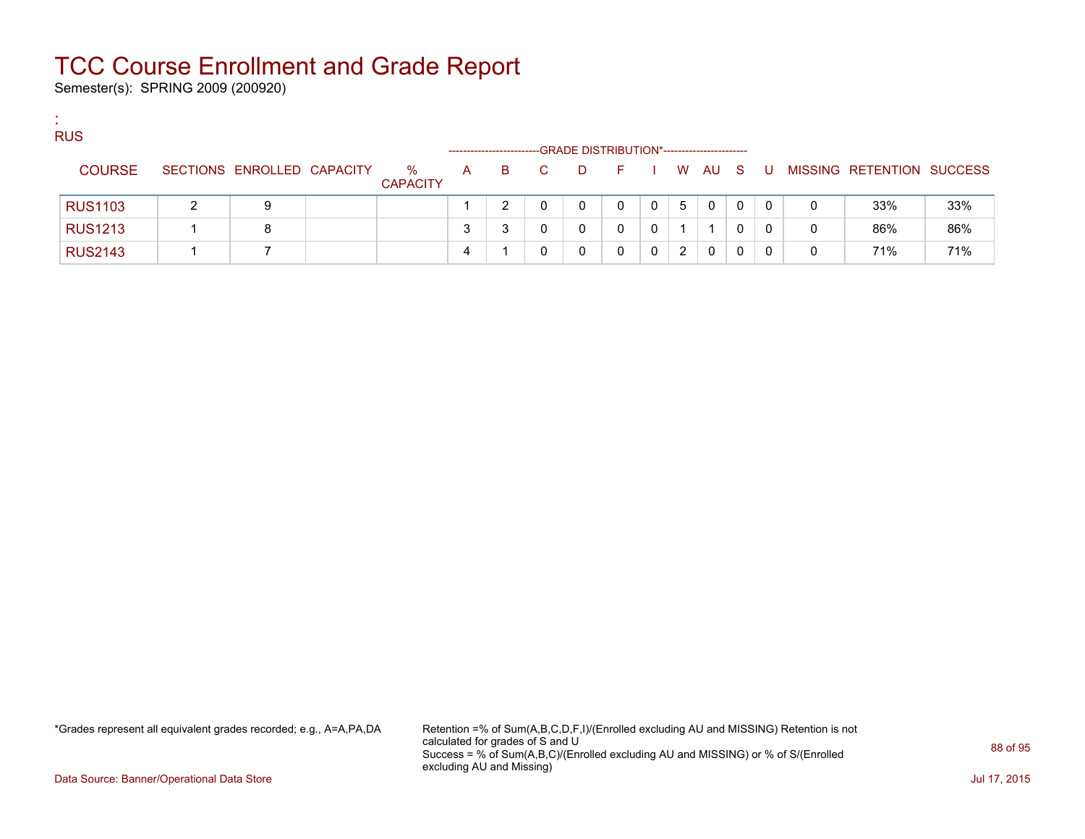Semester(s): SPRING 2009 (200920)

:

| <b>RUS</b>     |                            |                      |              | --------------------- |    |   | -GRADE DISTRIBUTION*----------------------- |              |   |        |   |       |   |                           |     |
|----------------|----------------------------|----------------------|--------------|-----------------------|----|---|---------------------------------------------|--------------|---|--------|---|-------|---|---------------------------|-----|
| <b>COURSE</b>  | SECTIONS ENROLLED CAPACITY | %<br><b>CAPACITY</b> | $\mathsf{A}$ | B.                    | C. | D | E.                                          |              |   | I WAUS |   | - U - |   | MISSING RETENTION SUCCESS |     |
| <b>RUS1103</b> | 9                          |                      |              |                       |    |   | 0                                           | $\mathbf{0}$ | 5 | 0      | 0 | 0     | 0 | 33%                       | 33% |
| <b>RUS1213</b> | 8                          |                      |              |                       |    |   |                                             | $\mathbf{0}$ |   |        |   | 0     | 0 | 86%                       | 86% |
| <b>RUS2143</b> |                            |                      | 4            |                       |    |   |                                             |              | 2 | 0      |   |       | 0 | 71%                       | 71% |

\*Grades represent all equivalent grades recorded; e.g., A=A,PA,DA Retention =% of Sum(A,B,C,D,F,I)/(Enrolled excluding AU and MISSING) Retention is not calculated for grades of S and U Success = % of Sum(A,B,C)/(Enrolled excluding AU and MISSING) or % of S/(Enrolled excluding AU and Missing)

Data Source: Banner/Operational Data Store Jul 17, 2015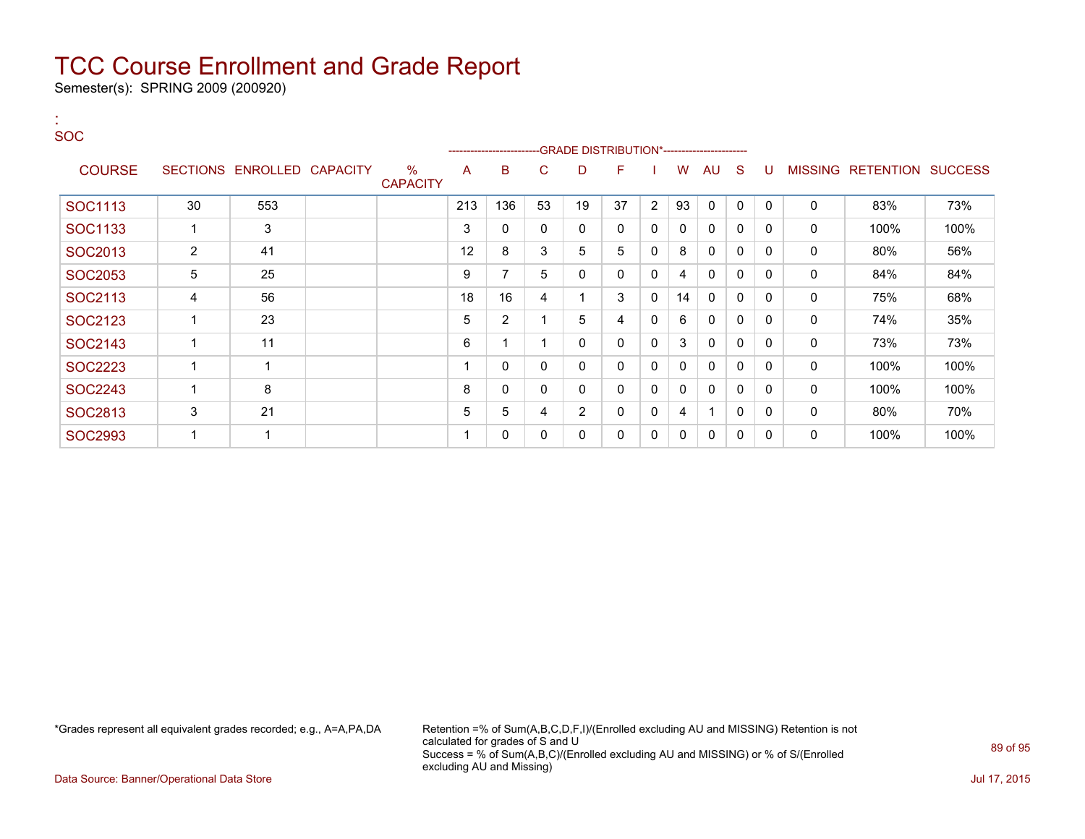Semester(s): SPRING 2009 (200920)

:

#### SOC ---GRADE DISTRIBUTION\*------------------------COURSE SECTIONS ENROLLED CAPACITY % **CAPACITY** A B C D F I W AU S U MISSING RETENTION SUCCESS SOC1113 30 553 213 136 53 19 37 2 93 0 0 0 0 83% 73%  $\text{SOC1133} \hspace{1.5cm} 1 \hspace{1.5cm} 3 \hspace{1.5cm} 1 \hspace{1.5cm} 3 \hspace{1.5cm} 1 \hspace{1.5cm} 3 \hspace{1.5cm} 1 \hspace{1.5cm} 2 \hspace{1.5cm} 3 \hspace{1.5cm} 4 \hspace{1.5cm} 5 \hspace{1.5cm} 5 \hspace{1.5cm} 6 \hspace{1.5cm} 6 \hspace{1.5cm} 6 \hspace{1.5cm} 6 \hspace{1.5cm} 6 \hspace{1.5cm} 6 \hspace{1.5cm} 6 \hs$  $\text{SOC2013} \quad | \quad 2 \quad | \quad 41 \quad | \quad 12 \quad | \quad 3 \quad | \quad 3 \quad | \quad 5 \quad | \quad 5 \quad | \quad 0 \quad | \quad 8 \ | \quad 0 \quad | \quad 0 \quad | \quad 0 \quad | \quad 80\% \quad | \quad 56\%$  $\text{SOC2053} \quad | \quad 5 \quad | \quad 25 \quad | \quad$   $| \quad 9 \quad | \quad 7 \quad | \quad 5 \quad | \quad 0 \quad | \quad 0 \quad | \quad 4 \quad | \quad 0 \quad | \quad 0 \quad | \quad 0 \quad | \quad 84\% \quad | \quad 84\%$  $\text{SOC2113} \hspace{1.3cm} 4 \hspace{1.3cm} 56 \hspace{1.3cm} 18 \hspace{1.3cm} 18 \hspace{1.3cm} 16 \hspace{1.3cm} 4 \hspace{1.3cm} 1 \hspace{1.3cm} 3 \hspace{1.3cm} 0 \hspace{1.3cm} 14 \hspace{1.3cm} 0 \hspace{1.3cm} 0 \hspace{1.3cm} 0 \hspace{1.3cm} 0 \hspace{1.3cm} 0 \hspace{1.3cm} 0 \hspace{1.3cm} 0 \hspace{1.3cm} 0 \hspace{1.3$  $\text{SOC2123} \quad | \quad 1 \quad | \quad 23 \quad | \quad 1 \quad | \quad 5 \quad | \quad 2 \quad | \quad 1 \quad | \quad 5 \quad | \quad 4 \quad | \quad 0 \quad | \quad 6 \quad | \quad 0 \quad | \quad 0 \quad | \quad 0 \quad | \quad 74\% \quad | \quad 35\%$ SOC2143 | 1 | 11 | | | | | | | | 6 | 1 | 1 | 0 | 0 | 0 | 3 | 0 | 0 | 0 | 0 | 23% | 73% | 73%  $\text{SOC2223} \hspace{1.3cm} 1 \hspace{1.3cm} 1 \hspace{1.3cm} 1 \hspace{1.3cm} 1 \hspace{1.3cm} 1 \hspace{1.3cm} 1 \hspace{1.3cm} 1 \hspace{1.3cm} 1 \hspace{1.3cm} 1 \hspace{1.3cm} 1 \hspace{1.3cm} 0 \hspace{1.3cm} 0 \hspace{1.3cm} 0 \hspace{1.3cm} 0 \hspace{1.3cm} 0 \hspace{1.3cm} 0 \hspace{1.3cm} 0 \hspace{1.3cm} 0 \hspace{1.3cm} 0 \hs$  $\text{SOC2243} \hspace{1.5cm} 1 \hspace{1.5cm} 8 \hspace{1.5cm} 1 \hspace{1.5cm} 8 \hspace{1.5cm} 1 \hspace{1.5cm} 0 \hspace{1.5cm} 0 \hspace{1.5cm} 0 \hspace{1.5cm} 0 \hspace{1.5cm} 0 \hspace{1.5cm} 0 \hspace{1.5cm} 0 \hspace{1.5cm} 0 \hspace{1.5cm} 0 \hspace{1.5cm} 0 \hspace{1.5cm} 0 \hspace{1.5cm} 0 \hspace{1.5cm} 0 \hspace{1.5cm} 0 \$  $\text{SOC2813} \quad | \quad 3 \quad | \quad 21 \quad | \quad 1 \quad | \quad 5 \quad | \quad 5 \quad | \quad 4 \quad | \quad 2 \quad | \quad 0 \quad | \quad 0 \quad | \quad 0 \quad | \quad 0 \quad | \quad 80\% \quad | \quad 70\%$  $\text{SOC2993} \hspace{1.5cm} 1 \hspace{1.5cm} 1 \hspace{1.5cm} 1 \hspace{1.5cm} 1 \hspace{1.5cm} 1 \hspace{1.5cm} 1 \hspace{1.5cm} 1 \hspace{1.5cm} 1 \hspace{1.5cm} 0 \hspace{1.5cm} 0 \hspace{1.5cm} 0 \hspace{1.5cm} 0 \hspace{1.5cm} 0 \hspace{1.5cm} 0 \hspace{1.5cm} 0 \hspace{1.5cm} 0 \hspace{1.5cm} 0 \hspace{1.5cm} 0 \hspace{1.5cm} 0 \hs$

\*Grades represent all equivalent grades recorded; e.g., A=A,PA,DA Retention =% of Sum(A,B,C,D,F,I)/(Enrolled excluding AU and MISSING) Retention is not calculated for grades of S and U Success = % of Sum(A,B,C)/(Enrolled excluding AU and MISSING) or % of S/(Enrolled excluding AU and Missing)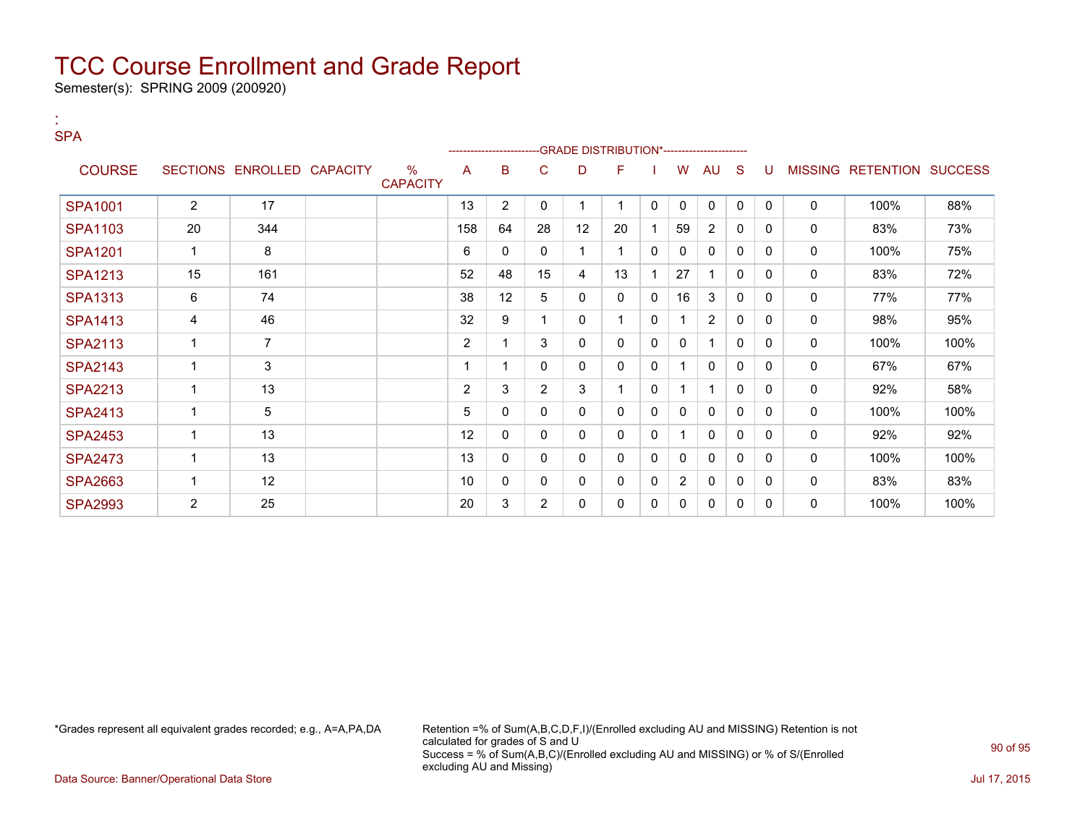Semester(s): SPRING 2009 (200920)

:

| <b>SPA</b>     |                |                            |                         |                |                 |                | -GRADE DISTRIBUTION*----------------------- |              |              |                |              |              |              |             |                           |      |
|----------------|----------------|----------------------------|-------------------------|----------------|-----------------|----------------|---------------------------------------------|--------------|--------------|----------------|--------------|--------------|--------------|-------------|---------------------------|------|
| <b>COURSE</b>  |                | SECTIONS ENROLLED CAPACITY | $\%$<br><b>CAPACITY</b> | A              | B               | С              | D                                           | F            |              | W              | AU           | <sub>S</sub> | -U           |             | MISSING RETENTION SUCCESS |      |
| <b>SPA1001</b> | $\overline{2}$ | 17                         |                         | 13             | $\overline{2}$  | 0              |                                             |              | $\mathbf 0$  | 0              | $\mathbf{0}$ | $\mathbf{0}$ | $\mathbf{0}$ | $\mathbf 0$ | 100%                      | 88%  |
| <b>SPA1103</b> | 20             | 344                        |                         | 158            | 64              | 28             | 12                                          | 20           |              | 59             | 2            | 0            | 0            | 0           | 83%                       | 73%  |
| <b>SPA1201</b> | 1              | 8                          |                         | 6              | 0               | 0              | $\mathbf{1}$                                |              | 0            | 0              | 0            | 0            | $\mathbf{0}$ | 0           | 100%                      | 75%  |
| <b>SPA1213</b> | 15             | 161                        |                         | 52             | 48              | 15             | 4                                           | 13           |              | 27             |              | 0            | $\Omega$     | 0           | 83%                       | 72%  |
| <b>SPA1313</b> | 6              | 74                         |                         | 38             | 12 <sup>°</sup> | 5              | $\mathbf{0}$                                | $\mathbf{0}$ | 0            | 16             | 3            | $\mathbf{0}$ | $\mathbf{0}$ | $\mathbf 0$ | 77%                       | 77%  |
| <b>SPA1413</b> | 4              | 46                         |                         | 32             | 9               |                | 0                                           |              | 0            | 1              | 2            | 0            | $\Omega$     | 0           | 98%                       | 95%  |
| <b>SPA2113</b> | 1              | $\overline{7}$             |                         | $\overline{2}$ | 1               | 3              | $\Omega$                                    | $\mathbf{0}$ | 0            | 0              |              | 0            | $\Omega$     | 0           | 100%                      | 100% |
| <b>SPA2143</b> | 1              | 3                          |                         |                |                 | 0              | 0                                           | $\mathbf{0}$ | 0            |                | 0            | 0            | 0            | 0           | 67%                       | 67%  |
| <b>SPA2213</b> | 1              | 13                         |                         | $\overline{2}$ | 3               | $\overline{2}$ | 3                                           |              | $\mathbf{0}$ | 1              | f            | $\mathbf{0}$ | 0            | 0           | 92%                       | 58%  |
| <b>SPA2413</b> | 1              | 5                          |                         | 5              | 0               | 0              | $\mathbf{0}$                                | $\mathbf{0}$ | 0            | 0              | $\mathbf 0$  | 0            | 0            | 0           | 100%                      | 100% |
| <b>SPA2453</b> | 1              | 13                         |                         | 12             | 0               | 0              | 0                                           | 0            | 0            | 1              | 0            | 0            | $\Omega$     | 0           | 92%                       | 92%  |
| <b>SPA2473</b> | 1              | 13                         |                         | 13             | 0               | 0              | 0                                           | $\mathbf{0}$ | 0            | 0              | $\mathbf{0}$ | 0            | $\Omega$     | 0           | 100%                      | 100% |
| <b>SPA2663</b> | $\mathbf{1}$   | 12                         |                         | 10             | 0               | 0              | 0                                           | 0            | 0            | $\overline{2}$ | 0            | 0            | $\Omega$     | 0           | 83%                       | 83%  |
| <b>SPA2993</b> | $\overline{2}$ | 25                         |                         | 20             | 3               | $\overline{2}$ | $\mathbf{0}$                                | $\mathbf{0}$ | 0            | 0              | $\mathbf{0}$ | 0            | $\Omega$     | 0           | 100%                      | 100% |

\*Grades represent all equivalent grades recorded; e.g., A=A,PA,DA Retention =% of Sum(A,B,C,D,F,I)/(Enrolled excluding AU and MISSING) Retention is not calculated for grades of S and U Success = % of Sum(A,B,C)/(Enrolled excluding AU and MISSING) or % of S/(Enrolled excluding AU and Missing)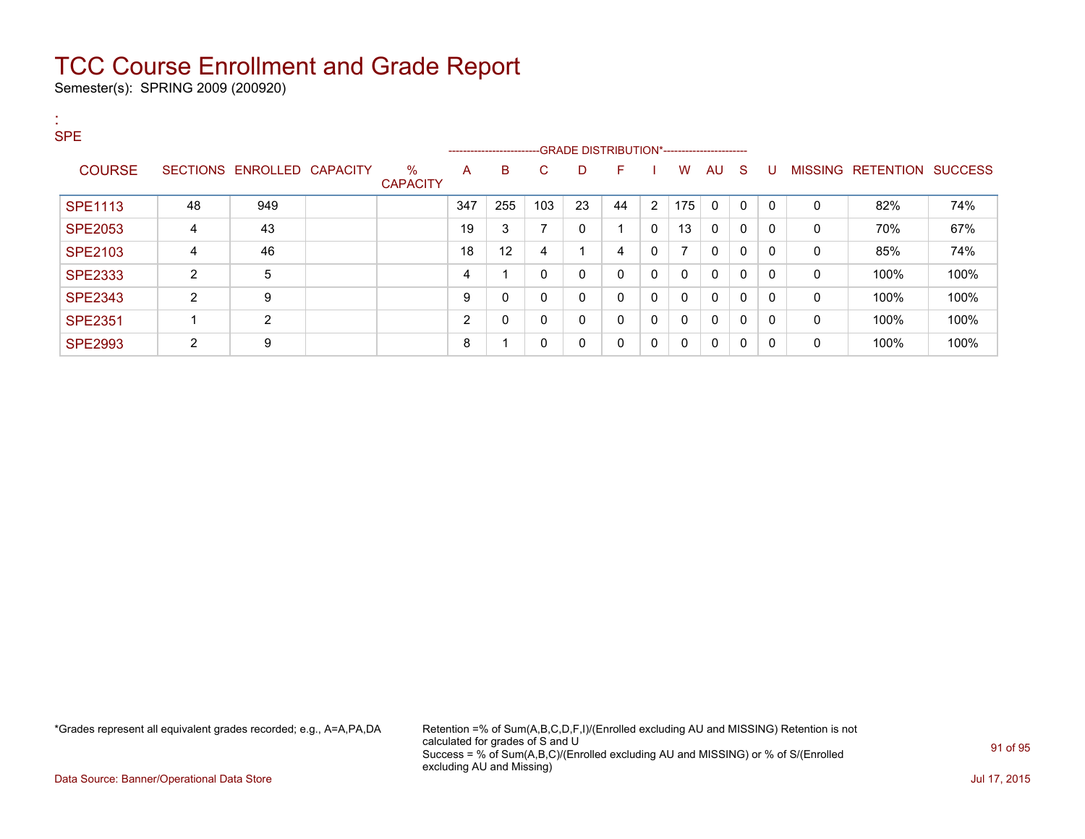Semester(s): SPRING 2009 (200920)

| л.<br><b>A</b><br><b>SPE</b> |                |                            |                         |     | ------------------------- |     |    | -GRADE DISTRIBUTION*----------------------- |              |              |              |              |              |          |                           |      |
|------------------------------|----------------|----------------------------|-------------------------|-----|---------------------------|-----|----|---------------------------------------------|--------------|--------------|--------------|--------------|--------------|----------|---------------------------|------|
| <b>COURSE</b>                |                | SECTIONS ENROLLED CAPACITY | $\%$<br><b>CAPACITY</b> | A   | B                         | С   | D  | F                                           |              | W            | AU S         |              | -U           |          | MISSING RETENTION SUCCESS |      |
| <b>SPE1113</b>               | 48             | 949                        |                         | 347 | 255                       | 103 | 23 | 44                                          | 2            | 175          | $\mathbf{0}$ | $\mathbf{0}$ | $\mathbf{0}$ | $\Omega$ | 82%                       | 74%  |
| <b>SPE2053</b>               | 4              | 43                         |                         | 19  | 3                         |     | 0  | $\overline{\mathbf{A}}$                     | $\mathbf{0}$ | 13           | $\mathbf{0}$ | $\Omega$     | 0            | 0        | 70%                       | 67%  |
| SPE2103                      | 4              | 46                         |                         | 18  | 12                        | 4   |    | 4                                           | 0            | 7            | $\mathbf{0}$ | $\mathbf{0}$ | 0            | $\Omega$ | 85%                       | 74%  |
| <b>SPE2333</b>               | $\overline{2}$ | 5                          |                         | 4   |                           | 0   | 0  | 0                                           | $\mathbf{0}$ | $\mathbf{0}$ | $\mathbf{0}$ | $\Omega$     | 0            | 0        | 100%                      | 100% |
| <b>SPE2343</b>               | 2              | 9                          |                         | 9   | 0                         | 0   | 0  | $\Omega$                                    | $\mathbf{0}$ | $\mathbf{0}$ | $\mathbf{0}$ | $\mathbf{0}$ | 0            | $\Omega$ | 100%                      | 100% |
| <b>SPE2351</b>               |                | $\overline{2}$             |                         | 2   | 0                         | 0   | 0  | $\Omega$                                    | $\mathbf{0}$ | $\mathbf{0}$ | $\mathbf 0$  | $\mathbf{0}$ | 0            | 0        | 100%                      | 100% |
| <b>SPE2993</b>               | 2              | 9                          |                         | 8   |                           | 0   | 0  | $\Omega$                                    | $\mathbf{0}$ | $\mathbf{0}$ | 0            | 0            | 0            | 0        | 100%                      | 100% |

\*Grades represent all equivalent grades recorded; e.g., A=A,PA,DA Retention =% of Sum(A,B,C,D,F,I)/(Enrolled excluding AU and MISSING) Retention is not calculated for grades of S and U Success = % of Sum(A,B,C)/(Enrolled excluding AU and MISSING) or % of S/(Enrolled excluding AU and Missing)

Data Source: Banner/Operational Data Store Jul 17, 2015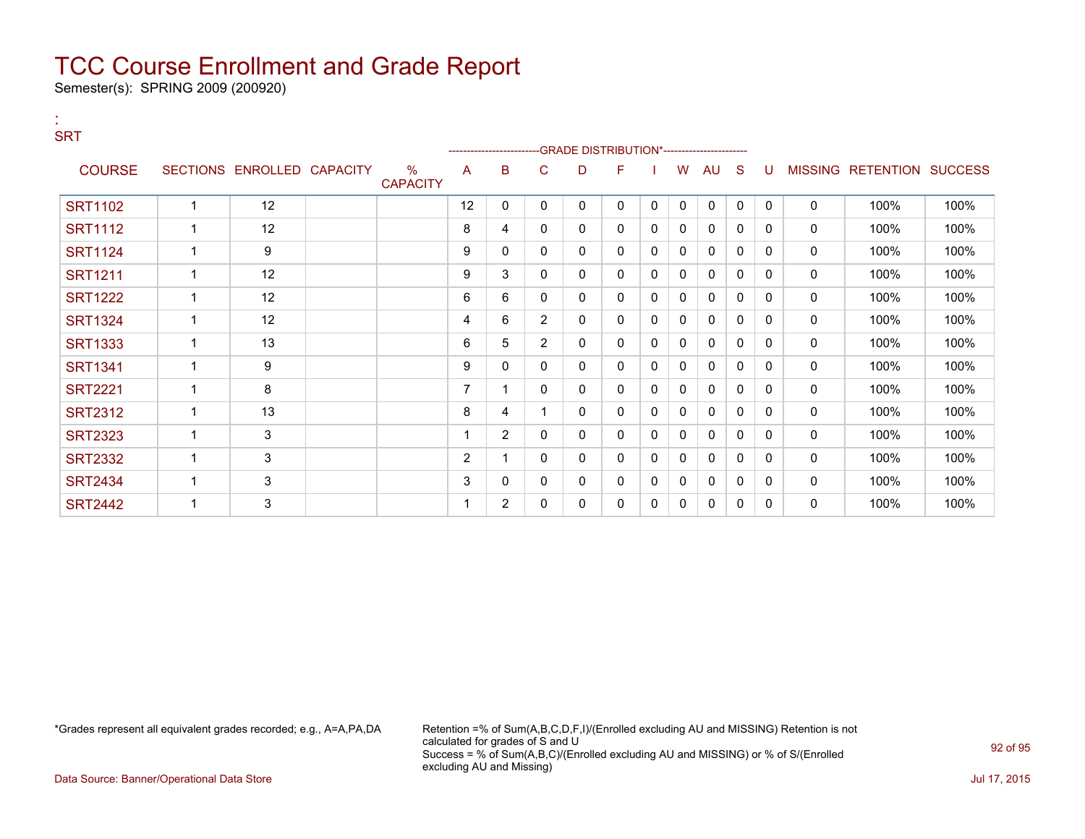Semester(s): SPRING 2009 (200920)

:

| <b>SRT</b>     |                |                            |                         |                |                |                |   | --GRADE DISTRIBUTION*----------------------- |              |              |              |              |              |              |                           |      |
|----------------|----------------|----------------------------|-------------------------|----------------|----------------|----------------|---|----------------------------------------------|--------------|--------------|--------------|--------------|--------------|--------------|---------------------------|------|
| <b>COURSE</b>  |                | SECTIONS ENROLLED CAPACITY | $\%$<br><b>CAPACITY</b> | A              | B              | C              | D | F                                            |              | W            | AU           | S            | U            |              | MISSING RETENTION SUCCESS |      |
| <b>SRT1102</b> | 1              | 12                         |                         | 12             | 0              | 0              | 0 | 0                                            | $\mathbf{0}$ | $\mathbf{0}$ | $\mathbf 0$  | $\mathbf 0$  | $\mathbf{0}$ | $\mathbf 0$  | 100%                      | 100% |
| <b>SRT1112</b> | 1              | 12                         |                         | 8              | 4              | 0              | 0 | 0                                            | 0            | 0            | $\mathbf{0}$ | $\mathbf{0}$ | 0            | 0            | 100%                      | 100% |
| <b>SRT1124</b> | 1              | 9                          |                         | 9              | 0              | 0              | 0 | 0                                            | 0            | 0            | 0            | $\mathbf{0}$ | $\Omega$     | $\mathbf 0$  | 100%                      | 100% |
| <b>SRT1211</b> | $\overline{1}$ | 12                         |                         | 9              | 3              | $\mathbf{0}$   | 0 | 0                                            | $\mathbf{0}$ | 0            | 0            | $\mathbf{0}$ | $\mathbf{0}$ | 0            | 100%                      | 100% |
| <b>SRT1222</b> | $\overline{1}$ | 12                         |                         | 6              | 6              | $\mathbf{0}$   | 0 | 0                                            | $\mathbf{0}$ | $\mathbf{0}$ | $\mathbf{0}$ | $\mathbf{0}$ | $\Omega$     | $\mathbf 0$  | 100%                      | 100% |
| <b>SRT1324</b> | 1              | 12                         |                         | 4              | 6              | $\overline{2}$ | 0 | 0                                            | 0            | 0            | 0            | 0            | 0            | 0            | 100%                      | 100% |
| <b>SRT1333</b> | $\overline{1}$ | 13                         |                         | 6              | 5              | $\overline{2}$ | 0 | 0                                            | 0            | $\Omega$     | $\mathbf{0}$ | $\mathbf{0}$ | $\Omega$     | $\mathbf 0$  | 100%                      | 100% |
| <b>SRT1341</b> |                | 9                          |                         | 9              | 0              | 0              | 0 | 0                                            | 0            | 0            | 0            | $\mathbf{0}$ | $\Omega$     | 0            | 100%                      | 100% |
| <b>SRT2221</b> | 1              | 8                          |                         | $\overline{ }$ |                | $\mathbf{0}$   | 0 | 0                                            | $\mathbf{0}$ | $\Omega$     | $\mathbf{0}$ | $\mathbf{0}$ | 0            | 0            | 100%                      | 100% |
| <b>SRT2312</b> | 1              | 13                         |                         | 8              | 4              |                | 0 | 0                                            | $\mathbf 0$  | 0            | $\mathbf{0}$ | $\mathbf{0}$ | $\Omega$     | $\mathbf 0$  | 100%                      | 100% |
| <b>SRT2323</b> | 1              | 3                          |                         |                | $\overline{2}$ | 0              | 0 | 0                                            | 0            | 0            | 0            | 0            | 0            | 0            | 100%                      | 100% |
| <b>SRT2332</b> | 1              | $\mathsf 3$                |                         | $\overline{c}$ |                | 0              | 0 | 0                                            | 0            | $\mathbf{0}$ | 0            | $\Omega$     | $\Omega$     | 0            | 100%                      | 100% |
| <b>SRT2434</b> | 1              | $\mathsf 3$                |                         | 3              | 0              | 0              | 0 | 0                                            | 0            | $\mathbf{0}$ | 0            | 0            | 0            | 0            | 100%                      | 100% |
| <b>SRT2442</b> | 1              | 3                          |                         |                | $\overline{2}$ | 0              | 0 | 0                                            | 0            | $\Omega$     | $\mathbf{0}$ | $\mathbf{0}$ | 0            | $\mathbf{0}$ | 100%                      | 100% |

\*Grades represent all equivalent grades recorded; e.g., A=A,PA,DA Retention =% of Sum(A,B,C,D,F,I)/(Enrolled excluding AU and MISSING) Retention is not calculated for grades of S and U Success = % of Sum(A,B,C)/(Enrolled excluding AU and MISSING) or % of S/(Enrolled excluding AU and Missing)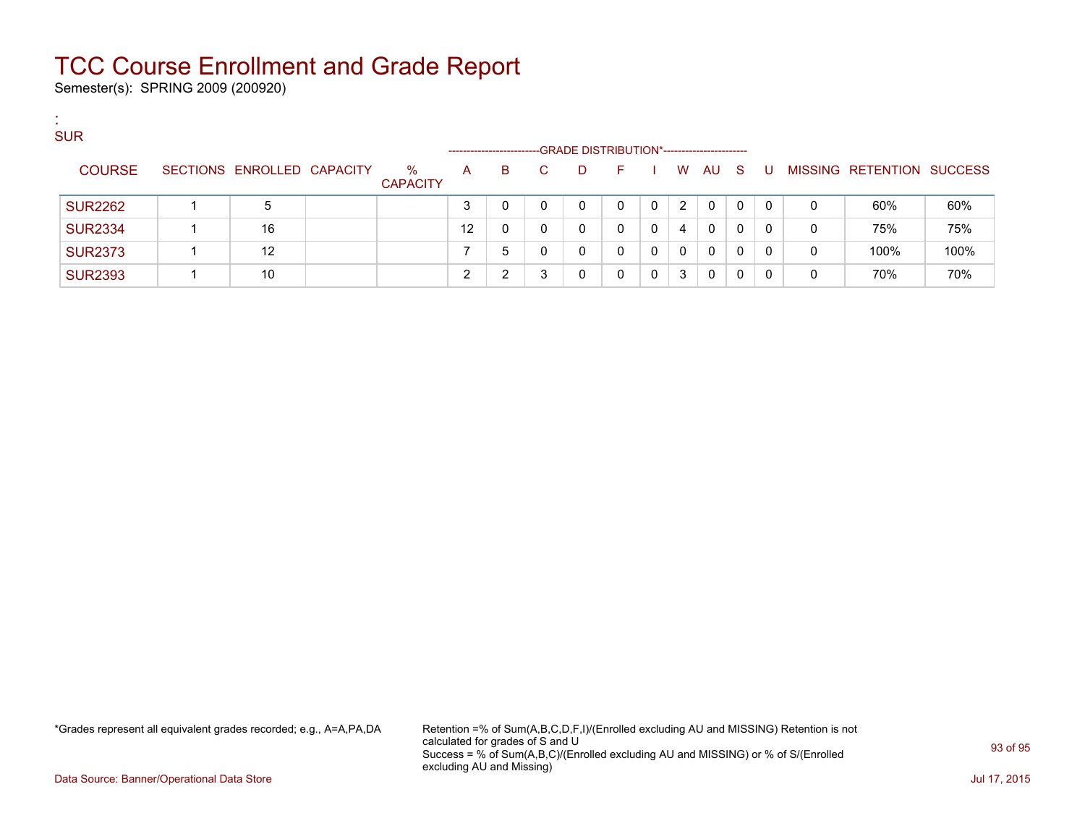Semester(s): SPRING 2009 (200920)

:

| <b>SUR</b>     |                            |                         | ------------------ |   |   |   | -GRADE DISTRIBUTION*----------------------- |   |   |              |    |          |              |                   |                |
|----------------|----------------------------|-------------------------|--------------------|---|---|---|---------------------------------------------|---|---|--------------|----|----------|--------------|-------------------|----------------|
| <b>COURSE</b>  | SECTIONS ENROLLED CAPACITY | $\%$<br><b>CAPACITY</b> | A                  | B |   | D |                                             |   | W | AU.          | S. | -U       |              | MISSING RETENTION | <b>SUCCESS</b> |
| <b>SUR2262</b> | 5                          |                         | ◠                  |   | 0 | 0 | 0                                           | 0 | 2 | $\Omega$     | 0  | $\Omega$ | 0            | 60%               | 60%            |
| <b>SUR2334</b> | 16                         |                         | 12                 | 0 | 0 | 0 | 0                                           | 0 | 4 | $\mathbf{0}$ | 0  | $\Omega$ | $\mathbf{0}$ | 75%               | 75%            |
| <b>SUR2373</b> | 12                         |                         |                    | 5 |   | 0 | 0                                           | 0 | 0 | 0            | 0  | 0        | 0            | 100%              | 100%           |
| <b>SUR2393</b> | 10                         |                         | ⌒                  | ົ | 3 | 0 | 0                                           | 0 | 3 | 0            | 0  | 0        | 0            | 70%               | 70%            |

\*Grades represent all equivalent grades recorded; e.g., A=A,PA,DA Retention =% of Sum(A,B,C,D,F,I)/(Enrolled excluding AU and MISSING) Retention is not calculated for grades of S and U Success = % of Sum(A,B,C)/(Enrolled excluding AU and MISSING) or % of S/(Enrolled excluding AU and Missing)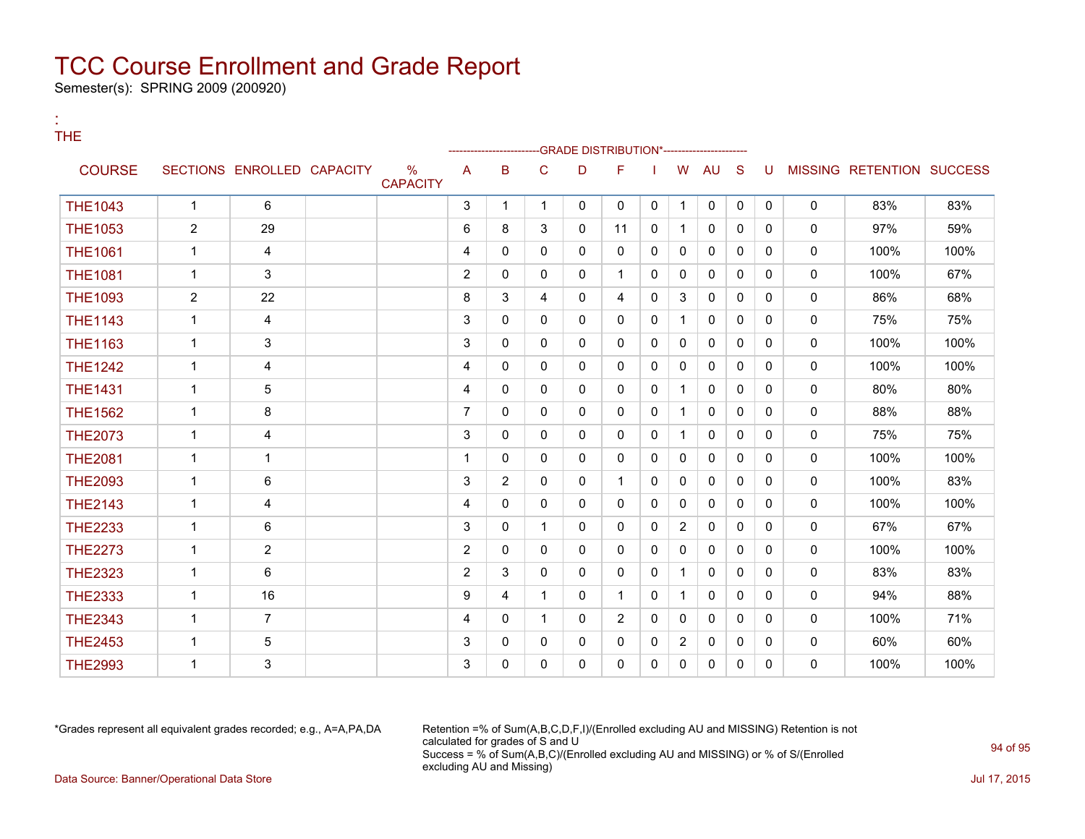Semester(s): SPRING 2009 (200920)

:

| THE            |                |                            |                         |                |              |              |              | -GRADE DISTRIBUTION*-------------------- |              |                |              |              |              |              |                           |      |
|----------------|----------------|----------------------------|-------------------------|----------------|--------------|--------------|--------------|------------------------------------------|--------------|----------------|--------------|--------------|--------------|--------------|---------------------------|------|
| <b>COURSE</b>  |                | SECTIONS ENROLLED CAPACITY | $\%$<br><b>CAPACITY</b> | A              | B            | C            | D            | F.                                       |              | W              | <b>AU</b>    | -S           | U            |              | MISSING RETENTION SUCCESS |      |
| <b>THE1043</b> | $\mathbf{1}$   | 6                          |                         | 3              | $\mathbf 1$  | $\mathbf{1}$ | $\mathbf{0}$ | $\mathbf{0}$                             | $\mathbf 0$  | 1              | 0            | $\mathbf 0$  | $\mathbf{0}$ | $\mathbf{0}$ | 83%                       | 83%  |
| <b>THE1053</b> | $\overline{2}$ | 29                         |                         | 6              | 8            | 3            | 0            | 11                                       | $\mathbf{0}$ | 1              | 0            | $\mathbf{0}$ | $\mathbf{0}$ | 0            | 97%                       | 59%  |
| <b>THE1061</b> | $\mathbf{1}$   | 4                          |                         | 4              | $\Omega$     | $\Omega$     | $\Omega$     | $\Omega$                                 | $\mathbf{0}$ | 0              | $\mathbf{0}$ | $\mathbf{0}$ | $\Omega$     | 0            | 100%                      | 100% |
| <b>THE1081</b> | $\mathbf{1}$   | 3                          |                         | $\overline{2}$ | $\mathbf{0}$ | 0            | $\mathbf{0}$ | 1                                        | $\mathbf{0}$ | 0              | 0            | 0            | $\mathbf{0}$ | 0            | 100%                      | 67%  |
| <b>THE1093</b> | $\overline{2}$ | 22                         |                         | 8              | 3            | 4            | 0            | 4                                        | $\Omega$     | 3              | 0            | $\mathbf{0}$ | $\Omega$     | 0            | 86%                       | 68%  |
| <b>THE1143</b> | $\mathbf{1}$   | 4                          |                         | 3              | $\Omega$     | $\Omega$     | 0            | $\Omega$                                 | $\mathbf{0}$ | 1              | $\mathbf{0}$ | $\mathbf{0}$ | $\Omega$     | 0            | 75%                       | 75%  |
| <b>THE1163</b> | 1              | 3                          |                         | 3              | $\Omega$     | $\Omega$     | $\mathbf{0}$ | $\mathbf{0}$                             | $\mathbf{0}$ | $\Omega$       | $\mathbf{0}$ | $\mathbf{0}$ | $\mathbf{0}$ | 0            | 100%                      | 100% |
| <b>THE1242</b> | 1              | 4                          |                         | $\overline{4}$ | $\mathbf{0}$ | $\mathbf{0}$ | $\mathbf{0}$ | $\mathbf{0}$                             | $\mathbf{0}$ | $\mathbf{0}$   | 0            | $\mathbf{0}$ | $\mathbf{0}$ | 0            | 100%                      | 100% |
| <b>THE1431</b> | 1              | 5                          |                         | $\overline{4}$ | $\Omega$     | $\Omega$     | 0            | $\mathbf{0}$                             | $\mathbf{0}$ | 1              | 0            | $\mathbf{0}$ | $\mathbf{0}$ | 0            | 80%                       | 80%  |
| <b>THE1562</b> | $\mathbf 1$    | 8                          |                         | 7              | $\mathbf{0}$ | 0            | 0            | 0                                        | $\mathbf{0}$ | 1              | 0            | 0            | 0            | 0            | 88%                       | 88%  |
| <b>THE2073</b> | 1              | 4                          |                         | 3              | $\Omega$     | $\Omega$     | $\mathbf{0}$ | $\Omega$                                 | $\mathbf{0}$ | 1              | $\mathbf{0}$ | $\mathbf{0}$ | $\Omega$     | 0            | 75%                       | 75%  |
| <b>THE2081</b> | $\mathbf{1}$   | $\mathbf{1}$               |                         | 1              | $\mathbf{0}$ | $\mathbf{0}$ | 0            | 0                                        | $\mathbf{0}$ | 0              | 0            | 0            | $\Omega$     | 0            | 100%                      | 100% |
| <b>THE2093</b> | $\mathbf{1}$   | 6                          |                         | 3              | 2            | $\Omega$     | 0            | 1                                        | $\Omega$     | $\mathbf{0}$   | $\mathbf{0}$ | $\mathbf{0}$ | $\mathbf{0}$ | 0            | 100%                      | 83%  |
| <b>THE2143</b> | 1              | 4                          |                         | 4              | $\mathbf{0}$ | $\mathbf{0}$ | 0            | 0                                        | $\mathbf{0}$ | 0              | $\mathbf{0}$ | $\mathbf 0$  | $\mathbf{0}$ | 0            | 100%                      | 100% |
| <b>THE2233</b> | $\mathbf{1}$   | 6                          |                         | 3              | $\Omega$     | 1            | $\mathbf{0}$ | $\mathbf{0}$                             | $\mathbf{0}$ | $\overline{2}$ | 0            | $\mathbf{0}$ | $\Omega$     | $\mathbf{0}$ | 67%                       | 67%  |
| <b>THE2273</b> | 1              | 2                          |                         | $\overline{2}$ | $\mathbf{0}$ | $\mathbf{0}$ | 0            | $\mathbf{0}$                             | $\mathbf{0}$ | $\mathbf{0}$   | 0            | $\mathbf{0}$ | $\mathbf{0}$ | 0            | 100%                      | 100% |
| <b>THE2323</b> | 1              | 6                          |                         | $\overline{2}$ | 3            | $\mathbf{0}$ | 0            | 0                                        | $\mathbf{0}$ | 1              | 0            | $\mathbf{0}$ | 0            | 0            | 83%                       | 83%  |
| <b>THE2333</b> | 1              | 16                         |                         | 9              | 4            | 1            | 0            | 1                                        | $\mathbf{0}$ | 1              | $\mathbf{0}$ | $\mathbf{0}$ | $\mathbf{0}$ | 0            | 94%                       | 88%  |
| <b>THE2343</b> | 1              | $\overline{7}$             |                         | $\overline{4}$ | $\mathbf{0}$ | $\mathbf{1}$ | 0            | $\overline{2}$                           | $\mathbf{0}$ | 0              | 0            | $\mathbf{0}$ | $\Omega$     | 0            | 100%                      | 71%  |
| <b>THE2453</b> | $\mathbf{1}$   | 5                          |                         | 3              | $\mathbf{0}$ | $\mathbf{0}$ | 0            | $\mathbf{0}$                             | $\mathbf{0}$ | $\overline{2}$ | 0            | $\mathbf{0}$ | $\Omega$     | 0            | 60%                       | 60%  |
| <b>THE2993</b> | 1              | 3                          |                         | 3              | $\mathbf{0}$ | $\mathbf{0}$ | 0            | $\mathbf{0}$                             | $\mathbf{0}$ | 0              | 0            | 0            | $\Omega$     | 0            | 100%                      | 100% |

\*Grades represent all equivalent grades recorded; e.g., A=A,PA,DA Retention =% of Sum(A,B,C,D,F,I)/(Enrolled excluding AU and MISSING) Retention is not calculated for grades of S and U Success = % of Sum(A,B,C)/(Enrolled excluding AU and MISSING) or % of S/(Enrolled excluding AU and Missing) Data Source: Banner/Operational Data Store Jul 17, 2015